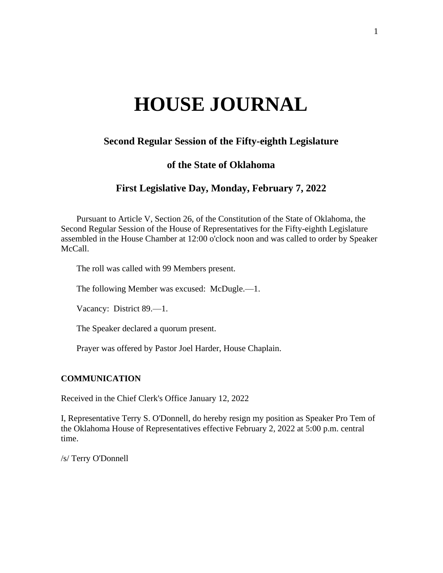# **HOUSE JOURNAL**

# **Second Regular Session of the Fifty-eighth Legislature**

# **of the State of Oklahoma**

# **First Legislative Day, Monday, February 7, 2022**

Pursuant to Article V, Section 26, of the Constitution of the State of Oklahoma, the Second Regular Session of the House of Representatives for the Fifty-eighth Legislature assembled in the House Chamber at 12:00 o'clock noon and was called to order by Speaker McCall.

The roll was called with 99 Members present.

The following Member was excused: McDugle.—1.

Vacancy: District 89.—1.

The Speaker declared a quorum present.

Prayer was offered by Pastor Joel Harder, House Chaplain.

# **COMMUNICATION**

Received in the Chief Clerk's Office January 12, 2022

I, Representative Terry S. O'Donnell, do hereby resign my position as Speaker Pro Tem of the Oklahoma House of Representatives effective February 2, 2022 at 5:00 p.m. central time.

/s/ Terry O'Donnell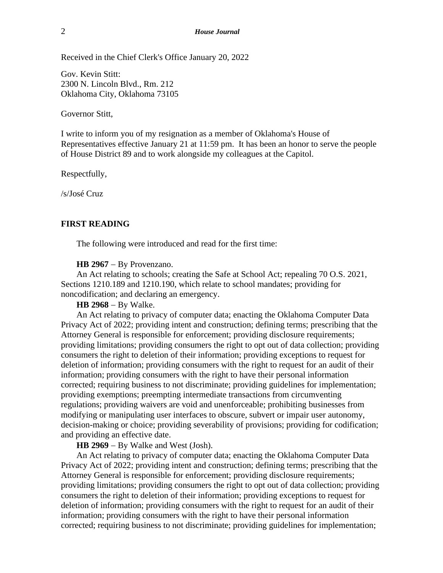Received in the Chief Clerk's Office January 20, 2022

Gov. Kevin Stitt: 2300 N. Lincoln Blvd., Rm. 212 Oklahoma City, Oklahoma 73105

Governor Stitt,

I write to inform you of my resignation as a member of Oklahoma's House of Representatives effective January 21 at 11:59 pm. It has been an honor to serve the people of House District 89 and to work alongside my colleagues at the Capitol.

Respectfully,

/s/José Cruz

#### **FIRST READING**

The following were introduced and read for the first time:

#### **HB 2967** − By Provenzano.

An Act relating to schools; creating the Safe at School Act; repealing 70 O.S. 2021, Sections 1210.189 and 1210.190, which relate to school mandates; providing for noncodification; and declaring an emergency.

**HB 2968** − By Walke.

An Act relating to privacy of computer data; enacting the Oklahoma Computer Data Privacy Act of 2022; providing intent and construction; defining terms; prescribing that the Attorney General is responsible for enforcement; providing disclosure requirements; providing limitations; providing consumers the right to opt out of data collection; providing consumers the right to deletion of their information; providing exceptions to request for deletion of information; providing consumers with the right to request for an audit of their information; providing consumers with the right to have their personal information corrected; requiring business to not discriminate; providing guidelines for implementation; providing exemptions; preempting intermediate transactions from circumventing regulations; providing waivers are void and unenforceable; prohibiting businesses from modifying or manipulating user interfaces to obscure, subvert or impair user autonomy, decision-making or choice; providing severability of provisions; providing for codification; and providing an effective date.

**HB 2969** − By Walke and West (Josh).

An Act relating to privacy of computer data; enacting the Oklahoma Computer Data Privacy Act of 2022; providing intent and construction; defining terms; prescribing that the Attorney General is responsible for enforcement; providing disclosure requirements; providing limitations; providing consumers the right to opt out of data collection; providing consumers the right to deletion of their information; providing exceptions to request for deletion of information; providing consumers with the right to request for an audit of their information; providing consumers with the right to have their personal information corrected; requiring business to not discriminate; providing guidelines for implementation;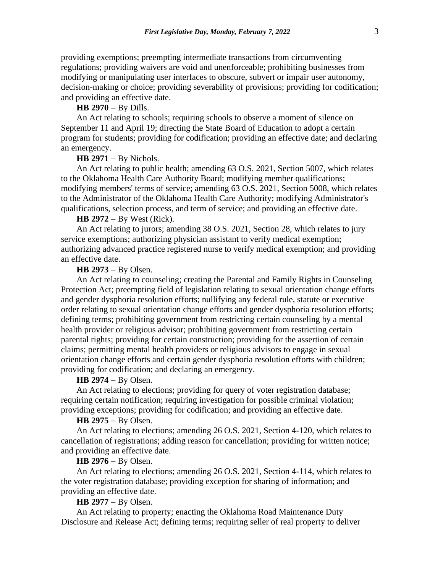providing exemptions; preempting intermediate transactions from circumventing regulations; providing waivers are void and unenforceable; prohibiting businesses from modifying or manipulating user interfaces to obscure, subvert or impair user autonomy, decision-making or choice; providing severability of provisions; providing for codification; and providing an effective date.

## **HB 2970** − By Dills.

An Act relating to schools; requiring schools to observe a moment of silence on September 11 and April 19; directing the State Board of Education to adopt a certain program for students; providing for codification; providing an effective date; and declaring an emergency.

# **HB 2971** − By Nichols.

An Act relating to public health; amending 63 O.S. 2021, Section 5007, which relates to the Oklahoma Health Care Authority Board; modifying member qualifications; modifying members' terms of service; amending 63 O.S. 2021, Section 5008, which relates to the Administrator of the Oklahoma Health Care Authority; modifying Administrator's qualifications, selection process, and term of service; and providing an effective date.

## **HB 2972** − By West (Rick).

An Act relating to jurors; amending 38 O.S. 2021, Section 28, which relates to jury service exemptions; authorizing physician assistant to verify medical exemption; authorizing advanced practice registered nurse to verify medical exemption; and providing an effective date.

#### **HB 2973** − By Olsen.

An Act relating to counseling; creating the Parental and Family Rights in Counseling Protection Act; preempting field of legislation relating to sexual orientation change efforts and gender dysphoria resolution efforts; nullifying any federal rule, statute or executive order relating to sexual orientation change efforts and gender dysphoria resolution efforts; defining terms; prohibiting government from restricting certain counseling by a mental health provider or religious advisor; prohibiting government from restricting certain parental rights; providing for certain construction; providing for the assertion of certain claims; permitting mental health providers or religious advisors to engage in sexual orientation change efforts and certain gender dysphoria resolution efforts with children; providing for codification; and declaring an emergency.

## **HB 2974** − By Olsen.

An Act relating to elections; providing for query of voter registration database; requiring certain notification; requiring investigation for possible criminal violation; providing exceptions; providing for codification; and providing an effective date.

## **HB 2975** − By Olsen.

An Act relating to elections; amending 26 O.S. 2021, Section 4-120, which relates to cancellation of registrations; adding reason for cancellation; providing for written notice; and providing an effective date.

#### **HB 2976** − By Olsen.

An Act relating to elections; amending 26 O.S. 2021, Section 4-114, which relates to the voter registration database; providing exception for sharing of information; and providing an effective date.

# **HB 2977** − By Olsen.

An Act relating to property; enacting the Oklahoma Road Maintenance Duty Disclosure and Release Act; defining terms; requiring seller of real property to deliver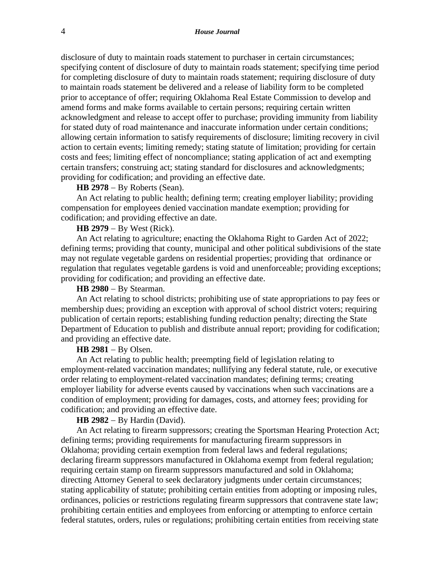disclosure of duty to maintain roads statement to purchaser in certain circumstances; specifying content of disclosure of duty to maintain roads statement; specifying time period for completing disclosure of duty to maintain roads statement; requiring disclosure of duty to maintain roads statement be delivered and a release of liability form to be completed prior to acceptance of offer; requiring Oklahoma Real Estate Commission to develop and amend forms and make forms available to certain persons; requiring certain written acknowledgment and release to accept offer to purchase; providing immunity from liability for stated duty of road maintenance and inaccurate information under certain conditions; allowing certain information to satisfy requirements of disclosure; limiting recovery in civil action to certain events; limiting remedy; stating statute of limitation; providing for certain costs and fees; limiting effect of noncompliance; stating application of act and exempting certain transfers; construing act; stating standard for disclosures and acknowledgments; providing for codification; and providing an effective date.

#### **HB 2978** − By Roberts (Sean).

An Act relating to public health; defining term; creating employer liability; providing compensation for employees denied vaccination mandate exemption; providing for codification; and providing effective an date.

## **HB 2979** − By West (Rick).

An Act relating to agriculture; enacting the Oklahoma Right to Garden Act of 2022; defining terms; providing that county, municipal and other political subdivisions of the state may not regulate vegetable gardens on residential properties; providing that ordinance or regulation that regulates vegetable gardens is void and unenforceable; providing exceptions; providing for codification; and providing an effective date.

#### **HB 2980** − By Stearman.

An Act relating to school districts; prohibiting use of state appropriations to pay fees or membership dues; providing an exception with approval of school district voters; requiring publication of certain reports; establishing funding reduction penalty; directing the State Department of Education to publish and distribute annual report; providing for codification; and providing an effective date.

#### **HB 2981** − By Olsen.

An Act relating to public health; preempting field of legislation relating to employment-related vaccination mandates; nullifying any federal statute, rule, or executive order relating to employment-related vaccination mandates; defining terms; creating employer liability for adverse events caused by vaccinations when such vaccinations are a condition of employment; providing for damages, costs, and attorney fees; providing for codification; and providing an effective date.

## **HB 2982** − By Hardin (David).

An Act relating to firearm suppressors; creating the Sportsman Hearing Protection Act; defining terms; providing requirements for manufacturing firearm suppressors in Oklahoma; providing certain exemption from federal laws and federal regulations; declaring firearm suppressors manufactured in Oklahoma exempt from federal regulation; requiring certain stamp on firearm suppressors manufactured and sold in Oklahoma; directing Attorney General to seek declaratory judgments under certain circumstances; stating applicability of statute; prohibiting certain entities from adopting or imposing rules, ordinances, policies or restrictions regulating firearm suppressors that contravene state law; prohibiting certain entities and employees from enforcing or attempting to enforce certain federal statutes, orders, rules or regulations; prohibiting certain entities from receiving state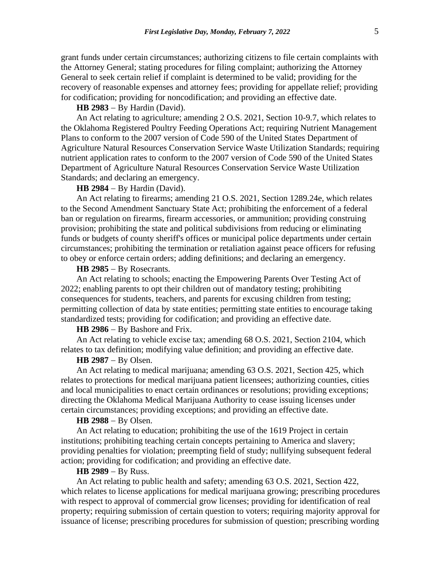grant funds under certain circumstances; authorizing citizens to file certain complaints with the Attorney General; stating procedures for filing complaint; authorizing the Attorney General to seek certain relief if complaint is determined to be valid; providing for the recovery of reasonable expenses and attorney fees; providing for appellate relief; providing for codification; providing for noncodification; and providing an effective date.

#### **HB 2983** − By Hardin (David).

An Act relating to agriculture; amending 2 O.S. 2021, Section 10-9.7, which relates to the Oklahoma Registered Poultry Feeding Operations Act; requiring Nutrient Management Plans to conform to the 2007 version of Code 590 of the United States Department of Agriculture Natural Resources Conservation Service Waste Utilization Standards; requiring nutrient application rates to conform to the 2007 version of Code 590 of the United States Department of Agriculture Natural Resources Conservation Service Waste Utilization Standards; and declaring an emergency.

## **HB 2984** − By Hardin (David).

An Act relating to firearms; amending 21 O.S. 2021, Section 1289.24e, which relates to the Second Amendment Sanctuary State Act; prohibiting the enforcement of a federal ban or regulation on firearms, firearm accessories, or ammunition; providing construing provision; prohibiting the state and political subdivisions from reducing or eliminating funds or budgets of county sheriff's offices or municipal police departments under certain circumstances; prohibiting the termination or retaliation against peace officers for refusing to obey or enforce certain orders; adding definitions; and declaring an emergency.

## **HB 2985** − By Rosecrants.

An Act relating to schools; enacting the Empowering Parents Over Testing Act of 2022; enabling parents to opt their children out of mandatory testing; prohibiting consequences for students, teachers, and parents for excusing children from testing; permitting collection of data by state entities; permitting state entities to encourage taking standardized tests; providing for codification; and providing an effective date.

#### **HB 2986** − By Bashore and Frix.

An Act relating to vehicle excise tax; amending 68 O.S. 2021, Section 2104, which relates to tax definition; modifying value definition; and providing an effective date.

# **HB 2987** − By Olsen.

An Act relating to medical marijuana; amending 63 O.S. 2021, Section 425, which relates to protections for medical marijuana patient licensees; authorizing counties, cities and local municipalities to enact certain ordinances or resolutions; providing exceptions; directing the Oklahoma Medical Marijuana Authority to cease issuing licenses under certain circumstances; providing exceptions; and providing an effective date.

#### **HB 2988** − By Olsen.

An Act relating to education; prohibiting the use of the 1619 Project in certain institutions; prohibiting teaching certain concepts pertaining to America and slavery; providing penalties for violation; preempting field of study; nullifying subsequent federal action; providing for codification; and providing an effective date.

#### **HB 2989** − By Russ.

An Act relating to public health and safety; amending 63 O.S. 2021, Section 422, which relates to license applications for medical marijuana growing; prescribing procedures with respect to approval of commercial grow licenses; providing for identification of real property; requiring submission of certain question to voters; requiring majority approval for issuance of license; prescribing procedures for submission of question; prescribing wording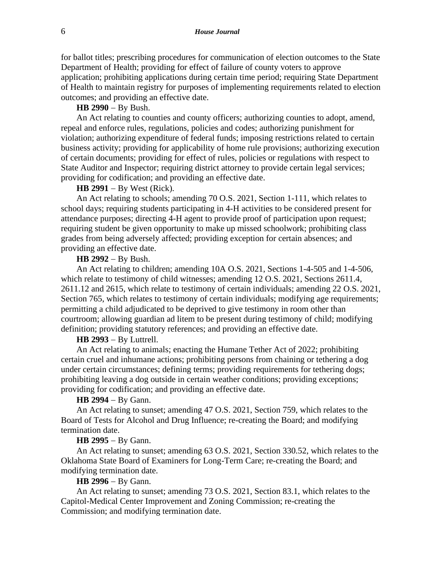for ballot titles; prescribing procedures for communication of election outcomes to the State Department of Health; providing for effect of failure of county voters to approve application; prohibiting applications during certain time period; requiring State Department of Health to maintain registry for purposes of implementing requirements related to election outcomes; and providing an effective date.

## **HB 2990** − By Bush.

An Act relating to counties and county officers; authorizing counties to adopt, amend, repeal and enforce rules, regulations, policies and codes; authorizing punishment for violation; authorizing expenditure of federal funds; imposing restrictions related to certain business activity; providing for applicability of home rule provisions; authorizing execution of certain documents; providing for effect of rules, policies or regulations with respect to State Auditor and Inspector; requiring district attorney to provide certain legal services; providing for codification; and providing an effective date.

## **HB 2991** − By West (Rick).

An Act relating to schools; amending 70 O.S. 2021, Section 1-111, which relates to school days; requiring students participating in 4-H activities to be considered present for attendance purposes; directing 4-H agent to provide proof of participation upon request; requiring student be given opportunity to make up missed schoolwork; prohibiting class grades from being adversely affected; providing exception for certain absences; and providing an effective date.

## **HB 2992** − By Bush.

An Act relating to children; amending 10A O.S. 2021, Sections 1-4-505 and 1-4-506, which relate to testimony of child witnesses; amending 12 O.S. 2021, Sections 2611.4, 2611.12 and 2615, which relate to testimony of certain individuals; amending 22 O.S. 2021, Section 765, which relates to testimony of certain individuals; modifying age requirements; permitting a child adjudicated to be deprived to give testimony in room other than courtroom; allowing guardian ad litem to be present during testimony of child; modifying definition; providing statutory references; and providing an effective date.

#### **HB 2993** − By Luttrell.

An Act relating to animals; enacting the Humane Tether Act of 2022; prohibiting certain cruel and inhumane actions; prohibiting persons from chaining or tethering a dog under certain circumstances; defining terms; providing requirements for tethering dogs; prohibiting leaving a dog outside in certain weather conditions; providing exceptions; providing for codification; and providing an effective date.

#### **HB 2994** − By Gann.

An Act relating to sunset; amending 47 O.S. 2021, Section 759, which relates to the Board of Tests for Alcohol and Drug Influence; re-creating the Board; and modifying termination date.

#### **HB 2995** − By Gann.

An Act relating to sunset; amending 63 O.S. 2021, Section 330.52, which relates to the Oklahoma State Board of Examiners for Long-Term Care; re-creating the Board; and modifying termination date.

# **HB 2996** − By Gann.

An Act relating to sunset; amending 73 O.S. 2021, Section 83.1, which relates to the Capitol-Medical Center Improvement and Zoning Commission; re-creating the Commission; and modifying termination date.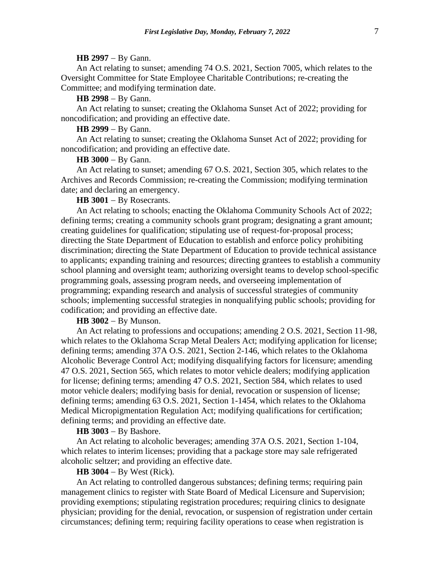#### **HB 2997** − By Gann.

An Act relating to sunset; amending 74 O.S. 2021, Section 7005, which relates to the Oversight Committee for State Employee Charitable Contributions; re-creating the Committee; and modifying termination date.

#### **HB 2998** − By Gann.

An Act relating to sunset; creating the Oklahoma Sunset Act of 2022; providing for noncodification; and providing an effective date.

# **HB 2999** − By Gann.

An Act relating to sunset; creating the Oklahoma Sunset Act of 2022; providing for noncodification; and providing an effective date.

## **HB 3000** − By Gann.

An Act relating to sunset; amending 67 O.S. 2021, Section 305, which relates to the Archives and Records Commission; re-creating the Commission; modifying termination date; and declaring an emergency.

# **HB 3001** − By Rosecrants.

An Act relating to schools; enacting the Oklahoma Community Schools Act of 2022; defining terms; creating a community schools grant program; designating a grant amount; creating guidelines for qualification; stipulating use of request-for-proposal process; directing the State Department of Education to establish and enforce policy prohibiting discrimination; directing the State Department of Education to provide technical assistance to applicants; expanding training and resources; directing grantees to establish a community school planning and oversight team; authorizing oversight teams to develop school-specific programming goals, assessing program needs, and overseeing implementation of programming; expanding research and analysis of successful strategies of community schools; implementing successful strategies in nonqualifying public schools; providing for codification; and providing an effective date.

# **HB 3002** − By Munson.

An Act relating to professions and occupations; amending 2 O.S. 2021, Section 11-98, which relates to the Oklahoma Scrap Metal Dealers Act; modifying application for license; defining terms; amending 37A O.S. 2021, Section 2-146, which relates to the Oklahoma Alcoholic Beverage Control Act; modifying disqualifying factors for licensure; amending 47 O.S. 2021, Section 565, which relates to motor vehicle dealers; modifying application for license; defining terms; amending 47 O.S. 2021, Section 584, which relates to used motor vehicle dealers; modifying basis for denial, revocation or suspension of license; defining terms; amending 63 O.S. 2021, Section 1-1454, which relates to the Oklahoma Medical Micropigmentation Regulation Act; modifying qualifications for certification; defining terms; and providing an effective date.

# **HB 3003** − By Bashore.

An Act relating to alcoholic beverages; amending 37A O.S. 2021, Section 1-104, which relates to interim licenses; providing that a package store may sale refrigerated alcoholic seltzer; and providing an effective date.

#### **HB 3004** − By West (Rick).

An Act relating to controlled dangerous substances; defining terms; requiring pain management clinics to register with State Board of Medical Licensure and Supervision; providing exemptions; stipulating registration procedures; requiring clinics to designate physician; providing for the denial, revocation, or suspension of registration under certain circumstances; defining term; requiring facility operations to cease when registration is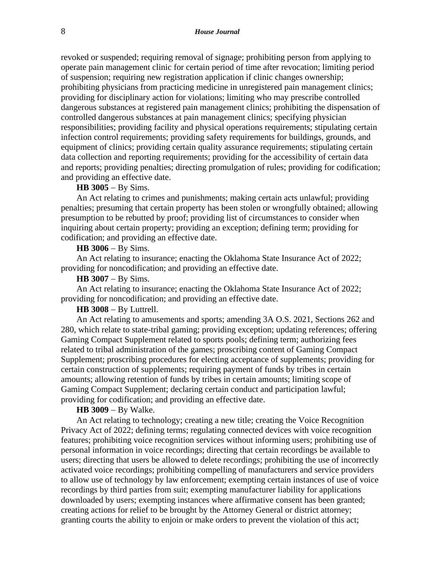revoked or suspended; requiring removal of signage; prohibiting person from applying to operate pain management clinic for certain period of time after revocation; limiting period of suspension; requiring new registration application if clinic changes ownership; prohibiting physicians from practicing medicine in unregistered pain management clinics; providing for disciplinary action for violations; limiting who may prescribe controlled dangerous substances at registered pain management clinics; prohibiting the dispensation of controlled dangerous substances at pain management clinics; specifying physician responsibilities; providing facility and physical operations requirements; stipulating certain infection control requirements; providing safety requirements for buildings, grounds, and equipment of clinics; providing certain quality assurance requirements; stipulating certain data collection and reporting requirements; providing for the accessibility of certain data and reports; providing penalties; directing promulgation of rules; providing for codification; and providing an effective date.

## **HB 3005** − By Sims.

An Act relating to crimes and punishments; making certain acts unlawful; providing penalties; presuming that certain property has been stolen or wrongfully obtained; allowing presumption to be rebutted by proof; providing list of circumstances to consider when inquiring about certain property; providing an exception; defining term; providing for codification; and providing an effective date.

# **HB 3006** − By Sims.

An Act relating to insurance; enacting the Oklahoma State Insurance Act of 2022; providing for noncodification; and providing an effective date.

## **HB 3007** − By Sims.

An Act relating to insurance; enacting the Oklahoma State Insurance Act of 2022; providing for noncodification; and providing an effective date.

#### **HB 3008** − By Luttrell.

An Act relating to amusements and sports; amending 3A O.S. 2021, Sections 262 and 280, which relate to state-tribal gaming; providing exception; updating references; offering Gaming Compact Supplement related to sports pools; defining term; authorizing fees related to tribal administration of the games; proscribing content of Gaming Compact Supplement; proscribing procedures for electing acceptance of supplements; providing for certain construction of supplements; requiring payment of funds by tribes in certain amounts; allowing retention of funds by tribes in certain amounts; limiting scope of Gaming Compact Supplement; declaring certain conduct and participation lawful; providing for codification; and providing an effective date.

## **HB 3009** − By Walke.

An Act relating to technology; creating a new title; creating the Voice Recognition Privacy Act of 2022; defining terms; regulating connected devices with voice recognition features; prohibiting voice recognition services without informing users; prohibiting use of personal information in voice recordings; directing that certain recordings be available to users; directing that users be allowed to delete recordings; prohibiting the use of incorrectly activated voice recordings; prohibiting compelling of manufacturers and service providers to allow use of technology by law enforcement; exempting certain instances of use of voice recordings by third parties from suit; exempting manufacturer liability for applications downloaded by users; exempting instances where affirmative consent has been granted; creating actions for relief to be brought by the Attorney General or district attorney; granting courts the ability to enjoin or make orders to prevent the violation of this act;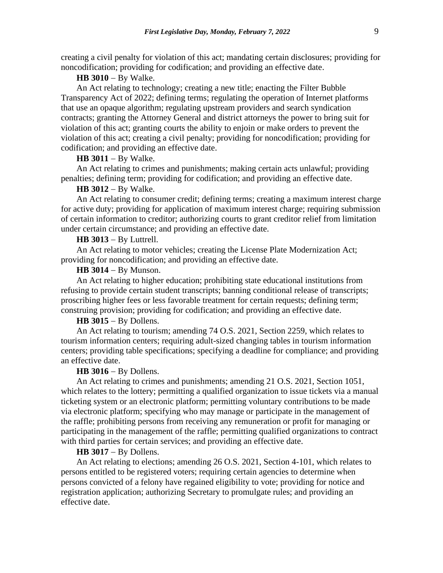creating a civil penalty for violation of this act; mandating certain disclosures; providing for noncodification; providing for codification; and providing an effective date.

## **HB 3010** − By Walke.

An Act relating to technology; creating a new title; enacting the Filter Bubble Transparency Act of 2022; defining terms; regulating the operation of Internet platforms that use an opaque algorithm; regulating upstream providers and search syndication contracts; granting the Attorney General and district attorneys the power to bring suit for violation of this act; granting courts the ability to enjoin or make orders to prevent the violation of this act; creating a civil penalty; providing for noncodification; providing for codification; and providing an effective date.

#### **HB 3011** − By Walke.

An Act relating to crimes and punishments; making certain acts unlawful; providing penalties; defining term; providing for codification; and providing an effective date.

## **HB 3012** − By Walke.

An Act relating to consumer credit; defining terms; creating a maximum interest charge for active duty; providing for application of maximum interest charge; requiring submission of certain information to creditor; authorizing courts to grant creditor relief from limitation under certain circumstance; and providing an effective date.

## **HB 3013** − By Luttrell.

An Act relating to motor vehicles; creating the License Plate Modernization Act; providing for noncodification; and providing an effective date.

#### **HB 3014** − By Munson.

An Act relating to higher education; prohibiting state educational institutions from refusing to provide certain student transcripts; banning conditional release of transcripts; proscribing higher fees or less favorable treatment for certain requests; defining term; construing provision; providing for codification; and providing an effective date.

## **HB 3015** − By Dollens.

An Act relating to tourism; amending 74 O.S. 2021, Section 2259, which relates to tourism information centers; requiring adult-sized changing tables in tourism information centers; providing table specifications; specifying a deadline for compliance; and providing an effective date.

#### **HB 3016** − By Dollens.

An Act relating to crimes and punishments; amending 21 O.S. 2021, Section 1051, which relates to the lottery; permitting a qualified organization to issue tickets via a manual ticketing system or an electronic platform; permitting voluntary contributions to be made via electronic platform; specifying who may manage or participate in the management of the raffle; prohibiting persons from receiving any remuneration or profit for managing or participating in the management of the raffle; permitting qualified organizations to contract with third parties for certain services; and providing an effective date.

# **HB 3017** − By Dollens.

An Act relating to elections; amending 26 O.S. 2021, Section 4-101, which relates to persons entitled to be registered voters; requiring certain agencies to determine when persons convicted of a felony have regained eligibility to vote; providing for notice and registration application; authorizing Secretary to promulgate rules; and providing an effective date.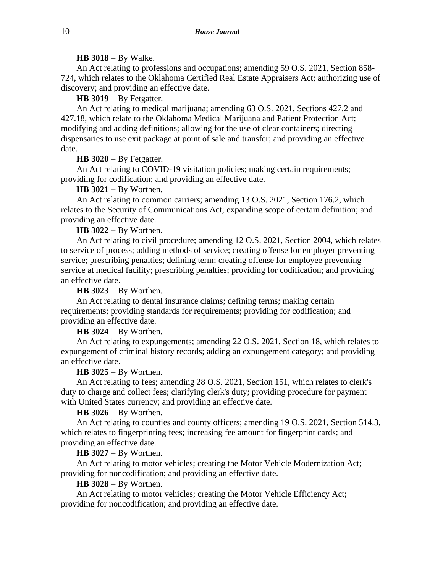#### **HB 3018** − By Walke.

An Act relating to professions and occupations; amending 59 O.S. 2021, Section 858- 724, which relates to the Oklahoma Certified Real Estate Appraisers Act; authorizing use of discovery; and providing an effective date.

#### **HB 3019** − By Fetgatter.

An Act relating to medical marijuana; amending 63 O.S. 2021, Sections 427.2 and 427.18, which relate to the Oklahoma Medical Marijuana and Patient Protection Act; modifying and adding definitions; allowing for the use of clear containers; directing dispensaries to use exit package at point of sale and transfer; and providing an effective date.

## **HB 3020** − By Fetgatter.

An Act relating to COVID-19 visitation policies; making certain requirements; providing for codification; and providing an effective date.

## **HB 3021** − By Worthen.

An Act relating to common carriers; amending 13 O.S. 2021, Section 176.2, which relates to the Security of Communications Act; expanding scope of certain definition; and providing an effective date.

#### **HB 3022** − By Worthen.

An Act relating to civil procedure; amending 12 O.S. 2021, Section 2004, which relates to service of process; adding methods of service; creating offense for employer preventing service; prescribing penalties; defining term; creating offense for employee preventing service at medical facility; prescribing penalties; providing for codification; and providing an effective date.

**HB 3023** − By Worthen.

An Act relating to dental insurance claims; defining terms; making certain requirements; providing standards for requirements; providing for codification; and providing an effective date.

# **HB 3024** − By Worthen.

An Act relating to expungements; amending 22 O.S. 2021, Section 18, which relates to expungement of criminal history records; adding an expungement category; and providing an effective date.

## **HB 3025** − By Worthen.

An Act relating to fees; amending 28 O.S. 2021, Section 151, which relates to clerk's duty to charge and collect fees; clarifying clerk's duty; providing procedure for payment with United States currency; and providing an effective date.

#### **HB 3026** − By Worthen.

An Act relating to counties and county officers; amending 19 O.S. 2021, Section 514.3, which relates to fingerprinting fees; increasing fee amount for fingerprint cards; and providing an effective date.

# **HB 3027** − By Worthen.

An Act relating to motor vehicles; creating the Motor Vehicle Modernization Act; providing for noncodification; and providing an effective date.

#### **HB 3028** − By Worthen.

An Act relating to motor vehicles; creating the Motor Vehicle Efficiency Act; providing for noncodification; and providing an effective date.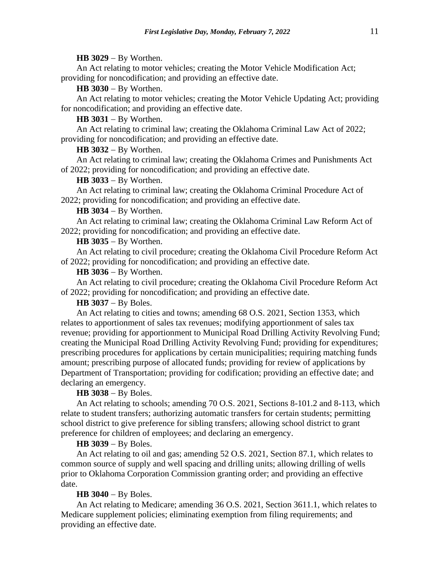#### **HB 3029** − By Worthen.

An Act relating to motor vehicles; creating the Motor Vehicle Modification Act; providing for noncodification; and providing an effective date.

**HB 3030** − By Worthen.

An Act relating to motor vehicles; creating the Motor Vehicle Updating Act; providing for noncodification; and providing an effective date.

**HB 3031** − By Worthen.

An Act relating to criminal law; creating the Oklahoma Criminal Law Act of 2022; providing for noncodification; and providing an effective date.

**HB 3032** − By Worthen.

An Act relating to criminal law; creating the Oklahoma Crimes and Punishments Act of 2022; providing for noncodification; and providing an effective date.

**HB 3033** − By Worthen.

An Act relating to criminal law; creating the Oklahoma Criminal Procedure Act of 2022; providing for noncodification; and providing an effective date.

**HB 3034** − By Worthen.

An Act relating to criminal law; creating the Oklahoma Criminal Law Reform Act of 2022; providing for noncodification; and providing an effective date.

**HB 3035** − By Worthen.

An Act relating to civil procedure; creating the Oklahoma Civil Procedure Reform Act of 2022; providing for noncodification; and providing an effective date.

**HB 3036** − By Worthen.

An Act relating to civil procedure; creating the Oklahoma Civil Procedure Reform Act of 2022; providing for noncodification; and providing an effective date.

**HB 3037** − By Boles.

An Act relating to cities and towns; amending 68 O.S. 2021, Section 1353, which relates to apportionment of sales tax revenues; modifying apportionment of sales tax revenue; providing for apportionment to Municipal Road Drilling Activity Revolving Fund; creating the Municipal Road Drilling Activity Revolving Fund; providing for expenditures; prescribing procedures for applications by certain municipalities; requiring matching funds amount; prescribing purpose of allocated funds; providing for review of applications by Department of Transportation; providing for codification; providing an effective date; and declaring an emergency.

**HB 3038** − By Boles.

An Act relating to schools; amending 70 O.S. 2021, Sections 8-101.2 and 8-113, which relate to student transfers; authorizing automatic transfers for certain students; permitting school district to give preference for sibling transfers; allowing school district to grant preference for children of employees; and declaring an emergency.

**HB 3039** − By Boles.

An Act relating to oil and gas; amending 52 O.S. 2021, Section 87.1, which relates to common source of supply and well spacing and drilling units; allowing drilling of wells prior to Oklahoma Corporation Commission granting order; and providing an effective date.

**HB 3040** − By Boles.

An Act relating to Medicare; amending 36 O.S. 2021, Section 3611.1, which relates to Medicare supplement policies; eliminating exemption from filing requirements; and providing an effective date.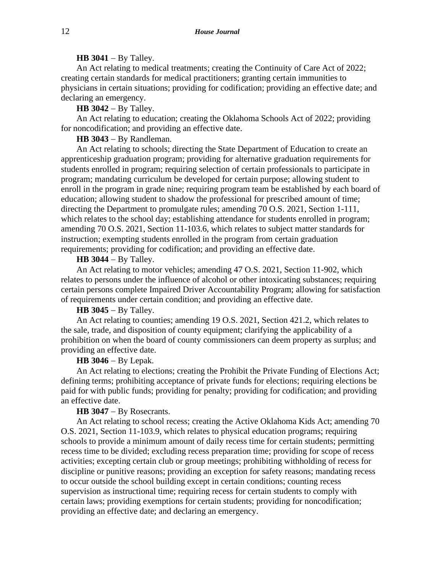## **HB 3041** − By Talley.

An Act relating to medical treatments; creating the Continuity of Care Act of 2022; creating certain standards for medical practitioners; granting certain immunities to physicians in certain situations; providing for codification; providing an effective date; and declaring an emergency.

**HB 3042** − By Talley.

An Act relating to education; creating the Oklahoma Schools Act of 2022; providing for noncodification; and providing an effective date.

**HB 3043** − By Randleman.

An Act relating to schools; directing the State Department of Education to create an apprenticeship graduation program; providing for alternative graduation requirements for students enrolled in program; requiring selection of certain professionals to participate in program; mandating curriculum be developed for certain purpose; allowing student to enroll in the program in grade nine; requiring program team be established by each board of education; allowing student to shadow the professional for prescribed amount of time; directing the Department to promulgate rules; amending 70 O.S. 2021, Section 1-111, which relates to the school day; establishing attendance for students enrolled in program; amending 70 O.S. 2021, Section 11-103.6, which relates to subject matter standards for instruction; exempting students enrolled in the program from certain graduation requirements; providing for codification; and providing an effective date.

## **HB 3044** − By Talley.

An Act relating to motor vehicles; amending 47 O.S. 2021, Section 11-902, which relates to persons under the influence of alcohol or other intoxicating substances; requiring certain persons complete Impaired Driver Accountability Program; allowing for satisfaction of requirements under certain condition; and providing an effective date.

# **HB 3045** − By Talley.

An Act relating to counties; amending 19 O.S. 2021, Section 421.2, which relates to the sale, trade, and disposition of county equipment; clarifying the applicability of a prohibition on when the board of county commissioners can deem property as surplus; and providing an effective date.

## **HB 3046** − By Lepak.

An Act relating to elections; creating the Prohibit the Private Funding of Elections Act; defining terms; prohibiting acceptance of private funds for elections; requiring elections be paid for with public funds; providing for penalty; providing for codification; and providing an effective date.

# **HB 3047** − By Rosecrants.

An Act relating to school recess; creating the Active Oklahoma Kids Act; amending 70 O.S. 2021, Section 11-103.9, which relates to physical education programs; requiring schools to provide a minimum amount of daily recess time for certain students; permitting recess time to be divided; excluding recess preparation time; providing for scope of recess activities; excepting certain club or group meetings; prohibiting withholding of recess for discipline or punitive reasons; providing an exception for safety reasons; mandating recess to occur outside the school building except in certain conditions; counting recess supervision as instructional time; requiring recess for certain students to comply with certain laws; providing exemptions for certain students; providing for noncodification; providing an effective date; and declaring an emergency.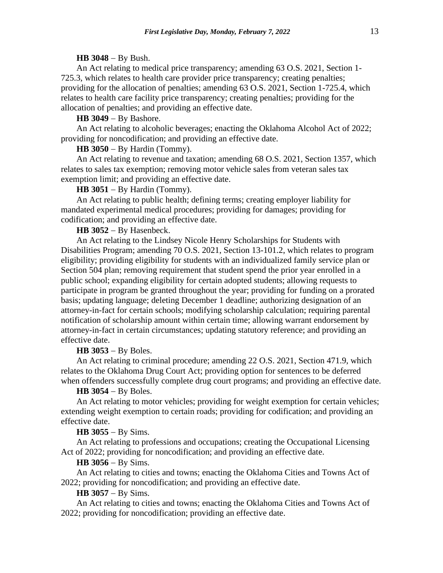#### **HB 3048** − By Bush.

An Act relating to medical price transparency; amending 63 O.S. 2021, Section 1- 725.3, which relates to health care provider price transparency; creating penalties; providing for the allocation of penalties; amending 63 O.S. 2021, Section 1-725.4, which relates to health care facility price transparency; creating penalties; providing for the allocation of penalties; and providing an effective date.

## **HB 3049** − By Bashore.

An Act relating to alcoholic beverages; enacting the Oklahoma Alcohol Act of 2022; providing for noncodification; and providing an effective date.

#### **HB 3050** − By Hardin (Tommy).

An Act relating to revenue and taxation; amending 68 O.S. 2021, Section 1357, which relates to sales tax exemption; removing motor vehicle sales from veteran sales tax exemption limit; and providing an effective date.

## **HB 3051** − By Hardin (Tommy).

An Act relating to public health; defining terms; creating employer liability for mandated experimental medical procedures; providing for damages; providing for codification; and providing an effective date.

#### **HB 3052** − By Hasenbeck.

An Act relating to the Lindsey Nicole Henry Scholarships for Students with Disabilities Program; amending 70 O.S. 2021, Section 13-101.2, which relates to program eligibility; providing eligibility for students with an individualized family service plan or Section 504 plan; removing requirement that student spend the prior year enrolled in a public school; expanding eligibility for certain adopted students; allowing requests to participate in program be granted throughout the year; providing for funding on a prorated basis; updating language; deleting December 1 deadline; authorizing designation of an attorney-in-fact for certain schools; modifying scholarship calculation; requiring parental notification of scholarship amount within certain time; allowing warrant endorsement by attorney-in-fact in certain circumstances; updating statutory reference; and providing an effective date.

#### **HB 3053** − By Boles.

An Act relating to criminal procedure; amending 22 O.S. 2021, Section 471.9, which relates to the Oklahoma Drug Court Act; providing option for sentences to be deferred when offenders successfully complete drug court programs; and providing an effective date.

# **HB 3054** − By Boles.

An Act relating to motor vehicles; providing for weight exemption for certain vehicles; extending weight exemption to certain roads; providing for codification; and providing an effective date.

## **HB 3055** − By Sims.

An Act relating to professions and occupations; creating the Occupational Licensing Act of 2022; providing for noncodification; and providing an effective date.

# **HB 3056** − By Sims.

An Act relating to cities and towns; enacting the Oklahoma Cities and Towns Act of 2022; providing for noncodification; and providing an effective date.

# **HB 3057** − By Sims.

An Act relating to cities and towns; enacting the Oklahoma Cities and Towns Act of 2022; providing for noncodification; providing an effective date.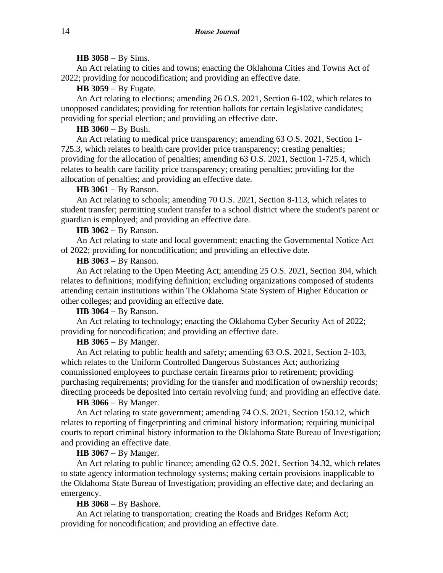#### **HB 3058** − By Sims.

An Act relating to cities and towns; enacting the Oklahoma Cities and Towns Act of 2022; providing for noncodification; and providing an effective date.

**HB 3059** − By Fugate.

An Act relating to elections; amending 26 O.S. 2021, Section 6-102, which relates to unopposed candidates; providing for retention ballots for certain legislative candidates; providing for special election; and providing an effective date.

# **HB 3060** − By Bush.

An Act relating to medical price transparency; amending 63 O.S. 2021, Section 1- 725.3, which relates to health care provider price transparency; creating penalties; providing for the allocation of penalties; amending 63 O.S. 2021, Section 1-725.4, which relates to health care facility price transparency; creating penalties; providing for the allocation of penalties; and providing an effective date.

#### **HB 3061** − By Ranson.

An Act relating to schools; amending 70 O.S. 2021, Section 8-113, which relates to student transfer; permitting student transfer to a school district where the student's parent or guardian is employed; and providing an effective date.

#### **HB 3062** − By Ranson.

An Act relating to state and local government; enacting the Governmental Notice Act of 2022; providing for noncodification; and providing an effective date.

#### **HB 3063** − By Ranson.

An Act relating to the Open Meeting Act; amending 25 O.S. 2021, Section 304, which relates to definitions; modifying definition; excluding organizations composed of students attending certain institutions within The Oklahoma State System of Higher Education or other colleges; and providing an effective date.

#### **HB 3064** − By Ranson.

An Act relating to technology; enacting the Oklahoma Cyber Security Act of 2022; providing for noncodification; and providing an effective date.

#### **HB 3065** − By Manger.

An Act relating to public health and safety; amending 63 O.S. 2021, Section 2-103, which relates to the Uniform Controlled Dangerous Substances Act; authorizing commissioned employees to purchase certain firearms prior to retirement; providing purchasing requirements; providing for the transfer and modification of ownership records; directing proceeds be deposited into certain revolving fund; and providing an effective date.

## **HB 3066** − By Manger.

An Act relating to state government; amending 74 O.S. 2021, Section 150.12, which relates to reporting of fingerprinting and criminal history information; requiring municipal courts to report criminal history information to the Oklahoma State Bureau of Investigation; and providing an effective date.

## **HB 3067** − By Manger.

An Act relating to public finance; amending 62 O.S. 2021, Section 34.32, which relates to state agency information technology systems; making certain provisions inapplicable to the Oklahoma State Bureau of Investigation; providing an effective date; and declaring an emergency.

#### **HB 3068** − By Bashore.

An Act relating to transportation; creating the Roads and Bridges Reform Act; providing for noncodification; and providing an effective date.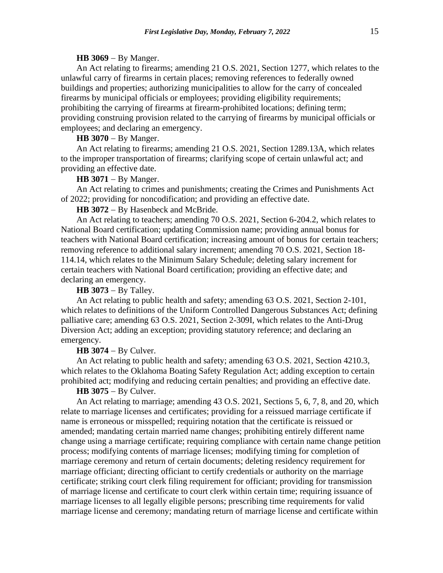## **HB 3069** − By Manger.

An Act relating to firearms; amending 21 O.S. 2021, Section 1277, which relates to the unlawful carry of firearms in certain places; removing references to federally owned buildings and properties; authorizing municipalities to allow for the carry of concealed firearms by municipal officials or employees; providing eligibility requirements; prohibiting the carrying of firearms at firearm-prohibited locations; defining term; providing construing provision related to the carrying of firearms by municipal officials or employees; and declaring an emergency.

#### **HB 3070** − By Manger.

An Act relating to firearms; amending 21 O.S. 2021, Section 1289.13A, which relates to the improper transportation of firearms; clarifying scope of certain unlawful act; and providing an effective date.

## **HB 3071** − By Manger.

An Act relating to crimes and punishments; creating the Crimes and Punishments Act of 2022; providing for noncodification; and providing an effective date.

**HB 3072** − By Hasenbeck and McBride.

An Act relating to teachers; amending 70 O.S. 2021, Section 6-204.2, which relates to National Board certification; updating Commission name; providing annual bonus for teachers with National Board certification; increasing amount of bonus for certain teachers; removing reference to additional salary increment; amending 70 O.S. 2021, Section 18- 114.14, which relates to the Minimum Salary Schedule; deleting salary increment for certain teachers with National Board certification; providing an effective date; and declaring an emergency.

#### **HB 3073** − By Talley.

An Act relating to public health and safety; amending 63 O.S. 2021, Section 2-101, which relates to definitions of the Uniform Controlled Dangerous Substances Act; defining palliative care; amending 63 O.S. 2021, Section 2-309I, which relates to the Anti-Drug Diversion Act; adding an exception; providing statutory reference; and declaring an emergency.

## **HB 3074** − By Culver.

An Act relating to public health and safety; amending 63 O.S. 2021, Section 4210.3, which relates to the Oklahoma Boating Safety Regulation Act; adding exception to certain prohibited act; modifying and reducing certain penalties; and providing an effective date.

# **HB 3075** − By Culver.

An Act relating to marriage; amending 43 O.S. 2021, Sections 5, 6, 7, 8, and 20, which relate to marriage licenses and certificates; providing for a reissued marriage certificate if name is erroneous or misspelled; requiring notation that the certificate is reissued or amended; mandating certain married name changes; prohibiting entirely different name change using a marriage certificate; requiring compliance with certain name change petition process; modifying contents of marriage licenses; modifying timing for completion of marriage ceremony and return of certain documents; deleting residency requirement for marriage officiant; directing officiant to certify credentials or authority on the marriage certificate; striking court clerk filing requirement for officiant; providing for transmission of marriage license and certificate to court clerk within certain time; requiring issuance of marriage licenses to all legally eligible persons; prescribing time requirements for valid marriage license and ceremony; mandating return of marriage license and certificate within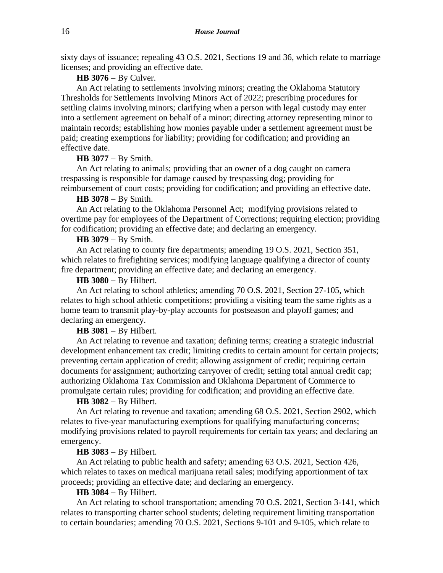sixty days of issuance; repealing 43 O.S. 2021, Sections 19 and 36, which relate to marriage licenses; and providing an effective date.

## **HB 3076** − By Culver.

An Act relating to settlements involving minors; creating the Oklahoma Statutory Thresholds for Settlements Involving Minors Act of 2022; prescribing procedures for settling claims involving minors; clarifying when a person with legal custody may enter into a settlement agreement on behalf of a minor; directing attorney representing minor to maintain records; establishing how monies payable under a settlement agreement must be paid; creating exemptions for liability; providing for codification; and providing an effective date.

# **HB 3077** − By Smith.

An Act relating to animals; providing that an owner of a dog caught on camera trespassing is responsible for damage caused by trespassing dog; providing for reimbursement of court costs; providing for codification; and providing an effective date.

#### **HB 3078** − By Smith.

An Act relating to the Oklahoma Personnel Act; modifying provisions related to overtime pay for employees of the Department of Corrections; requiring election; providing for codification; providing an effective date; and declaring an emergency.

# **HB 3079** − By Smith.

An Act relating to county fire departments; amending 19 O.S. 2021, Section 351, which relates to firefighting services; modifying language qualifying a director of county fire department; providing an effective date; and declaring an emergency.

#### **HB 3080** − By Hilbert.

An Act relating to school athletics; amending 70 O.S. 2021, Section 27-105, which relates to high school athletic competitions; providing a visiting team the same rights as a home team to transmit play-by-play accounts for postseason and playoff games; and declaring an emergency.

#### **HB 3081** − By Hilbert.

An Act relating to revenue and taxation; defining terms; creating a strategic industrial development enhancement tax credit; limiting credits to certain amount for certain projects; preventing certain application of credit; allowing assignment of credit; requiring certain documents for assignment; authorizing carryover of credit; setting total annual credit cap; authorizing Oklahoma Tax Commission and Oklahoma Department of Commerce to promulgate certain rules; providing for codification; and providing an effective date.

#### **HB 3082** − By Hilbert.

An Act relating to revenue and taxation; amending 68 O.S. 2021, Section 2902, which relates to five-year manufacturing exemptions for qualifying manufacturing concerns; modifying provisions related to payroll requirements for certain tax years; and declaring an emergency.

## **HB 3083** − By Hilbert.

An Act relating to public health and safety; amending 63 O.S. 2021, Section 426, which relates to taxes on medical marijuana retail sales; modifying apportionment of tax proceeds; providing an effective date; and declaring an emergency.

## **HB 3084** − By Hilbert.

An Act relating to school transportation; amending 70 O.S. 2021, Section 3-141, which relates to transporting charter school students; deleting requirement limiting transportation to certain boundaries; amending 70 O.S. 2021, Sections 9-101 and 9-105, which relate to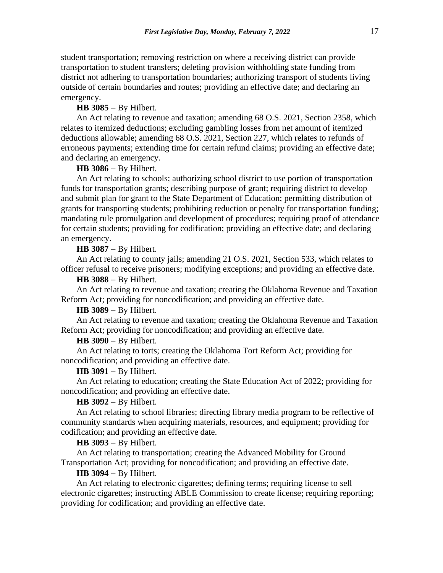student transportation; removing restriction on where a receiving district can provide transportation to student transfers; deleting provision withholding state funding from district not adhering to transportation boundaries; authorizing transport of students living outside of certain boundaries and routes; providing an effective date; and declaring an emergency.

## **HB 3085** − By Hilbert.

An Act relating to revenue and taxation; amending 68 O.S. 2021, Section 2358, which relates to itemized deductions; excluding gambling losses from net amount of itemized deductions allowable; amending 68 O.S. 2021, Section 227, which relates to refunds of erroneous payments; extending time for certain refund claims; providing an effective date; and declaring an emergency.

## **HB 3086** − By Hilbert.

An Act relating to schools; authorizing school district to use portion of transportation funds for transportation grants; describing purpose of grant; requiring district to develop and submit plan for grant to the State Department of Education; permitting distribution of grants for transporting students; prohibiting reduction or penalty for transportation funding; mandating rule promulgation and development of procedures; requiring proof of attendance for certain students; providing for codification; providing an effective date; and declaring an emergency.

#### **HB 3087** − By Hilbert.

An Act relating to county jails; amending 21 O.S. 2021, Section 533, which relates to officer refusal to receive prisoners; modifying exceptions; and providing an effective date.

## **HB 3088** − By Hilbert.

An Act relating to revenue and taxation; creating the Oklahoma Revenue and Taxation Reform Act; providing for noncodification; and providing an effective date.

# **HB 3089** − By Hilbert.

An Act relating to revenue and taxation; creating the Oklahoma Revenue and Taxation Reform Act; providing for noncodification; and providing an effective date.

## **HB 3090** − By Hilbert.

An Act relating to torts; creating the Oklahoma Tort Reform Act; providing for noncodification; and providing an effective date.

## **HB 3091** − By Hilbert.

An Act relating to education; creating the State Education Act of 2022; providing for noncodification; and providing an effective date.

## **HB 3092** − By Hilbert.

An Act relating to school libraries; directing library media program to be reflective of community standards when acquiring materials, resources, and equipment; providing for codification; and providing an effective date.

## **HB 3093** − By Hilbert.

An Act relating to transportation; creating the Advanced Mobility for Ground Transportation Act; providing for noncodification; and providing an effective date.

#### **HB 3094** − By Hilbert.

An Act relating to electronic cigarettes; defining terms; requiring license to sell electronic cigarettes; instructing ABLE Commission to create license; requiring reporting; providing for codification; and providing an effective date.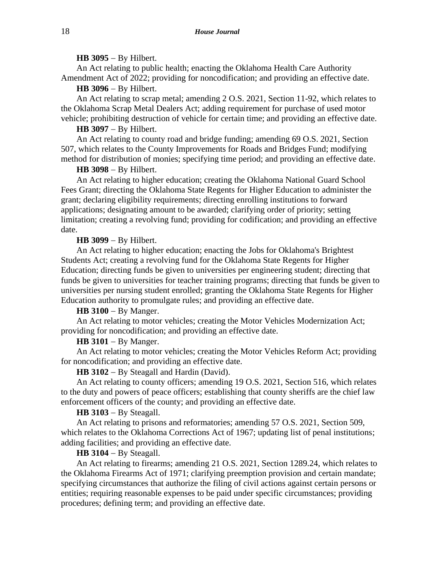#### **HB 3095** − By Hilbert.

An Act relating to public health; enacting the Oklahoma Health Care Authority Amendment Act of 2022; providing for noncodification; and providing an effective date.

**HB 3096** − By Hilbert.

An Act relating to scrap metal; amending 2 O.S. 2021, Section 11-92, which relates to the Oklahoma Scrap Metal Dealers Act; adding requirement for purchase of used motor vehicle; prohibiting destruction of vehicle for certain time; and providing an effective date.

**HB 3097** − By Hilbert.

An Act relating to county road and bridge funding; amending 69 O.S. 2021, Section 507, which relates to the County Improvements for Roads and Bridges Fund; modifying method for distribution of monies; specifying time period; and providing an effective date.

**HB 3098** − By Hilbert.

An Act relating to higher education; creating the Oklahoma National Guard School Fees Grant; directing the Oklahoma State Regents for Higher Education to administer the grant; declaring eligibility requirements; directing enrolling institutions to forward applications; designating amount to be awarded; clarifying order of priority; setting limitation; creating a revolving fund; providing for codification; and providing an effective date.

#### **HB 3099** − By Hilbert.

An Act relating to higher education; enacting the Jobs for Oklahoma's Brightest Students Act; creating a revolving fund for the Oklahoma State Regents for Higher Education; directing funds be given to universities per engineering student; directing that funds be given to universities for teacher training programs; directing that funds be given to universities per nursing student enrolled; granting the Oklahoma State Regents for Higher Education authority to promulgate rules; and providing an effective date.

**HB 3100** − By Manger.

An Act relating to motor vehicles; creating the Motor Vehicles Modernization Act; providing for noncodification; and providing an effective date.

**HB 3101** − By Manger.

An Act relating to motor vehicles; creating the Motor Vehicles Reform Act; providing for noncodification; and providing an effective date.

**HB 3102** − By Steagall and Hardin (David).

An Act relating to county officers; amending 19 O.S. 2021, Section 516, which relates to the duty and powers of peace officers; establishing that county sheriffs are the chief law enforcement officers of the county; and providing an effective date.

#### **HB 3103** − By Steagall.

An Act relating to prisons and reformatories; amending 57 O.S. 2021, Section 509, which relates to the Oklahoma Corrections Act of 1967; updating list of penal institutions; adding facilities; and providing an effective date.

# **HB 3104** − By Steagall.

An Act relating to firearms; amending 21 O.S. 2021, Section 1289.24, which relates to the Oklahoma Firearms Act of 1971; clarifying preemption provision and certain mandate; specifying circumstances that authorize the filing of civil actions against certain persons or entities; requiring reasonable expenses to be paid under specific circumstances; providing procedures; defining term; and providing an effective date.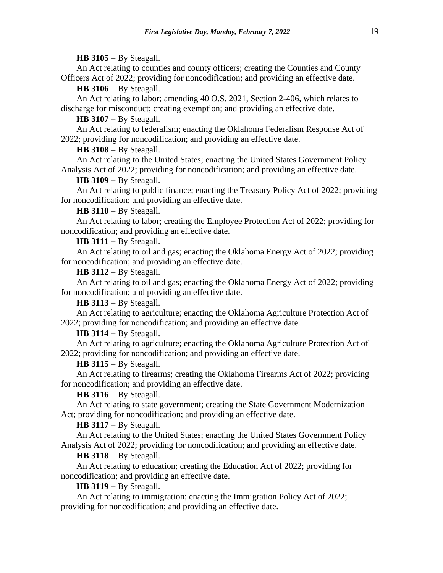## **HB 3105** − By Steagall.

An Act relating to counties and county officers; creating the Counties and County Officers Act of 2022; providing for noncodification; and providing an effective date.

**HB 3106** − By Steagall.

An Act relating to labor; amending 40 O.S. 2021, Section 2-406, which relates to discharge for misconduct; creating exemption; and providing an effective date.

**HB 3107** − By Steagall.

An Act relating to federalism; enacting the Oklahoma Federalism Response Act of 2022; providing for noncodification; and providing an effective date.

#### **HB 3108** − By Steagall.

An Act relating to the United States; enacting the United States Government Policy Analysis Act of 2022; providing for noncodification; and providing an effective date.

#### **HB 3109** − By Steagall.

An Act relating to public finance; enacting the Treasury Policy Act of 2022; providing for noncodification; and providing an effective date.

**HB 3110** − By Steagall.

An Act relating to labor; creating the Employee Protection Act of 2022; providing for noncodification; and providing an effective date.

**HB 3111** − By Steagall.

An Act relating to oil and gas; enacting the Oklahoma Energy Act of 2022; providing for noncodification; and providing an effective date.

#### **HB 3112** − By Steagall.

An Act relating to oil and gas; enacting the Oklahoma Energy Act of 2022; providing for noncodification; and providing an effective date.

**HB 3113** − By Steagall.

An Act relating to agriculture; enacting the Oklahoma Agriculture Protection Act of 2022; providing for noncodification; and providing an effective date.

**HB 3114** − By Steagall.

An Act relating to agriculture; enacting the Oklahoma Agriculture Protection Act of 2022; providing for noncodification; and providing an effective date.

## **HB 3115** − By Steagall.

An Act relating to firearms; creating the Oklahoma Firearms Act of 2022; providing for noncodification; and providing an effective date.

## **HB 3116** − By Steagall.

An Act relating to state government; creating the State Government Modernization Act; providing for noncodification; and providing an effective date.

## **HB 3117** − By Steagall.

An Act relating to the United States; enacting the United States Government Policy Analysis Act of 2022; providing for noncodification; and providing an effective date.

## **HB 3118** − By Steagall.

An Act relating to education; creating the Education Act of 2022; providing for noncodification; and providing an effective date.

## **HB 3119** − By Steagall.

An Act relating to immigration; enacting the Immigration Policy Act of 2022; providing for noncodification; and providing an effective date.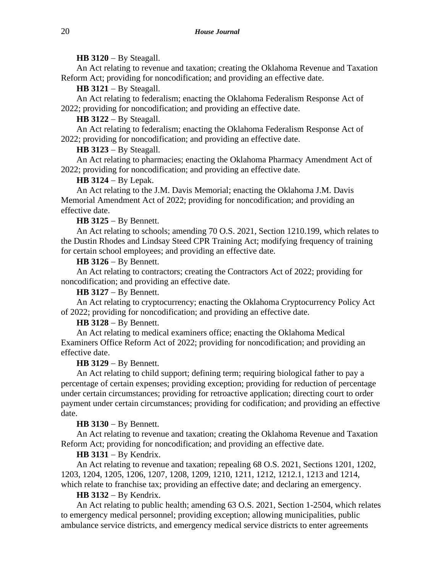## **HB 3120** − By Steagall.

An Act relating to revenue and taxation; creating the Oklahoma Revenue and Taxation Reform Act; providing for noncodification; and providing an effective date.

**HB 3121** − By Steagall.

An Act relating to federalism; enacting the Oklahoma Federalism Response Act of 2022; providing for noncodification; and providing an effective date.

**HB 3122** − By Steagall.

An Act relating to federalism; enacting the Oklahoma Federalism Response Act of 2022; providing for noncodification; and providing an effective date.

## **HB 3123** − By Steagall.

An Act relating to pharmacies; enacting the Oklahoma Pharmacy Amendment Act of 2022; providing for noncodification; and providing an effective date.

## **HB 3124** − By Lepak.

An Act relating to the J.M. Davis Memorial; enacting the Oklahoma J.M. Davis Memorial Amendment Act of 2022; providing for noncodification; and providing an effective date.

## **HB 3125** − By Bennett.

An Act relating to schools; amending 70 O.S. 2021, Section 1210.199, which relates to the Dustin Rhodes and Lindsay Steed CPR Training Act; modifying frequency of training for certain school employees; and providing an effective date.

# **HB 3126** − By Bennett.

An Act relating to contractors; creating the Contractors Act of 2022; providing for noncodification; and providing an effective date.

## **HB 3127** − By Bennett.

An Act relating to cryptocurrency; enacting the Oklahoma Cryptocurrency Policy Act of 2022; providing for noncodification; and providing an effective date.

# **HB 3128** − By Bennett.

An Act relating to medical examiners office; enacting the Oklahoma Medical Examiners Office Reform Act of 2022; providing for noncodification; and providing an effective date.

## **HB 3129** − By Bennett.

An Act relating to child support; defining term; requiring biological father to pay a percentage of certain expenses; providing exception; providing for reduction of percentage under certain circumstances; providing for retroactive application; directing court to order payment under certain circumstances; providing for codification; and providing an effective date.

## **HB 3130** − By Bennett.

An Act relating to revenue and taxation; creating the Oklahoma Revenue and Taxation Reform Act; providing for noncodification; and providing an effective date.

## **HB 3131** − By Kendrix.

An Act relating to revenue and taxation; repealing 68 O.S. 2021, Sections 1201, 1202, 1203, 1204, 1205, 1206, 1207, 1208, 1209, 1210, 1211, 1212, 1212.1, 1213 and 1214, which relate to franchise tax; providing an effective date; and declaring an emergency.

## **HB 3132** − By Kendrix.

An Act relating to public health; amending 63 O.S. 2021, Section 1-2504, which relates to emergency medical personnel; providing exception; allowing municipalities, public ambulance service districts, and emergency medical service districts to enter agreements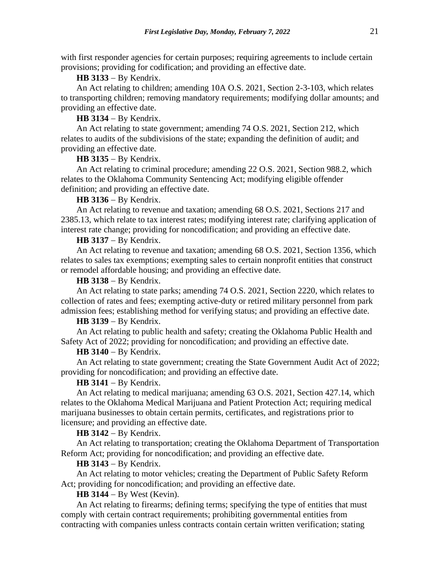with first responder agencies for certain purposes; requiring agreements to include certain provisions; providing for codification; and providing an effective date.

# **HB 3133** − By Kendrix.

An Act relating to children; amending 10A O.S. 2021, Section 2-3-103, which relates to transporting children; removing mandatory requirements; modifying dollar amounts; and providing an effective date.

## **HB 3134** − By Kendrix.

An Act relating to state government; amending 74 O.S. 2021, Section 212, which relates to audits of the subdivisions of the state; expanding the definition of audit; and providing an effective date.

**HB 3135** − By Kendrix.

An Act relating to criminal procedure; amending 22 O.S. 2021, Section 988.2, which relates to the Oklahoma Community Sentencing Act; modifying eligible offender definition; and providing an effective date.

## **HB 3136** − By Kendrix.

An Act relating to revenue and taxation; amending 68 O.S. 2021, Sections 217 and 2385.13, which relate to tax interest rates; modifying interest rate; clarifying application of interest rate change; providing for noncodification; and providing an effective date.

# **HB 3137** − By Kendrix.

An Act relating to revenue and taxation; amending 68 O.S. 2021, Section 1356, which relates to sales tax exemptions; exempting sales to certain nonprofit entities that construct or remodel affordable housing; and providing an effective date.

#### **HB 3138** − By Kendrix.

An Act relating to state parks; amending 74 O.S. 2021, Section 2220, which relates to collection of rates and fees; exempting active-duty or retired military personnel from park admission fees; establishing method for verifying status; and providing an effective date.

#### **HB 3139** − By Kendrix.

An Act relating to public health and safety; creating the Oklahoma Public Health and Safety Act of 2022; providing for noncodification; and providing an effective date.

#### **HB 3140** − By Kendrix.

An Act relating to state government; creating the State Government Audit Act of 2022; providing for noncodification; and providing an effective date.

#### **HB 3141** − By Kendrix.

An Act relating to medical marijuana; amending 63 O.S. 2021, Section 427.14, which relates to the Oklahoma Medical Marijuana and Patient Protection Act; requiring medical marijuana businesses to obtain certain permits, certificates, and registrations prior to licensure; and providing an effective date.

#### **HB 3142** − By Kendrix.

An Act relating to transportation; creating the Oklahoma Department of Transportation Reform Act; providing for noncodification; and providing an effective date.

# **HB 3143** − By Kendrix.

An Act relating to motor vehicles; creating the Department of Public Safety Reform Act; providing for noncodification; and providing an effective date.

## **HB 3144** − By West (Kevin).

An Act relating to firearms; defining terms; specifying the type of entities that must comply with certain contract requirements; prohibiting governmental entities from contracting with companies unless contracts contain certain written verification; stating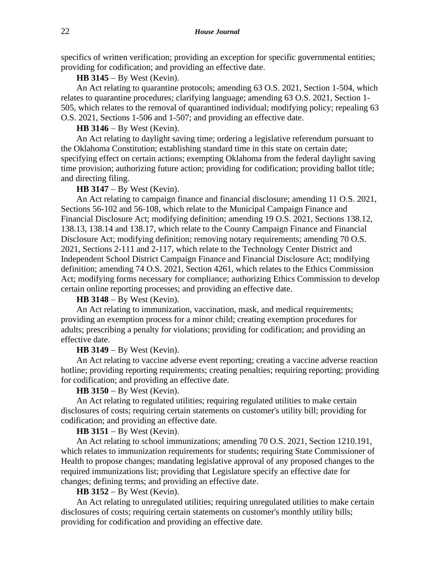specifics of written verification; providing an exception for specific governmental entities; providing for codification; and providing an effective date.

## **HB 3145** − By West (Kevin).

An Act relating to quarantine protocols; amending 63 O.S. 2021, Section 1-504, which relates to quarantine procedures; clarifying language; amending 63 O.S. 2021, Section 1- 505, which relates to the removal of quarantined individual; modifying policy; repealing 63 O.S. 2021, Sections 1-506 and 1-507; and providing an effective date.

#### **HB 3146** − By West (Kevin).

An Act relating to daylight saving time; ordering a legislative referendum pursuant to the Oklahoma Constitution; establishing standard time in this state on certain date; specifying effect on certain actions; exempting Oklahoma from the federal daylight saving time provision; authorizing future action; providing for codification; providing ballot title; and directing filing.

## **HB 3147** − By West (Kevin).

An Act relating to campaign finance and financial disclosure; amending 11 O.S. 2021, Sections 56-102 and 56-108, which relate to the Municipal Campaign Finance and Financial Disclosure Act; modifying definition; amending 19 O.S. 2021, Sections 138.12, 138.13, 138.14 and 138.17, which relate to the County Campaign Finance and Financial Disclosure Act; modifying definition; removing notary requirements; amending 70 O.S. 2021, Sections 2-111 and 2-117, which relate to the Technology Center District and Independent School District Campaign Finance and Financial Disclosure Act; modifying definition; amending 74 O.S. 2021, Section 4261, which relates to the Ethics Commission Act; modifying forms necessary for compliance; authorizing Ethics Commission to develop certain online reporting processes; and providing an effective date.

## **HB 3148** − By West (Kevin).

An Act relating to immunization, vaccination, mask, and medical requirements; providing an exemption process for a minor child; creating exemption procedures for adults; prescribing a penalty for violations; providing for codification; and providing an effective date.

#### **HB 3149** − By West (Kevin).

An Act relating to vaccine adverse event reporting; creating a vaccine adverse reaction hotline; providing reporting requirements; creating penalties; requiring reporting; providing for codification; and providing an effective date.

# **HB 3150** − By West (Kevin).

An Act relating to regulated utilities; requiring regulated utilities to make certain disclosures of costs; requiring certain statements on customer's utility bill; providing for codification; and providing an effective date.

# **HB 3151** − By West (Kevin).

An Act relating to school immunizations; amending 70 O.S. 2021, Section 1210.191, which relates to immunization requirements for students; requiring State Commissioner of Health to propose changes; mandating legislative approval of any proposed changes to the required immunizations list; providing that Legislature specify an effective date for changes; defining terms; and providing an effective date.

#### **HB 3152** − By West (Kevin).

An Act relating to unregulated utilities; requiring unregulated utilities to make certain disclosures of costs; requiring certain statements on customer's monthly utility bills; providing for codification and providing an effective date.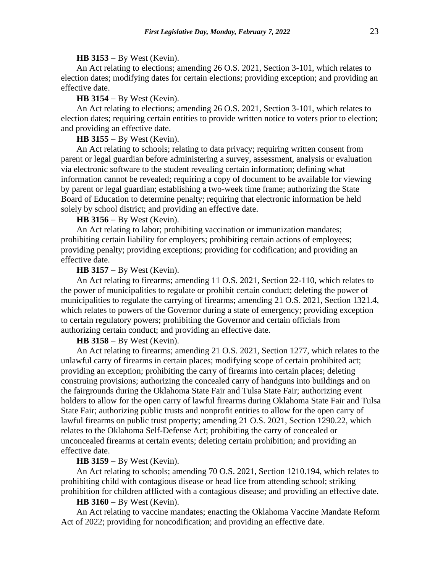#### **HB 3153** − By West (Kevin).

An Act relating to elections; amending 26 O.S. 2021, Section 3-101, which relates to election dates; modifying dates for certain elections; providing exception; and providing an effective date.

#### **HB 3154** − By West (Kevin).

An Act relating to elections; amending 26 O.S. 2021, Section 3-101, which relates to election dates; requiring certain entities to provide written notice to voters prior to election; and providing an effective date.

**HB 3155** − By West (Kevin).

An Act relating to schools; relating to data privacy; requiring written consent from parent or legal guardian before administering a survey, assessment, analysis or evaluation via electronic software to the student revealing certain information; defining what information cannot be revealed; requiring a copy of document to be available for viewing by parent or legal guardian; establishing a two-week time frame; authorizing the State Board of Education to determine penalty; requiring that electronic information be held solely by school district; and providing an effective date.

## **HB 3156** − By West (Kevin).

An Act relating to labor; prohibiting vaccination or immunization mandates; prohibiting certain liability for employers; prohibiting certain actions of employees; providing penalty; providing exceptions; providing for codification; and providing an effective date.

#### **HB 3157** − By West (Kevin).

An Act relating to firearms; amending 11 O.S. 2021, Section 22-110, which relates to the power of municipalities to regulate or prohibit certain conduct; deleting the power of municipalities to regulate the carrying of firearms; amending 21 O.S. 2021, Section 1321.4, which relates to powers of the Governor during a state of emergency; providing exception to certain regulatory powers; prohibiting the Governor and certain officials from authorizing certain conduct; and providing an effective date.

#### **HB 3158** − By West (Kevin).

An Act relating to firearms; amending 21 O.S. 2021, Section 1277, which relates to the unlawful carry of firearms in certain places; modifying scope of certain prohibited act; providing an exception; prohibiting the carry of firearms into certain places; deleting construing provisions; authorizing the concealed carry of handguns into buildings and on the fairgrounds during the Oklahoma State Fair and Tulsa State Fair; authorizing event holders to allow for the open carry of lawful firearms during Oklahoma State Fair and Tulsa State Fair; authorizing public trusts and nonprofit entities to allow for the open carry of lawful firearms on public trust property; amending 21 O.S. 2021, Section 1290.22, which relates to the Oklahoma Self-Defense Act; prohibiting the carry of concealed or unconcealed firearms at certain events; deleting certain prohibition; and providing an effective date.

#### **HB 3159** − By West (Kevin).

An Act relating to schools; amending 70 O.S. 2021, Section 1210.194, which relates to prohibiting child with contagious disease or head lice from attending school; striking prohibition for children afflicted with a contagious disease; and providing an effective date.

## **HB 3160** − By West (Kevin).

An Act relating to vaccine mandates; enacting the Oklahoma Vaccine Mandate Reform Act of 2022; providing for noncodification; and providing an effective date.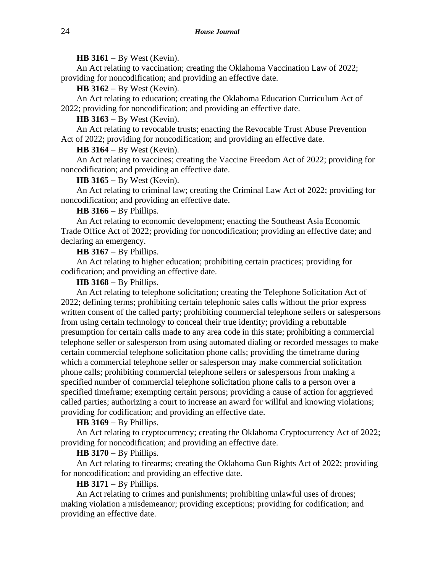## **HB 3161** − By West (Kevin).

An Act relating to vaccination; creating the Oklahoma Vaccination Law of 2022; providing for noncodification; and providing an effective date.

**HB 3162** − By West (Kevin).

An Act relating to education; creating the Oklahoma Education Curriculum Act of 2022; providing for noncodification; and providing an effective date.

**HB 3163** − By West (Kevin).

An Act relating to revocable trusts; enacting the Revocable Trust Abuse Prevention Act of 2022; providing for noncodification; and providing an effective date.

#### **HB 3164** − By West (Kevin).

An Act relating to vaccines; creating the Vaccine Freedom Act of 2022; providing for noncodification; and providing an effective date.

# **HB 3165** − By West (Kevin).

An Act relating to criminal law; creating the Criminal Law Act of 2022; providing for noncodification; and providing an effective date.

# **HB 3166** − By Phillips.

An Act relating to economic development; enacting the Southeast Asia Economic Trade Office Act of 2022; providing for noncodification; providing an effective date; and declaring an emergency.

**HB 3167** − By Phillips.

An Act relating to higher education; prohibiting certain practices; providing for codification; and providing an effective date.

#### **HB 3168** − By Phillips.

An Act relating to telephone solicitation; creating the Telephone Solicitation Act of 2022; defining terms; prohibiting certain telephonic sales calls without the prior express written consent of the called party; prohibiting commercial telephone sellers or salespersons from using certain technology to conceal their true identity; providing a rebuttable presumption for certain calls made to any area code in this state; prohibiting a commercial telephone seller or salesperson from using automated dialing or recorded messages to make certain commercial telephone solicitation phone calls; providing the timeframe during which a commercial telephone seller or salesperson may make commercial solicitation phone calls; prohibiting commercial telephone sellers or salespersons from making a specified number of commercial telephone solicitation phone calls to a person over a specified timeframe; exempting certain persons; providing a cause of action for aggrieved called parties; authorizing a court to increase an award for willful and knowing violations; providing for codification; and providing an effective date.

#### **HB 3169** − By Phillips.

An Act relating to cryptocurrency; creating the Oklahoma Cryptocurrency Act of 2022; providing for noncodification; and providing an effective date.

# **HB 3170** − By Phillips.

An Act relating to firearms; creating the Oklahoma Gun Rights Act of 2022; providing for noncodification; and providing an effective date.

## **HB 3171** − By Phillips.

An Act relating to crimes and punishments; prohibiting unlawful uses of drones; making violation a misdemeanor; providing exceptions; providing for codification; and providing an effective date.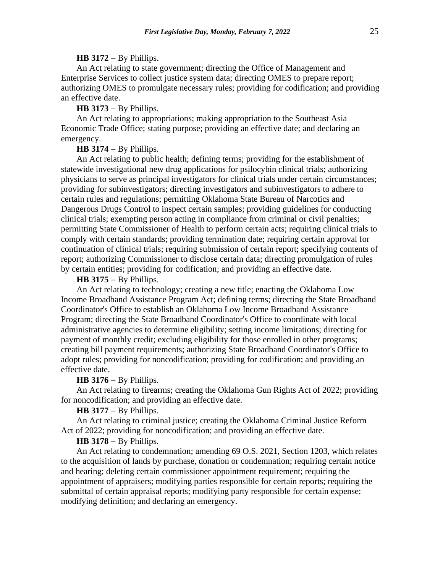#### **HB 3172** − By Phillips.

An Act relating to state government; directing the Office of Management and Enterprise Services to collect justice system data; directing OMES to prepare report; authorizing OMES to promulgate necessary rules; providing for codification; and providing an effective date.

#### **HB 3173** − By Phillips.

An Act relating to appropriations; making appropriation to the Southeast Asia Economic Trade Office; stating purpose; providing an effective date; and declaring an emergency.

## **HB 3174** − By Phillips.

An Act relating to public health; defining terms; providing for the establishment of statewide investigational new drug applications for psilocybin clinical trials; authorizing physicians to serve as principal investigators for clinical trials under certain circumstances; providing for subinvestigators; directing investigators and subinvestigators to adhere to certain rules and regulations; permitting Oklahoma State Bureau of Narcotics and Dangerous Drugs Control to inspect certain samples; providing guidelines for conducting clinical trials; exempting person acting in compliance from criminal or civil penalties; permitting State Commissioner of Health to perform certain acts; requiring clinical trials to comply with certain standards; providing termination date; requiring certain approval for continuation of clinical trials; requiring submission of certain report; specifying contents of report; authorizing Commissioner to disclose certain data; directing promulgation of rules by certain entities; providing for codification; and providing an effective date.

## **HB 3175** − By Phillips.

An Act relating to technology; creating a new title; enacting the Oklahoma Low Income Broadband Assistance Program Act; defining terms; directing the State Broadband Coordinator's Office to establish an Oklahoma Low Income Broadband Assistance Program; directing the State Broadband Coordinator's Office to coordinate with local administrative agencies to determine eligibility; setting income limitations; directing for payment of monthly credit; excluding eligibility for those enrolled in other programs; creating bill payment requirements; authorizing State Broadband Coordinator's Office to adopt rules; providing for noncodification; providing for codification; and providing an effective date.

#### **HB 3176** − By Phillips.

An Act relating to firearms; creating the Oklahoma Gun Rights Act of 2022; providing for noncodification; and providing an effective date.

## **HB 3177** − By Phillips.

An Act relating to criminal justice; creating the Oklahoma Criminal Justice Reform Act of 2022; providing for noncodification; and providing an effective date.

## **HB 3178** − By Phillips.

An Act relating to condemnation; amending 69 O.S. 2021, Section 1203, which relates to the acquisition of lands by purchase, donation or condemnation; requiring certain notice and hearing; deleting certain commissioner appointment requirement; requiring the appointment of appraisers; modifying parties responsible for certain reports; requiring the submittal of certain appraisal reports; modifying party responsible for certain expense; modifying definition; and declaring an emergency.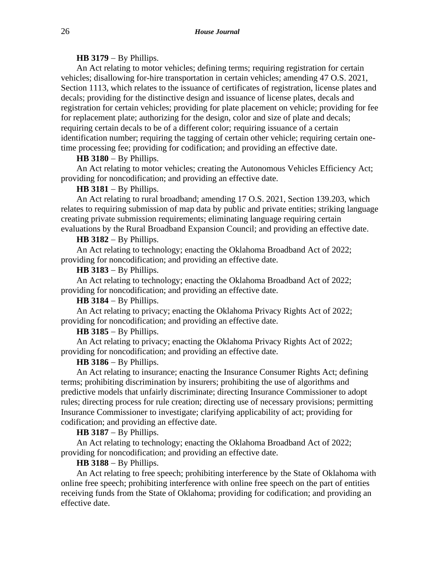## **HB 3179** − By Phillips.

An Act relating to motor vehicles; defining terms; requiring registration for certain vehicles; disallowing for-hire transportation in certain vehicles; amending 47 O.S. 2021, Section 1113, which relates to the issuance of certificates of registration, license plates and decals; providing for the distinctive design and issuance of license plates, decals and registration for certain vehicles; providing for plate placement on vehicle; providing for fee for replacement plate; authorizing for the design, color and size of plate and decals; requiring certain decals to be of a different color; requiring issuance of a certain identification number; requiring the tagging of certain other vehicle; requiring certain onetime processing fee; providing for codification; and providing an effective date.

#### **HB 3180** − By Phillips.

An Act relating to motor vehicles; creating the Autonomous Vehicles Efficiency Act; providing for noncodification; and providing an effective date.

#### **HB 3181** − By Phillips.

An Act relating to rural broadband; amending 17 O.S. 2021, Section 139.203, which relates to requiring submission of map data by public and private entities; striking language creating private submission requirements; eliminating language requiring certain evaluations by the Rural Broadband Expansion Council; and providing an effective date.

#### **HB 3182** − By Phillips.

An Act relating to technology; enacting the Oklahoma Broadband Act of 2022; providing for noncodification; and providing an effective date.

#### **HB 3183** − By Phillips.

An Act relating to technology; enacting the Oklahoma Broadband Act of 2022; providing for noncodification; and providing an effective date.

**HB 3184** − By Phillips.

An Act relating to privacy; enacting the Oklahoma Privacy Rights Act of 2022; providing for noncodification; and providing an effective date.

## **HB 3185** − By Phillips.

An Act relating to privacy; enacting the Oklahoma Privacy Rights Act of 2022; providing for noncodification; and providing an effective date.

## **HB 3186** − By Phillips.

An Act relating to insurance; enacting the Insurance Consumer Rights Act; defining terms; prohibiting discrimination by insurers; prohibiting the use of algorithms and predictive models that unfairly discriminate; directing Insurance Commissioner to adopt rules; directing process for rule creation; directing use of necessary provisions; permitting Insurance Commissioner to investigate; clarifying applicability of act; providing for codification; and providing an effective date.

#### **HB 3187** − By Phillips.

An Act relating to technology; enacting the Oklahoma Broadband Act of 2022; providing for noncodification; and providing an effective date.

#### **HB 3188** − By Phillips.

An Act relating to free speech; prohibiting interference by the State of Oklahoma with online free speech; prohibiting interference with online free speech on the part of entities receiving funds from the State of Oklahoma; providing for codification; and providing an effective date.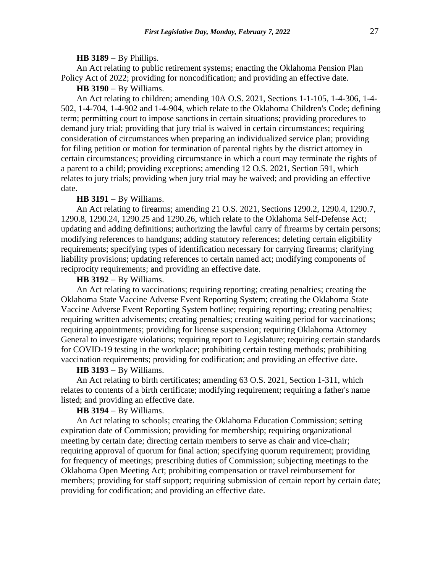#### **HB 3189** − By Phillips.

An Act relating to public retirement systems; enacting the Oklahoma Pension Plan Policy Act of 2022; providing for noncodification; and providing an effective date.

## **HB 3190** − By Williams.

An Act relating to children; amending 10A O.S. 2021, Sections 1-1-105, 1-4-306, 1-4- 502, 1-4-704, 1-4-902 and 1-4-904, which relate to the Oklahoma Children's Code; defining term; permitting court to impose sanctions in certain situations; providing procedures to demand jury trial; providing that jury trial is waived in certain circumstances; requiring consideration of circumstances when preparing an individualized service plan; providing for filing petition or motion for termination of parental rights by the district attorney in certain circumstances; providing circumstance in which a court may terminate the rights of a parent to a child; providing exceptions; amending 12 O.S. 2021, Section 591, which relates to jury trials; providing when jury trial may be waived; and providing an effective date.

#### **HB 3191** − By Williams.

An Act relating to firearms; amending 21 O.S. 2021, Sections 1290.2, 1290.4, 1290.7, 1290.8, 1290.24, 1290.25 and 1290.26, which relate to the Oklahoma Self-Defense Act; updating and adding definitions; authorizing the lawful carry of firearms by certain persons; modifying references to handguns; adding statutory references; deleting certain eligibility requirements; specifying types of identification necessary for carrying firearms; clarifying liability provisions; updating references to certain named act; modifying components of reciprocity requirements; and providing an effective date.

#### **HB 3192** − By Williams.

An Act relating to vaccinations; requiring reporting; creating penalties; creating the Oklahoma State Vaccine Adverse Event Reporting System; creating the Oklahoma State Vaccine Adverse Event Reporting System hotline; requiring reporting; creating penalties; requiring written advisements; creating penalties; creating waiting period for vaccinations; requiring appointments; providing for license suspension; requiring Oklahoma Attorney General to investigate violations; requiring report to Legislature; requiring certain standards for COVID-19 testing in the workplace; prohibiting certain testing methods; prohibiting vaccination requirements; providing for codification; and providing an effective date.

## **HB 3193** − By Williams.

An Act relating to birth certificates; amending 63 O.S. 2021, Section 1-311, which relates to contents of a birth certificate; modifying requirement; requiring a father's name listed; and providing an effective date.

## **HB 3194** − By Williams.

An Act relating to schools; creating the Oklahoma Education Commission; setting expiration date of Commission; providing for membership; requiring organizational meeting by certain date; directing certain members to serve as chair and vice-chair; requiring approval of quorum for final action; specifying quorum requirement; providing for frequency of meetings; prescribing duties of Commission; subjecting meetings to the Oklahoma Open Meeting Act; prohibiting compensation or travel reimbursement for members; providing for staff support; requiring submission of certain report by certain date; providing for codification; and providing an effective date.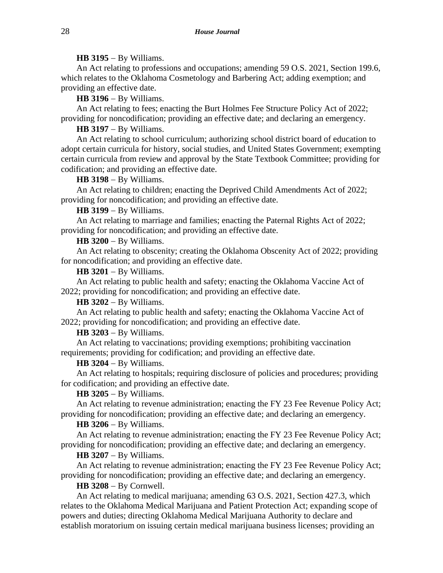#### **HB 3195** − By Williams.

An Act relating to professions and occupations; amending 59 O.S. 2021, Section 199.6, which relates to the Oklahoma Cosmetology and Barbering Act; adding exemption; and providing an effective date.

**HB 3196** − By Williams.

An Act relating to fees; enacting the Burt Holmes Fee Structure Policy Act of 2022; providing for noncodification; providing an effective date; and declaring an emergency.

**HB 3197** − By Williams.

An Act relating to school curriculum; authorizing school district board of education to adopt certain curricula for history, social studies, and United States Government; exempting certain curricula from review and approval by the State Textbook Committee; providing for codification; and providing an effective date.

**HB 3198** − By Williams.

An Act relating to children; enacting the Deprived Child Amendments Act of 2022; providing for noncodification; and providing an effective date.

**HB 3199** − By Williams.

An Act relating to marriage and families; enacting the Paternal Rights Act of 2022; providing for noncodification; and providing an effective date.

**HB 3200** − By Williams.

An Act relating to obscenity; creating the Oklahoma Obscenity Act of 2022; providing for noncodification; and providing an effective date.

**HB 3201** − By Williams.

An Act relating to public health and safety; enacting the Oklahoma Vaccine Act of 2022; providing for noncodification; and providing an effective date.

**HB 3202** − By Williams.

An Act relating to public health and safety; enacting the Oklahoma Vaccine Act of 2022; providing for noncodification; and providing an effective date.

**HB 3203** − By Williams.

An Act relating to vaccinations; providing exemptions; prohibiting vaccination requirements; providing for codification; and providing an effective date.

## **HB 3204** − By Williams.

An Act relating to hospitals; requiring disclosure of policies and procedures; providing for codification; and providing an effective date.

## **HB 3205** − By Williams.

An Act relating to revenue administration; enacting the FY 23 Fee Revenue Policy Act; providing for noncodification; providing an effective date; and declaring an emergency.

**HB 3206** − By Williams.

An Act relating to revenue administration; enacting the FY 23 Fee Revenue Policy Act; providing for noncodification; providing an effective date; and declaring an emergency.

## **HB 3207** − By Williams.

An Act relating to revenue administration; enacting the FY 23 Fee Revenue Policy Act; providing for noncodification; providing an effective date; and declaring an emergency.

# **HB 3208** − By Cornwell.

An Act relating to medical marijuana; amending 63 O.S. 2021, Section 427.3, which relates to the Oklahoma Medical Marijuana and Patient Protection Act; expanding scope of powers and duties; directing Oklahoma Medical Marijuana Authority to declare and establish moratorium on issuing certain medical marijuana business licenses; providing an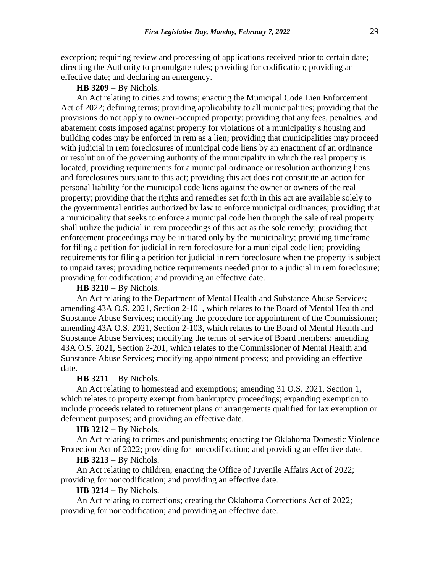exception; requiring review and processing of applications received prior to certain date; directing the Authority to promulgate rules; providing for codification; providing an effective date; and declaring an emergency.

## **HB 3209** − By Nichols.

An Act relating to cities and towns; enacting the Municipal Code Lien Enforcement Act of 2022; defining terms; providing applicability to all municipalities; providing that the provisions do not apply to owner-occupied property; providing that any fees, penalties, and abatement costs imposed against property for violations of a municipality's housing and building codes may be enforced in rem as a lien; providing that municipalities may proceed with judicial in rem foreclosures of municipal code liens by an enactment of an ordinance or resolution of the governing authority of the municipality in which the real property is located; providing requirements for a municipal ordinance or resolution authorizing liens and foreclosures pursuant to this act; providing this act does not constitute an action for personal liability for the municipal code liens against the owner or owners of the real property; providing that the rights and remedies set forth in this act are available solely to the governmental entities authorized by law to enforce municipal ordinances; providing that a municipality that seeks to enforce a municipal code lien through the sale of real property shall utilize the judicial in rem proceedings of this act as the sole remedy; providing that enforcement proceedings may be initiated only by the municipality; providing timeframe for filing a petition for judicial in rem foreclosure for a municipal code lien; providing requirements for filing a petition for judicial in rem foreclosure when the property is subject to unpaid taxes; providing notice requirements needed prior to a judicial in rem foreclosure; providing for codification; and providing an effective date.

# **HB 3210** − By Nichols.

An Act relating to the Department of Mental Health and Substance Abuse Services; amending 43A O.S. 2021, Section 2-101, which relates to the Board of Mental Health and Substance Abuse Services; modifying the procedure for appointment of the Commissioner; amending 43A O.S. 2021, Section 2-103, which relates to the Board of Mental Health and Substance Abuse Services; modifying the terms of service of Board members; amending 43A O.S. 2021, Section 2-201, which relates to the Commissioner of Mental Health and Substance Abuse Services; modifying appointment process; and providing an effective date.

#### **HB 3211** − By Nichols.

An Act relating to homestead and exemptions; amending 31 O.S. 2021, Section 1, which relates to property exempt from bankruptcy proceedings; expanding exemption to include proceeds related to retirement plans or arrangements qualified for tax exemption or deferment purposes; and providing an effective date.

#### **HB 3212** − By Nichols.

An Act relating to crimes and punishments; enacting the Oklahoma Domestic Violence Protection Act of 2022; providing for noncodification; and providing an effective date.

## **HB 3213** − By Nichols.

An Act relating to children; enacting the Office of Juvenile Affairs Act of 2022; providing for noncodification; and providing an effective date.

## **HB 3214** − By Nichols.

An Act relating to corrections; creating the Oklahoma Corrections Act of 2022; providing for noncodification; and providing an effective date.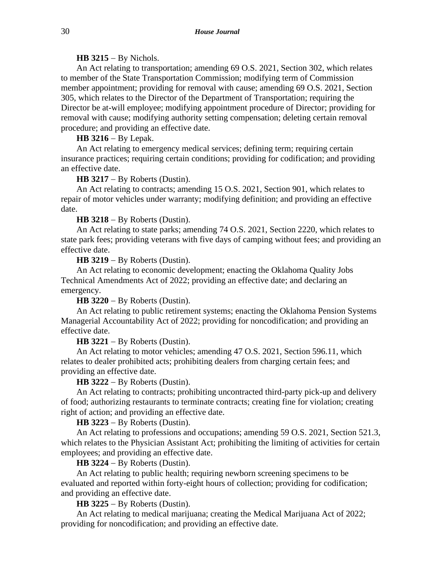#### **HB 3215** − By Nichols.

An Act relating to transportation; amending 69 O.S. 2021, Section 302, which relates to member of the State Transportation Commission; modifying term of Commission member appointment; providing for removal with cause; amending 69 O.S. 2021, Section 305, which relates to the Director of the Department of Transportation; requiring the Director be at-will employee; modifying appointment procedure of Director; providing for removal with cause; modifying authority setting compensation; deleting certain removal procedure; and providing an effective date.

#### **HB 3216** − By Lepak.

An Act relating to emergency medical services; defining term; requiring certain insurance practices; requiring certain conditions; providing for codification; and providing an effective date.

#### **HB 3217** − By Roberts (Dustin).

An Act relating to contracts; amending 15 O.S. 2021, Section 901, which relates to repair of motor vehicles under warranty; modifying definition; and providing an effective date.

#### **HB 3218** − By Roberts (Dustin).

An Act relating to state parks; amending 74 O.S. 2021, Section 2220, which relates to state park fees; providing veterans with five days of camping without fees; and providing an effective date.

**HB 3219** − By Roberts (Dustin).

An Act relating to economic development; enacting the Oklahoma Quality Jobs Technical Amendments Act of 2022; providing an effective date; and declaring an emergency.

**HB 3220** − By Roberts (Dustin).

An Act relating to public retirement systems; enacting the Oklahoma Pension Systems Managerial Accountability Act of 2022; providing for noncodification; and providing an effective date.

**HB 3221** − By Roberts (Dustin).

An Act relating to motor vehicles; amending 47 O.S. 2021, Section 596.11, which relates to dealer prohibited acts; prohibiting dealers from charging certain fees; and providing an effective date.

## **HB 3222** − By Roberts (Dustin).

An Act relating to contracts; prohibiting uncontracted third-party pick-up and delivery of food; authorizing restaurants to terminate contracts; creating fine for violation; creating right of action; and providing an effective date.

**HB 3223** − By Roberts (Dustin).

An Act relating to professions and occupations; amending 59 O.S. 2021, Section 521.3, which relates to the Physician Assistant Act; prohibiting the limiting of activities for certain employees; and providing an effective date.

**HB 3224** − By Roberts (Dustin).

An Act relating to public health; requiring newborn screening specimens to be evaluated and reported within forty-eight hours of collection; providing for codification; and providing an effective date.

**HB 3225** − By Roberts (Dustin).

An Act relating to medical marijuana; creating the Medical Marijuana Act of 2022; providing for noncodification; and providing an effective date.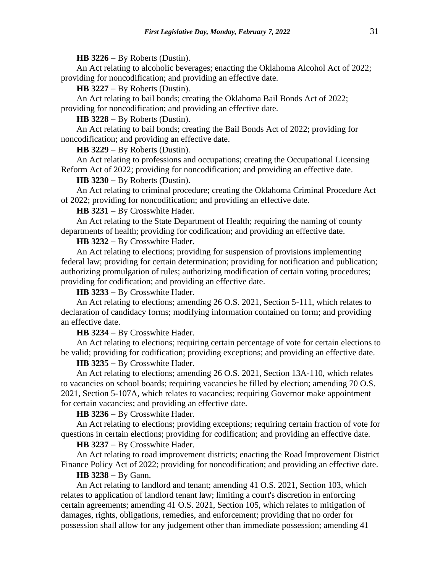**HB 3226** − By Roberts (Dustin).

An Act relating to alcoholic beverages; enacting the Oklahoma Alcohol Act of 2022; providing for noncodification; and providing an effective date.

**HB 3227** − By Roberts (Dustin).

An Act relating to bail bonds; creating the Oklahoma Bail Bonds Act of 2022; providing for noncodification; and providing an effective date.

**HB 3228** − By Roberts (Dustin).

An Act relating to bail bonds; creating the Bail Bonds Act of 2022; providing for noncodification; and providing an effective date.

**HB 3229** − By Roberts (Dustin).

An Act relating to professions and occupations; creating the Occupational Licensing Reform Act of 2022; providing for noncodification; and providing an effective date.

**HB 3230** − By Roberts (Dustin).

An Act relating to criminal procedure; creating the Oklahoma Criminal Procedure Act of 2022; providing for noncodification; and providing an effective date.

**HB 3231** − By Crosswhite Hader.

An Act relating to the State Department of Health; requiring the naming of county departments of health; providing for codification; and providing an effective date.

**HB 3232** − By Crosswhite Hader.

An Act relating to elections; providing for suspension of provisions implementing federal law; providing for certain determination; providing for notification and publication; authorizing promulgation of rules; authorizing modification of certain voting procedures; providing for codification; and providing an effective date.

**HB 3233** − By Crosswhite Hader.

An Act relating to elections; amending 26 O.S. 2021, Section 5-111, which relates to declaration of candidacy forms; modifying information contained on form; and providing an effective date.

**HB 3234** − By Crosswhite Hader.

An Act relating to elections; requiring certain percentage of vote for certain elections to be valid; providing for codification; providing exceptions; and providing an effective date.

**HB 3235** − By Crosswhite Hader.

An Act relating to elections; amending 26 O.S. 2021, Section 13A-110, which relates to vacancies on school boards; requiring vacancies be filled by election; amending 70 O.S. 2021, Section 5-107A, which relates to vacancies; requiring Governor make appointment for certain vacancies; and providing an effective date.

**HB 3236** − By Crosswhite Hader.

An Act relating to elections; providing exceptions; requiring certain fraction of vote for questions in certain elections; providing for codification; and providing an effective date.

**HB 3237** − By Crosswhite Hader.

An Act relating to road improvement districts; enacting the Road Improvement District Finance Policy Act of 2022; providing for noncodification; and providing an effective date.

## **HB 3238** − By Gann.

An Act relating to landlord and tenant; amending 41 O.S. 2021, Section 103, which relates to application of landlord tenant law; limiting a court's discretion in enforcing certain agreements; amending 41 O.S. 2021, Section 105, which relates to mitigation of damages, rights, obligations, remedies, and enforcement; providing that no order for possession shall allow for any judgement other than immediate possession; amending 41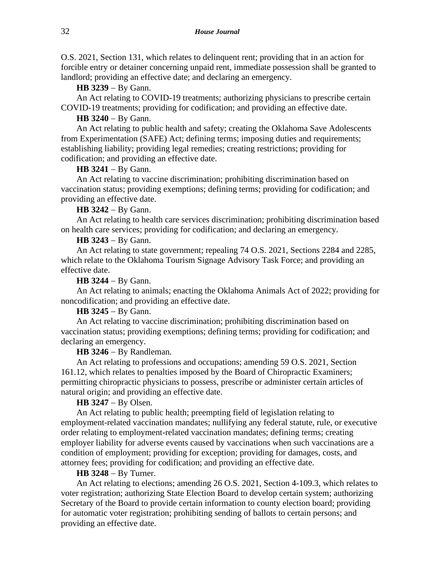O.S. 2021, Section 131, which relates to delinquent rent; providing that in an action for forcible entry or detainer concerning unpaid rent, immediate possession shall be granted to landlord; providing an effective date; and declaring an emergency.

**HB 3239** − By Gann.

An Act relating to COVID-19 treatments; authorizing physicians to prescribe certain COVID-19 treatments; providing for codification; and providing an effective date.

**HB 3240** − By Gann.

An Act relating to public health and safety; creating the Oklahoma Save Adolescents from Experimentation (SAFE) Act; defining terms; imposing duties and requirements; establishing liability; providing legal remedies; creating restrictions; providing for codification; and providing an effective date.

**HB 3241** − By Gann.

An Act relating to vaccine discrimination; prohibiting discrimination based on vaccination status; providing exemptions; defining terms; providing for codification; and providing an effective date.

**HB 3242** − By Gann.

An Act relating to health care services discrimination; prohibiting discrimination based on health care services; providing for codification; and declaring an emergency.

**HB 3243** − By Gann.

An Act relating to state government; repealing 74 O.S. 2021, Sections 2284 and 2285, which relate to the Oklahoma Tourism Signage Advisory Task Force; and providing an effective date.

**HB 3244** − By Gann.

An Act relating to animals; enacting the Oklahoma Animals Act of 2022; providing for noncodification; and providing an effective date.

**HB 3245** − By Gann.

An Act relating to vaccine discrimination; prohibiting discrimination based on vaccination status; providing exemptions; defining terms; providing for codification; and declaring an emergency.

**HB 3246** − By Randleman.

An Act relating to professions and occupations; amending 59 O.S. 2021, Section 161.12, which relates to penalties imposed by the Board of Chiropractic Examiners; permitting chiropractic physicians to possess, prescribe or administer certain articles of natural origin; and providing an effective date.

**HB 3247** − By Olsen.

An Act relating to public health; preempting field of legislation relating to employment-related vaccination mandates; nullifying any federal statute, rule, or executive order relating to employment-related vaccination mandates; defining terms; creating employer liability for adverse events caused by vaccinations when such vaccinations are a condition of employment; providing for exception; providing for damages, costs, and attorney fees; providing for codification; and providing an effective date.

**HB 3248** − By Turner.

An Act relating to elections; amending 26 O.S. 2021, Section 4-109.3, which relates to voter registration; authorizing State Election Board to develop certain system; authorizing Secretary of the Board to provide certain information to county election board; providing for automatic voter registration; prohibiting sending of ballots to certain persons; and providing an effective date.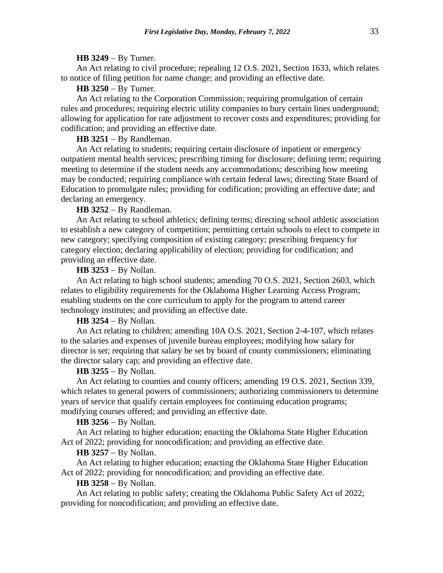#### **HB 3249** − By Turner.

An Act relating to civil procedure; repealing 12 O.S. 2021, Section 1633, which relates to notice of filing petition for name change; and providing an effective date.

#### **HB 3250** − By Turner.

An Act relating to the Corporation Commission; requiring promulgation of certain rules and procedures; requiring electric utility companies to bury certain lines underground; allowing for application for rate adjustment to recover costs and expenditures; providing for codification; and providing an effective date.

# **HB 3251** − By Randleman.

An Act relating to students; requiring certain disclosure of inpatient or emergency outpatient mental health services; prescribing timing for disclosure; defining term; requiring meeting to determine if the student needs any accommodations; describing how meeting may be conducted; requiring compliance with certain federal laws; directing State Board of Education to promulgate rules; providing for codification; providing an effective date; and declaring an emergency.

#### **HB 3252** − By Randleman.

An Act relating to school athletics; defining terms; directing school athletic association to establish a new category of competition; permitting certain schools to elect to compete in new category; specifying composition of existing category; prescribing frequency for category election; declaring applicability of election; providing for codification; and providing an effective date.

**HB 3253** − By Nollan.

An Act relating to high school students; amending 70 O.S. 2021, Section 2603, which relates to eligibility requirements for the Oklahoma Higher Learning Access Program; enabling students on the core curriculum to apply for the program to attend career technology institutes; and providing an effective date.

## **HB 3254** − By Nollan.

An Act relating to children; amending 10A O.S. 2021, Section 2-4-107, which relates to the salaries and expenses of juvenile bureau employees; modifying how salary for director is set; requiring that salary be set by board of county commissioners; eliminating the director salary cap; and providing an effective date.

## **HB 3255** − By Nollan.

An Act relating to counties and county officers; amending 19 O.S. 2021, Section 339, which relates to general powers of commissioners; authorizing commissioners to determine years of service that qualify certain employees for continuing education programs; modifying courses offered; and providing an effective date.

#### **HB 3256** − By Nollan.

An Act relating to higher education; enacting the Oklahoma State Higher Education Act of 2022; providing for noncodification; and providing an effective date.

## **HB 3257** − By Nollan.

An Act relating to higher education; enacting the Oklahoma State Higher Education Act of 2022; providing for noncodification; and providing an effective date.

#### **HB 3258** − By Nollan.

An Act relating to public safety; creating the Oklahoma Public Safety Act of 2022; providing for noncodification; and providing an effective date.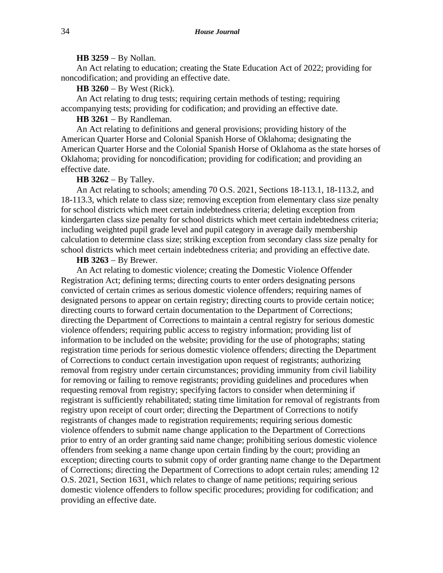#### **HB 3259** − By Nollan.

An Act relating to education; creating the State Education Act of 2022; providing for noncodification; and providing an effective date.

**HB 3260** − By West (Rick).

An Act relating to drug tests; requiring certain methods of testing; requiring accompanying tests; providing for codification; and providing an effective date.

**HB 3261** − By Randleman.

An Act relating to definitions and general provisions; providing history of the American Quarter Horse and Colonial Spanish Horse of Oklahoma; designating the American Quarter Horse and the Colonial Spanish Horse of Oklahoma as the state horses of Oklahoma; providing for noncodification; providing for codification; and providing an effective date.

**HB 3262** − By Talley.

An Act relating to schools; amending 70 O.S. 2021, Sections 18-113.1, 18-113.2, and 18-113.3, which relate to class size; removing exception from elementary class size penalty for school districts which meet certain indebtedness criteria; deleting exception from kindergarten class size penalty for school districts which meet certain indebtedness criteria; including weighted pupil grade level and pupil category in average daily membership calculation to determine class size; striking exception from secondary class size penalty for school districts which meet certain indebtedness criteria; and providing an effective date.

#### **HB 3263** − By Brewer.

An Act relating to domestic violence; creating the Domestic Violence Offender Registration Act; defining terms; directing courts to enter orders designating persons convicted of certain crimes as serious domestic violence offenders; requiring names of designated persons to appear on certain registry; directing courts to provide certain notice; directing courts to forward certain documentation to the Department of Corrections; directing the Department of Corrections to maintain a central registry for serious domestic violence offenders; requiring public access to registry information; providing list of information to be included on the website; providing for the use of photographs; stating registration time periods for serious domestic violence offenders; directing the Department of Corrections to conduct certain investigation upon request of registrants; authorizing removal from registry under certain circumstances; providing immunity from civil liability for removing or failing to remove registrants; providing guidelines and procedures when requesting removal from registry; specifying factors to consider when determining if registrant is sufficiently rehabilitated; stating time limitation for removal of registrants from registry upon receipt of court order; directing the Department of Corrections to notify registrants of changes made to registration requirements; requiring serious domestic violence offenders to submit name change application to the Department of Corrections prior to entry of an order granting said name change; prohibiting serious domestic violence offenders from seeking a name change upon certain finding by the court; providing an exception; directing courts to submit copy of order granting name change to the Department of Corrections; directing the Department of Corrections to adopt certain rules; amending 12 O.S. 2021, Section 1631, which relates to change of name petitions; requiring serious domestic violence offenders to follow specific procedures; providing for codification; and providing an effective date.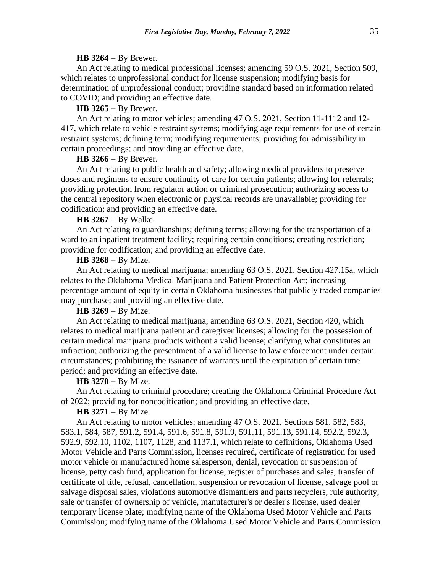#### **HB 3264** − By Brewer.

An Act relating to medical professional licenses; amending 59 O.S. 2021, Section 509, which relates to unprofessional conduct for license suspension; modifying basis for determination of unprofessional conduct; providing standard based on information related to COVID; and providing an effective date.

## **HB 3265** − By Brewer.

An Act relating to motor vehicles; amending 47 O.S. 2021, Section 11-1112 and 12- 417, which relate to vehicle restraint systems; modifying age requirements for use of certain restraint systems; defining term; modifying requirements; providing for admissibility in certain proceedings; and providing an effective date.

#### **HB 3266** − By Brewer.

An Act relating to public health and safety; allowing medical providers to preserve doses and regimens to ensure continuity of care for certain patients; allowing for referrals; providing protection from regulator action or criminal prosecution; authorizing access to the central repository when electronic or physical records are unavailable; providing for codification; and providing an effective date.

#### **HB 3267** − By Walke.

An Act relating to guardianships; defining terms; allowing for the transportation of a ward to an inpatient treatment facility; requiring certain conditions; creating restriction; providing for codification; and providing an effective date.

#### **HB 3268** − By Mize.

An Act relating to medical marijuana; amending 63 O.S. 2021, Section 427.15a, which relates to the Oklahoma Medical Marijuana and Patient Protection Act; increasing percentage amount of equity in certain Oklahoma businesses that publicly traded companies may purchase; and providing an effective date.

# **HB 3269** − By Mize.

An Act relating to medical marijuana; amending 63 O.S. 2021, Section 420, which relates to medical marijuana patient and caregiver licenses; allowing for the possession of certain medical marijuana products without a valid license; clarifying what constitutes an infraction; authorizing the presentment of a valid license to law enforcement under certain circumstances; prohibiting the issuance of warrants until the expiration of certain time period; and providing an effective date.

#### HB 3270 − By Mize.

An Act relating to criminal procedure; creating the Oklahoma Criminal Procedure Act of 2022; providing for noncodification; and providing an effective date.

## **HB 3271** − By Mize.

An Act relating to motor vehicles; amending 47 O.S. 2021, Sections 581, 582, 583, 583.1, 584, 587, 591.2, 591.4, 591.6, 591.8, 591.9, 591.11, 591.13, 591.14, 592.2, 592.3, 592.9, 592.10, 1102, 1107, 1128, and 1137.1, which relate to definitions, Oklahoma Used Motor Vehicle and Parts Commission, licenses required, certificate of registration for used motor vehicle or manufactured home salesperson, denial, revocation or suspension of license, petty cash fund, application for license, register of purchases and sales, transfer of certificate of title, refusal, cancellation, suspension or revocation of license, salvage pool or salvage disposal sales, violations automotive dismantlers and parts recyclers, rule authority, sale or transfer of ownership of vehicle, manufacturer's or dealer's license, used dealer temporary license plate; modifying name of the Oklahoma Used Motor Vehicle and Parts Commission; modifying name of the Oklahoma Used Motor Vehicle and Parts Commission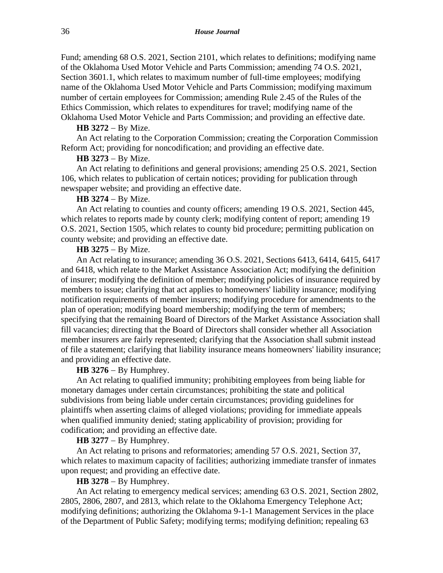Fund; amending 68 O.S. 2021, Section 2101, which relates to definitions; modifying name of the Oklahoma Used Motor Vehicle and Parts Commission; amending 74 O.S. 2021, Section 3601.1, which relates to maximum number of full-time employees; modifying name of the Oklahoma Used Motor Vehicle and Parts Commission; modifying maximum number of certain employees for Commission; amending Rule 2.45 of the Rules of the Ethics Commission, which relates to expenditures for travel; modifying name of the Oklahoma Used Motor Vehicle and Parts Commission; and providing an effective date.

#### **HB 3272** − By Mize.

An Act relating to the Corporation Commission; creating the Corporation Commission Reform Act; providing for noncodification; and providing an effective date.

## **HB 3273** − By Mize.

An Act relating to definitions and general provisions; amending 25 O.S. 2021, Section 106, which relates to publication of certain notices; providing for publication through newspaper website; and providing an effective date.

#### **HB 3274** − By Mize.

An Act relating to counties and county officers; amending 19 O.S. 2021, Section 445, which relates to reports made by county clerk; modifying content of report; amending 19 O.S. 2021, Section 1505, which relates to county bid procedure; permitting publication on county website; and providing an effective date.

## **HB 3275** − By Mize.

An Act relating to insurance; amending 36 O.S. 2021, Sections 6413, 6414, 6415, 6417 and 6418, which relate to the Market Assistance Association Act; modifying the definition of insurer; modifying the definition of member; modifying policies of insurance required by members to issue; clarifying that act applies to homeowners' liability insurance; modifying notification requirements of member insurers; modifying procedure for amendments to the plan of operation; modifying board membership; modifying the term of members; specifying that the remaining Board of Directors of the Market Assistance Association shall fill vacancies; directing that the Board of Directors shall consider whether all Association member insurers are fairly represented; clarifying that the Association shall submit instead of file a statement; clarifying that liability insurance means homeowners' liability insurance; and providing an effective date.

## **HB 3276** − By Humphrey.

An Act relating to qualified immunity; prohibiting employees from being liable for monetary damages under certain circumstances; prohibiting the state and political subdivisions from being liable under certain circumstances; providing guidelines for plaintiffs when asserting claims of alleged violations; providing for immediate appeals when qualified immunity denied; stating applicability of provision; providing for codification; and providing an effective date.

## **HB 3277** − By Humphrey.

An Act relating to prisons and reformatories; amending 57 O.S. 2021, Section 37, which relates to maximum capacity of facilities; authorizing immediate transfer of inmates upon request; and providing an effective date.

#### **HB 3278** − By Humphrey.

An Act relating to emergency medical services; amending 63 O.S. 2021, Section 2802, 2805, 2806, 2807, and 2813, which relate to the Oklahoma Emergency Telephone Act; modifying definitions; authorizing the Oklahoma 9-1-1 Management Services in the place of the Department of Public Safety; modifying terms; modifying definition; repealing 63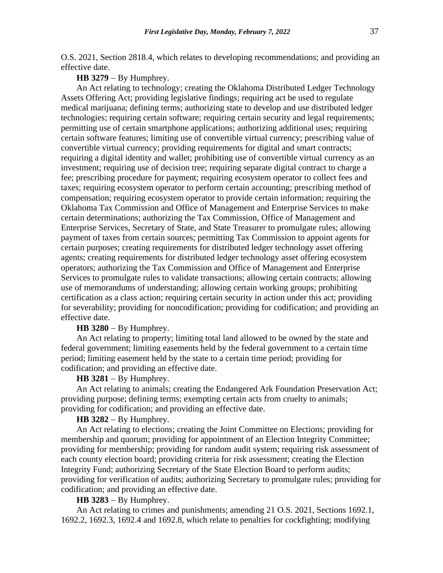O.S. 2021, Section 2818.4, which relates to developing recommendations; and providing an effective date.

### **HB 3279** − By Humphrey.

An Act relating to technology; creating the Oklahoma Distributed Ledger Technology Assets Offering Act; providing legislative findings; requiring act be used to regulate medical marijuana; defining terms; authorizing state to develop and use distributed ledger technologies; requiring certain software; requiring certain security and legal requirements; permitting use of certain smartphone applications; authorizing additional uses; requiring certain software features; limiting use of convertible virtual currency; prescribing value of convertible virtual currency; providing requirements for digital and smart contracts; requiring a digital identity and wallet; prohibiting use of convertible virtual currency as an investment; requiring use of decision tree; requiring separate digital contract to charge a fee; prescribing procedure for payment; requiring ecosystem operator to collect fees and taxes; requiring ecosystem operator to perform certain accounting; prescribing method of compensation; requiring ecosystem operator to provide certain information; requiring the Oklahoma Tax Commission and Office of Management and Enterprise Services to make certain determinations; authorizing the Tax Commission, Office of Management and Enterprise Services, Secretary of State, and State Treasurer to promulgate rules; allowing payment of taxes from certain sources; permitting Tax Commission to appoint agents for certain purposes; creating requirements for distributed ledger technology asset offering agents; creating requirements for distributed ledger technology asset offering ecosystem operators; authorizing the Tax Commission and Office of Management and Enterprise Services to promulgate rules to validate transactions; allowing certain contracts; allowing use of memorandums of understanding; allowing certain working groups; prohibiting certification as a class action; requiring certain security in action under this act; providing for severability; providing for noncodification; providing for codification; and providing an effective date.

# **HB 3280** − By Humphrey.

An Act relating to property; limiting total land allowed to be owned by the state and federal government; limiting easements held by the federal government to a certain time period; limiting easement held by the state to a certain time period; providing for codification; and providing an effective date.

#### **HB 3281** − By Humphrey.

An Act relating to animals; creating the Endangered Ark Foundation Preservation Act; providing purpose; defining terms; exempting certain acts from cruelty to animals; providing for codification; and providing an effective date.

#### **HB 3282** − By Humphrey.

An Act relating to elections; creating the Joint Committee on Elections; providing for membership and quorum; providing for appointment of an Election Integrity Committee; providing for membership; providing for random audit system; requiring risk assessment of each county election board; providing criteria for risk assessment; creating the Election Integrity Fund; authorizing Secretary of the State Election Board to perform audits; providing for verification of audits; authorizing Secretary to promulgate rules; providing for codification; and providing an effective date.

#### **HB 3283** − By Humphrey.

An Act relating to crimes and punishments; amending 21 O.S. 2021, Sections 1692.1, 1692.2, 1692.3, 1692.4 and 1692.8, which relate to penalties for cockfighting; modifying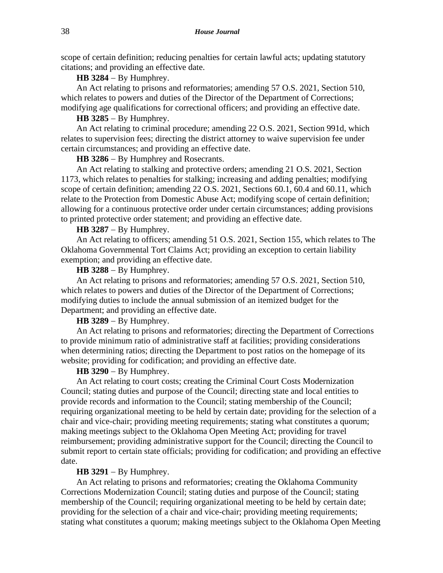scope of certain definition; reducing penalties for certain lawful acts; updating statutory citations; and providing an effective date.

**HB 3284** − By Humphrey.

An Act relating to prisons and reformatories; amending 57 O.S. 2021, Section 510, which relates to powers and duties of the Director of the Department of Corrections; modifying age qualifications for correctional officers; and providing an effective date.

**HB 3285** − By Humphrey.

An Act relating to criminal procedure; amending 22 O.S. 2021, Section 991d, which relates to supervision fees; directing the district attorney to waive supervision fee under certain circumstances; and providing an effective date.

**HB 3286** − By Humphrey and Rosecrants.

An Act relating to stalking and protective orders; amending 21 O.S. 2021, Section 1173, which relates to penalties for stalking; increasing and adding penalties; modifying scope of certain definition; amending 22 O.S. 2021, Sections 60.1, 60.4 and 60.11, which relate to the Protection from Domestic Abuse Act; modifying scope of certain definition; allowing for a continuous protective order under certain circumstances; adding provisions to printed protective order statement; and providing an effective date.

**HB 3287** − By Humphrey.

An Act relating to officers; amending 51 O.S. 2021, Section 155, which relates to The Oklahoma Governmental Tort Claims Act; providing an exception to certain liability exemption; and providing an effective date.

**HB 3288** − By Humphrey.

An Act relating to prisons and reformatories; amending 57 O.S. 2021, Section 510, which relates to powers and duties of the Director of the Department of Corrections; modifying duties to include the annual submission of an itemized budget for the Department; and providing an effective date.

**HB 3289** − By Humphrey.

An Act relating to prisons and reformatories; directing the Department of Corrections to provide minimum ratio of administrative staff at facilities; providing considerations when determining ratios; directing the Department to post ratios on the homepage of its website; providing for codification; and providing an effective date.

**HB 3290** − By Humphrey.

An Act relating to court costs; creating the Criminal Court Costs Modernization Council; stating duties and purpose of the Council; directing state and local entities to provide records and information to the Council; stating membership of the Council; requiring organizational meeting to be held by certain date; providing for the selection of a chair and vice-chair; providing meeting requirements; stating what constitutes a quorum; making meetings subject to the Oklahoma Open Meeting Act; providing for travel reimbursement; providing administrative support for the Council; directing the Council to submit report to certain state officials; providing for codification; and providing an effective date.

**HB 3291** − By Humphrey.

An Act relating to prisons and reformatories; creating the Oklahoma Community Corrections Modernization Council; stating duties and purpose of the Council; stating membership of the Council; requiring organizational meeting to be held by certain date; providing for the selection of a chair and vice-chair; providing meeting requirements; stating what constitutes a quorum; making meetings subject to the Oklahoma Open Meeting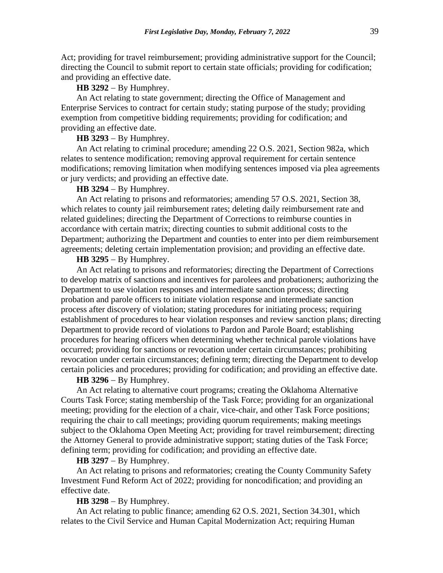Act; providing for travel reimbursement; providing administrative support for the Council; directing the Council to submit report to certain state officials; providing for codification; and providing an effective date.

**HB 3292** − By Humphrey.

An Act relating to state government; directing the Office of Management and Enterprise Services to contract for certain study; stating purpose of the study; providing exemption from competitive bidding requirements; providing for codification; and providing an effective date.

#### **HB 3293** − By Humphrey.

An Act relating to criminal procedure; amending 22 O.S. 2021, Section 982a, which relates to sentence modification; removing approval requirement for certain sentence modifications; removing limitation when modifying sentences imposed via plea agreements or jury verdicts; and providing an effective date.

# **HB 3294** − By Humphrey.

An Act relating to prisons and reformatories; amending 57 O.S. 2021, Section 38, which relates to county jail reimbursement rates; deleting daily reimbursement rate and related guidelines; directing the Department of Corrections to reimburse counties in accordance with certain matrix; directing counties to submit additional costs to the Department; authorizing the Department and counties to enter into per diem reimbursement agreements; deleting certain implementation provision; and providing an effective date.

# **HB 3295** − By Humphrey.

An Act relating to prisons and reformatories; directing the Department of Corrections to develop matrix of sanctions and incentives for parolees and probationers; authorizing the Department to use violation responses and intermediate sanction process; directing probation and parole officers to initiate violation response and intermediate sanction process after discovery of violation; stating procedures for initiating process; requiring establishment of procedures to hear violation responses and review sanction plans; directing Department to provide record of violations to Pardon and Parole Board; establishing procedures for hearing officers when determining whether technical parole violations have occurred; providing for sanctions or revocation under certain circumstances; prohibiting revocation under certain circumstances; defining term; directing the Department to develop certain policies and procedures; providing for codification; and providing an effective date.

# **HB 3296** − By Humphrey.

An Act relating to alternative court programs; creating the Oklahoma Alternative Courts Task Force; stating membership of the Task Force; providing for an organizational meeting; providing for the election of a chair, vice-chair, and other Task Force positions; requiring the chair to call meetings; providing quorum requirements; making meetings subject to the Oklahoma Open Meeting Act; providing for travel reimbursement; directing the Attorney General to provide administrative support; stating duties of the Task Force; defining term; providing for codification; and providing an effective date.

#### **HB 3297** − By Humphrey.

An Act relating to prisons and reformatories; creating the County Community Safety Investment Fund Reform Act of 2022; providing for noncodification; and providing an effective date.

#### **HB 3298** − By Humphrey.

An Act relating to public finance; amending 62 O.S. 2021, Section 34.301, which relates to the Civil Service and Human Capital Modernization Act; requiring Human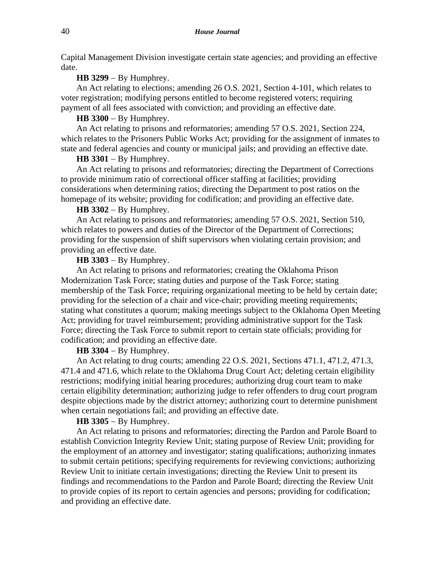Capital Management Division investigate certain state agencies; and providing an effective date.

### **HB 3299** − By Humphrey.

An Act relating to elections; amending 26 O.S. 2021, Section 4-101, which relates to voter registration; modifying persons entitled to become registered voters; requiring payment of all fees associated with conviction; and providing an effective date.

## **HB 3300** − By Humphrey.

An Act relating to prisons and reformatories; amending 57 O.S. 2021, Section 224, which relates to the Prisoners Public Works Act; providing for the assignment of inmates to state and federal agencies and county or municipal jails; and providing an effective date.

## **HB 3301** − By Humphrey.

An Act relating to prisons and reformatories; directing the Department of Corrections to provide minimum ratio of correctional officer staffing at facilities; providing considerations when determining ratios; directing the Department to post ratios on the homepage of its website; providing for codification; and providing an effective date.

#### **HB 3302** − By Humphrey.

An Act relating to prisons and reformatories; amending 57 O.S. 2021, Section 510, which relates to powers and duties of the Director of the Department of Corrections; providing for the suspension of shift supervisors when violating certain provision; and providing an effective date.

# **HB 3303** − By Humphrey.

An Act relating to prisons and reformatories; creating the Oklahoma Prison Modernization Task Force; stating duties and purpose of the Task Force; stating membership of the Task Force; requiring organizational meeting to be held by certain date; providing for the selection of a chair and vice-chair; providing meeting requirements; stating what constitutes a quorum; making meetings subject to the Oklahoma Open Meeting Act; providing for travel reimbursement; providing administrative support for the Task Force; directing the Task Force to submit report to certain state officials; providing for codification; and providing an effective date.

## **HB 3304** − By Humphrey.

An Act relating to drug courts; amending 22 O.S. 2021, Sections 471.1, 471.2, 471.3, 471.4 and 471.6, which relate to the Oklahoma Drug Court Act; deleting certain eligibility restrictions; modifying initial hearing procedures; authorizing drug court team to make certain eligibility determination; authorizing judge to refer offenders to drug court program despite objections made by the district attorney; authorizing court to determine punishment when certain negotiations fail; and providing an effective date.

#### **HB 3305** − By Humphrey.

An Act relating to prisons and reformatories; directing the Pardon and Parole Board to establish Conviction Integrity Review Unit; stating purpose of Review Unit; providing for the employment of an attorney and investigator; stating qualifications; authorizing inmates to submit certain petitions; specifying requirements for reviewing convictions; authorizing Review Unit to initiate certain investigations; directing the Review Unit to present its findings and recommendations to the Pardon and Parole Board; directing the Review Unit to provide copies of its report to certain agencies and persons; providing for codification; and providing an effective date.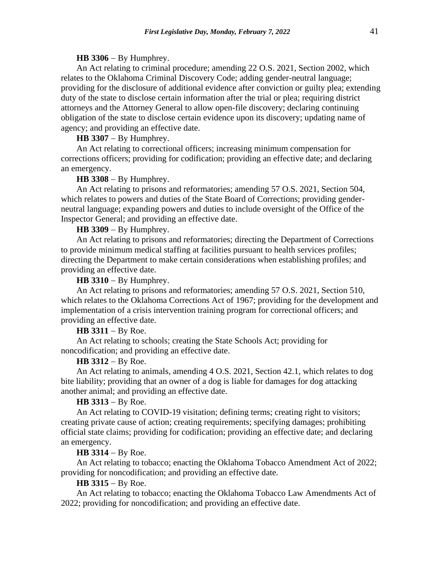#### **HB 3306** − By Humphrey.

An Act relating to criminal procedure; amending 22 O.S. 2021, Section 2002, which relates to the Oklahoma Criminal Discovery Code; adding gender-neutral language; providing for the disclosure of additional evidence after conviction or guilty plea; extending duty of the state to disclose certain information after the trial or plea; requiring district attorneys and the Attorney General to allow open-file discovery; declaring continuing obligation of the state to disclose certain evidence upon its discovery; updating name of agency; and providing an effective date.

**HB 3307** − By Humphrey.

An Act relating to correctional officers; increasing minimum compensation for corrections officers; providing for codification; providing an effective date; and declaring an emergency.

# **HB 3308** − By Humphrey.

An Act relating to prisons and reformatories; amending 57 O.S. 2021, Section 504, which relates to powers and duties of the State Board of Corrections; providing genderneutral language; expanding powers and duties to include oversight of the Office of the Inspector General; and providing an effective date.

**HB 3309** − By Humphrey.

An Act relating to prisons and reformatories; directing the Department of Corrections to provide minimum medical staffing at facilities pursuant to health services profiles; directing the Department to make certain considerations when establishing profiles; and providing an effective date.

**HB 3310** − By Humphrey.

An Act relating to prisons and reformatories; amending 57 O.S. 2021, Section 510, which relates to the Oklahoma Corrections Act of 1967; providing for the development and implementation of a crisis intervention training program for correctional officers; and providing an effective date.

**HB 3311** − By Roe.

An Act relating to schools; creating the State Schools Act; providing for noncodification; and providing an effective date.

### **HB 3312** − By Roe.

An Act relating to animals, amending 4 O.S. 2021, Section 42.1, which relates to dog bite liability; providing that an owner of a dog is liable for damages for dog attacking another animal; and providing an effective date.

## **HB 3313** − By Roe.

An Act relating to COVID-19 visitation; defining terms; creating right to visitors; creating private cause of action; creating requirements; specifying damages; prohibiting official state claims; providing for codification; providing an effective date; and declaring an emergency.

# **HB 3314** − By Roe.

An Act relating to tobacco; enacting the Oklahoma Tobacco Amendment Act of 2022; providing for noncodification; and providing an effective date.

# **HB 3315** − By Roe.

An Act relating to tobacco; enacting the Oklahoma Tobacco Law Amendments Act of 2022; providing for noncodification; and providing an effective date.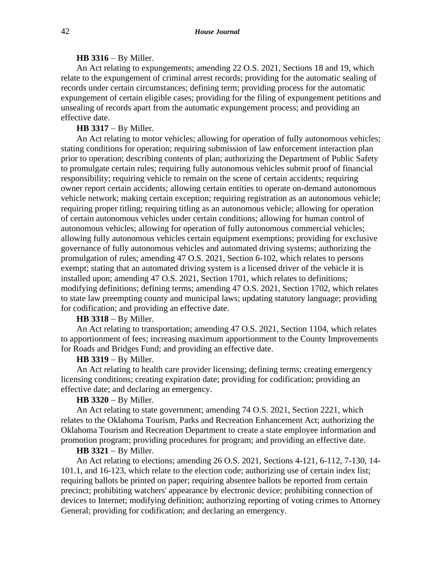# **HB 3316** − By Miller.

An Act relating to expungements; amending 22 O.S. 2021, Sections 18 and 19, which relate to the expungement of criminal arrest records; providing for the automatic sealing of records under certain circumstances; defining term; providing process for the automatic expungement of certain eligible cases; providing for the filing of expungement petitions and unsealing of records apart from the automatic expungement process; and providing an effective date.

## **HB 3317** − By Miller.

An Act relating to motor vehicles; allowing for operation of fully autonomous vehicles; stating conditions for operation; requiring submission of law enforcement interaction plan prior to operation; describing contents of plan; authorizing the Department of Public Safety to promulgate certain rules; requiring fully autonomous vehicles submit proof of financial responsibility; requiring vehicle to remain on the scene of certain accidents; requiring owner report certain accidents; allowing certain entities to operate on-demand autonomous vehicle network; making certain exception; requiring registration as an autonomous vehicle; requiring proper titling; requiring titling as an autonomous vehicle; allowing for operation of certain autonomous vehicles under certain conditions; allowing for human control of autonomous vehicles; allowing for operation of fully autonomous commercial vehicles; allowing fully autonomous vehicles certain equipment exemptions; providing for exclusive governance of fully autonomous vehicles and automated driving systems; authorizing the promulgation of rules; amending 47 O.S. 2021, Section 6-102, which relates to persons exempt; stating that an automated driving system is a licensed driver of the vehicle it is installed upon; amending 47 O.S. 2021, Section 1701, which relates to definitions; modifying definitions; defining terms; amending 47 O.S. 2021, Section 1702, which relates to state law preempting county and municipal laws; updating statutory language; providing for codification; and providing an effective date.

# **HB 3318** − By Miller.

An Act relating to transportation; amending 47 O.S. 2021, Section 1104, which relates to apportionment of fees; increasing maximum apportionment to the County Improvements for Roads and Bridges Fund; and providing an effective date.

# **HB 3319** − By Miller.

An Act relating to health care provider licensing; defining terms; creating emergency licensing conditions; creating expiration date; providing for codification; providing an effective date; and declaring an emergency.

#### **HB 3320** − By Miller.

An Act relating to state government; amending 74 O.S. 2021, Section 2221, which relates to the Oklahoma Tourism, Parks and Recreation Enhancement Act; authorizing the Oklahoma Tourism and Recreation Department to create a state employee information and promotion program; providing procedures for program; and providing an effective date.

## **HB 3321** − By Miller.

An Act relating to elections; amending 26 O.S. 2021, Sections 4-121, 6-112, 7-130, 14- 101.1, and 16-123, which relate to the election code; authorizing use of certain index list; requiring ballots be printed on paper; requiring absentee ballots be reported from certain precinct; prohibiting watchers' appearance by electronic device; prohibiting connection of devices to Internet; modifying definition; authorizing reporting of voting crimes to Attorney General; providing for codification; and declaring an emergency.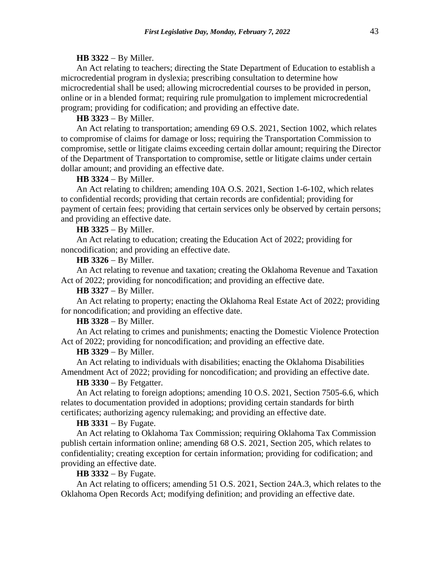#### **HB 3322** − By Miller.

An Act relating to teachers; directing the State Department of Education to establish a microcredential program in dyslexia; prescribing consultation to determine how microcredential shall be used; allowing microcredential courses to be provided in person, online or in a blended format; requiring rule promulgation to implement microcredential program; providing for codification; and providing an effective date.

## **HB 3323** − By Miller.

An Act relating to transportation; amending 69 O.S. 2021, Section 1002, which relates to compromise of claims for damage or loss; requiring the Transportation Commission to compromise, settle or litigate claims exceeding certain dollar amount; requiring the Director of the Department of Transportation to compromise, settle or litigate claims under certain dollar amount; and providing an effective date.

# **HB 3324** − By Miller.

An Act relating to children; amending 10A O.S. 2021, Section 1-6-102, which relates to confidential records; providing that certain records are confidential; providing for payment of certain fees; providing that certain services only be observed by certain persons; and providing an effective date.

#### **HB 3325** − By Miller.

An Act relating to education; creating the Education Act of 2022; providing for noncodification; and providing an effective date.

## **HB 3326** − By Miller.

An Act relating to revenue and taxation; creating the Oklahoma Revenue and Taxation Act of 2022; providing for noncodification; and providing an effective date.

# **HB 3327** − By Miller.

An Act relating to property; enacting the Oklahoma Real Estate Act of 2022; providing for noncodification; and providing an effective date.

# **HB 3328** − By Miller.

An Act relating to crimes and punishments; enacting the Domestic Violence Protection Act of 2022; providing for noncodification; and providing an effective date.

#### **HB 3329** − By Miller.

An Act relating to individuals with disabilities; enacting the Oklahoma Disabilities Amendment Act of 2022; providing for noncodification; and providing an effective date.

#### **HB 3330** − By Fetgatter.

An Act relating to foreign adoptions; amending 10 O.S. 2021, Section 7505-6.6, which relates to documentation provided in adoptions; providing certain standards for birth certificates; authorizing agency rulemaking; and providing an effective date.

### **HB 3331** − By Fugate.

An Act relating to Oklahoma Tax Commission; requiring Oklahoma Tax Commission publish certain information online; amending 68 O.S. 2021, Section 205, which relates to confidentiality; creating exception for certain information; providing for codification; and providing an effective date.

**HB 3332** − By Fugate.

An Act relating to officers; amending 51 O.S. 2021, Section 24A.3, which relates to the Oklahoma Open Records Act; modifying definition; and providing an effective date.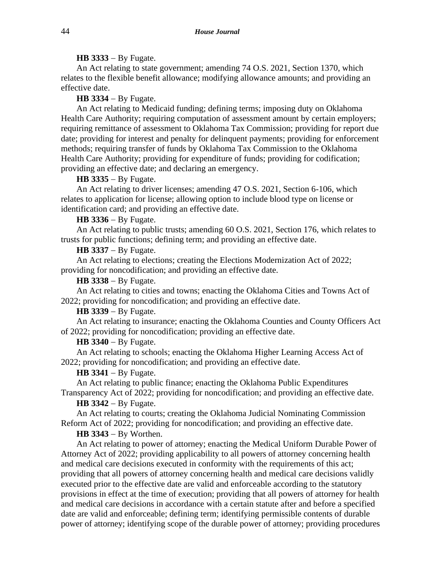## **HB 3333** − By Fugate.

An Act relating to state government; amending 74 O.S. 2021, Section 1370, which relates to the flexible benefit allowance; modifying allowance amounts; and providing an effective date.

## **HB 3334** − By Fugate.

An Act relating to Medicaid funding; defining terms; imposing duty on Oklahoma Health Care Authority; requiring computation of assessment amount by certain employers; requiring remittance of assessment to Oklahoma Tax Commission; providing for report due date; providing for interest and penalty for delinquent payments; providing for enforcement methods; requiring transfer of funds by Oklahoma Tax Commission to the Oklahoma Health Care Authority; providing for expenditure of funds; providing for codification; providing an effective date; and declaring an emergency.

**HB 3335** − By Fugate.

An Act relating to driver licenses; amending 47 O.S. 2021, Section 6-106, which relates to application for license; allowing option to include blood type on license or identification card; and providing an effective date.

#### **HB 3336** − By Fugate.

An Act relating to public trusts; amending 60 O.S. 2021, Section 176, which relates to trusts for public functions; defining term; and providing an effective date.

**HB 3337** − By Fugate.

An Act relating to elections; creating the Elections Modernization Act of 2022; providing for noncodification; and providing an effective date.

**HB 3338** − By Fugate.

An Act relating to cities and towns; enacting the Oklahoma Cities and Towns Act of 2022; providing for noncodification; and providing an effective date.

## **HB 3339** − By Fugate.

An Act relating to insurance; enacting the Oklahoma Counties and County Officers Act of 2022; providing for noncodification; providing an effective date.

#### **HB 3340** − By Fugate.

An Act relating to schools; enacting the Oklahoma Higher Learning Access Act of 2022; providing for noncodification; and providing an effective date.

## **HB 3341** − By Fugate.

An Act relating to public finance; enacting the Oklahoma Public Expenditures Transparency Act of 2022; providing for noncodification; and providing an effective date.

**HB 3342** − By Fugate.

An Act relating to courts; creating the Oklahoma Judicial Nominating Commission Reform Act of 2022; providing for noncodification; and providing an effective date.

# **HB 3343** − By Worthen.

An Act relating to power of attorney; enacting the Medical Uniform Durable Power of Attorney Act of 2022; providing applicability to all powers of attorney concerning health and medical care decisions executed in conformity with the requirements of this act; providing that all powers of attorney concerning health and medical care decisions validly executed prior to the effective date are valid and enforceable according to the statutory provisions in effect at the time of execution; providing that all powers of attorney for health and medical care decisions in accordance with a certain statute after and before a specified date are valid and enforceable; defining term; identifying permissible contents of durable power of attorney; identifying scope of the durable power of attorney; providing procedures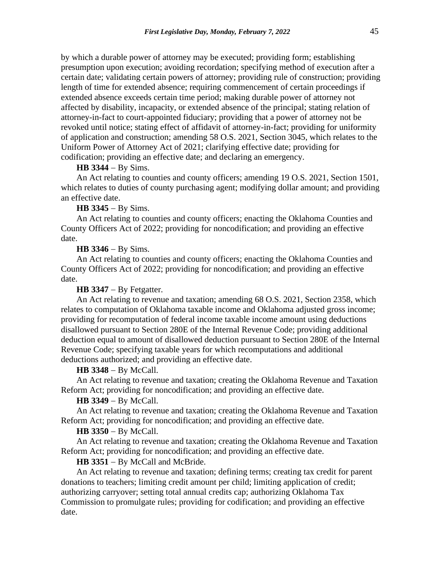by which a durable power of attorney may be executed; providing form; establishing presumption upon execution; avoiding recordation; specifying method of execution after a certain date; validating certain powers of attorney; providing rule of construction; providing length of time for extended absence; requiring commencement of certain proceedings if extended absence exceeds certain time period; making durable power of attorney not affected by disability, incapacity, or extended absence of the principal; stating relation of attorney-in-fact to court-appointed fiduciary; providing that a power of attorney not be revoked until notice; stating effect of affidavit of attorney-in-fact; providing for uniformity of application and construction; amending 58 O.S. 2021, Section 3045, which relates to the Uniform Power of Attorney Act of 2021; clarifying effective date; providing for codification; providing an effective date; and declaring an emergency.

# **HB 3344** − By Sims.

An Act relating to counties and county officers; amending 19 O.S. 2021, Section 1501, which relates to duties of county purchasing agent; modifying dollar amount; and providing an effective date.

## **HB 3345** − By Sims.

An Act relating to counties and county officers; enacting the Oklahoma Counties and County Officers Act of 2022; providing for noncodification; and providing an effective date.

### **HB 3346** − By Sims.

An Act relating to counties and county officers; enacting the Oklahoma Counties and County Officers Act of 2022; providing for noncodification; and providing an effective date.

### **HB 3347** − By Fetgatter.

An Act relating to revenue and taxation; amending 68 O.S. 2021, Section 2358, which relates to computation of Oklahoma taxable income and Oklahoma adjusted gross income; providing for recomputation of federal income taxable income amount using deductions disallowed pursuant to Section 280E of the Internal Revenue Code; providing additional deduction equal to amount of disallowed deduction pursuant to Section 280E of the Internal Revenue Code; specifying taxable years for which recomputations and additional deductions authorized; and providing an effective date.

# **HB 3348** − By McCall.

An Act relating to revenue and taxation; creating the Oklahoma Revenue and Taxation Reform Act; providing for noncodification; and providing an effective date.

#### **HB 3349** − By McCall.

An Act relating to revenue and taxation; creating the Oklahoma Revenue and Taxation Reform Act; providing for noncodification; and providing an effective date.

# **HB 3350** − By McCall.

An Act relating to revenue and taxation; creating the Oklahoma Revenue and Taxation Reform Act; providing for noncodification; and providing an effective date.

# **HB 3351** − By McCall and McBride.

An Act relating to revenue and taxation; defining terms; creating tax credit for parent donations to teachers; limiting credit amount per child; limiting application of credit; authorizing carryover; setting total annual credits cap; authorizing Oklahoma Tax Commission to promulgate rules; providing for codification; and providing an effective date.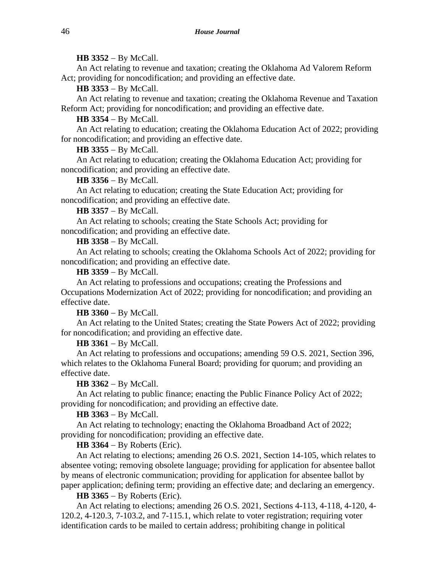## **HB 3352** − By McCall.

An Act relating to revenue and taxation; creating the Oklahoma Ad Valorem Reform Act; providing for noncodification; and providing an effective date.

**HB 3353** − By McCall.

An Act relating to revenue and taxation; creating the Oklahoma Revenue and Taxation Reform Act; providing for noncodification; and providing an effective date.

**HB 3354** − By McCall.

An Act relating to education; creating the Oklahoma Education Act of 2022; providing for noncodification; and providing an effective date.

**HB 3355** − By McCall.

An Act relating to education; creating the Oklahoma Education Act; providing for noncodification; and providing an effective date.

**HB 3356** − By McCall.

An Act relating to education; creating the State Education Act; providing for noncodification; and providing an effective date.

**HB 3357** − By McCall.

An Act relating to schools; creating the State Schools Act; providing for noncodification; and providing an effective date.

**HB 3358** − By McCall.

An Act relating to schools; creating the Oklahoma Schools Act of 2022; providing for noncodification; and providing an effective date.

**HB 3359** − By McCall.

An Act relating to professions and occupations; creating the Professions and Occupations Modernization Act of 2022; providing for noncodification; and providing an effective date.

**HB 3360** − By McCall.

An Act relating to the United States; creating the State Powers Act of 2022; providing for noncodification; and providing an effective date.

**HB 3361** − By McCall.

An Act relating to professions and occupations; amending 59 O.S. 2021, Section 396, which relates to the Oklahoma Funeral Board; providing for quorum; and providing an effective date.

**HB 3362** − By McCall.

An Act relating to public finance; enacting the Public Finance Policy Act of 2022; providing for noncodification; and providing an effective date.

**HB 3363** − By McCall.

An Act relating to technology; enacting the Oklahoma Broadband Act of 2022; providing for noncodification; providing an effective date.

**HB 3364** − By Roberts (Eric).

An Act relating to elections; amending 26 O.S. 2021, Section 14-105, which relates to absentee voting; removing obsolete language; providing for application for absentee ballot by means of electronic communication; providing for application for absentee ballot by paper application; defining term; providing an effective date; and declaring an emergency.

**HB 3365** − By Roberts (Eric).

An Act relating to elections; amending 26 O.S. 2021, Sections 4-113, 4-118, 4-120, 4- 120.2, 4-120.3, 7-103.2, and 7-115.1, which relate to voter registration; requiring voter identification cards to be mailed to certain address; prohibiting change in political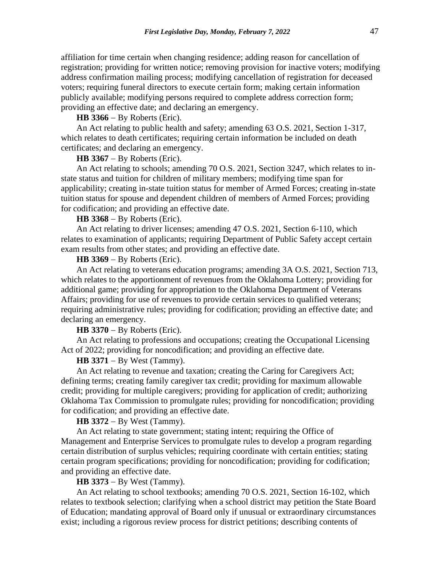affiliation for time certain when changing residence; adding reason for cancellation of registration; providing for written notice; removing provision for inactive voters; modifying address confirmation mailing process; modifying cancellation of registration for deceased voters; requiring funeral directors to execute certain form; making certain information publicly available; modifying persons required to complete address correction form; providing an effective date; and declaring an emergency.

### **HB 3366** − By Roberts (Eric).

An Act relating to public health and safety; amending 63 O.S. 2021, Section 1-317, which relates to death certificates; requiring certain information be included on death certificates; and declaring an emergency.

# **HB 3367** − By Roberts (Eric).

An Act relating to schools; amending 70 O.S. 2021, Section 3247, which relates to instate status and tuition for children of military members; modifying time span for applicability; creating in-state tuition status for member of Armed Forces; creating in-state tuition status for spouse and dependent children of members of Armed Forces; providing for codification; and providing an effective date.

## **HB 3368** − By Roberts (Eric).

An Act relating to driver licenses; amending 47 O.S. 2021, Section 6-110, which relates to examination of applicants; requiring Department of Public Safety accept certain exam results from other states; and providing an effective date.

## **HB 3369** − By Roberts (Eric).

An Act relating to veterans education programs; amending 3A O.S. 2021, Section 713, which relates to the apportionment of revenues from the Oklahoma Lottery; providing for additional game; providing for appropriation to the Oklahoma Department of Veterans Affairs; providing for use of revenues to provide certain services to qualified veterans; requiring administrative rules; providing for codification; providing an effective date; and declaring an emergency.

**HB 3370** − By Roberts (Eric).

An Act relating to professions and occupations; creating the Occupational Licensing Act of 2022; providing for noncodification; and providing an effective date.

### **HB 3371** − By West (Tammy).

An Act relating to revenue and taxation; creating the Caring for Caregivers Act; defining terms; creating family caregiver tax credit; providing for maximum allowable credit; providing for multiple caregivers; providing for application of credit; authorizing Oklahoma Tax Commission to promulgate rules; providing for noncodification; providing for codification; and providing an effective date.

#### **HB 3372** − By West (Tammy).

An Act relating to state government; stating intent; requiring the Office of Management and Enterprise Services to promulgate rules to develop a program regarding certain distribution of surplus vehicles; requiring coordinate with certain entities; stating certain program specifications; providing for noncodification; providing for codification; and providing an effective date.

# **HB 3373** − By West (Tammy).

An Act relating to school textbooks; amending 70 O.S. 2021, Section 16-102, which relates to textbook selection; clarifying when a school district may petition the State Board of Education; mandating approval of Board only if unusual or extraordinary circumstances exist; including a rigorous review process for district petitions; describing contents of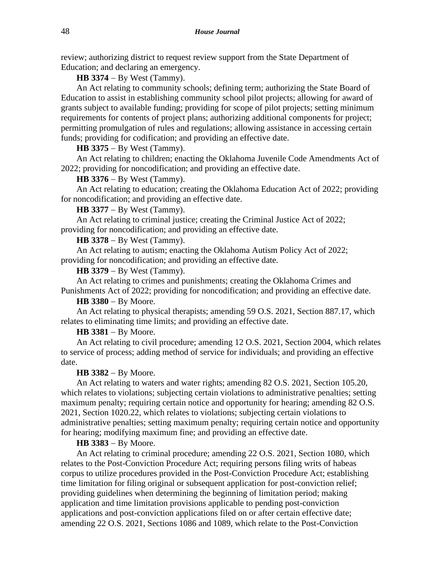review; authorizing district to request review support from the State Department of Education; and declaring an emergency.

**HB 3374** − By West (Tammy).

An Act relating to community schools; defining term; authorizing the State Board of Education to assist in establishing community school pilot projects; allowing for award of grants subject to available funding; providing for scope of pilot projects; setting minimum requirements for contents of project plans; authorizing additional components for project; permitting promulgation of rules and regulations; allowing assistance in accessing certain funds; providing for codification; and providing an effective date.

# **HB 3375** − By West (Tammy).

An Act relating to children; enacting the Oklahoma Juvenile Code Amendments Act of 2022; providing for noncodification; and providing an effective date.

# **HB 3376** − By West (Tammy).

An Act relating to education; creating the Oklahoma Education Act of 2022; providing for noncodification; and providing an effective date.

**HB 3377** − By West (Tammy).

An Act relating to criminal justice; creating the Criminal Justice Act of 2022; providing for noncodification; and providing an effective date.

**HB 3378** − By West (Tammy).

An Act relating to autism; enacting the Oklahoma Autism Policy Act of 2022; providing for noncodification; and providing an effective date.

**HB 3379** − By West (Tammy).

An Act relating to crimes and punishments; creating the Oklahoma Crimes and Punishments Act of 2022; providing for noncodification; and providing an effective date.

## **HB 3380** − By Moore.

An Act relating to physical therapists; amending 59 O.S. 2021, Section 887.17, which relates to eliminating time limits; and providing an effective date.

**HB 3381** − By Moore.

An Act relating to civil procedure; amending 12 O.S. 2021, Section 2004, which relates to service of process; adding method of service for individuals; and providing an effective date.

**HB 3382** − By Moore.

An Act relating to waters and water rights; amending 82 O.S. 2021, Section 105.20, which relates to violations; subjecting certain violations to administrative penalties; setting maximum penalty; requiring certain notice and opportunity for hearing; amending 82 O.S. 2021, Section 1020.22, which relates to violations; subjecting certain violations to administrative penalties; setting maximum penalty; requiring certain notice and opportunity for hearing; modifying maximum fine; and providing an effective date.

# **HB 3383** − By Moore.

An Act relating to criminal procedure; amending 22 O.S. 2021, Section 1080, which relates to the Post-Conviction Procedure Act; requiring persons filing writs of habeas corpus to utilize procedures provided in the Post-Conviction Procedure Act; establishing time limitation for filing original or subsequent application for post-conviction relief; providing guidelines when determining the beginning of limitation period; making application and time limitation provisions applicable to pending post-conviction applications and post-conviction applications filed on or after certain effective date; amending 22 O.S. 2021, Sections 1086 and 1089, which relate to the Post-Conviction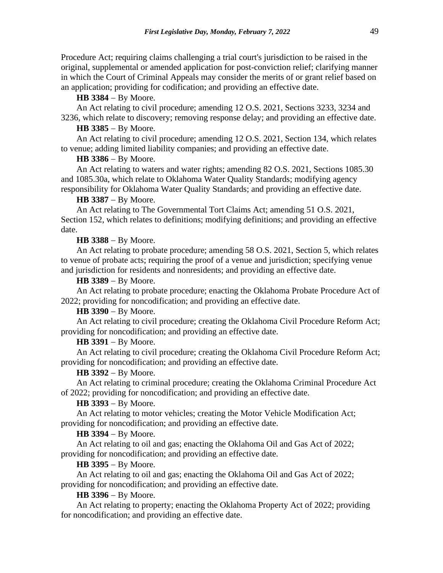Procedure Act; requiring claims challenging a trial court's jurisdiction to be raised in the original, supplemental or amended application for post-conviction relief; clarifying manner in which the Court of Criminal Appeals may consider the merits of or grant relief based on an application; providing for codification; and providing an effective date.

**HB 3384** − By Moore.

An Act relating to civil procedure; amending 12 O.S. 2021, Sections 3233, 3234 and 3236, which relate to discovery; removing response delay; and providing an effective date.

## **HB 3385** − By Moore.

An Act relating to civil procedure; amending 12 O.S. 2021, Section 134, which relates to venue; adding limited liability companies; and providing an effective date.

## **HB 3386** − By Moore.

An Act relating to waters and water rights; amending 82 O.S. 2021, Sections 1085.30 and 1085.30a, which relate to Oklahoma Water Quality Standards; modifying agency responsibility for Oklahoma Water Quality Standards; and providing an effective date.

### **HB 3387** − By Moore.

An Act relating to The Governmental Tort Claims Act; amending 51 O.S. 2021, Section 152, which relates to definitions; modifying definitions; and providing an effective date.

## **HB 3388** − By Moore.

An Act relating to probate procedure; amending 58 O.S. 2021, Section 5, which relates to venue of probate acts; requiring the proof of a venue and jurisdiction; specifying venue and jurisdiction for residents and nonresidents; and providing an effective date.

**HB 3389** − By Moore.

An Act relating to probate procedure; enacting the Oklahoma Probate Procedure Act of 2022; providing for noncodification; and providing an effective date.

# **HB 3390** − By Moore.

An Act relating to civil procedure; creating the Oklahoma Civil Procedure Reform Act; providing for noncodification; and providing an effective date.

#### **HB 3391** − By Moore.

An Act relating to civil procedure; creating the Oklahoma Civil Procedure Reform Act; providing for noncodification; and providing an effective date.

## **HB 3392** − By Moore.

An Act relating to criminal procedure; creating the Oklahoma Criminal Procedure Act of 2022; providing for noncodification; and providing an effective date.

# **HB 3393** − By Moore.

An Act relating to motor vehicles; creating the Motor Vehicle Modification Act; providing for noncodification; and providing an effective date.

## **HB 3394** − By Moore.

An Act relating to oil and gas; enacting the Oklahoma Oil and Gas Act of 2022; providing for noncodification; and providing an effective date.

## **HB 3395** − By Moore.

An Act relating to oil and gas; enacting the Oklahoma Oil and Gas Act of 2022; providing for noncodification; and providing an effective date.

### **HB 3396** − By Moore.

An Act relating to property; enacting the Oklahoma Property Act of 2022; providing for noncodification; and providing an effective date.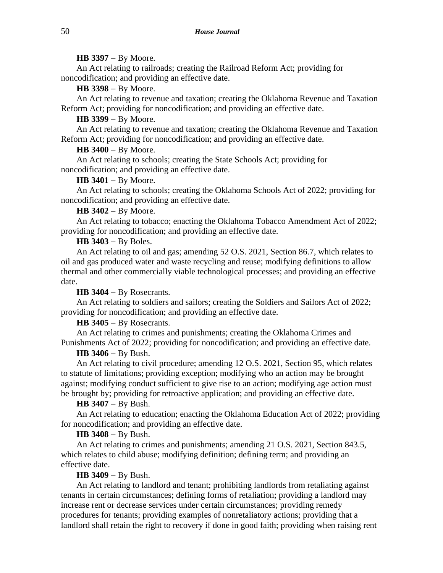### **HB 3397** − By Moore.

An Act relating to railroads; creating the Railroad Reform Act; providing for noncodification; and providing an effective date.

**HB 3398** − By Moore.

An Act relating to revenue and taxation; creating the Oklahoma Revenue and Taxation Reform Act; providing for noncodification; and providing an effective date.

**HB 3399** − By Moore.

An Act relating to revenue and taxation; creating the Oklahoma Revenue and Taxation Reform Act; providing for noncodification; and providing an effective date.

### **HB 3400** − By Moore.

An Act relating to schools; creating the State Schools Act; providing for noncodification; and providing an effective date.

#### **HB 3401** − By Moore.

An Act relating to schools; creating the Oklahoma Schools Act of 2022; providing for noncodification; and providing an effective date.

**HB 3402** − By Moore.

An Act relating to tobacco; enacting the Oklahoma Tobacco Amendment Act of 2022; providing for noncodification; and providing an effective date.

**HB 3403** − By Boles.

An Act relating to oil and gas; amending 52 O.S. 2021, Section 86.7, which relates to oil and gas produced water and waste recycling and reuse; modifying definitions to allow thermal and other commercially viable technological processes; and providing an effective date.

**HB 3404** − By Rosecrants.

An Act relating to soldiers and sailors; creating the Soldiers and Sailors Act of 2022; providing for noncodification; and providing an effective date.

**HB 3405** − By Rosecrants.

An Act relating to crimes and punishments; creating the Oklahoma Crimes and Punishments Act of 2022; providing for noncodification; and providing an effective date.

#### **HB 3406** − By Bush.

An Act relating to civil procedure; amending 12 O.S. 2021, Section 95, which relates to statute of limitations; providing exception; modifying who an action may be brought against; modifying conduct sufficient to give rise to an action; modifying age action must be brought by; providing for retroactive application; and providing an effective date.

#### **HB 3407** − By Bush.

An Act relating to education; enacting the Oklahoma Education Act of 2022; providing for noncodification; and providing an effective date.

## **HB 3408** − By Bush.

An Act relating to crimes and punishments; amending 21 O.S. 2021, Section 843.5, which relates to child abuse; modifying definition; defining term; and providing an effective date.

#### **HB 3409** − By Bush.

An Act relating to landlord and tenant; prohibiting landlords from retaliating against tenants in certain circumstances; defining forms of retaliation; providing a landlord may increase rent or decrease services under certain circumstances; providing remedy procedures for tenants; providing examples of nonretaliatory actions; providing that a landlord shall retain the right to recovery if done in good faith; providing when raising rent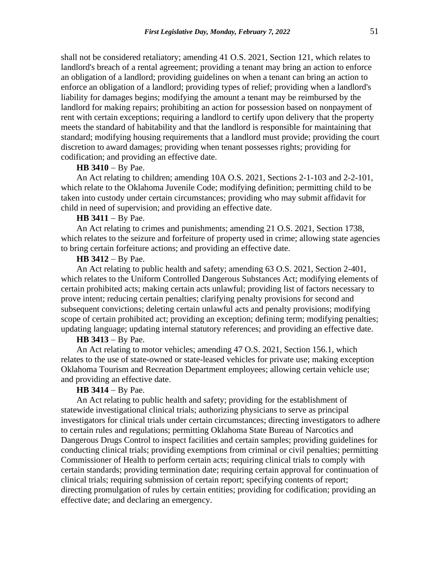shall not be considered retaliatory; amending 41 O.S. 2021, Section 121, which relates to landlord's breach of a rental agreement; providing a tenant may bring an action to enforce an obligation of a landlord; providing guidelines on when a tenant can bring an action to enforce an obligation of a landlord; providing types of relief; providing when a landlord's liability for damages begins; modifying the amount a tenant may be reimbursed by the landlord for making repairs; prohibiting an action for possession based on nonpayment of rent with certain exceptions; requiring a landlord to certify upon delivery that the property meets the standard of habitability and that the landlord is responsible for maintaining that standard; modifying housing requirements that a landlord must provide; providing the court discretion to award damages; providing when tenant possesses rights; providing for codification; and providing an effective date.

# **HB 3410** − By Pae.

An Act relating to children; amending 10A O.S. 2021, Sections 2-1-103 and 2-2-101, which relate to the Oklahoma Juvenile Code; modifying definition; permitting child to be taken into custody under certain circumstances; providing who may submit affidavit for child in need of supervision; and providing an effective date.

## **HB 3411** − By Pae.

An Act relating to crimes and punishments; amending 21 O.S. 2021, Section 1738, which relates to the seizure and forfeiture of property used in crime; allowing state agencies to bring certain forfeiture actions; and providing an effective date.

## **HB 3412** − By Pae.

An Act relating to public health and safety; amending 63 O.S. 2021, Section 2-401, which relates to the Uniform Controlled Dangerous Substances Act; modifying elements of certain prohibited acts; making certain acts unlawful; providing list of factors necessary to prove intent; reducing certain penalties; clarifying penalty provisions for second and subsequent convictions; deleting certain unlawful acts and penalty provisions; modifying scope of certain prohibited act; providing an exception; defining term; modifying penalties; updating language; updating internal statutory references; and providing an effective date.

## **HB 3413** − By Pae.

An Act relating to motor vehicles; amending 47 O.S. 2021, Section 156.1, which relates to the use of state-owned or state-leased vehicles for private use; making exception Oklahoma Tourism and Recreation Department employees; allowing certain vehicle use; and providing an effective date.

# **HB 3414** − By Pae.

An Act relating to public health and safety; providing for the establishment of statewide investigational clinical trials; authorizing physicians to serve as principal investigators for clinical trials under certain circumstances; directing investigators to adhere to certain rules and regulations; permitting Oklahoma State Bureau of Narcotics and Dangerous Drugs Control to inspect facilities and certain samples; providing guidelines for conducting clinical trials; providing exemptions from criminal or civil penalties; permitting Commissioner of Health to perform certain acts; requiring clinical trials to comply with certain standards; providing termination date; requiring certain approval for continuation of clinical trials; requiring submission of certain report; specifying contents of report; directing promulgation of rules by certain entities; providing for codification; providing an effective date; and declaring an emergency.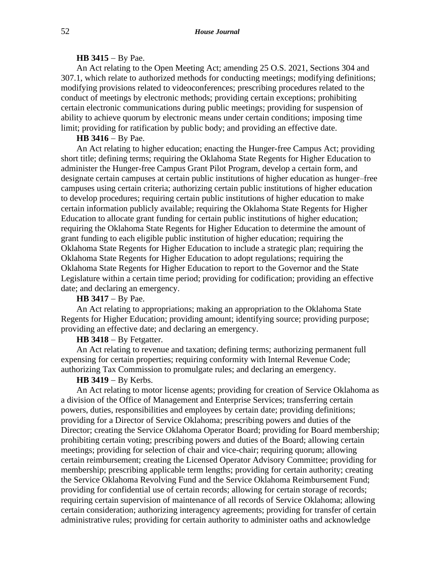## **HB 3415** − By Pae.

An Act relating to the Open Meeting Act; amending 25 O.S. 2021, Sections 304 and 307.1, which relate to authorized methods for conducting meetings; modifying definitions; modifying provisions related to videoconferences; prescribing procedures related to the conduct of meetings by electronic methods; providing certain exceptions; prohibiting certain electronic communications during public meetings; providing for suspension of ability to achieve quorum by electronic means under certain conditions; imposing time limit; providing for ratification by public body; and providing an effective date.

#### **HB 3416** − By Pae.

An Act relating to higher education; enacting the Hunger-free Campus Act; providing short title; defining terms; requiring the Oklahoma State Regents for Higher Education to administer the Hunger-free Campus Grant Pilot Program, develop a certain form, and designate certain campuses at certain public institutions of higher education as hunger–free campuses using certain criteria; authorizing certain public institutions of higher education to develop procedures; requiring certain public institutions of higher education to make certain information publicly available; requiring the Oklahoma State Regents for Higher Education to allocate grant funding for certain public institutions of higher education; requiring the Oklahoma State Regents for Higher Education to determine the amount of grant funding to each eligible public institution of higher education; requiring the Oklahoma State Regents for Higher Education to include a strategic plan; requiring the Oklahoma State Regents for Higher Education to adopt regulations; requiring the Oklahoma State Regents for Higher Education to report to the Governor and the State Legislature within a certain time period; providing for codification; providing an effective date; and declaring an emergency.

# **HB 3417** − By Pae.

An Act relating to appropriations; making an appropriation to the Oklahoma State Regents for Higher Education; providing amount; identifying source; providing purpose; providing an effective date; and declaring an emergency.

# **HB 3418** − By Fetgatter.

An Act relating to revenue and taxation; defining terms; authorizing permanent full expensing for certain properties; requiring conformity with Internal Revenue Code; authorizing Tax Commission to promulgate rules; and declaring an emergency.

# **HB 3419** − By Kerbs.

An Act relating to motor license agents; providing for creation of Service Oklahoma as a division of the Office of Management and Enterprise Services; transferring certain powers, duties, responsibilities and employees by certain date; providing definitions; providing for a Director of Service Oklahoma; prescribing powers and duties of the Director; creating the Service Oklahoma Operator Board; providing for Board membership; prohibiting certain voting; prescribing powers and duties of the Board; allowing certain meetings; providing for selection of chair and vice-chair; requiring quorum; allowing certain reimbursement; creating the Licensed Operator Advisory Committee; providing for membership; prescribing applicable term lengths; providing for certain authority; creating the Service Oklahoma Revolving Fund and the Service Oklahoma Reimbursement Fund; providing for confidential use of certain records; allowing for certain storage of records; requiring certain supervision of maintenance of all records of Service Oklahoma; allowing certain consideration; authorizing interagency agreements; providing for transfer of certain administrative rules; providing for certain authority to administer oaths and acknowledge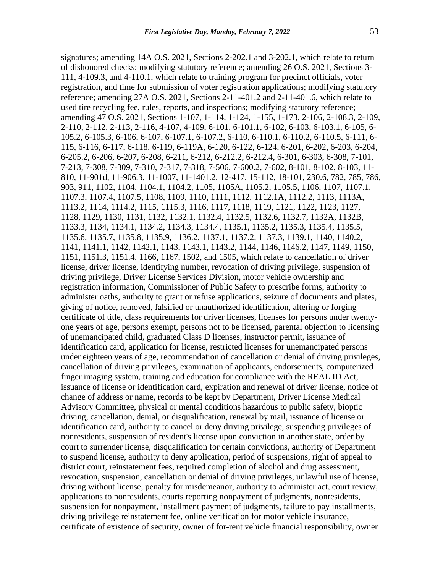signatures; amending 14A O.S. 2021, Sections 2-202.1 and 3-202.1, which relate to return of dishonored checks; modifying statutory reference; amending 26 O.S. 2021, Sections 3- 111, 4-109.3, and 4-110.1, which relate to training program for precinct officials, voter registration, and time for submission of voter registration applications; modifying statutory reference; amending 27A O.S. 2021, Sections 2-11-401.2 and 2-11-401.6, which relate to used tire recycling fee, rules, reports, and inspections; modifying statutory reference; amending 47 O.S. 2021, Sections 1-107, 1-114, 1-124, 1-155, 1-173, 2-106, 2-108.3, 2-109, 2-110, 2-112, 2-113, 2-116, 4-107, 4-109, 6-101, 6-101.1, 6-102, 6-103, 6-103.1, 6-105, 6- 105.2, 6-105.3, 6-106, 6-107, 6-107.1, 6-107.2, 6-110, 6-110.1, 6-110.2, 6-110.5, 6-111, 6- 115, 6-116, 6-117, 6-118, 6-119, 6-119A, 6-120, 6-122, 6-124, 6-201, 6-202, 6-203, 6-204, 6-205.2, 6-206, 6-207, 6-208, 6-211, 6-212, 6-212.2, 6-212.4, 6-301, 6-303, 6-308, 7-101, 7-213, 7-308, 7-309, 7-310, 7-317, 7-318, 7-506, 7-600.2, 7-602, 8-101, 8-102, 8-103, 11- 810, 11-901d, 11-906.3, 11-1007, 11-1401.2, 12-417, 15-112, 18-101, 230.6, 782, 785, 786, 903, 911, 1102, 1104, 1104.1, 1104.2, 1105, 1105A, 1105.2, 1105.5, 1106, 1107, 1107.1, 1107.3, 1107.4, 1107.5, 1108, 1109, 1110, 1111, 1112, 1112.1A, 1112.2, 1113, 1113A, 1113.2, 1114, 1114.2, 1115, 1115.3, 1116, 1117, 1118, 1119, 1121, 1122, 1123, 1127, 1128, 1129, 1130, 1131, 1132, 1132.1, 1132.4, 1132.5, 1132.6, 1132.7, 1132A, 1132B, 1133.3, 1134, 1134.1, 1134.2, 1134.3, 1134.4, 1135.1, 1135.2, 1135.3, 1135.4, 1135.5, 1135.6, 1135.7, 1135.8, 1135.9, 1136.2, 1137.1, 1137.2, 1137.3, 1139.1, 1140, 1140.2, 1141, 1141.1, 1142, 1142.1, 1143, 1143.1, 1143.2, 1144, 1146, 1146.2, 1147, 1149, 1150, 1151, 1151.3, 1151.4, 1166, 1167, 1502, and 1505, which relate to cancellation of driver license, driver license, identifying number, revocation of driving privilege, suspension of driving privilege, Driver License Services Division, motor vehicle ownership and registration information, Commissioner of Public Safety to prescribe forms, authority to administer oaths, authority to grant or refuse applications, seizure of documents and plates, giving of notice, removed, falsified or unauthorized identification, altering or forging certificate of title, class requirements for driver licenses, licenses for persons under twentyone years of age, persons exempt, persons not to be licensed, parental objection to licensing of unemancipated child, graduated Class D licenses, instructor permit, issuance of identification card, application for license, restricted licenses for unemancipated persons under eighteen years of age, recommendation of cancellation or denial of driving privileges, cancellation of driving privileges, examination of applicants, endorsements, computerized finger imaging system, training and education for compliance with the REAL ID Act, issuance of license or identification card, expiration and renewal of driver license, notice of change of address or name, records to be kept by Department, Driver License Medical Advisory Committee, physical or mental conditions hazardous to public safety, bioptic driving, cancellation, denial, or disqualification, renewal by mail, issuance of license or identification card, authority to cancel or deny driving privilege, suspending privileges of nonresidents, suspension of resident's license upon conviction in another state, order by court to surrender license, disqualification for certain convictions, authority of Department to suspend license, authority to deny application, period of suspensions, right of appeal to district court, reinstatement fees, required completion of alcohol and drug assessment, revocation, suspension, cancellation or denial of driving privileges, unlawful use of license, driving without license, penalty for misdemeanor, authority to administer act, court review, applications to nonresidents, courts reporting nonpayment of judgments, nonresidents, suspension for nonpayment, installment payment of judgments, failure to pay installments, driving privilege reinstatement fee, online verification for motor vehicle insurance, certificate of existence of security, owner of for-rent vehicle financial responsibility, owner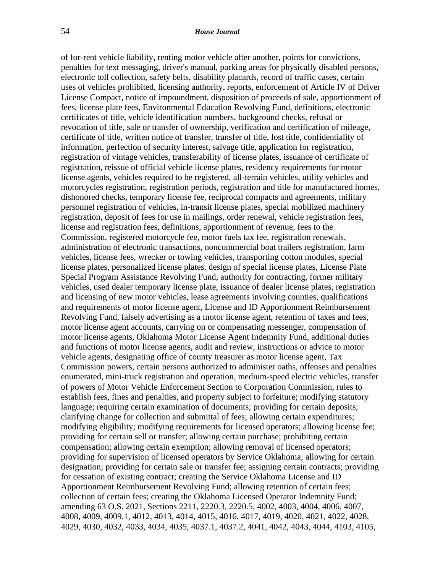of for-rent vehicle liability, renting motor vehicle after another, points for convictions, penalties for text messaging, driver's manual, parking areas for physically disabled persons, electronic toll collection, safety belts, disability placards, record of traffic cases, certain uses of vehicles prohibited, licensing authority, reports, enforcement of Article IV of Driver License Compact, notice of impoundment, disposition of proceeds of sale, apportionment of fees, license plate fees, Environmental Education Revolving Fund, definitions, electronic certificates of title, vehicle identification numbers, background checks, refusal or revocation of title, sale or transfer of ownership, verification and certification of mileage, certificate of title, written notice of transfer, transfer of title, lost title, confidentiality of information, perfection of security interest, salvage title, application for registration, registration of vintage vehicles, transferability of license plates, issuance of certificate of registration, reissue of official vehicle license plates, residency requirements for motor license agents, vehicles required to be registered, all-terrain vehicles, utility vehicles and motorcycles registration, registration periods, registration and title for manufactured homes, dishonored checks, temporary license fee, reciprocal compacts and agreements, military personnel registration of vehicles, in-transit license plates, special mobilized machinery registration, deposit of fees for use in mailings, order renewal, vehicle registration fees, license and registration fees, definitions, apportionment of revenue, fees to the Commission, registered motorcycle fee, motor fuels tax fee, registration renewals, administration of electronic transactions, noncommercial boat trailers registration, farm vehicles, license fees, wrecker or towing vehicles, transporting cotton modules, special license plates, personalized license plates, design of special license plates, License Plate Special Program Assistance Revolving Fund, authority for contracting, former military vehicles, used dealer temporary license plate, issuance of dealer license plates, registration and licensing of new motor vehicles, lease agreements involving counties, qualifications and requirements of motor license agent, License and ID Apportionment Reimbursement Revolving Fund, falsely advertising as a motor license agent, retention of taxes and fees, motor license agent accounts, carrying on or compensating messenger, compensation of motor license agents, Oklahoma Motor License Agent Indemnity Fund, additional duties and functions of motor license agents, audit and review, instructions or advice to motor vehicle agents, designating office of county treasurer as motor license agent, Tax Commission powers, certain persons authorized to administer oaths, offenses and penalties enumerated, mini-truck registration and operation, medium-speed electric vehicles, transfer of powers of Motor Vehicle Enforcement Section to Corporation Commission, rules to establish fees, fines and penalties, and property subject to forfeiture; modifying statutory language; requiring certain examination of documents; providing for certain deposits; clarifying change for collection and submittal of fees; allowing certain expenditures; modifying eligibility; modifying requirements for licensed operators; allowing license fee; providing for certain sell or transfer; allowing certain purchase; prohibiting certain compensation; allowing certain exemption; allowing removal of licensed operators; providing for supervision of licensed operators by Service Oklahoma; allowing for certain designation; providing for certain sale or transfer fee; assigning certain contracts; providing for cessation of existing contract; creating the Service Oklahoma License and ID Apportionment Reimbursement Revolving Fund; allowing retention of certain fees; collection of certain fees; creating the Oklahoma Licensed Operator Indemnity Fund; amending 63 O.S. 2021, Sections 2211, 2220.3, 2220.5, 4002, 4003, 4004, 4006, 4007, 4008, 4009, 4009.1, 4012, 4013, 4014, 4015, 4016, 4017, 4019, 4020, 4021, 4022, 4028, 4029, 4030, 4032, 4033, 4034, 4035, 4037.1, 4037.2, 4041, 4042, 4043, 4044, 4103, 4105,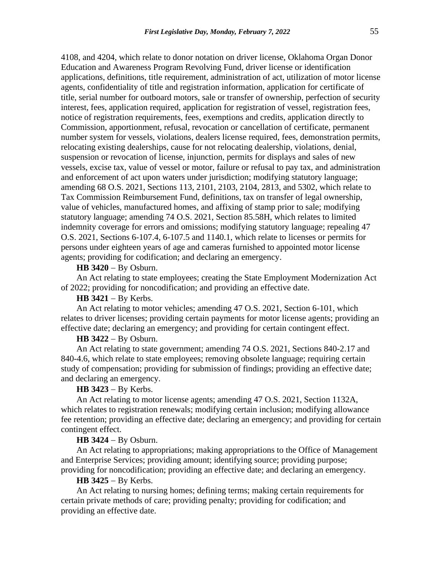4108, and 4204, which relate to donor notation on driver license, Oklahoma Organ Donor Education and Awareness Program Revolving Fund, driver license or identification applications, definitions, title requirement, administration of act, utilization of motor license agents, confidentiality of title and registration information, application for certificate of title, serial number for outboard motors, sale or transfer of ownership, perfection of security interest, fees, application required, application for registration of vessel, registration fees, notice of registration requirements, fees, exemptions and credits, application directly to Commission, apportionment, refusal, revocation or cancellation of certificate, permanent number system for vessels, violations, dealers license required, fees, demonstration permits, relocating existing dealerships, cause for not relocating dealership, violations, denial, suspension or revocation of license, injunction, permits for displays and sales of new vessels, excise tax, value of vessel or motor, failure or refusal to pay tax, and administration and enforcement of act upon waters under jurisdiction; modifying statutory language; amending 68 O.S. 2021, Sections 113, 2101, 2103, 2104, 2813, and 5302, which relate to Tax Commission Reimbursement Fund, definitions, tax on transfer of legal ownership, value of vehicles, manufactured homes, and affixing of stamp prior to sale; modifying statutory language; amending 74 O.S. 2021, Section 85.58H, which relates to limited indemnity coverage for errors and omissions; modifying statutory language; repealing 47 O.S. 2021, Sections 6-107.4, 6-107.5 and 1140.1, which relate to licenses or permits for persons under eighteen years of age and cameras furnished to appointed motor license agents; providing for codification; and declaring an emergency.

## **HB 3420** − By Osburn.

An Act relating to state employees; creating the State Employment Modernization Act of 2022; providing for noncodification; and providing an effective date.

# **HB 3421** − By Kerbs.

An Act relating to motor vehicles; amending 47 O.S. 2021, Section 6-101, which relates to driver licenses; providing certain payments for motor license agents; providing an effective date; declaring an emergency; and providing for certain contingent effect.

## **HB 3422** − By Osburn.

An Act relating to state government; amending 74 O.S. 2021, Sections 840-2.17 and 840-4.6, which relate to state employees; removing obsolete language; requiring certain study of compensation; providing for submission of findings; providing an effective date; and declaring an emergency.

#### **HB 3423** − By Kerbs.

An Act relating to motor license agents; amending 47 O.S. 2021, Section 1132A, which relates to registration renewals; modifying certain inclusion; modifying allowance fee retention; providing an effective date; declaring an emergency; and providing for certain contingent effect.

#### **HB 3424** − By Osburn.

An Act relating to appropriations; making appropriations to the Office of Management and Enterprise Services; providing amount; identifying source; providing purpose; providing for noncodification; providing an effective date; and declaring an emergency.

#### **HB 3425** − By Kerbs.

An Act relating to nursing homes; defining terms; making certain requirements for certain private methods of care; providing penalty; providing for codification; and providing an effective date.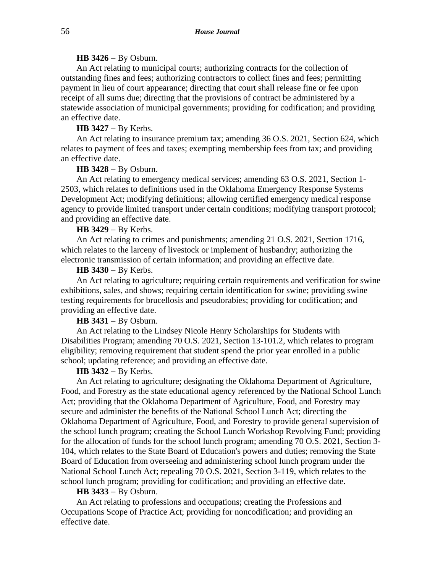#### **HB 3426** − By Osburn.

An Act relating to municipal courts; authorizing contracts for the collection of outstanding fines and fees; authorizing contractors to collect fines and fees; permitting payment in lieu of court appearance; directing that court shall release fine or fee upon receipt of all sums due; directing that the provisions of contract be administered by a statewide association of municipal governments; providing for codification; and providing an effective date.

## **HB 3427** − By Kerbs.

An Act relating to insurance premium tax; amending 36 O.S. 2021, Section 624, which relates to payment of fees and taxes; exempting membership fees from tax; and providing an effective date.

#### **HB 3428** − By Osburn.

An Act relating to emergency medical services; amending 63 O.S. 2021, Section 1- 2503, which relates to definitions used in the Oklahoma Emergency Response Systems Development Act; modifying definitions; allowing certified emergency medical response agency to provide limited transport under certain conditions; modifying transport protocol; and providing an effective date.

## **HB 3429** − By Kerbs.

An Act relating to crimes and punishments; amending 21 O.S. 2021, Section 1716, which relates to the larceny of livestock or implement of husbandry; authorizing the electronic transmission of certain information; and providing an effective date.

#### **HB 3430** − By Kerbs.

An Act relating to agriculture; requiring certain requirements and verification for swine exhibitions, sales, and shows; requiring certain identification for swine; providing swine testing requirements for brucellosis and pseudorabies; providing for codification; and providing an effective date.

# **HB 3431** − By Osburn.

An Act relating to the Lindsey Nicole Henry Scholarships for Students with Disabilities Program; amending 70 O.S. 2021, Section 13-101.2, which relates to program eligibility; removing requirement that student spend the prior year enrolled in a public school; updating reference; and providing an effective date.

#### **HB 3432** − By Kerbs.

An Act relating to agriculture; designating the Oklahoma Department of Agriculture, Food, and Forestry as the state educational agency referenced by the National School Lunch Act; providing that the Oklahoma Department of Agriculture, Food, and Forestry may secure and administer the benefits of the National School Lunch Act; directing the Oklahoma Department of Agriculture, Food, and Forestry to provide general supervision of the school lunch program; creating the School Lunch Workshop Revolving Fund; providing for the allocation of funds for the school lunch program; amending 70 O.S. 2021, Section 3- 104, which relates to the State Board of Education's powers and duties; removing the State Board of Education from overseeing and administering school lunch program under the National School Lunch Act; repealing 70 O.S. 2021, Section 3-119, which relates to the school lunch program; providing for codification; and providing an effective date.

#### **HB 3433** − By Osburn.

An Act relating to professions and occupations; creating the Professions and Occupations Scope of Practice Act; providing for noncodification; and providing an effective date.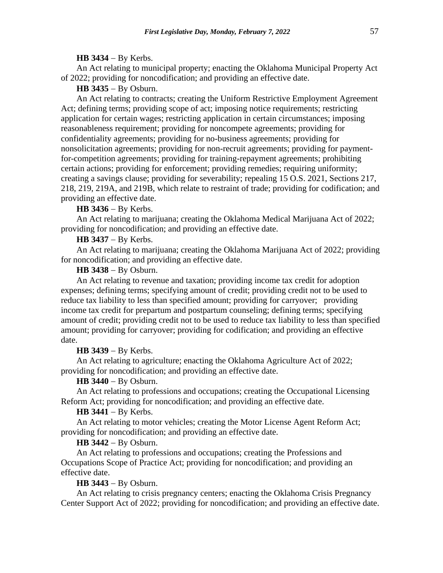#### **HB 3434** − By Kerbs.

An Act relating to municipal property; enacting the Oklahoma Municipal Property Act of 2022; providing for noncodification; and providing an effective date.

# **HB 3435** − By Osburn.

An Act relating to contracts; creating the Uniform Restrictive Employment Agreement Act; defining terms; providing scope of act; imposing notice requirements; restricting application for certain wages; restricting application in certain circumstances; imposing reasonableness requirement; providing for noncompete agreements; providing for confidentiality agreements; providing for no-business agreements; providing for nonsolicitation agreements; providing for non-recruit agreements; providing for paymentfor-competition agreements; providing for training-repayment agreements; prohibiting certain actions; providing for enforcement; providing remedies; requiring uniformity; creating a savings clause; providing for severability; repealing 15 O.S. 2021, Sections 217, 218, 219, 219A, and 219B, which relate to restraint of trade; providing for codification; and providing an effective date.

## **HB 3436** − By Kerbs.

An Act relating to marijuana; creating the Oklahoma Medical Marijuana Act of 2022; providing for noncodification; and providing an effective date.

# **HB 3437** − By Kerbs.

An Act relating to marijuana; creating the Oklahoma Marijuana Act of 2022; providing for noncodification; and providing an effective date.

## **HB 3438** − By Osburn.

An Act relating to revenue and taxation; providing income tax credit for adoption expenses; defining terms; specifying amount of credit; providing credit not to be used to reduce tax liability to less than specified amount; providing for carryover; providing income tax credit for prepartum and postpartum counseling; defining terms; specifying amount of credit; providing credit not to be used to reduce tax liability to less than specified amount; providing for carryover; providing for codification; and providing an effective date.

### **HB 3439** − By Kerbs.

An Act relating to agriculture; enacting the Oklahoma Agriculture Act of 2022; providing for noncodification; and providing an effective date.

## **HB 3440** − By Osburn.

An Act relating to professions and occupations; creating the Occupational Licensing Reform Act; providing for noncodification; and providing an effective date.

#### **HB 3441** − By Kerbs.

An Act relating to motor vehicles; creating the Motor License Agent Reform Act; providing for noncodification; and providing an effective date.

## **HB 3442** − By Osburn.

An Act relating to professions and occupations; creating the Professions and Occupations Scope of Practice Act; providing for noncodification; and providing an effective date.

# **HB 3443** − By Osburn.

An Act relating to crisis pregnancy centers; enacting the Oklahoma Crisis Pregnancy Center Support Act of 2022; providing for noncodification; and providing an effective date.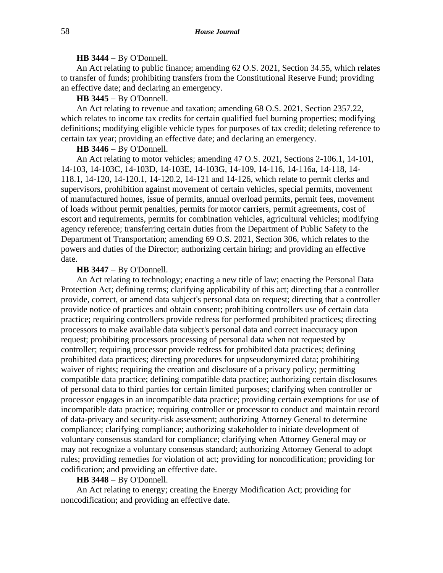## **HB 3444** − By O'Donnell.

An Act relating to public finance; amending 62 O.S. 2021, Section 34.55, which relates to transfer of funds; prohibiting transfers from the Constitutional Reserve Fund; providing an effective date; and declaring an emergency.

#### **HB 3445** − By O'Donnell.

An Act relating to revenue and taxation; amending 68 O.S. 2021, Section 2357.22, which relates to income tax credits for certain qualified fuel burning properties; modifying definitions; modifying eligible vehicle types for purposes of tax credit; deleting reference to certain tax year; providing an effective date; and declaring an emergency.

# **HB 3446** − By O'Donnell.

An Act relating to motor vehicles; amending 47 O.S. 2021, Sections 2-106.1, 14-101, 14-103, 14-103C, 14-103D, 14-103E, 14-103G, 14-109, 14-116, 14-116a, 14-118, 14- 118.1, 14-120, 14-120.1, 14-120.2, 14-121 and 14-126, which relate to permit clerks and supervisors, prohibition against movement of certain vehicles, special permits, movement of manufactured homes, issue of permits, annual overload permits, permit fees, movement of loads without permit penalties, permits for motor carriers, permit agreements, cost of escort and requirements, permits for combination vehicles, agricultural vehicles; modifying agency reference; transferring certain duties from the Department of Public Safety to the Department of Transportation; amending 69 O.S. 2021, Section 306, which relates to the powers and duties of the Director; authorizing certain hiring; and providing an effective date.

#### **HB 3447** − By O'Donnell.

An Act relating to technology; enacting a new title of law; enacting the Personal Data Protection Act; defining terms; clarifying applicability of this act; directing that a controller provide, correct, or amend data subject's personal data on request; directing that a controller provide notice of practices and obtain consent; prohibiting controllers use of certain data practice; requiring controllers provide redress for performed prohibited practices; directing processors to make available data subject's personal data and correct inaccuracy upon request; prohibiting processors processing of personal data when not requested by controller; requiring processor provide redress for prohibited data practices; defining prohibited data practices; directing procedures for unpseudonymized data; prohibiting waiver of rights; requiring the creation and disclosure of a privacy policy; permitting compatible data practice; defining compatible data practice; authorizing certain disclosures of personal data to third parties for certain limited purposes; clarifying when controller or processor engages in an incompatible data practice; providing certain exemptions for use of incompatible data practice; requiring controller or processor to conduct and maintain record of data-privacy and security-risk assessment; authorizing Attorney General to determine compliance; clarifying compliance; authorizing stakeholder to initiate development of voluntary consensus standard for compliance; clarifying when Attorney General may or may not recognize a voluntary consensus standard; authorizing Attorney General to adopt rules; providing remedies for violation of act; providing for noncodification; providing for codification; and providing an effective date.

#### **HB 3448** − By O'Donnell.

An Act relating to energy; creating the Energy Modification Act; providing for noncodification; and providing an effective date.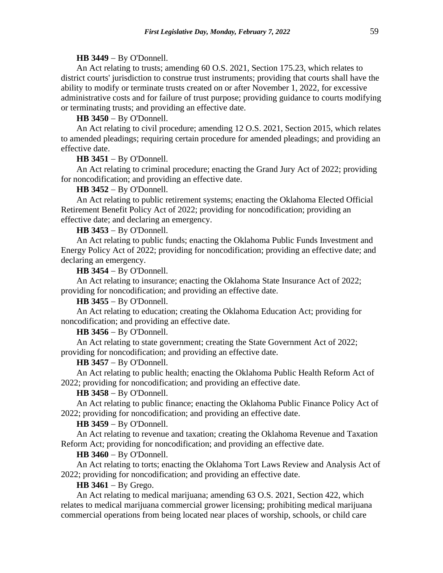### **HB 3449** − By O'Donnell.

An Act relating to trusts; amending 60 O.S. 2021, Section 175.23, which relates to district courts' jurisdiction to construe trust instruments; providing that courts shall have the ability to modify or terminate trusts created on or after November 1, 2022, for excessive administrative costs and for failure of trust purpose; providing guidance to courts modifying or terminating trusts; and providing an effective date.

# **HB 3450** − By O'Donnell.

An Act relating to civil procedure; amending 12 O.S. 2021, Section 2015, which relates to amended pleadings; requiring certain procedure for amended pleadings; and providing an effective date.

## **HB 3451** − By O'Donnell.

An Act relating to criminal procedure; enacting the Grand Jury Act of 2022; providing for noncodification; and providing an effective date.

### **HB 3452** − By O'Donnell.

An Act relating to public retirement systems; enacting the Oklahoma Elected Official Retirement Benefit Policy Act of 2022; providing for noncodification; providing an effective date; and declaring an emergency.

#### **HB 3453** − By O'Donnell.

An Act relating to public funds; enacting the Oklahoma Public Funds Investment and Energy Policy Act of 2022; providing for noncodification; providing an effective date; and declaring an emergency.

**HB 3454** − By O'Donnell.

An Act relating to insurance; enacting the Oklahoma State Insurance Act of 2022; providing for noncodification; and providing an effective date.

**HB 3455** − By O'Donnell.

An Act relating to education; creating the Oklahoma Education Act; providing for noncodification; and providing an effective date.

## **HB 3456** − By O'Donnell.

An Act relating to state government; creating the State Government Act of 2022; providing for noncodification; and providing an effective date.

### **HB 3457** − By O'Donnell.

An Act relating to public health; enacting the Oklahoma Public Health Reform Act of 2022; providing for noncodification; and providing an effective date.

## **HB 3458** − By O'Donnell.

An Act relating to public finance; enacting the Oklahoma Public Finance Policy Act of 2022; providing for noncodification; and providing an effective date.

### **HB 3459** − By O'Donnell.

An Act relating to revenue and taxation; creating the Oklahoma Revenue and Taxation Reform Act; providing for noncodification; and providing an effective date.

#### **HB 3460** − By O'Donnell.

An Act relating to torts; enacting the Oklahoma Tort Laws Review and Analysis Act of 2022; providing for noncodification; and providing an effective date.

#### **HB 3461** − By Grego.

An Act relating to medical marijuana; amending 63 O.S. 2021, Section 422, which relates to medical marijuana commercial grower licensing; prohibiting medical marijuana commercial operations from being located near places of worship, schools, or child care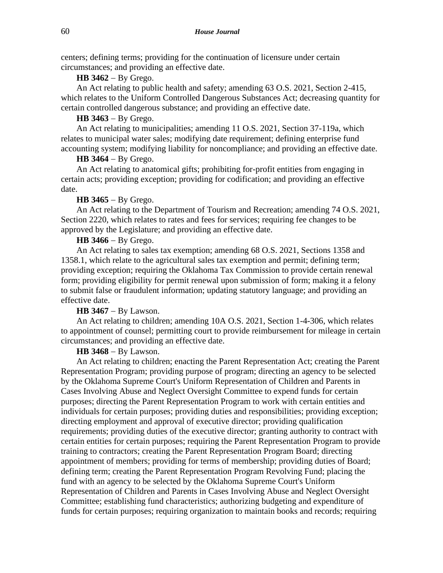centers; defining terms; providing for the continuation of licensure under certain circumstances; and providing an effective date.

#### **HB 3462** − By Grego.

An Act relating to public health and safety; amending 63 O.S. 2021, Section 2-415, which relates to the Uniform Controlled Dangerous Substances Act; decreasing quantity for certain controlled dangerous substance; and providing an effective date.

## **HB 3463** − By Grego.

An Act relating to municipalities; amending 11 O.S. 2021, Section 37-119a, which relates to municipal water sales; modifying date requirement; defining enterprise fund accounting system; modifying liability for noncompliance; and providing an effective date.

## **HB 3464** − By Grego.

An Act relating to anatomical gifts; prohibiting for-profit entities from engaging in certain acts; providing exception; providing for codification; and providing an effective date.

#### **HB 3465** − By Grego.

An Act relating to the Department of Tourism and Recreation; amending 74 O.S. 2021, Section 2220, which relates to rates and fees for services; requiring fee changes to be approved by the Legislature; and providing an effective date.

# **HB 3466** − By Grego.

An Act relating to sales tax exemption; amending 68 O.S. 2021, Sections 1358 and 1358.1, which relate to the agricultural sales tax exemption and permit; defining term; providing exception; requiring the Oklahoma Tax Commission to provide certain renewal form; providing eligibility for permit renewal upon submission of form; making it a felony to submit false or fraudulent information; updating statutory language; and providing an effective date.

# **HB 3467** − By Lawson.

An Act relating to children; amending 10A O.S. 2021, Section 1-4-306, which relates to appointment of counsel; permitting court to provide reimbursement for mileage in certain circumstances; and providing an effective date.

# **HB 3468** − By Lawson.

An Act relating to children; enacting the Parent Representation Act; creating the Parent Representation Program; providing purpose of program; directing an agency to be selected by the Oklahoma Supreme Court's Uniform Representation of Children and Parents in Cases Involving Abuse and Neglect Oversight Committee to expend funds for certain purposes; directing the Parent Representation Program to work with certain entities and individuals for certain purposes; providing duties and responsibilities; providing exception; directing employment and approval of executive director; providing qualification requirements; providing duties of the executive director; granting authority to contract with certain entities for certain purposes; requiring the Parent Representation Program to provide training to contractors; creating the Parent Representation Program Board; directing appointment of members; providing for terms of membership; providing duties of Board; defining term; creating the Parent Representation Program Revolving Fund; placing the fund with an agency to be selected by the Oklahoma Supreme Court's Uniform Representation of Children and Parents in Cases Involving Abuse and Neglect Oversight Committee; establishing fund characteristics; authorizing budgeting and expenditure of funds for certain purposes; requiring organization to maintain books and records; requiring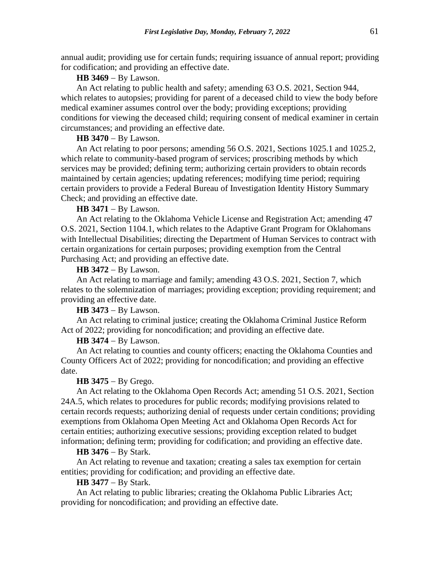annual audit; providing use for certain funds; requiring issuance of annual report; providing for codification; and providing an effective date.

## **HB 3469** − By Lawson.

An Act relating to public health and safety; amending 63 O.S. 2021, Section 944, which relates to autopsies; providing for parent of a deceased child to view the body before medical examiner assumes control over the body; providing exceptions; providing conditions for viewing the deceased child; requiring consent of medical examiner in certain circumstances; and providing an effective date.

## **HB 3470** − By Lawson.

An Act relating to poor persons; amending 56 O.S. 2021, Sections 1025.1 and 1025.2, which relate to community-based program of services; proscribing methods by which services may be provided; defining term; authorizing certain providers to obtain records maintained by certain agencies; updating references; modifying time period; requiring certain providers to provide a Federal Bureau of Investigation Identity History Summary Check; and providing an effective date.

#### **HB 3471** − By Lawson.

An Act relating to the Oklahoma Vehicle License and Registration Act; amending 47 O.S. 2021, Section 1104.1, which relates to the Adaptive Grant Program for Oklahomans with Intellectual Disabilities; directing the Department of Human Services to contract with certain organizations for certain purposes; providing exemption from the Central Purchasing Act; and providing an effective date.

#### **HB 3472** − By Lawson.

An Act relating to marriage and family; amending 43 O.S. 2021, Section 7, which relates to the solemnization of marriages; providing exception; providing requirement; and providing an effective date.

**HB 3473** − By Lawson.

An Act relating to criminal justice; creating the Oklahoma Criminal Justice Reform Act of 2022; providing for noncodification; and providing an effective date.

#### **HB 3474** − By Lawson.

An Act relating to counties and county officers; enacting the Oklahoma Counties and County Officers Act of 2022; providing for noncodification; and providing an effective date.

## **HB 3475** − By Grego.

An Act relating to the Oklahoma Open Records Act; amending 51 O.S. 2021, Section 24A.5, which relates to procedures for public records; modifying provisions related to certain records requests; authorizing denial of requests under certain conditions; providing exemptions from Oklahoma Open Meeting Act and Oklahoma Open Records Act for certain entities; authorizing executive sessions; providing exception related to budget information; defining term; providing for codification; and providing an effective date.

### **HB 3476** − By Stark.

An Act relating to revenue and taxation; creating a sales tax exemption for certain entities; providing for codification; and providing an effective date.

## **HB 3477** − By Stark.

An Act relating to public libraries; creating the Oklahoma Public Libraries Act; providing for noncodification; and providing an effective date.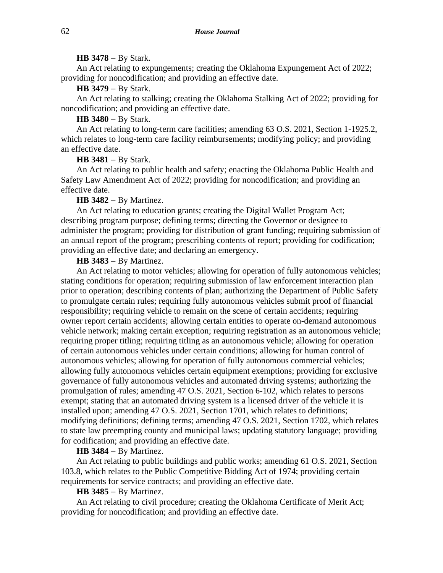#### **HB 3478** − By Stark.

An Act relating to expungements; creating the Oklahoma Expungement Act of 2022; providing for noncodification; and providing an effective date.

# **HB 3479** − By Stark.

An Act relating to stalking; creating the Oklahoma Stalking Act of 2022; providing for noncodification; and providing an effective date.

# **HB 3480** − By Stark.

An Act relating to long-term care facilities; amending 63 O.S. 2021, Section 1-1925.2, which relates to long-term care facility reimbursements; modifying policy; and providing an effective date.

## **HB 3481** − By Stark.

An Act relating to public health and safety; enacting the Oklahoma Public Health and Safety Law Amendment Act of 2022; providing for noncodification; and providing an effective date.

## **HB 3482** − By Martinez.

An Act relating to education grants; creating the Digital Wallet Program Act; describing program purpose; defining terms; directing the Governor or designee to administer the program; providing for distribution of grant funding; requiring submission of an annual report of the program; prescribing contents of report; providing for codification; providing an effective date; and declaring an emergency.

## **HB 3483** − By Martinez.

An Act relating to motor vehicles; allowing for operation of fully autonomous vehicles; stating conditions for operation; requiring submission of law enforcement interaction plan prior to operation; describing contents of plan; authorizing the Department of Public Safety to promulgate certain rules; requiring fully autonomous vehicles submit proof of financial responsibility; requiring vehicle to remain on the scene of certain accidents; requiring owner report certain accidents; allowing certain entities to operate on-demand autonomous vehicle network; making certain exception; requiring registration as an autonomous vehicle; requiring proper titling; requiring titling as an autonomous vehicle; allowing for operation of certain autonomous vehicles under certain conditions; allowing for human control of autonomous vehicles; allowing for operation of fully autonomous commercial vehicles; allowing fully autonomous vehicles certain equipment exemptions; providing for exclusive governance of fully autonomous vehicles and automated driving systems; authorizing the promulgation of rules; amending 47 O.S. 2021, Section 6-102, which relates to persons exempt; stating that an automated driving system is a licensed driver of the vehicle it is installed upon; amending 47 O.S. 2021, Section 1701, which relates to definitions; modifying definitions; defining terms; amending 47 O.S. 2021, Section 1702, which relates to state law preempting county and municipal laws; updating statutory language; providing for codification; and providing an effective date.

### **HB 3484** − By Martinez.

An Act relating to public buildings and public works; amending 61 O.S. 2021, Section 103.8, which relates to the Public Competitive Bidding Act of 1974; providing certain requirements for service contracts; and providing an effective date.

#### **HB 3485** − By Martinez.

An Act relating to civil procedure; creating the Oklahoma Certificate of Merit Act; providing for noncodification; and providing an effective date.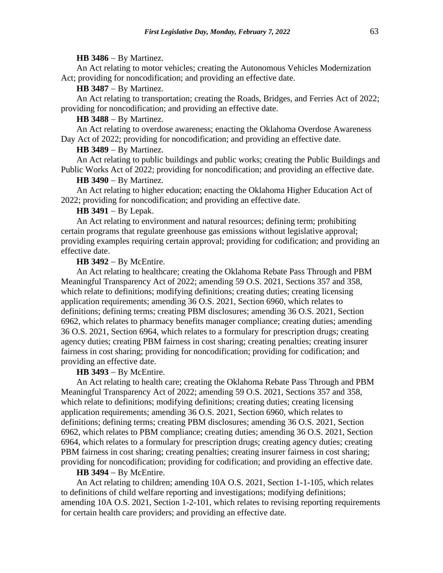#### **HB 3486** − By Martinez.

An Act relating to motor vehicles; creating the Autonomous Vehicles Modernization Act; providing for noncodification; and providing an effective date.

# **HB 3487** − By Martinez.

An Act relating to transportation; creating the Roads, Bridges, and Ferries Act of 2022; providing for noncodification; and providing an effective date.

# **HB 3488** − By Martinez.

An Act relating to overdose awareness; enacting the Oklahoma Overdose Awareness Day Act of 2022; providing for noncodification; and providing an effective date.

#### **HB 3489** − By Martinez.

An Act relating to public buildings and public works; creating the Public Buildings and Public Works Act of 2022; providing for noncodification; and providing an effective date.

# **HB 3490** − By Martinez.

An Act relating to higher education; enacting the Oklahoma Higher Education Act of 2022; providing for noncodification; and providing an effective date.

# **HB 3491** − By Lepak.

An Act relating to environment and natural resources; defining term; prohibiting certain programs that regulate greenhouse gas emissions without legislative approval; providing examples requiring certain approval; providing for codification; and providing an effective date.

#### **HB 3492** − By McEntire.

An Act relating to healthcare; creating the Oklahoma Rebate Pass Through and PBM Meaningful Transparency Act of 2022; amending 59 O.S. 2021, Sections 357 and 358, which relate to definitions; modifying definitions; creating duties; creating licensing application requirements; amending 36 O.S. 2021, Section 6960, which relates to definitions; defining terms; creating PBM disclosures; amending 36 O.S. 2021, Section 6962, which relates to pharmacy benefits manager compliance; creating duties; amending 36 O.S. 2021, Section 6964, which relates to a formulary for prescription drugs; creating agency duties; creating PBM fairness in cost sharing; creating penalties; creating insurer fairness in cost sharing; providing for noncodification; providing for codification; and providing an effective date.

# **HB 3493** − By McEntire.

An Act relating to health care; creating the Oklahoma Rebate Pass Through and PBM Meaningful Transparency Act of 2022; amending 59 O.S. 2021, Sections 357 and 358, which relate to definitions; modifying definitions; creating duties; creating licensing application requirements; amending 36 O.S. 2021, Section 6960, which relates to definitions; defining terms; creating PBM disclosures; amending 36 O.S. 2021, Section 6962, which relates to PBM compliance; creating duties; amending 36 O.S. 2021, Section 6964, which relates to a formulary for prescription drugs; creating agency duties; creating PBM fairness in cost sharing; creating penalties; creating insurer fairness in cost sharing; providing for noncodification; providing for codification; and providing an effective date.

#### **HB 3494** − By McEntire.

An Act relating to children; amending 10A O.S. 2021, Section 1-1-105, which relates to definitions of child welfare reporting and investigations; modifying definitions; amending 10A O.S. 2021, Section 1-2-101, which relates to revising reporting requirements for certain health care providers; and providing an effective date.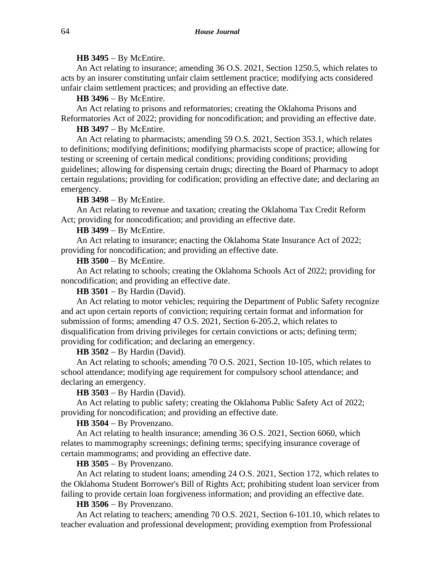# **HB 3495** − By McEntire.

An Act relating to insurance; amending 36 O.S. 2021, Section 1250.5, which relates to acts by an insurer constituting unfair claim settlement practice; modifying acts considered unfair claim settlement practices; and providing an effective date.

## **HB 3496** − By McEntire.

An Act relating to prisons and reformatories; creating the Oklahoma Prisons and Reformatories Act of 2022; providing for noncodification; and providing an effective date.

# **HB 3497** − By McEntire.

An Act relating to pharmacists; amending 59 O.S. 2021, Section 353.1, which relates to definitions; modifying definitions; modifying pharmacists scope of practice; allowing for testing or screening of certain medical conditions; providing conditions; providing guidelines; allowing for dispensing certain drugs; directing the Board of Pharmacy to adopt certain regulations; providing for codification; providing an effective date; and declaring an emergency.

### **HB 3498** − By McEntire.

An Act relating to revenue and taxation; creating the Oklahoma Tax Credit Reform Act; providing for noncodification; and providing an effective date.

### **HB 3499** − By McEntire.

An Act relating to insurance; enacting the Oklahoma State Insurance Act of 2022; providing for noncodification; and providing an effective date.

# **HB 3500** − By McEntire.

An Act relating to schools; creating the Oklahoma Schools Act of 2022; providing for noncodification; and providing an effective date.

# **HB 3501** − By Hardin (David).

An Act relating to motor vehicles; requiring the Department of Public Safety recognize and act upon certain reports of conviction; requiring certain format and information for submission of forms; amending 47 O.S. 2021, Section 6-205.2, which relates to disqualification from driving privileges for certain convictions or acts; defining term; providing for codification; and declaring an emergency.

### **HB 3502** − By Hardin (David).

An Act relating to schools; amending 70 O.S. 2021, Section 10-105, which relates to school attendance; modifying age requirement for compulsory school attendance; and declaring an emergency.

# **HB 3503** − By Hardin (David).

An Act relating to public safety; creating the Oklahoma Public Safety Act of 2022; providing for noncodification; and providing an effective date.

## **HB 3504** − By Provenzano.

An Act relating to health insurance; amending 36 O.S. 2021, Section 6060, which relates to mammography screenings; defining terms; specifying insurance coverage of certain mammograms; and providing an effective date.

# **HB 3505** − By Provenzano.

An Act relating to student loans; amending 24 O.S. 2021, Section 172, which relates to the Oklahoma Student Borrower's Bill of Rights Act; prohibiting student loan servicer from failing to provide certain loan forgiveness information; and providing an effective date.

### **HB 3506** − By Provenzano.

An Act relating to teachers; amending 70 O.S. 2021, Section 6-101.10, which relates to teacher evaluation and professional development; providing exemption from Professional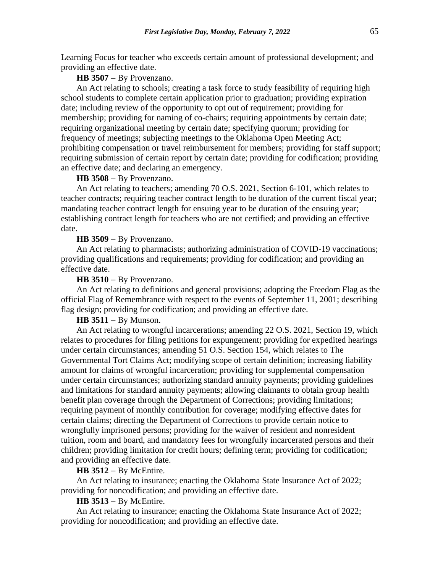Learning Focus for teacher who exceeds certain amount of professional development; and providing an effective date.

### **HB 3507** − By Provenzano.

An Act relating to schools; creating a task force to study feasibility of requiring high school students to complete certain application prior to graduation; providing expiration date; including review of the opportunity to opt out of requirement; providing for membership; providing for naming of co-chairs; requiring appointments by certain date; requiring organizational meeting by certain date; specifying quorum; providing for frequency of meetings; subjecting meetings to the Oklahoma Open Meeting Act; prohibiting compensation or travel reimbursement for members; providing for staff support; requiring submission of certain report by certain date; providing for codification; providing an effective date; and declaring an emergency.

## **HB 3508** − By Provenzano.

An Act relating to teachers; amending 70 O.S. 2021, Section 6-101, which relates to teacher contracts; requiring teacher contract length to be duration of the current fiscal year; mandating teacher contract length for ensuing year to be duration of the ensuing year; establishing contract length for teachers who are not certified; and providing an effective date.

## **HB 3509** − By Provenzano.

An Act relating to pharmacists; authorizing administration of COVID-19 vaccinations; providing qualifications and requirements; providing for codification; and providing an effective date.

## **HB 3510** − By Provenzano.

An Act relating to definitions and general provisions; adopting the Freedom Flag as the official Flag of Remembrance with respect to the events of September 11, 2001; describing flag design; providing for codification; and providing an effective date.

# **HB 3511** − By Munson.

An Act relating to wrongful incarcerations; amending 22 O.S. 2021, Section 19, which relates to procedures for filing petitions for expungement; providing for expedited hearings under certain circumstances; amending 51 O.S. Section 154, which relates to The Governmental Tort Claims Act; modifying scope of certain definition; increasing liability amount for claims of wrongful incarceration; providing for supplemental compensation under certain circumstances; authorizing standard annuity payments; providing guidelines and limitations for standard annuity payments; allowing claimants to obtain group health benefit plan coverage through the Department of Corrections; providing limitations; requiring payment of monthly contribution for coverage; modifying effective dates for certain claims; directing the Department of Corrections to provide certain notice to wrongfully imprisoned persons; providing for the waiver of resident and nonresident tuition, room and board, and mandatory fees for wrongfully incarcerated persons and their children; providing limitation for credit hours; defining term; providing for codification; and providing an effective date.

# **HB 3512** − By McEntire.

An Act relating to insurance; enacting the Oklahoma State Insurance Act of 2022; providing for noncodification; and providing an effective date.

# **HB 3513** − By McEntire.

An Act relating to insurance; enacting the Oklahoma State Insurance Act of 2022; providing for noncodification; and providing an effective date.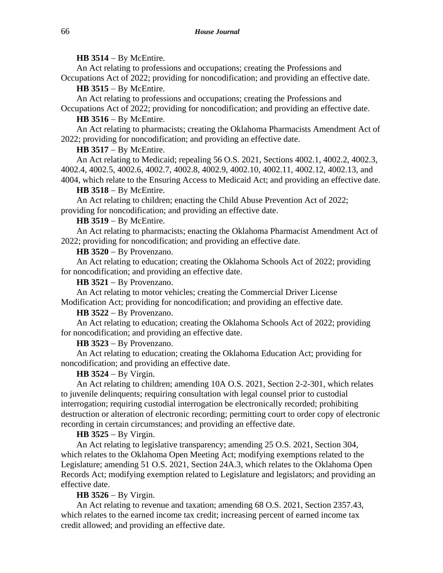## **HB 3514** − By McEntire.

An Act relating to professions and occupations; creating the Professions and Occupations Act of 2022; providing for noncodification; and providing an effective date.

**HB 3515** − By McEntire.

An Act relating to professions and occupations; creating the Professions and Occupations Act of 2022; providing for noncodification; and providing an effective date.

**HB 3516** − By McEntire.

An Act relating to pharmacists; creating the Oklahoma Pharmacists Amendment Act of 2022; providing for noncodification; and providing an effective date.

### **HB 3517** − By McEntire.

An Act relating to Medicaid; repealing 56 O.S. 2021, Sections 4002.1, 4002.2, 4002.3, 4002.4, 4002.5, 4002.6, 4002.7, 4002.8, 4002.9, 4002.10, 4002.11, 4002.12, 4002.13, and 4004, which relate to the Ensuring Access to Medicaid Act; and providing an effective date.

### **HB 3518** − By McEntire.

An Act relating to children; enacting the Child Abuse Prevention Act of 2022; providing for noncodification; and providing an effective date.

### **HB 3519** − By McEntire.

An Act relating to pharmacists; enacting the Oklahoma Pharmacist Amendment Act of 2022; providing for noncodification; and providing an effective date.

**HB 3520** − By Provenzano.

An Act relating to education; creating the Oklahoma Schools Act of 2022; providing for noncodification; and providing an effective date.

**HB 3521** − By Provenzano.

An Act relating to motor vehicles; creating the Commercial Driver License Modification Act; providing for noncodification; and providing an effective date.

**HB 3522** − By Provenzano.

An Act relating to education; creating the Oklahoma Schools Act of 2022; providing for noncodification; and providing an effective date.

## **HB 3523** − By Provenzano.

An Act relating to education; creating the Oklahoma Education Act; providing for noncodification; and providing an effective date.

## **HB 3524** − By Virgin.

An Act relating to children; amending 10A O.S. 2021, Section 2-2-301, which relates to juvenile delinquents; requiring consultation with legal counsel prior to custodial interrogation; requiring custodial interrogation be electronically recorded; prohibiting destruction or alteration of electronic recording; permitting court to order copy of electronic recording in certain circumstances; and providing an effective date.

## **HB 3525** − By Virgin.

An Act relating to legislative transparency; amending 25 O.S. 2021, Section 304, which relates to the Oklahoma Open Meeting Act; modifying exemptions related to the Legislature; amending 51 O.S. 2021, Section 24A.3, which relates to the Oklahoma Open Records Act; modifying exemption related to Legislature and legislators; and providing an effective date.

# **HB 3526** − By Virgin.

An Act relating to revenue and taxation; amending 68 O.S. 2021, Section 2357.43, which relates to the earned income tax credit; increasing percent of earned income tax credit allowed; and providing an effective date.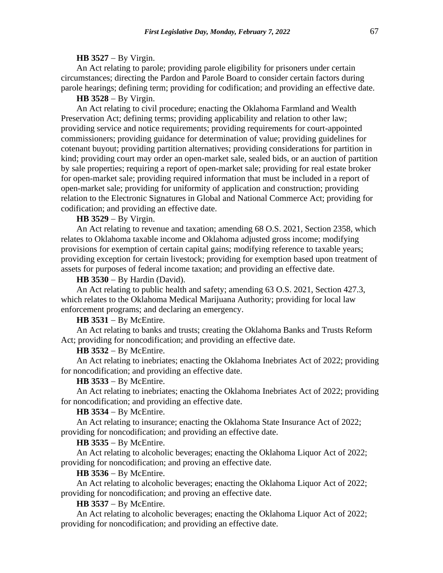#### **HB 3527** − By Virgin.

An Act relating to parole; providing parole eligibility for prisoners under certain circumstances; directing the Pardon and Parole Board to consider certain factors during parole hearings; defining term; providing for codification; and providing an effective date.

### **HB 3528** − By Virgin.

An Act relating to civil procedure; enacting the Oklahoma Farmland and Wealth Preservation Act; defining terms; providing applicability and relation to other law; providing service and notice requirements; providing requirements for court-appointed commissioners; providing guidance for determination of value; providing guidelines for cotenant buyout; providing partition alternatives; providing considerations for partition in kind; providing court may order an open-market sale, sealed bids, or an auction of partition by sale properties; requiring a report of open-market sale; providing for real estate broker for open-market sale; providing required information that must be included in a report of open-market sale; providing for uniformity of application and construction; providing relation to the Electronic Signatures in Global and National Commerce Act; providing for codification; and providing an effective date.

# **HB 3529** − By Virgin.

An Act relating to revenue and taxation; amending 68 O.S. 2021, Section 2358, which relates to Oklahoma taxable income and Oklahoma adjusted gross income; modifying provisions for exemption of certain capital gains; modifying reference to taxable years; providing exception for certain livestock; providing for exemption based upon treatment of assets for purposes of federal income taxation; and providing an effective date.

**HB 3530** − By Hardin (David).

An Act relating to public health and safety; amending 63 O.S. 2021, Section 427.3, which relates to the Oklahoma Medical Marijuana Authority; providing for local law enforcement programs; and declaring an emergency.

# **HB 3531** − By McEntire.

An Act relating to banks and trusts; creating the Oklahoma Banks and Trusts Reform Act; providing for noncodification; and providing an effective date.

#### **HB 3532** − By McEntire.

An Act relating to inebriates; enacting the Oklahoma Inebriates Act of 2022; providing for noncodification; and providing an effective date.

# **HB 3533** − By McEntire.

An Act relating to inebriates; enacting the Oklahoma Inebriates Act of 2022; providing for noncodification; and providing an effective date.

#### **HB 3534** − By McEntire.

An Act relating to insurance; enacting the Oklahoma State Insurance Act of 2022; providing for noncodification; and providing an effective date.

#### **HB 3535** − By McEntire.

An Act relating to alcoholic beverages; enacting the Oklahoma Liquor Act of 2022; providing for noncodification; and proving an effective date.

#### **HB 3536** − By McEntire.

An Act relating to alcoholic beverages; enacting the Oklahoma Liquor Act of 2022; providing for noncodification; and proving an effective date.

#### **HB 3537** − By McEntire.

An Act relating to alcoholic beverages; enacting the Oklahoma Liquor Act of 2022; providing for noncodification; and providing an effective date.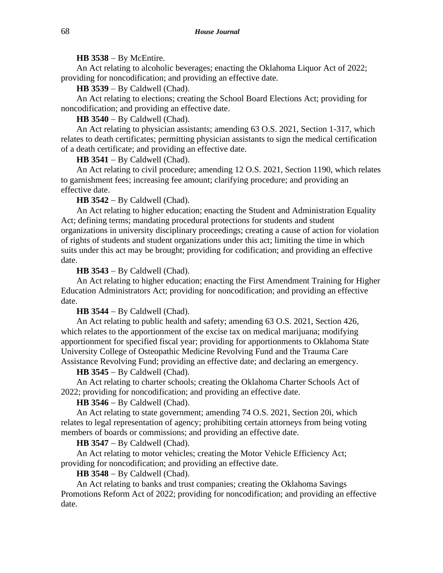### **HB 3538** − By McEntire.

An Act relating to alcoholic beverages; enacting the Oklahoma Liquor Act of 2022; providing for noncodification; and providing an effective date.

**HB 3539** − By Caldwell (Chad).

An Act relating to elections; creating the School Board Elections Act; providing for noncodification; and providing an effective date.

**HB 3540** − By Caldwell (Chad).

An Act relating to physician assistants; amending 63 O.S. 2021, Section 1-317, which relates to death certificates; permitting physician assistants to sign the medical certification of a death certificate; and providing an effective date.

**HB 3541** − By Caldwell (Chad).

An Act relating to civil procedure; amending 12 O.S. 2021, Section 1190, which relates to garnishment fees; increasing fee amount; clarifying procedure; and providing an effective date.

**HB 3542** − By Caldwell (Chad).

An Act relating to higher education; enacting the Student and Administration Equality Act; defining terms; mandating procedural protections for students and student organizations in university disciplinary proceedings; creating a cause of action for violation of rights of students and student organizations under this act; limiting the time in which suits under this act may be brought; providing for codification; and providing an effective date.

**HB 3543** − By Caldwell (Chad).

An Act relating to higher education; enacting the First Amendment Training for Higher Education Administrators Act; providing for noncodification; and providing an effective date.

# **HB 3544** − By Caldwell (Chad).

An Act relating to public health and safety; amending 63 O.S. 2021, Section 426, which relates to the apportionment of the excise tax on medical marijuana; modifying apportionment for specified fiscal year; providing for apportionments to Oklahoma State University College of Osteopathic Medicine Revolving Fund and the Trauma Care Assistance Revolving Fund; providing an effective date; and declaring an emergency.

**HB 3545** − By Caldwell (Chad).

An Act relating to charter schools; creating the Oklahoma Charter Schools Act of 2022; providing for noncodification; and providing an effective date.

**HB 3546** − By Caldwell (Chad).

An Act relating to state government; amending 74 O.S. 2021, Section 20i, which relates to legal representation of agency; prohibiting certain attorneys from being voting members of boards or commissions; and providing an effective date.

**HB 3547** − By Caldwell (Chad).

An Act relating to motor vehicles; creating the Motor Vehicle Efficiency Act; providing for noncodification; and providing an effective date.

**HB 3548** − By Caldwell (Chad).

An Act relating to banks and trust companies; creating the Oklahoma Savings Promotions Reform Act of 2022; providing for noncodification; and providing an effective date.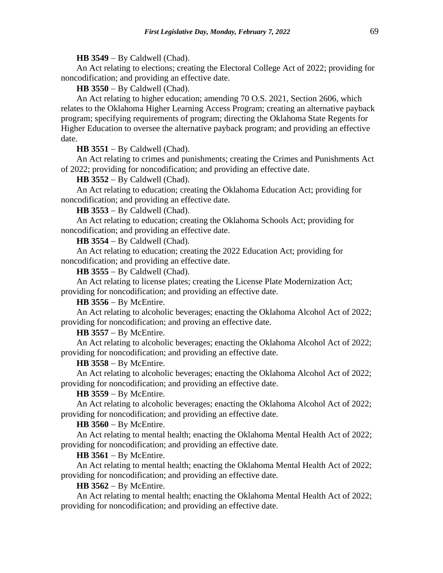#### **HB 3549** − By Caldwell (Chad).

An Act relating to elections; creating the Electoral College Act of 2022; providing for noncodification; and providing an effective date.

**HB 3550** − By Caldwell (Chad).

An Act relating to higher education; amending 70 O.S. 2021, Section 2606, which relates to the Oklahoma Higher Learning Access Program; creating an alternative payback program; specifying requirements of program; directing the Oklahoma State Regents for Higher Education to oversee the alternative payback program; and providing an effective date.

**HB 3551** − By Caldwell (Chad).

An Act relating to crimes and punishments; creating the Crimes and Punishments Act of 2022; providing for noncodification; and providing an effective date.

#### **HB 3552** − By Caldwell (Chad).

An Act relating to education; creating the Oklahoma Education Act; providing for noncodification; and providing an effective date.

**HB 3553** − By Caldwell (Chad).

An Act relating to education; creating the Oklahoma Schools Act; providing for noncodification; and providing an effective date.

**HB 3554** − By Caldwell (Chad).

An Act relating to education; creating the 2022 Education Act; providing for noncodification; and providing an effective date.

**HB 3555** − By Caldwell (Chad).

An Act relating to license plates; creating the License Plate Modernization Act; providing for noncodification; and providing an effective date.

**HB 3556** − By McEntire.

An Act relating to alcoholic beverages; enacting the Oklahoma Alcohol Act of 2022; providing for noncodification; and proving an effective date.

**HB 3557** − By McEntire.

An Act relating to alcoholic beverages; enacting the Oklahoma Alcohol Act of 2022; providing for noncodification; and providing an effective date.

#### **HB 3558** − By McEntire.

An Act relating to alcoholic beverages; enacting the Oklahoma Alcohol Act of 2022; providing for noncodification; and providing an effective date.

## **HB 3559** − By McEntire.

An Act relating to alcoholic beverages; enacting the Oklahoma Alcohol Act of 2022; providing for noncodification; and providing an effective date.

### **HB 3560** − By McEntire.

An Act relating to mental health; enacting the Oklahoma Mental Health Act of 2022; providing for noncodification; and providing an effective date.

## **HB 3561** − By McEntire.

An Act relating to mental health; enacting the Oklahoma Mental Health Act of 2022; providing for noncodification; and providing an effective date.

# **HB 3562** − By McEntire.

An Act relating to mental health; enacting the Oklahoma Mental Health Act of 2022; providing for noncodification; and providing an effective date.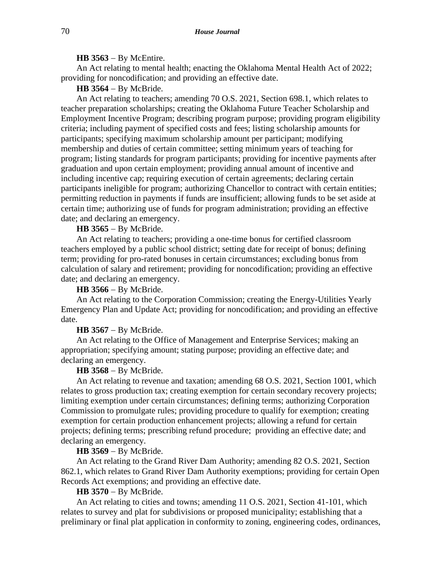#### **HB 3563** − By McEntire.

An Act relating to mental health; enacting the Oklahoma Mental Health Act of 2022; providing for noncodification; and providing an effective date.

# **HB 3564** − By McBride.

An Act relating to teachers; amending 70 O.S. 2021, Section 698.1, which relates to teacher preparation scholarships; creating the Oklahoma Future Teacher Scholarship and Employment Incentive Program; describing program purpose; providing program eligibility criteria; including payment of specified costs and fees; listing scholarship amounts for participants; specifying maximum scholarship amount per participant; modifying membership and duties of certain committee; setting minimum years of teaching for program; listing standards for program participants; providing for incentive payments after graduation and upon certain employment; providing annual amount of incentive and including incentive cap; requiring execution of certain agreements; declaring certain participants ineligible for program; authorizing Chancellor to contract with certain entities; permitting reduction in payments if funds are insufficient; allowing funds to be set aside at certain time; authorizing use of funds for program administration; providing an effective date; and declaring an emergency.

# **HB 3565** − By McBride.

An Act relating to teachers; providing a one-time bonus for certified classroom teachers employed by a public school district; setting date for receipt of bonus; defining term; providing for pro-rated bonuses in certain circumstances; excluding bonus from calculation of salary and retirement; providing for noncodification; providing an effective date; and declaring an emergency.

#### **HB 3566** − By McBride.

An Act relating to the Corporation Commission; creating the Energy-Utilities Yearly Emergency Plan and Update Act; providing for noncodification; and providing an effective date.

#### **HB 3567** − By McBride.

An Act relating to the Office of Management and Enterprise Services; making an appropriation; specifying amount; stating purpose; providing an effective date; and declaring an emergency.

# **HB 3568** − By McBride.

An Act relating to revenue and taxation; amending 68 O.S. 2021, Section 1001, which relates to gross production tax; creating exemption for certain secondary recovery projects; limiting exemption under certain circumstances; defining terms; authorizing Corporation Commission to promulgate rules; providing procedure to qualify for exemption; creating exemption for certain production enhancement projects; allowing a refund for certain projects; defining terms; prescribing refund procedure; providing an effective date; and declaring an emergency.

### **HB 3569** − By McBride.

An Act relating to the Grand River Dam Authority; amending 82 O.S. 2021, Section 862.1, which relates to Grand River Dam Authority exemptions; providing for certain Open Records Act exemptions; and providing an effective date.

## **HB 3570** − By McBride.

An Act relating to cities and towns; amending 11 O.S. 2021, Section 41-101, which relates to survey and plat for subdivisions or proposed municipality; establishing that a preliminary or final plat application in conformity to zoning, engineering codes, ordinances,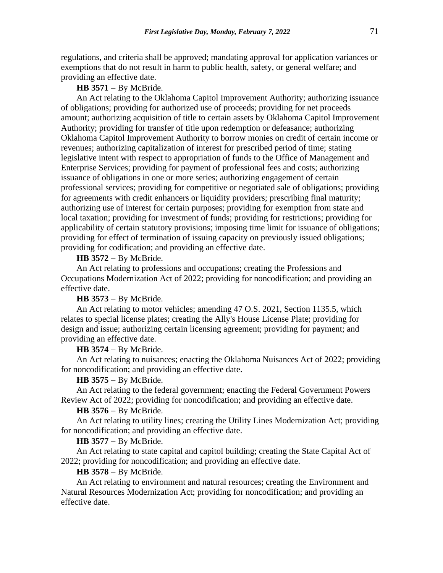regulations, and criteria shall be approved; mandating approval for application variances or exemptions that do not result in harm to public health, safety, or general welfare; and providing an effective date.

**HB 3571** − By McBride.

An Act relating to the Oklahoma Capitol Improvement Authority; authorizing issuance of obligations; providing for authorized use of proceeds; providing for net proceeds amount; authorizing acquisition of title to certain assets by Oklahoma Capitol Improvement Authority; providing for transfer of title upon redemption or defeasance; authorizing Oklahoma Capitol Improvement Authority to borrow monies on credit of certain income or revenues; authorizing capitalization of interest for prescribed period of time; stating legislative intent with respect to appropriation of funds to the Office of Management and Enterprise Services; providing for payment of professional fees and costs; authorizing issuance of obligations in one or more series; authorizing engagement of certain professional services; providing for competitive or negotiated sale of obligations; providing for agreements with credit enhancers or liquidity providers; prescribing final maturity; authorizing use of interest for certain purposes; providing for exemption from state and local taxation; providing for investment of funds; providing for restrictions; providing for applicability of certain statutory provisions; imposing time limit for issuance of obligations; providing for effect of termination of issuing capacity on previously issued obligations; providing for codification; and providing an effective date.

**HB 3572** − By McBride.

An Act relating to professions and occupations; creating the Professions and Occupations Modernization Act of 2022; providing for noncodification; and providing an effective date.

**HB 3573** − By McBride.

An Act relating to motor vehicles; amending 47 O.S. 2021, Section 1135.5, which relates to special license plates; creating the Ally's House License Plate; providing for design and issue; authorizing certain licensing agreement; providing for payment; and providing an effective date.

**HB 3574** − By McBride.

An Act relating to nuisances; enacting the Oklahoma Nuisances Act of 2022; providing for noncodification; and providing an effective date.

# **HB 3575** − By McBride.

An Act relating to the federal government; enacting the Federal Government Powers Review Act of 2022; providing for noncodification; and providing an effective date.

## **HB 3576** − By McBride.

An Act relating to utility lines; creating the Utility Lines Modernization Act; providing for noncodification; and providing an effective date.

## **HB 3577** − By McBride.

An Act relating to state capital and capitol building; creating the State Capital Act of 2022; providing for noncodification; and providing an effective date.

#### **HB 3578** − By McBride.

An Act relating to environment and natural resources; creating the Environment and Natural Resources Modernization Act; providing for noncodification; and providing an effective date.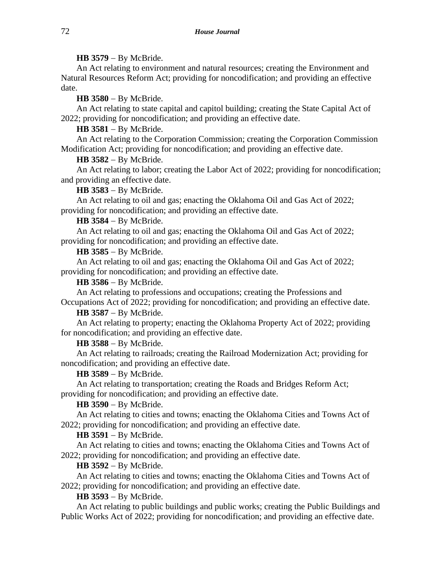## **HB 3579** − By McBride.

An Act relating to environment and natural resources; creating the Environment and Natural Resources Reform Act; providing for noncodification; and providing an effective date.

**HB 3580** − By McBride.

An Act relating to state capital and capitol building; creating the State Capital Act of 2022; providing for noncodification; and providing an effective date.

**HB 3581** − By McBride.

An Act relating to the Corporation Commission; creating the Corporation Commission Modification Act; providing for noncodification; and providing an effective date.

## **HB 3582** − By McBride.

An Act relating to labor; creating the Labor Act of 2022; providing for noncodification; and providing an effective date.

## **HB 3583** − By McBride.

An Act relating to oil and gas; enacting the Oklahoma Oil and Gas Act of 2022; providing for noncodification; and providing an effective date.

### **HB 3584** − By McBride.

An Act relating to oil and gas; enacting the Oklahoma Oil and Gas Act of 2022; providing for noncodification; and providing an effective date.

# **HB 3585** − By McBride.

An Act relating to oil and gas; enacting the Oklahoma Oil and Gas Act of 2022; providing for noncodification; and providing an effective date.

**HB 3586** − By McBride.

An Act relating to professions and occupations; creating the Professions and Occupations Act of 2022; providing for noncodification; and providing an effective date.

# **HB 3587** − By McBride.

An Act relating to property; enacting the Oklahoma Property Act of 2022; providing for noncodification; and providing an effective date.

# **HB 3588** − By McBride.

An Act relating to railroads; creating the Railroad Modernization Act; providing for noncodification; and providing an effective date.

## **HB 3589** − By McBride.

An Act relating to transportation; creating the Roads and Bridges Reform Act; providing for noncodification; and providing an effective date.

## **HB 3590** − By McBride.

An Act relating to cities and towns; enacting the Oklahoma Cities and Towns Act of 2022; providing for noncodification; and providing an effective date.

## **HB 3591** − By McBride.

An Act relating to cities and towns; enacting the Oklahoma Cities and Towns Act of 2022; providing for noncodification; and providing an effective date.

## **HB 3592** − By McBride.

An Act relating to cities and towns; enacting the Oklahoma Cities and Towns Act of 2022; providing for noncodification; and providing an effective date.

## **HB 3593** − By McBride.

An Act relating to public buildings and public works; creating the Public Buildings and Public Works Act of 2022; providing for noncodification; and providing an effective date.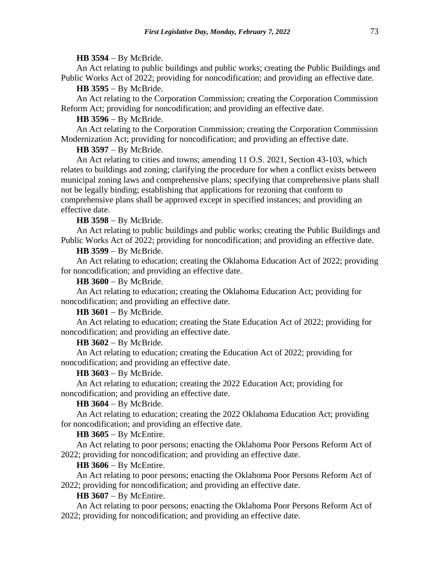## **HB 3594** − By McBride.

An Act relating to public buildings and public works; creating the Public Buildings and Public Works Act of 2022; providing for noncodification; and providing an effective date.

## **HB 3595** − By McBride.

An Act relating to the Corporation Commission; creating the Corporation Commission Reform Act; providing for noncodification; and providing an effective date.

# **HB 3596** − By McBride.

An Act relating to the Corporation Commission; creating the Corporation Commission Modernization Act; providing for noncodification; and providing an effective date.

## **HB 3597** − By McBride.

An Act relating to cities and towns; amending 11 O.S. 2021, Section 43-103, which relates to buildings and zoning; clarifying the procedure for when a conflict exists between municipal zoning laws and comprehensive plans; specifying that comprehensive plans shall not be legally binding; establishing that applications for rezoning that conform to comprehensive plans shall be approved except in specified instances; and providing an effective date.

## **HB 3598** − By McBride.

An Act relating to public buildings and public works; creating the Public Buildings and Public Works Act of 2022; providing for noncodification; and providing an effective date.

# **HB 3599** − By McBride.

An Act relating to education; creating the Oklahoma Education Act of 2022; providing for noncodification; and providing an effective date.

**HB 3600** − By McBride.

An Act relating to education; creating the Oklahoma Education Act; providing for noncodification; and providing an effective date.

## **HB 3601** − By McBride.

An Act relating to education; creating the State Education Act of 2022; providing for noncodification; and providing an effective date.

# **HB 3602** − By McBride.

An Act relating to education; creating the Education Act of 2022; providing for noncodification; and providing an effective date.

### **HB 3603** − By McBride.

An Act relating to education; creating the 2022 Education Act; providing for noncodification; and providing an effective date.

## **HB 3604** − By McBride.

An Act relating to education; creating the 2022 Oklahoma Education Act; providing for noncodification; and providing an effective date.

# **HB 3605** − By McEntire.

An Act relating to poor persons; enacting the Oklahoma Poor Persons Reform Act of 2022; providing for noncodification; and providing an effective date.

# **HB 3606** − By McEntire.

An Act relating to poor persons; enacting the Oklahoma Poor Persons Reform Act of 2022; providing for noncodification; and providing an effective date.

## **HB 3607** − By McEntire.

An Act relating to poor persons; enacting the Oklahoma Poor Persons Reform Act of 2022; providing for noncodification; and providing an effective date.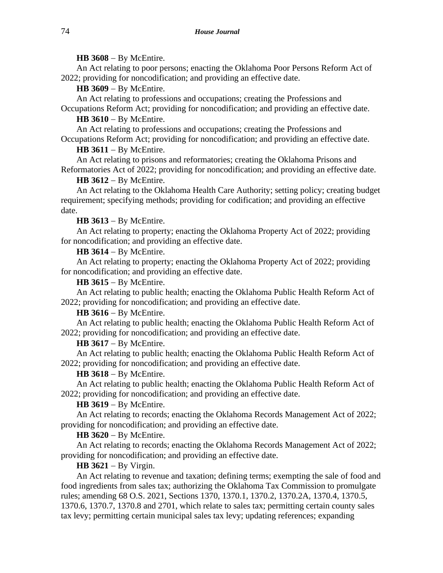## **HB 3608** − By McEntire.

An Act relating to poor persons; enacting the Oklahoma Poor Persons Reform Act of 2022; providing for noncodification; and providing an effective date.

**HB 3609** − By McEntire.

An Act relating to professions and occupations; creating the Professions and Occupations Reform Act; providing for noncodification; and providing an effective date.

# **HB 3610** − By McEntire.

An Act relating to professions and occupations; creating the Professions and Occupations Reform Act; providing for noncodification; and providing an effective date.

## **HB 3611** − By McEntire.

An Act relating to prisons and reformatories; creating the Oklahoma Prisons and Reformatories Act of 2022; providing for noncodification; and providing an effective date.

## **HB 3612** − By McEntire.

An Act relating to the Oklahoma Health Care Authority; setting policy; creating budget requirement; specifying methods; providing for codification; and providing an effective date.

## **HB 3613** − By McEntire.

An Act relating to property; enacting the Oklahoma Property Act of 2022; providing for noncodification; and providing an effective date.

## **HB 3614** − By McEntire.

An Act relating to property; enacting the Oklahoma Property Act of 2022; providing for noncodification; and providing an effective date.

**HB 3615** − By McEntire.

An Act relating to public health; enacting the Oklahoma Public Health Reform Act of 2022; providing for noncodification; and providing an effective date.

# **HB 3616** − By McEntire.

An Act relating to public health; enacting the Oklahoma Public Health Reform Act of 2022; providing for noncodification; and providing an effective date.

# **HB 3617** − By McEntire.

An Act relating to public health; enacting the Oklahoma Public Health Reform Act of 2022; providing for noncodification; and providing an effective date.

# **HB 3618** − By McEntire.

An Act relating to public health; enacting the Oklahoma Public Health Reform Act of 2022; providing for noncodification; and providing an effective date.

## **HB 3619** − By McEntire.

An Act relating to records; enacting the Oklahoma Records Management Act of 2022; providing for noncodification; and providing an effective date.

## **HB 3620** − By McEntire.

An Act relating to records; enacting the Oklahoma Records Management Act of 2022; providing for noncodification; and providing an effective date.

# **HB 3621** − By Virgin.

An Act relating to revenue and taxation; defining terms; exempting the sale of food and food ingredients from sales tax; authorizing the Oklahoma Tax Commission to promulgate rules; amending 68 O.S. 2021, Sections 1370, 1370.1, 1370.2, 1370.2A, 1370.4, 1370.5, 1370.6, 1370.7, 1370.8 and 2701, which relate to sales tax; permitting certain county sales tax levy; permitting certain municipal sales tax levy; updating references; expanding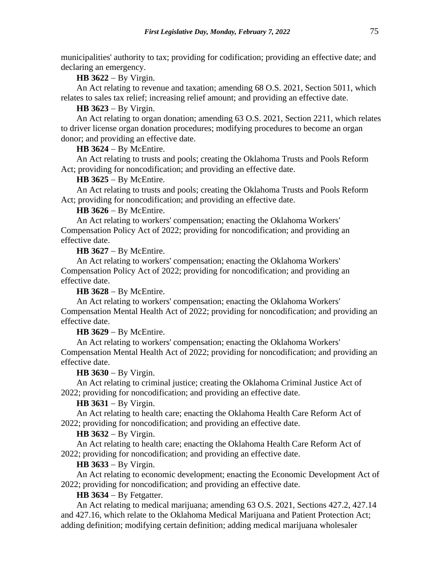municipalities' authority to tax; providing for codification; providing an effective date; and declaring an emergency.

**HB 3622** − By Virgin.

An Act relating to revenue and taxation; amending 68 O.S. 2021, Section 5011, which relates to sales tax relief; increasing relief amount; and providing an effective date.

**HB 3623** − By Virgin.

An Act relating to organ donation; amending 63 O.S. 2021, Section 2211, which relates to driver license organ donation procedures; modifying procedures to become an organ donor; and providing an effective date.

**HB 3624** − By McEntire.

An Act relating to trusts and pools; creating the Oklahoma Trusts and Pools Reform Act; providing for noncodification; and providing an effective date.

**HB 3625** − By McEntire.

An Act relating to trusts and pools; creating the Oklahoma Trusts and Pools Reform Act; providing for noncodification; and providing an effective date.

**HB 3626** − By McEntire.

An Act relating to workers' compensation; enacting the Oklahoma Workers' Compensation Policy Act of 2022; providing for noncodification; and providing an effective date.

**HB 3627** − By McEntire.

An Act relating to workers' compensation; enacting the Oklahoma Workers' Compensation Policy Act of 2022; providing for noncodification; and providing an effective date.

**HB 3628** − By McEntire.

An Act relating to workers' compensation; enacting the Oklahoma Workers' Compensation Mental Health Act of 2022; providing for noncodification; and providing an effective date.

**HB 3629** − By McEntire.

An Act relating to workers' compensation; enacting the Oklahoma Workers' Compensation Mental Health Act of 2022; providing for noncodification; and providing an effective date.

**HB 3630** − By Virgin.

An Act relating to criminal justice; creating the Oklahoma Criminal Justice Act of 2022; providing for noncodification; and providing an effective date.

**HB 3631** − By Virgin.

An Act relating to health care; enacting the Oklahoma Health Care Reform Act of 2022; providing for noncodification; and providing an effective date.

**HB 3632** − By Virgin.

An Act relating to health care; enacting the Oklahoma Health Care Reform Act of 2022; providing for noncodification; and providing an effective date.

#### **HB 3633** − By Virgin.

An Act relating to economic development; enacting the Economic Development Act of 2022; providing for noncodification; and providing an effective date.

**HB 3634** − By Fetgatter.

An Act relating to medical marijuana; amending 63 O.S. 2021, Sections 427.2, 427.14 and 427.16, which relate to the Oklahoma Medical Marijuana and Patient Protection Act; adding definition; modifying certain definition; adding medical marijuana wholesaler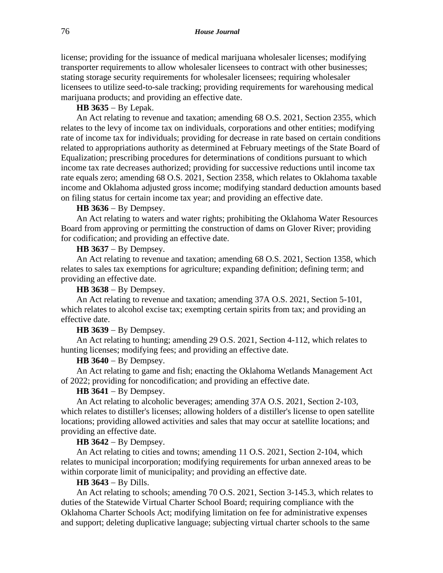license; providing for the issuance of medical marijuana wholesaler licenses; modifying transporter requirements to allow wholesaler licensees to contract with other businesses; stating storage security requirements for wholesaler licensees; requiring wholesaler licensees to utilize seed-to-sale tracking; providing requirements for warehousing medical marijuana products; and providing an effective date.

**HB 3635** − By Lepak.

An Act relating to revenue and taxation; amending 68 O.S. 2021, Section 2355, which relates to the levy of income tax on individuals, corporations and other entities; modifying rate of income tax for individuals; providing for decrease in rate based on certain conditions related to appropriations authority as determined at February meetings of the State Board of Equalization; prescribing procedures for determinations of conditions pursuant to which income tax rate decreases authorized; providing for successive reductions until income tax rate equals zero; amending 68 O.S. 2021, Section 2358, which relates to Oklahoma taxable income and Oklahoma adjusted gross income; modifying standard deduction amounts based on filing status for certain income tax year; and providing an effective date.

### **HB 3636** − By Dempsey.

An Act relating to waters and water rights; prohibiting the Oklahoma Water Resources Board from approving or permitting the construction of dams on Glover River; providing for codification; and providing an effective date.

**HB 3637** − By Dempsey.

An Act relating to revenue and taxation; amending 68 O.S. 2021, Section 1358, which relates to sales tax exemptions for agriculture; expanding definition; defining term; and providing an effective date.

**HB 3638** − By Dempsey.

An Act relating to revenue and taxation; amending 37A O.S. 2021, Section 5-101, which relates to alcohol excise tax; exempting certain spirits from tax; and providing an effective date.

**HB 3639** − By Dempsey.

An Act relating to hunting; amending 29 O.S. 2021, Section 4-112, which relates to hunting licenses; modifying fees; and providing an effective date.

## **HB 3640** − By Dempsey.

An Act relating to game and fish; enacting the Oklahoma Wetlands Management Act of 2022; providing for noncodification; and providing an effective date.

# **HB 3641** − By Dempsey.

An Act relating to alcoholic beverages; amending 37A O.S. 2021, Section 2-103, which relates to distiller's licenses; allowing holders of a distiller's license to open satellite locations; providing allowed activities and sales that may occur at satellite locations; and providing an effective date.

**HB 3642** − By Dempsey.

An Act relating to cities and towns; amending 11 O.S. 2021, Section 2-104, which relates to municipal incorporation; modifying requirements for urban annexed areas to be within corporate limit of municipality; and providing an effective date.

# **HB 3643** − By Dills.

An Act relating to schools; amending 70 O.S. 2021, Section 3-145.3, which relates to duties of the Statewide Virtual Charter School Board; requiring compliance with the Oklahoma Charter Schools Act; modifying limitation on fee for administrative expenses and support; deleting duplicative language; subjecting virtual charter schools to the same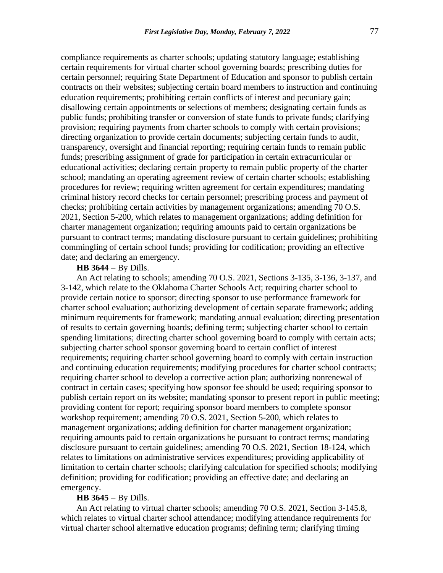compliance requirements as charter schools; updating statutory language; establishing certain requirements for virtual charter school governing boards; prescribing duties for certain personnel; requiring State Department of Education and sponsor to publish certain contracts on their websites; subjecting certain board members to instruction and continuing education requirements; prohibiting certain conflicts of interest and pecuniary gain; disallowing certain appointments or selections of members; designating certain funds as public funds; prohibiting transfer or conversion of state funds to private funds; clarifying provision; requiring payments from charter schools to comply with certain provisions; directing organization to provide certain documents; subjecting certain funds to audit, transparency, oversight and financial reporting; requiring certain funds to remain public funds; prescribing assignment of grade for participation in certain extracurricular or educational activities; declaring certain property to remain public property of the charter school; mandating an operating agreement review of certain charter schools; establishing procedures for review; requiring written agreement for certain expenditures; mandating criminal history record checks for certain personnel; prescribing process and payment of checks; prohibiting certain activities by management organizations; amending 70 O.S. 2021, Section 5-200, which relates to management organizations; adding definition for charter management organization; requiring amounts paid to certain organizations be pursuant to contract terms; mandating disclosure pursuant to certain guidelines; prohibiting commingling of certain school funds; providing for codification; providing an effective date; and declaring an emergency.

# **HB 3644** − By Dills.

An Act relating to schools; amending 70 O.S. 2021, Sections 3-135, 3-136, 3-137, and 3-142, which relate to the Oklahoma Charter Schools Act; requiring charter school to provide certain notice to sponsor; directing sponsor to use performance framework for charter school evaluation; authorizing development of certain separate framework; adding minimum requirements for framework; mandating annual evaluation; directing presentation of results to certain governing boards; defining term; subjecting charter school to certain spending limitations; directing charter school governing board to comply with certain acts; subjecting charter school sponsor governing board to certain conflict of interest requirements; requiring charter school governing board to comply with certain instruction and continuing education requirements; modifying procedures for charter school contracts; requiring charter school to develop a corrective action plan; authorizing nonrenewal of contract in certain cases; specifying how sponsor fee should be used; requiring sponsor to publish certain report on its website; mandating sponsor to present report in public meeting; providing content for report; requiring sponsor board members to complete sponsor workshop requirement; amending 70 O.S. 2021, Section 5-200, which relates to management organizations; adding definition for charter management organization; requiring amounts paid to certain organizations be pursuant to contract terms; mandating disclosure pursuant to certain guidelines; amending 70 O.S. 2021, Section 18-124, which relates to limitations on administrative services expenditures; providing applicability of limitation to certain charter schools; clarifying calculation for specified schools; modifying definition; providing for codification; providing an effective date; and declaring an emergency.

## **HB 3645** − By Dills.

An Act relating to virtual charter schools; amending 70 O.S. 2021, Section 3-145.8, which relates to virtual charter school attendance; modifying attendance requirements for virtual charter school alternative education programs; defining term; clarifying timing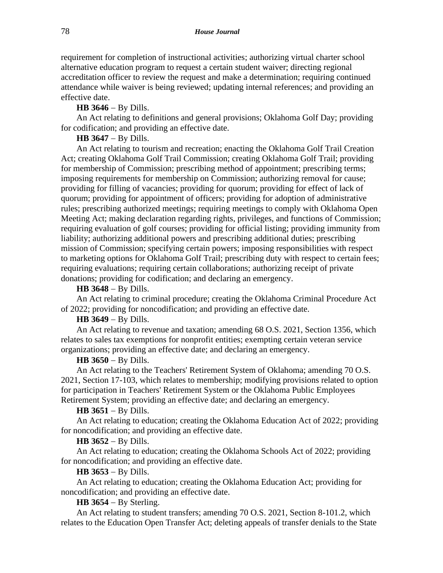requirement for completion of instructional activities; authorizing virtual charter school alternative education program to request a certain student waiver; directing regional accreditation officer to review the request and make a determination; requiring continued attendance while waiver is being reviewed; updating internal references; and providing an effective date.

## **HB 3646** − By Dills.

An Act relating to definitions and general provisions; Oklahoma Golf Day; providing for codification; and providing an effective date.

## **HB 3647** − By Dills.

An Act relating to tourism and recreation; enacting the Oklahoma Golf Trail Creation Act; creating Oklahoma Golf Trail Commission; creating Oklahoma Golf Trail; providing for membership of Commission; prescribing method of appointment; prescribing terms; imposing requirements for membership on Commission; authorizing removal for cause; providing for filling of vacancies; providing for quorum; providing for effect of lack of quorum; providing for appointment of officers; providing for adoption of administrative rules; prescribing authorized meetings; requiring meetings to comply with Oklahoma Open Meeting Act; making declaration regarding rights, privileges, and functions of Commission; requiring evaluation of golf courses; providing for official listing; providing immunity from liability; authorizing additional powers and prescribing additional duties; prescribing mission of Commission; specifying certain powers; imposing responsibilities with respect to marketing options for Oklahoma Golf Trail; prescribing duty with respect to certain fees; requiring evaluations; requiring certain collaborations; authorizing receipt of private donations; providing for codification; and declaring an emergency.

#### **HB 3648** − By Dills.

An Act relating to criminal procedure; creating the Oklahoma Criminal Procedure Act of 2022; providing for noncodification; and providing an effective date.

# **HB 3649** − By Dills.

An Act relating to revenue and taxation; amending 68 O.S. 2021, Section 1356, which relates to sales tax exemptions for nonprofit entities; exempting certain veteran service organizations; providing an effective date; and declaring an emergency.

# **HB 3650** − By Dills.

An Act relating to the Teachers' Retirement System of Oklahoma; amending 70 O.S. 2021, Section 17-103, which relates to membership; modifying provisions related to option for participation in Teachers' Retirement System or the Oklahoma Public Employees Retirement System; providing an effective date; and declaring an emergency.

# **HB 3651** − By Dills.

An Act relating to education; creating the Oklahoma Education Act of 2022; providing for noncodification; and providing an effective date.

# **HB 3652** − By Dills.

An Act relating to education; creating the Oklahoma Schools Act of 2022; providing for noncodification; and providing an effective date.

#### **HB 3653** − By Dills.

An Act relating to education; creating the Oklahoma Education Act; providing for noncodification; and providing an effective date.

# **HB 3654** − By Sterling.

An Act relating to student transfers; amending 70 O.S. 2021, Section 8-101.2, which relates to the Education Open Transfer Act; deleting appeals of transfer denials to the State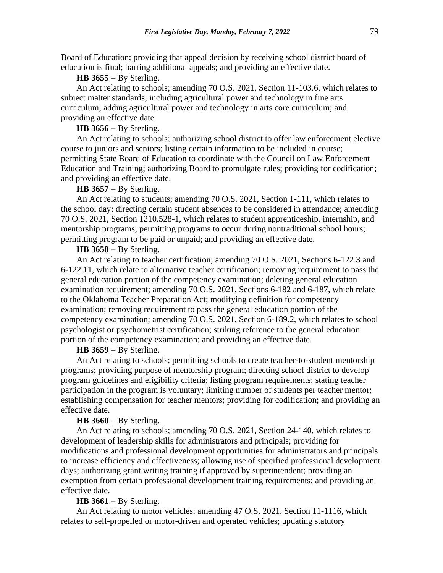Board of Education; providing that appeal decision by receiving school district board of education is final; barring additional appeals; and providing an effective date.

# **HB 3655** − By Sterling.

An Act relating to schools; amending 70 O.S. 2021, Section 11-103.6, which relates to subject matter standards; including agricultural power and technology in fine arts curriculum; adding agricultural power and technology in arts core curriculum; and providing an effective date.

# **HB 3656** − By Sterling.

An Act relating to schools; authorizing school district to offer law enforcement elective course to juniors and seniors; listing certain information to be included in course; permitting State Board of Education to coordinate with the Council on Law Enforcement Education and Training; authorizing Board to promulgate rules; providing for codification; and providing an effective date.

# **HB 3657** − By Sterling.

An Act relating to students; amending 70 O.S. 2021, Section 1-111, which relates to the school day; directing certain student absences to be considered in attendance; amending 70 O.S. 2021, Section 1210.528-1, which relates to student apprenticeship, internship, and mentorship programs; permitting programs to occur during nontraditional school hours; permitting program to be paid or unpaid; and providing an effective date.

# **HB 3658** − By Sterling.

An Act relating to teacher certification; amending 70 O.S. 2021, Sections 6-122.3 and 6-122.11, which relate to alternative teacher certification; removing requirement to pass the general education portion of the competency examination; deleting general education examination requirement; amending 70 O.S. 2021, Sections 6-182 and 6-187, which relate to the Oklahoma Teacher Preparation Act; modifying definition for competency examination; removing requirement to pass the general education portion of the competency examination; amending 70 O.S. 2021, Section 6-189.2, which relates to school psychologist or psychometrist certification; striking reference to the general education portion of the competency examination; and providing an effective date.

# **HB 3659** − By Sterling.

An Act relating to schools; permitting schools to create teacher-to-student mentorship programs; providing purpose of mentorship program; directing school district to develop program guidelines and eligibility criteria; listing program requirements; stating teacher participation in the program is voluntary; limiting number of students per teacher mentor; establishing compensation for teacher mentors; providing for codification; and providing an effective date.

# **HB 3660** − By Sterling.

An Act relating to schools; amending 70 O.S. 2021, Section 24-140, which relates to development of leadership skills for administrators and principals; providing for modifications and professional development opportunities for administrators and principals to increase efficiency and effectiveness; allowing use of specified professional development days; authorizing grant writing training if approved by superintendent; providing an exemption from certain professional development training requirements; and providing an effective date.

# **HB 3661** − By Sterling.

An Act relating to motor vehicles; amending 47 O.S. 2021, Section 11-1116, which relates to self-propelled or motor-driven and operated vehicles; updating statutory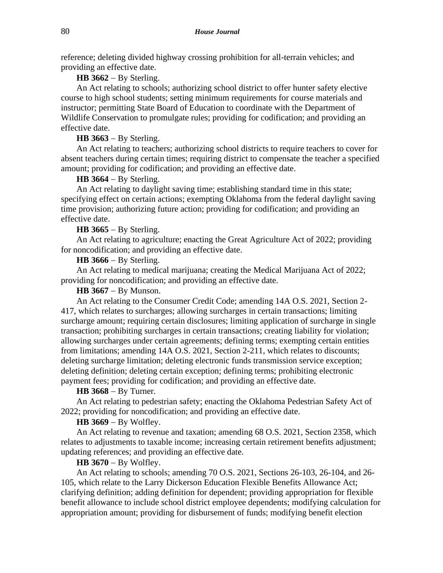reference; deleting divided highway crossing prohibition for all-terrain vehicles; and providing an effective date.

# **HB 3662** − By Sterling.

An Act relating to schools; authorizing school district to offer hunter safety elective course to high school students; setting minimum requirements for course materials and instructor; permitting State Board of Education to coordinate with the Department of Wildlife Conservation to promulgate rules; providing for codification; and providing an effective date.

## **HB 3663** − By Sterling.

An Act relating to teachers; authorizing school districts to require teachers to cover for absent teachers during certain times; requiring district to compensate the teacher a specified amount; providing for codification; and providing an effective date.

# **HB 3664** − By Sterling.

An Act relating to daylight saving time; establishing standard time in this state; specifying effect on certain actions; exempting Oklahoma from the federal daylight saving time provision; authorizing future action; providing for codification; and providing an effective date.

## **HB 3665** − By Sterling.

An Act relating to agriculture; enacting the Great Agriculture Act of 2022; providing for noncodification; and providing an effective date.

## **HB 3666** − By Sterling.

An Act relating to medical marijuana; creating the Medical Marijuana Act of 2022; providing for noncodification; and providing an effective date.

# **HB 3667** − By Munson.

An Act relating to the Consumer Credit Code; amending 14A O.S. 2021, Section 2- 417, which relates to surcharges; allowing surcharges in certain transactions; limiting surcharge amount; requiring certain disclosures; limiting application of surcharge in single transaction; prohibiting surcharges in certain transactions; creating liability for violation; allowing surcharges under certain agreements; defining terms; exempting certain entities from limitations; amending 14A O.S. 2021, Section 2-211, which relates to discounts; deleting surcharge limitation; deleting electronic funds transmission service exception; deleting definition; deleting certain exception; defining terms; prohibiting electronic payment fees; providing for codification; and providing an effective date.

## **HB 3668** − By Turner.

An Act relating to pedestrian safety; enacting the Oklahoma Pedestrian Safety Act of 2022; providing for noncodification; and providing an effective date.

# **HB 3669** − By Wolfley.

An Act relating to revenue and taxation; amending 68 O.S. 2021, Section 2358, which relates to adjustments to taxable income; increasing certain retirement benefits adjustment; updating references; and providing an effective date.

## **HB 3670** − By Wolfley.

An Act relating to schools; amending 70 O.S. 2021, Sections 26-103, 26-104, and 26- 105, which relate to the Larry Dickerson Education Flexible Benefits Allowance Act; clarifying definition; adding definition for dependent; providing appropriation for flexible benefit allowance to include school district employee dependents; modifying calculation for appropriation amount; providing for disbursement of funds; modifying benefit election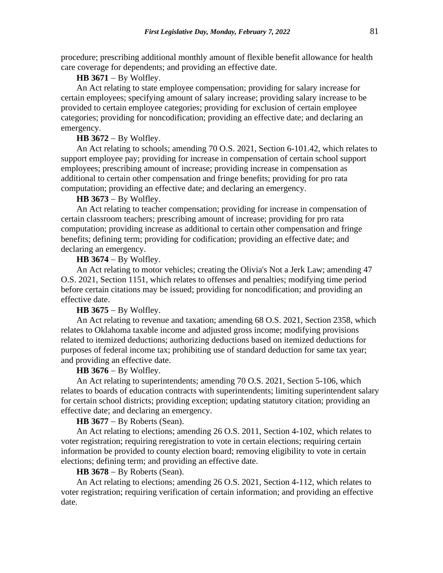procedure; prescribing additional monthly amount of flexible benefit allowance for health care coverage for dependents; and providing an effective date.

## **HB 3671** − By Wolfley.

An Act relating to state employee compensation; providing for salary increase for certain employees; specifying amount of salary increase; providing salary increase to be provided to certain employee categories; providing for exclusion of certain employee categories; providing for noncodification; providing an effective date; and declaring an emergency.

#### **HB 3672** − By Wolfley.

An Act relating to schools; amending 70 O.S. 2021, Section 6-101.42, which relates to support employee pay; providing for increase in compensation of certain school support employees; prescribing amount of increase; providing increase in compensation as additional to certain other compensation and fringe benefits; providing for pro rata computation; providing an effective date; and declaring an emergency.

# **HB 3673** − By Wolfley.

An Act relating to teacher compensation; providing for increase in compensation of certain classroom teachers; prescribing amount of increase; providing for pro rata computation; providing increase as additional to certain other compensation and fringe benefits; defining term; providing for codification; providing an effective date; and declaring an emergency.

## **HB 3674** − By Wolfley.

An Act relating to motor vehicles; creating the Olivia's Not a Jerk Law; amending 47 O.S. 2021, Section 1151, which relates to offenses and penalties; modifying time period before certain citations may be issued; providing for noncodification; and providing an effective date.

# **HB 3675** − By Wolfley.

An Act relating to revenue and taxation; amending 68 O.S. 2021, Section 2358, which relates to Oklahoma taxable income and adjusted gross income; modifying provisions related to itemized deductions; authorizing deductions based on itemized deductions for purposes of federal income tax; prohibiting use of standard deduction for same tax year; and providing an effective date.

## **HB 3676** − By Wolfley.

An Act relating to superintendents; amending 70 O.S. 2021, Section 5-106, which relates to boards of education contracts with superintendents; limiting superintendent salary for certain school districts; providing exception; updating statutory citation; providing an effective date; and declaring an emergency.

**HB 3677** − By Roberts (Sean).

An Act relating to elections; amending 26 O.S. 2011, Section 4-102, which relates to voter registration; requiring reregistration to vote in certain elections; requiring certain information be provided to county election board; removing eligibility to vote in certain elections; defining term; and providing an effective date.

### **HB 3678** − By Roberts (Sean).

An Act relating to elections; amending 26 O.S. 2021, Section 4-112, which relates to voter registration; requiring verification of certain information; and providing an effective date.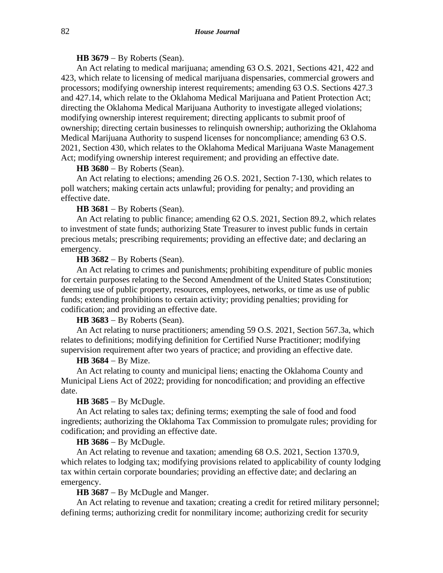# **HB 3679** − By Roberts (Sean).

An Act relating to medical marijuana; amending 63 O.S. 2021, Sections 421, 422 and 423, which relate to licensing of medical marijuana dispensaries, commercial growers and processors; modifying ownership interest requirements; amending 63 O.S. Sections 427.3 and 427.14, which relate to the Oklahoma Medical Marijuana and Patient Protection Act; directing the Oklahoma Medical Marijuana Authority to investigate alleged violations; modifying ownership interest requirement; directing applicants to submit proof of ownership; directing certain businesses to relinquish ownership; authorizing the Oklahoma Medical Marijuana Authority to suspend licenses for noncompliance; amending 63 O.S. 2021, Section 430, which relates to the Oklahoma Medical Marijuana Waste Management Act; modifying ownership interest requirement; and providing an effective date.

## **HB 3680** − By Roberts (Sean).

An Act relating to elections; amending 26 O.S. 2021, Section 7-130, which relates to poll watchers; making certain acts unlawful; providing for penalty; and providing an effective date.

## **HB 3681** − By Roberts (Sean).

An Act relating to public finance; amending 62 O.S. 2021, Section 89.2, which relates to investment of state funds; authorizing State Treasurer to invest public funds in certain precious metals; prescribing requirements; providing an effective date; and declaring an emergency.

# **HB 3682** − By Roberts (Sean).

An Act relating to crimes and punishments; prohibiting expenditure of public monies for certain purposes relating to the Second Amendment of the United States Constitution; deeming use of public property, resources, employees, networks, or time as use of public funds; extending prohibitions to certain activity; providing penalties; providing for codification; and providing an effective date.

## **HB 3683** − By Roberts (Sean).

An Act relating to nurse practitioners; amending 59 O.S. 2021, Section 567.3a, which relates to definitions; modifying definition for Certified Nurse Practitioner; modifying supervision requirement after two years of practice; and providing an effective date.

# **HB 3684** − By Mize.

An Act relating to county and municipal liens; enacting the Oklahoma County and Municipal Liens Act of 2022; providing for noncodification; and providing an effective date.

### **HB 3685** − By McDugle.

An Act relating to sales tax; defining terms; exempting the sale of food and food ingredients; authorizing the Oklahoma Tax Commission to promulgate rules; providing for codification; and providing an effective date.

# **HB 3686** − By McDugle.

An Act relating to revenue and taxation; amending 68 O.S. 2021, Section 1370.9, which relates to lodging tax; modifying provisions related to applicability of county lodging tax within certain corporate boundaries; providing an effective date; and declaring an emergency.

### **HB 3687** − By McDugle and Manger.

An Act relating to revenue and taxation; creating a credit for retired military personnel; defining terms; authorizing credit for nonmilitary income; authorizing credit for security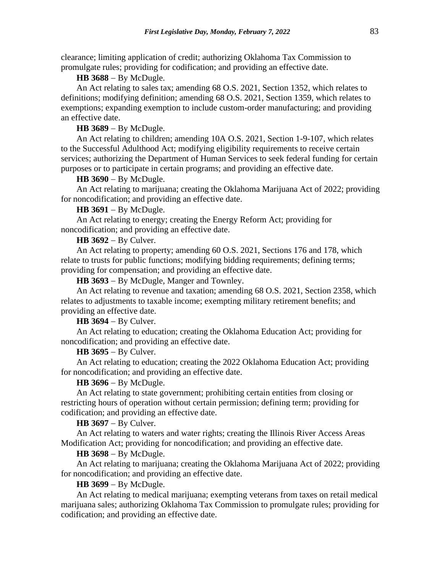clearance; limiting application of credit; authorizing Oklahoma Tax Commission to promulgate rules; providing for codification; and providing an effective date.

## **HB 3688** − By McDugle.

An Act relating to sales tax; amending 68 O.S. 2021, Section 1352, which relates to definitions; modifying definition; amending 68 O.S. 2021, Section 1359, which relates to exemptions; expanding exemption to include custom-order manufacturing; and providing an effective date.

## **HB 3689** − By McDugle.

An Act relating to children; amending 10A O.S. 2021, Section 1-9-107, which relates to the Successful Adulthood Act; modifying eligibility requirements to receive certain services; authorizing the Department of Human Services to seek federal funding for certain purposes or to participate in certain programs; and providing an effective date.

# **HB 3690** − By McDugle.

An Act relating to marijuana; creating the Oklahoma Marijuana Act of 2022; providing for noncodification; and providing an effective date.

### **HB 3691** − By McDugle.

An Act relating to energy; creating the Energy Reform Act; providing for noncodification; and providing an effective date.

# **HB 3692** − By Culver.

An Act relating to property; amending 60 O.S. 2021, Sections 176 and 178, which relate to trusts for public functions; modifying bidding requirements; defining terms; providing for compensation; and providing an effective date.

**HB 3693** − By McDugle, Manger and Townley.

An Act relating to revenue and taxation; amending 68 O.S. 2021, Section 2358, which relates to adjustments to taxable income; exempting military retirement benefits; and providing an effective date.

# **HB 3694** − By Culver.

An Act relating to education; creating the Oklahoma Education Act; providing for noncodification; and providing an effective date.

### **HB 3695** − By Culver.

An Act relating to education; creating the 2022 Oklahoma Education Act; providing for noncodification; and providing an effective date.

# **HB 3696** − By McDugle.

An Act relating to state government; prohibiting certain entities from closing or restricting hours of operation without certain permission; defining term; providing for codification; and providing an effective date.

# **HB 3697** − By Culver.

An Act relating to waters and water rights; creating the Illinois River Access Areas Modification Act; providing for noncodification; and providing an effective date.

# **HB 3698** − By McDugle.

An Act relating to marijuana; creating the Oklahoma Marijuana Act of 2022; providing for noncodification; and providing an effective date.

## **HB 3699** − By McDugle.

An Act relating to medical marijuana; exempting veterans from taxes on retail medical marijuana sales; authorizing Oklahoma Tax Commission to promulgate rules; providing for codification; and providing an effective date.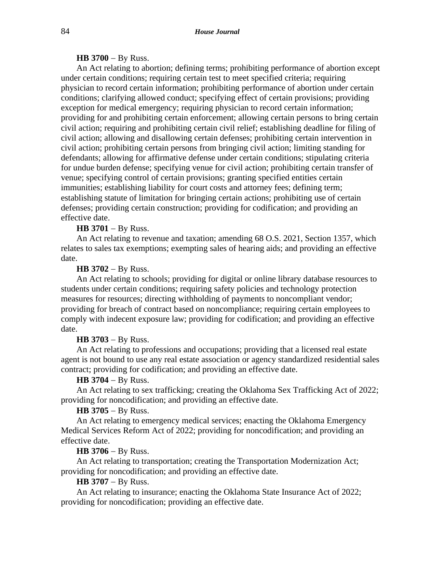## **HB 3700** − By Russ.

An Act relating to abortion; defining terms; prohibiting performance of abortion except under certain conditions; requiring certain test to meet specified criteria; requiring physician to record certain information; prohibiting performance of abortion under certain conditions; clarifying allowed conduct; specifying effect of certain provisions; providing exception for medical emergency; requiring physician to record certain information; providing for and prohibiting certain enforcement; allowing certain persons to bring certain civil action; requiring and prohibiting certain civil relief; establishing deadline for filing of civil action; allowing and disallowing certain defenses; prohibiting certain intervention in civil action; prohibiting certain persons from bringing civil action; limiting standing for defendants; allowing for affirmative defense under certain conditions; stipulating criteria for undue burden defense; specifying venue for civil action; prohibiting certain transfer of venue; specifying control of certain provisions; granting specified entities certain immunities; establishing liability for court costs and attorney fees; defining term; establishing statute of limitation for bringing certain actions; prohibiting use of certain defenses; providing certain construction; providing for codification; and providing an effective date.

## **HB 3701** − By Russ.

An Act relating to revenue and taxation; amending 68 O.S. 2021, Section 1357, which relates to sales tax exemptions; exempting sales of hearing aids; and providing an effective date.

## **HB 3702** − By Russ.

An Act relating to schools; providing for digital or online library database resources to students under certain conditions; requiring safety policies and technology protection measures for resources; directing withholding of payments to noncompliant vendor; providing for breach of contract based on noncompliance; requiring certain employees to comply with indecent exposure law; providing for codification; and providing an effective date.

### **HB 3703** − By Russ.

An Act relating to professions and occupations; providing that a licensed real estate agent is not bound to use any real estate association or agency standardized residential sales contract; providing for codification; and providing an effective date.

## **HB 3704** − By Russ.

An Act relating to sex trafficking; creating the Oklahoma Sex Trafficking Act of 2022; providing for noncodification; and providing an effective date.

## **HB 3705** − By Russ.

An Act relating to emergency medical services; enacting the Oklahoma Emergency Medical Services Reform Act of 2022; providing for noncodification; and providing an effective date.

### **HB 3706** − By Russ.

An Act relating to transportation; creating the Transportation Modernization Act; providing for noncodification; and providing an effective date.

# **HB 3707** − By Russ.

An Act relating to insurance; enacting the Oklahoma State Insurance Act of 2022; providing for noncodification; providing an effective date.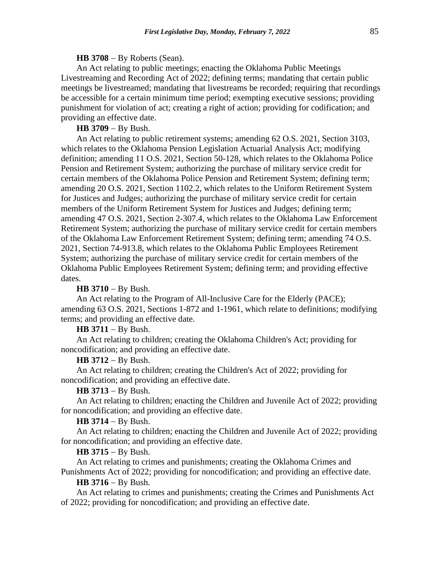#### **HB 3708** − By Roberts (Sean).

An Act relating to public meetings; enacting the Oklahoma Public Meetings Livestreaming and Recording Act of 2022; defining terms; mandating that certain public meetings be livestreamed; mandating that livestreams be recorded; requiring that recordings be accessible for a certain minimum time period; exempting executive sessions; providing punishment for violation of act; creating a right of action; providing for codification; and providing an effective date.

## **HB 3709** − By Bush.

An Act relating to public retirement systems; amending 62 O.S. 2021, Section 3103, which relates to the Oklahoma Pension Legislation Actuarial Analysis Act; modifying definition; amending 11 O.S. 2021, Section 50-128, which relates to the Oklahoma Police Pension and Retirement System; authorizing the purchase of military service credit for certain members of the Oklahoma Police Pension and Retirement System; defining term; amending 20 O.S. 2021, Section 1102.2, which relates to the Uniform Retirement System for Justices and Judges; authorizing the purchase of military service credit for certain members of the Uniform Retirement System for Justices and Judges; defining term; amending 47 O.S. 2021, Section 2-307.4, which relates to the Oklahoma Law Enforcement Retirement System; authorizing the purchase of military service credit for certain members of the Oklahoma Law Enforcement Retirement System; defining term; amending 74 O.S. 2021, Section 74-913.8, which relates to the Oklahoma Public Employees Retirement System; authorizing the purchase of military service credit for certain members of the Oklahoma Public Employees Retirement System; defining term; and providing effective dates.

### **HB 3710** − By Bush.

An Act relating to the Program of All-Inclusive Care for the Elderly (PACE); amending 63 O.S. 2021, Sections 1-872 and 1-1961, which relate to definitions; modifying terms; and providing an effective date.

## **HB 3711** − By Bush.

An Act relating to children; creating the Oklahoma Children's Act; providing for noncodification; and providing an effective date.

## **HB 3712** − By Bush.

An Act relating to children; creating the Children's Act of 2022; providing for noncodification; and providing an effective date.

# **HB 3713** − By Bush.

An Act relating to children; enacting the Children and Juvenile Act of 2022; providing for noncodification; and providing an effective date.

# **HB 3714** − By Bush.

An Act relating to children; enacting the Children and Juvenile Act of 2022; providing for noncodification; and providing an effective date.

## **HB 3715** − By Bush.

An Act relating to crimes and punishments; creating the Oklahoma Crimes and Punishments Act of 2022; providing for noncodification; and providing an effective date.

# **HB 3716** − By Bush.

An Act relating to crimes and punishments; creating the Crimes and Punishments Act of 2022; providing for noncodification; and providing an effective date.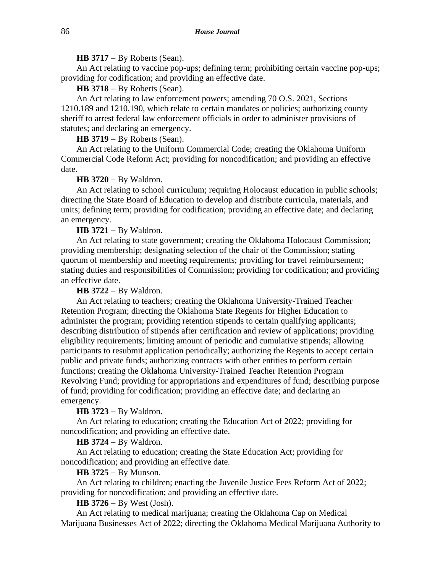#### **HB 3717** − By Roberts (Sean).

An Act relating to vaccine pop-ups; defining term; prohibiting certain vaccine pop-ups; providing for codification; and providing an effective date.

**HB 3718** − By Roberts (Sean).

An Act relating to law enforcement powers; amending 70 O.S. 2021, Sections 1210.189 and 1210.190, which relate to certain mandates or policies; authorizing county sheriff to arrest federal law enforcement officials in order to administer provisions of statutes; and declaring an emergency.

**HB 3719** − By Roberts (Sean).

An Act relating to the Uniform Commercial Code; creating the Oklahoma Uniform Commercial Code Reform Act; providing for noncodification; and providing an effective date.

### **HB 3720** − By Waldron.

An Act relating to school curriculum; requiring Holocaust education in public schools; directing the State Board of Education to develop and distribute curricula, materials, and units; defining term; providing for codification; providing an effective date; and declaring an emergency.

**HB 3721** − By Waldron.

An Act relating to state government; creating the Oklahoma Holocaust Commission; providing membership; designating selection of the chair of the Commission; stating quorum of membership and meeting requirements; providing for travel reimbursement; stating duties and responsibilities of Commission; providing for codification; and providing an effective date.

**HB 3722** − By Waldron.

An Act relating to teachers; creating the Oklahoma University-Trained Teacher Retention Program; directing the Oklahoma State Regents for Higher Education to administer the program; providing retention stipends to certain qualifying applicants; describing distribution of stipends after certification and review of applications; providing eligibility requirements; limiting amount of periodic and cumulative stipends; allowing participants to resubmit application periodically; authorizing the Regents to accept certain public and private funds; authorizing contracts with other entities to perform certain functions; creating the Oklahoma University-Trained Teacher Retention Program Revolving Fund; providing for appropriations and expenditures of fund; describing purpose of fund; providing for codification; providing an effective date; and declaring an emergency.

**HB 3723** − By Waldron.

An Act relating to education; creating the Education Act of 2022; providing for noncodification; and providing an effective date.

### **HB 3724** − By Waldron.

An Act relating to education; creating the State Education Act; providing for noncodification; and providing an effective date.

### **HB 3725** − By Munson.

An Act relating to children; enacting the Juvenile Justice Fees Reform Act of 2022; providing for noncodification; and providing an effective date.

**HB 3726** − By West (Josh).

An Act relating to medical marijuana; creating the Oklahoma Cap on Medical Marijuana Businesses Act of 2022; directing the Oklahoma Medical Marijuana Authority to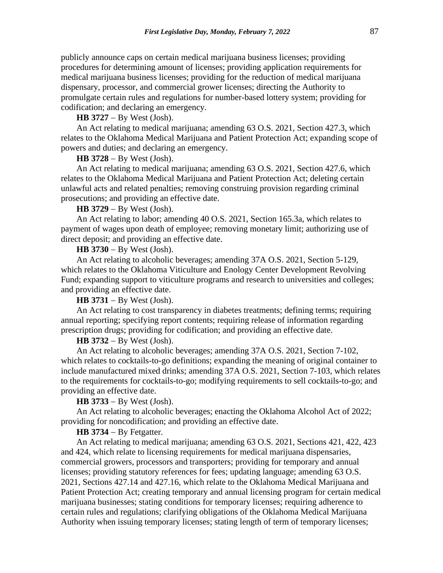publicly announce caps on certain medical marijuana business licenses; providing procedures for determining amount of licenses; providing application requirements for medical marijuana business licenses; providing for the reduction of medical marijuana dispensary, processor, and commercial grower licenses; directing the Authority to promulgate certain rules and regulations for number-based lottery system; providing for codification; and declaring an emergency.

## **HB 3727** − By West (Josh).

An Act relating to medical marijuana; amending 63 O.S. 2021, Section 427.3, which relates to the Oklahoma Medical Marijuana and Patient Protection Act; expanding scope of powers and duties; and declaring an emergency.

## **HB 3728** − By West (Josh).

An Act relating to medical marijuana; amending 63 O.S. 2021, Section 427.6, which relates to the Oklahoma Medical Marijuana and Patient Protection Act; deleting certain unlawful acts and related penalties; removing construing provision regarding criminal prosecutions; and providing an effective date.

## **HB 3729** − By West (Josh).

An Act relating to labor; amending 40 O.S. 2021, Section 165.3a, which relates to payment of wages upon death of employee; removing monetary limit; authorizing use of direct deposit; and providing an effective date.

# **HB 3730** − By West (Josh).

An Act relating to alcoholic beverages; amending 37A O.S. 2021, Section 5-129, which relates to the Oklahoma Viticulture and Enology Center Development Revolving Fund; expanding support to viticulture programs and research to universities and colleges; and providing an effective date.

**HB 3731** − By West (Josh).

An Act relating to cost transparency in diabetes treatments; defining terms; requiring annual reporting; specifying report contents; requiring release of information regarding prescription drugs; providing for codification; and providing an effective date.

### **HB 3732** − By West (Josh).

An Act relating to alcoholic beverages; amending 37A O.S. 2021, Section 7-102, which relates to cocktails-to-go definitions; expanding the meaning of original container to include manufactured mixed drinks; amending 37A O.S. 2021, Section 7-103, which relates to the requirements for cocktails-to-go; modifying requirements to sell cocktails-to-go; and providing an effective date.

### **HB 3733** − By West (Josh).

An Act relating to alcoholic beverages; enacting the Oklahoma Alcohol Act of 2022; providing for noncodification; and providing an effective date.

# **HB 3734** − By Fetgatter.

An Act relating to medical marijuana; amending 63 O.S. 2021, Sections 421, 422, 423 and 424, which relate to licensing requirements for medical marijuana dispensaries, commercial growers, processors and transporters; providing for temporary and annual licenses; providing statutory references for fees; updating language; amending 63 O.S. 2021, Sections 427.14 and 427.16, which relate to the Oklahoma Medical Marijuana and Patient Protection Act; creating temporary and annual licensing program for certain medical marijuana businesses; stating conditions for temporary licenses; requiring adherence to certain rules and regulations; clarifying obligations of the Oklahoma Medical Marijuana Authority when issuing temporary licenses; stating length of term of temporary licenses;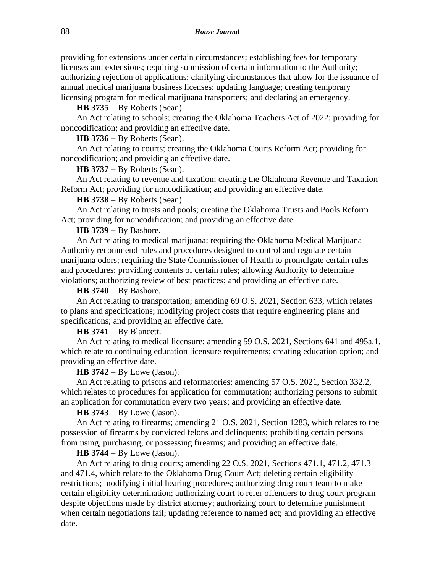providing for extensions under certain circumstances; establishing fees for temporary licenses and extensions; requiring submission of certain information to the Authority; authorizing rejection of applications; clarifying circumstances that allow for the issuance of annual medical marijuana business licenses; updating language; creating temporary licensing program for medical marijuana transporters; and declaring an emergency.

**HB 3735** − By Roberts (Sean).

An Act relating to schools; creating the Oklahoma Teachers Act of 2022; providing for noncodification; and providing an effective date.

**HB 3736** − By Roberts (Sean).

An Act relating to courts; creating the Oklahoma Courts Reform Act; providing for noncodification; and providing an effective date.

**HB 3737** − By Roberts (Sean).

An Act relating to revenue and taxation; creating the Oklahoma Revenue and Taxation Reform Act; providing for noncodification; and providing an effective date.

**HB 3738** − By Roberts (Sean).

An Act relating to trusts and pools; creating the Oklahoma Trusts and Pools Reform Act; providing for noncodification; and providing an effective date.

**HB 3739** − By Bashore.

An Act relating to medical marijuana; requiring the Oklahoma Medical Marijuana Authority recommend rules and procedures designed to control and regulate certain marijuana odors; requiring the State Commissioner of Health to promulgate certain rules and procedures; providing contents of certain rules; allowing Authority to determine violations; authorizing review of best practices; and providing an effective date.

# **HB 3740** − By Bashore.

An Act relating to transportation; amending 69 O.S. 2021, Section 633, which relates to plans and specifications; modifying project costs that require engineering plans and specifications; and providing an effective date.

# **HB 3741** − By Blancett.

An Act relating to medical licensure; amending 59 O.S. 2021, Sections 641 and 495a.1, which relate to continuing education licensure requirements; creating education option; and providing an effective date.

**HB 3742** − By Lowe (Jason).

An Act relating to prisons and reformatories; amending 57 O.S. 2021, Section 332.2, which relates to procedures for application for commutation; authorizing persons to submit an application for commutation every two years; and providing an effective date.

**HB 3743** − By Lowe (Jason).

An Act relating to firearms; amending 21 O.S. 2021, Section 1283, which relates to the possession of firearms by convicted felons and delinquents; prohibiting certain persons from using, purchasing, or possessing firearms; and providing an effective date.

# **HB 3744** − By Lowe (Jason).

An Act relating to drug courts; amending 22 O.S. 2021, Sections 471.1, 471.2, 471.3 and 471.4, which relate to the Oklahoma Drug Court Act; deleting certain eligibility restrictions; modifying initial hearing procedures; authorizing drug court team to make certain eligibility determination; authorizing court to refer offenders to drug court program despite objections made by district attorney; authorizing court to determine punishment when certain negotiations fail; updating reference to named act; and providing an effective date.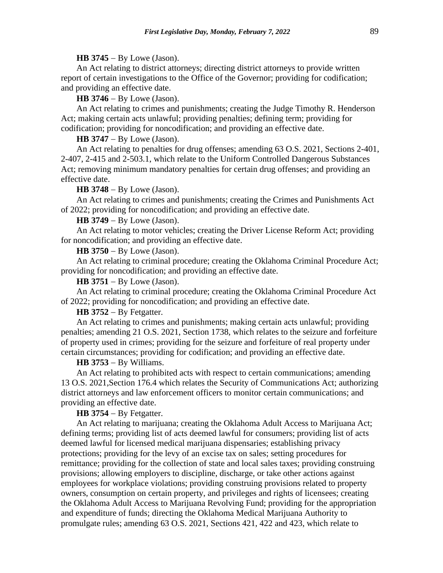## **HB 3745** − By Lowe (Jason).

An Act relating to district attorneys; directing district attorneys to provide written report of certain investigations to the Office of the Governor; providing for codification; and providing an effective date.

**HB 3746** − By Lowe (Jason).

An Act relating to crimes and punishments; creating the Judge Timothy R. Henderson Act; making certain acts unlawful; providing penalties; defining term; providing for codification; providing for noncodification; and providing an effective date.

**HB 3747** − By Lowe (Jason).

An Act relating to penalties for drug offenses; amending 63 O.S. 2021, Sections 2-401, 2-407, 2-415 and 2-503.1, which relate to the Uniform Controlled Dangerous Substances Act; removing minimum mandatory penalties for certain drug offenses; and providing an effective date.

### **HB 3748** − By Lowe (Jason).

An Act relating to crimes and punishments; creating the Crimes and Punishments Act of 2022; providing for noncodification; and providing an effective date.

## **HB 3749** − By Lowe (Jason).

An Act relating to motor vehicles; creating the Driver License Reform Act; providing for noncodification; and providing an effective date.

### **HB 3750** − By Lowe (Jason).

An Act relating to criminal procedure; creating the Oklahoma Criminal Procedure Act; providing for noncodification; and providing an effective date.

**HB 3751** − By Lowe (Jason).

An Act relating to criminal procedure; creating the Oklahoma Criminal Procedure Act of 2022; providing for noncodification; and providing an effective date.

# **HB 3752** − By Fetgatter.

An Act relating to crimes and punishments; making certain acts unlawful; providing penalties; amending 21 O.S. 2021, Section 1738, which relates to the seizure and forfeiture of property used in crimes; providing for the seizure and forfeiture of real property under certain circumstances; providing for codification; and providing an effective date.

# **HB 3753** − By Williams.

An Act relating to prohibited acts with respect to certain communications; amending 13 O.S. 2021,Section 176.4 which relates the Security of Communications Act; authorizing district attorneys and law enforcement officers to monitor certain communications; and providing an effective date.

## **HB 3754** − By Fetgatter.

An Act relating to marijuana; creating the Oklahoma Adult Access to Marijuana Act; defining terms; providing list of acts deemed lawful for consumers; providing list of acts deemed lawful for licensed medical marijuana dispensaries; establishing privacy protections; providing for the levy of an excise tax on sales; setting procedures for remittance; providing for the collection of state and local sales taxes; providing construing provisions; allowing employers to discipline, discharge, or take other actions against employees for workplace violations; providing construing provisions related to property owners, consumption on certain property, and privileges and rights of licensees; creating the Oklahoma Adult Access to Marijuana Revolving Fund; providing for the appropriation and expenditure of funds; directing the Oklahoma Medical Marijuana Authority to promulgate rules; amending 63 O.S. 2021, Sections 421, 422 and 423, which relate to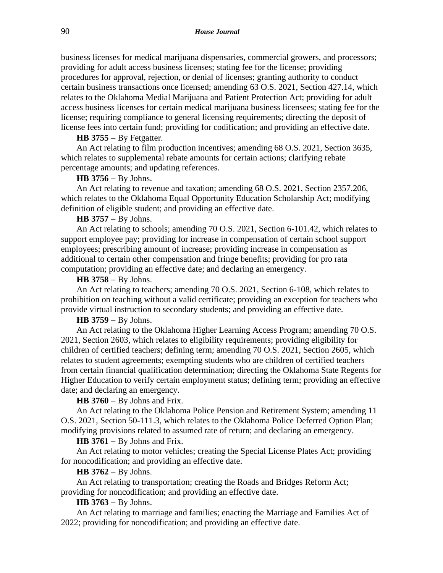business licenses for medical marijuana dispensaries, commercial growers, and processors; providing for adult access business licenses; stating fee for the license; providing procedures for approval, rejection, or denial of licenses; granting authority to conduct certain business transactions once licensed; amending 63 O.S. 2021, Section 427.14, which relates to the Oklahoma Medial Marijuana and Patient Protection Act; providing for adult access business licenses for certain medical marijuana business licensees; stating fee for the license; requiring compliance to general licensing requirements; directing the deposit of license fees into certain fund; providing for codification; and providing an effective date.

### **HB 3755** − By Fetgatter.

An Act relating to film production incentives; amending 68 O.S. 2021, Section 3635, which relates to supplemental rebate amounts for certain actions; clarifying rebate percentage amounts; and updating references.

## **HB 3756** − By Johns.

An Act relating to revenue and taxation; amending 68 O.S. 2021, Section 2357.206, which relates to the Oklahoma Equal Opportunity Education Scholarship Act; modifying definition of eligible student; and providing an effective date.

# **HB 3757** − By Johns.

An Act relating to schools; amending 70 O.S. 2021, Section 6-101.42, which relates to support employee pay; providing for increase in compensation of certain school support employees; prescribing amount of increase; providing increase in compensation as additional to certain other compensation and fringe benefits; providing for pro rata computation; providing an effective date; and declaring an emergency.

### **HB 3758** − By Johns.

An Act relating to teachers; amending 70 O.S. 2021, Section 6-108, which relates to prohibition on teaching without a valid certificate; providing an exception for teachers who provide virtual instruction to secondary students; and providing an effective date.

# **HB 3759** − By Johns.

An Act relating to the Oklahoma Higher Learning Access Program; amending 70 O.S. 2021, Section 2603, which relates to eligibility requirements; providing eligibility for children of certified teachers; defining term; amending 70 O.S. 2021, Section 2605, which relates to student agreements; exempting students who are children of certified teachers from certain financial qualification determination; directing the Oklahoma State Regents for Higher Education to verify certain employment status; defining term; providing an effective date; and declaring an emergency.

### **HB 3760** − By Johns and Frix.

An Act relating to the Oklahoma Police Pension and Retirement System; amending 11 O.S. 2021, Section 50-111.3, which relates to the Oklahoma Police Deferred Option Plan; modifying provisions related to assumed rate of return; and declaring an emergency.

## **HB 3761** − By Johns and Frix.

An Act relating to motor vehicles; creating the Special License Plates Act; providing for noncodification; and providing an effective date.

#### **HB 3762** − By Johns.

An Act relating to transportation; creating the Roads and Bridges Reform Act; providing for noncodification; and providing an effective date.

## **HB 3763** − By Johns.

An Act relating to marriage and families; enacting the Marriage and Families Act of 2022; providing for noncodification; and providing an effective date.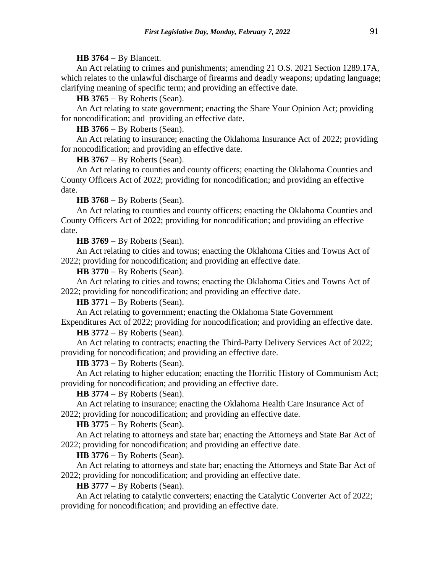## **HB 3764** − By Blancett.

An Act relating to crimes and punishments; amending 21 O.S. 2021 Section 1289.17A, which relates to the unlawful discharge of firearms and deadly weapons; updating language; clarifying meaning of specific term; and providing an effective date.

**HB 3765** − By Roberts (Sean).

An Act relating to state government; enacting the Share Your Opinion Act; providing for noncodification; and providing an effective date.

**HB 3766** − By Roberts (Sean).

An Act relating to insurance; enacting the Oklahoma Insurance Act of 2022; providing for noncodification; and providing an effective date.

**HB 3767** − By Roberts (Sean).

An Act relating to counties and county officers; enacting the Oklahoma Counties and County Officers Act of 2022; providing for noncodification; and providing an effective date.

**HB 3768** − By Roberts (Sean).

An Act relating to counties and county officers; enacting the Oklahoma Counties and County Officers Act of 2022; providing for noncodification; and providing an effective date.

**HB 3769** − By Roberts (Sean).

An Act relating to cities and towns; enacting the Oklahoma Cities and Towns Act of 2022; providing for noncodification; and providing an effective date.

**HB 3770** − By Roberts (Sean).

An Act relating to cities and towns; enacting the Oklahoma Cities and Towns Act of 2022; providing for noncodification; and providing an effective date.

**HB 3771** − By Roberts (Sean).

An Act relating to government; enacting the Oklahoma State Government Expenditures Act of 2022; providing for noncodification; and providing an effective date.

**HB 3772** − By Roberts (Sean).

An Act relating to contracts; enacting the Third-Party Delivery Services Act of 2022; providing for noncodification; and providing an effective date.

### **HB 3773** − By Roberts (Sean).

An Act relating to higher education; enacting the Horrific History of Communism Act; providing for noncodification; and providing an effective date.

**HB 3774** − By Roberts (Sean).

An Act relating to insurance; enacting the Oklahoma Health Care Insurance Act of 2022; providing for noncodification; and providing an effective date.

**HB 3775** − By Roberts (Sean).

An Act relating to attorneys and state bar; enacting the Attorneys and State Bar Act of 2022; providing for noncodification; and providing an effective date.

**HB 3776** − By Roberts (Sean).

An Act relating to attorneys and state bar; enacting the Attorneys and State Bar Act of 2022; providing for noncodification; and providing an effective date.

**HB 3777** − By Roberts (Sean).

An Act relating to catalytic converters; enacting the Catalytic Converter Act of 2022; providing for noncodification; and providing an effective date.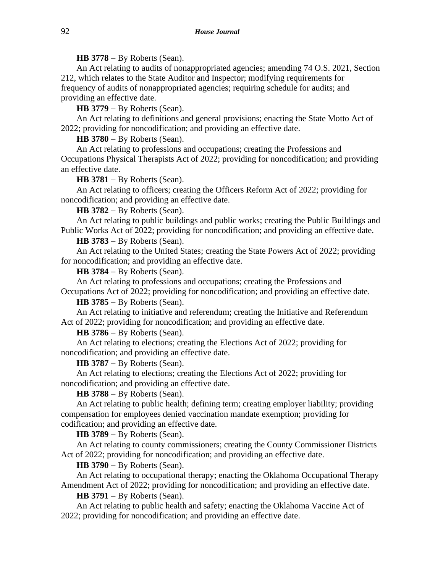# **HB 3778** − By Roberts (Sean).

An Act relating to audits of nonappropriated agencies; amending 74 O.S. 2021, Section 212, which relates to the State Auditor and Inspector; modifying requirements for frequency of audits of nonappropriated agencies; requiring schedule for audits; and providing an effective date.

**HB 3779** − By Roberts (Sean).

An Act relating to definitions and general provisions; enacting the State Motto Act of 2022; providing for noncodification; and providing an effective date.

**HB 3780** − By Roberts (Sean).

An Act relating to professions and occupations; creating the Professions and Occupations Physical Therapists Act of 2022; providing for noncodification; and providing an effective date.

**HB 3781** − By Roberts (Sean).

An Act relating to officers; creating the Officers Reform Act of 2022; providing for noncodification; and providing an effective date.

**HB 3782** − By Roberts (Sean).

An Act relating to public buildings and public works; creating the Public Buildings and Public Works Act of 2022; providing for noncodification; and providing an effective date.

**HB 3783** − By Roberts (Sean).

An Act relating to the United States; creating the State Powers Act of 2022; providing for noncodification; and providing an effective date.

# **HB 3784** − By Roberts (Sean).

An Act relating to professions and occupations; creating the Professions and Occupations Act of 2022; providing for noncodification; and providing an effective date.

**HB 3785** − By Roberts (Sean).

An Act relating to initiative and referendum; creating the Initiative and Referendum Act of 2022; providing for noncodification; and providing an effective date.

**HB 3786** − By Roberts (Sean).

An Act relating to elections; creating the Elections Act of 2022; providing for noncodification; and providing an effective date.

# **HB 3787** − By Roberts (Sean).

An Act relating to elections; creating the Elections Act of 2022; providing for noncodification; and providing an effective date.

**HB 3788** − By Roberts (Sean).

An Act relating to public health; defining term; creating employer liability; providing compensation for employees denied vaccination mandate exemption; providing for codification; and providing an effective date.

**HB 3789** − By Roberts (Sean).

An Act relating to county commissioners; creating the County Commissioner Districts Act of 2022; providing for noncodification; and providing an effective date.

**HB 3790** − By Roberts (Sean).

An Act relating to occupational therapy; enacting the Oklahoma Occupational Therapy Amendment Act of 2022; providing for noncodification; and providing an effective date.

**HB 3791** − By Roberts (Sean).

An Act relating to public health and safety; enacting the Oklahoma Vaccine Act of 2022; providing for noncodification; and providing an effective date.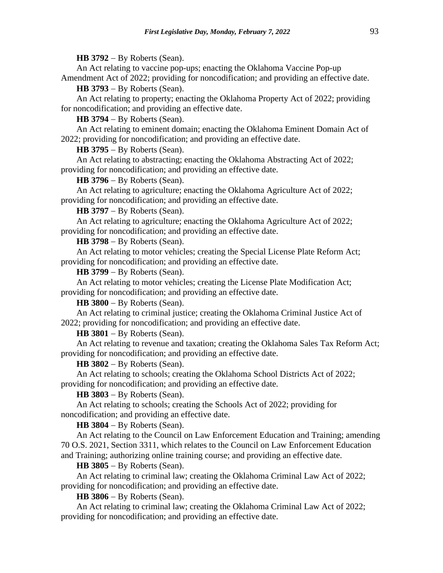**HB 3792** − By Roberts (Sean).

An Act relating to vaccine pop-ups; enacting the Oklahoma Vaccine Pop-up Amendment Act of 2022; providing for noncodification; and providing an effective date.

**HB 3793** − By Roberts (Sean).

An Act relating to property; enacting the Oklahoma Property Act of 2022; providing for noncodification; and providing an effective date.

**HB 3794** − By Roberts (Sean).

An Act relating to eminent domain; enacting the Oklahoma Eminent Domain Act of 2022; providing for noncodification; and providing an effective date.

**HB 3795** − By Roberts (Sean).

An Act relating to abstracting; enacting the Oklahoma Abstracting Act of 2022; providing for noncodification; and providing an effective date.

**HB 3796** − By Roberts (Sean).

An Act relating to agriculture; enacting the Oklahoma Agriculture Act of 2022; providing for noncodification; and providing an effective date.

**HB 3797** − By Roberts (Sean).

An Act relating to agriculture; enacting the Oklahoma Agriculture Act of 2022; providing for noncodification; and providing an effective date.

**HB 3798** − By Roberts (Sean).

An Act relating to motor vehicles; creating the Special License Plate Reform Act; providing for noncodification; and providing an effective date.

**HB 3799** − By Roberts (Sean).

An Act relating to motor vehicles; creating the License Plate Modification Act; providing for noncodification; and providing an effective date.

**HB 3800** − By Roberts (Sean).

An Act relating to criminal justice; creating the Oklahoma Criminal Justice Act of 2022; providing for noncodification; and providing an effective date.

**HB 3801** − By Roberts (Sean).

An Act relating to revenue and taxation; creating the Oklahoma Sales Tax Reform Act; providing for noncodification; and providing an effective date.

**HB 3802** − By Roberts (Sean).

An Act relating to schools; creating the Oklahoma School Districts Act of 2022; providing for noncodification; and providing an effective date.

**HB 3803** − By Roberts (Sean).

An Act relating to schools; creating the Schools Act of 2022; providing for noncodification; and providing an effective date.

**HB 3804** − By Roberts (Sean).

An Act relating to the Council on Law Enforcement Education and Training; amending 70 O.S. 2021, Section 3311, which relates to the Council on Law Enforcement Education and Training; authorizing online training course; and providing an effective date.

**HB 3805** − By Roberts (Sean).

An Act relating to criminal law; creating the Oklahoma Criminal Law Act of 2022; providing for noncodification; and providing an effective date.

**HB 3806** − By Roberts (Sean).

An Act relating to criminal law; creating the Oklahoma Criminal Law Act of 2022; providing for noncodification; and providing an effective date.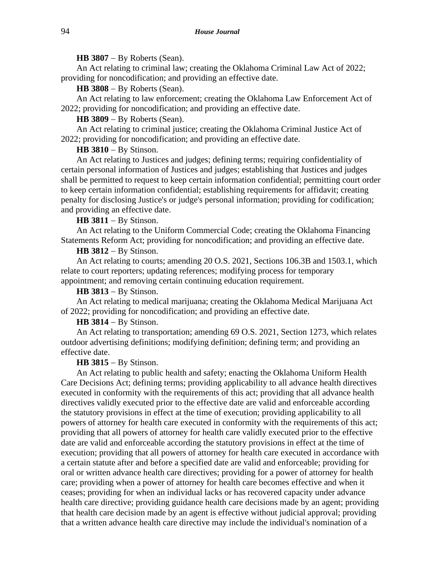**HB 3807** − By Roberts (Sean).

An Act relating to criminal law; creating the Oklahoma Criminal Law Act of 2022; providing for noncodification; and providing an effective date.

**HB 3808** − By Roberts (Sean).

An Act relating to law enforcement; creating the Oklahoma Law Enforcement Act of 2022; providing for noncodification; and providing an effective date.

**HB 3809** − By Roberts (Sean).

An Act relating to criminal justice; creating the Oklahoma Criminal Justice Act of 2022; providing for noncodification; and providing an effective date.

**HB 3810** − By Stinson.

An Act relating to Justices and judges; defining terms; requiring confidentiality of certain personal information of Justices and judges; establishing that Justices and judges shall be permitted to request to keep certain information confidential; permitting court order to keep certain information confidential; establishing requirements for affidavit; creating penalty for disclosing Justice's or judge's personal information; providing for codification; and providing an effective date.

**HB 3811** − By Stinson.

An Act relating to the Uniform Commercial Code; creating the Oklahoma Financing Statements Reform Act; providing for noncodification; and providing an effective date.

**HB 3812** − By Stinson.

An Act relating to courts; amending 20 O.S. 2021, Sections 106.3B and 1503.1, which relate to court reporters; updating references; modifying process for temporary appointment; and removing certain continuing education requirement.

**HB 3813** − By Stinson.

An Act relating to medical marijuana; creating the Oklahoma Medical Marijuana Act of 2022; providing for noncodification; and providing an effective date.

# **HB 3814** − By Stinson.

An Act relating to transportation; amending 69 O.S. 2021, Section 1273, which relates outdoor advertising definitions; modifying definition; defining term; and providing an effective date.

**HB 3815** − By Stinson.

An Act relating to public health and safety; enacting the Oklahoma Uniform Health Care Decisions Act; defining terms; providing applicability to all advance health directives executed in conformity with the requirements of this act; providing that all advance health directives validly executed prior to the effective date are valid and enforceable according the statutory provisions in effect at the time of execution; providing applicability to all powers of attorney for health care executed in conformity with the requirements of this act; providing that all powers of attorney for health care validly executed prior to the effective date are valid and enforceable according the statutory provisions in effect at the time of execution; providing that all powers of attorney for health care executed in accordance with a certain statute after and before a specified date are valid and enforceable; providing for oral or written advance health care directives; providing for a power of attorney for health care; providing when a power of attorney for health care becomes effective and when it ceases; providing for when an individual lacks or has recovered capacity under advance health care directive; providing guidance health care decisions made by an agent; providing that health care decision made by an agent is effective without judicial approval; providing that a written advance health care directive may include the individual's nomination of a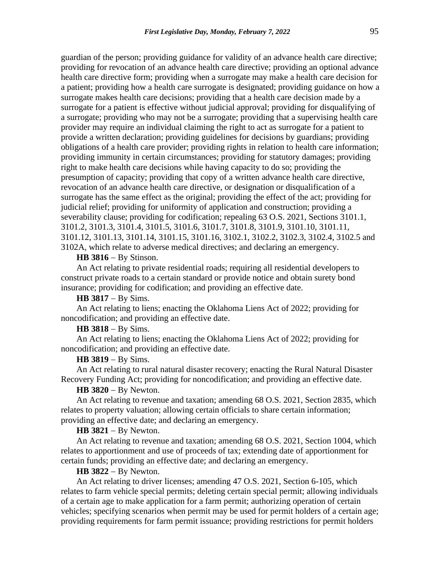guardian of the person; providing guidance for validity of an advance health care directive; providing for revocation of an advance health care directive; providing an optional advance health care directive form; providing when a surrogate may make a health care decision for a patient; providing how a health care surrogate is designated; providing guidance on how a surrogate makes health care decisions; providing that a health care decision made by a surrogate for a patient is effective without judicial approval; providing for disqualifying of a surrogate; providing who may not be a surrogate; providing that a supervising health care provider may require an individual claiming the right to act as surrogate for a patient to provide a written declaration; providing guidelines for decisions by guardians; providing obligations of a health care provider; providing rights in relation to health care information; providing immunity in certain circumstances; providing for statutory damages; providing right to make health care decisions while having capacity to do so; providing the presumption of capacity; providing that copy of a written advance health care directive, revocation of an advance health care directive, or designation or disqualification of a surrogate has the same effect as the original; providing the effect of the act; providing for judicial relief; providing for uniformity of application and construction; providing a severability clause; providing for codification; repealing 63 O.S. 2021, Sections 3101.1, 3101.2, 3101.3, 3101.4, 3101.5, 3101.6, 3101.7, 3101.8, 3101.9, 3101.10, 3101.11, 3101.12, 3101.13, 3101.14, 3101.15, 3101.16, 3102.1, 3102.2, 3102.3, 3102.4, 3102.5 and 3102A, which relate to adverse medical directives; and declaring an emergency.

#### **HB 3816** − By Stinson.

An Act relating to private residential roads; requiring all residential developers to construct private roads to a certain standard or provide notice and obtain surety bond insurance; providing for codification; and providing an effective date.

**HB 3817** − By Sims.

An Act relating to liens; enacting the Oklahoma Liens Act of 2022; providing for noncodification; and providing an effective date.

#### **HB 3818** − By Sims.

An Act relating to liens; enacting the Oklahoma Liens Act of 2022; providing for noncodification; and providing an effective date.

## **HB 3819** − By Sims.

An Act relating to rural natural disaster recovery; enacting the Rural Natural Disaster Recovery Funding Act; providing for noncodification; and providing an effective date.

# **HB 3820** − By Newton.

An Act relating to revenue and taxation; amending 68 O.S. 2021, Section 2835, which relates to property valuation; allowing certain officials to share certain information; providing an effective date; and declaring an emergency.

## **HB 3821** − By Newton.

An Act relating to revenue and taxation; amending 68 O.S. 2021, Section 1004, which relates to apportionment and use of proceeds of tax; extending date of apportionment for certain funds; providing an effective date; and declaring an emergency.

# **HB 3822** − By Newton.

An Act relating to driver licenses; amending 47 O.S. 2021, Section 6-105, which relates to farm vehicle special permits; deleting certain special permit; allowing individuals of a certain age to make application for a farm permit; authorizing operation of certain vehicles; specifying scenarios when permit may be used for permit holders of a certain age; providing requirements for farm permit issuance; providing restrictions for permit holders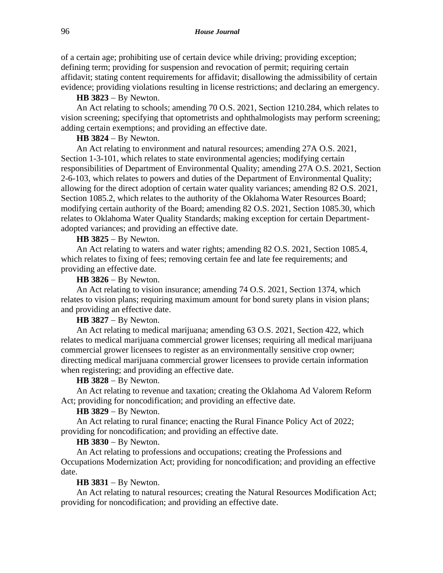of a certain age; prohibiting use of certain device while driving; providing exception; defining term; providing for suspension and revocation of permit; requiring certain affidavit; stating content requirements for affidavit; disallowing the admissibility of certain evidence; providing violations resulting in license restrictions; and declaring an emergency.

**HB 3823** − By Newton.

An Act relating to schools; amending 70 O.S. 2021, Section 1210.284, which relates to vision screening; specifying that optometrists and ophthalmologists may perform screening; adding certain exemptions; and providing an effective date.

**HB 3824** − By Newton.

An Act relating to environment and natural resources; amending 27A O.S. 2021, Section 1-3-101, which relates to state environmental agencies; modifying certain responsibilities of Department of Environmental Quality; amending 27A O.S. 2021, Section 2-6-103, which relates to powers and duties of the Department of Environmental Quality; allowing for the direct adoption of certain water quality variances; amending 82 O.S. 2021, Section 1085.2, which relates to the authority of the Oklahoma Water Resources Board; modifying certain authority of the Board; amending 82 O.S. 2021, Section 1085.30, which relates to Oklahoma Water Quality Standards; making exception for certain Departmentadopted variances; and providing an effective date.

**HB 3825** − By Newton.

An Act relating to waters and water rights; amending 82 O.S. 2021, Section 1085.4, which relates to fixing of fees; removing certain fee and late fee requirements; and providing an effective date.

**HB 3826** − By Newton.

An Act relating to vision insurance; amending 74 O.S. 2021, Section 1374, which relates to vision plans; requiring maximum amount for bond surety plans in vision plans; and providing an effective date.

**HB 3827** − By Newton.

An Act relating to medical marijuana; amending 63 O.S. 2021, Section 422, which relates to medical marijuana commercial grower licenses; requiring all medical marijuana commercial grower licensees to register as an environmentally sensitive crop owner; directing medical marijuana commercial grower licensees to provide certain information when registering; and providing an effective date.

**HB 3828** − By Newton.

An Act relating to revenue and taxation; creating the Oklahoma Ad Valorem Reform Act; providing for noncodification; and providing an effective date.

**HB 3829** − By Newton.

An Act relating to rural finance; enacting the Rural Finance Policy Act of 2022; providing for noncodification; and providing an effective date.

**HB 3830** − By Newton.

An Act relating to professions and occupations; creating the Professions and Occupations Modernization Act; providing for noncodification; and providing an effective date.

**HB 3831** − By Newton.

An Act relating to natural resources; creating the Natural Resources Modification Act; providing for noncodification; and providing an effective date.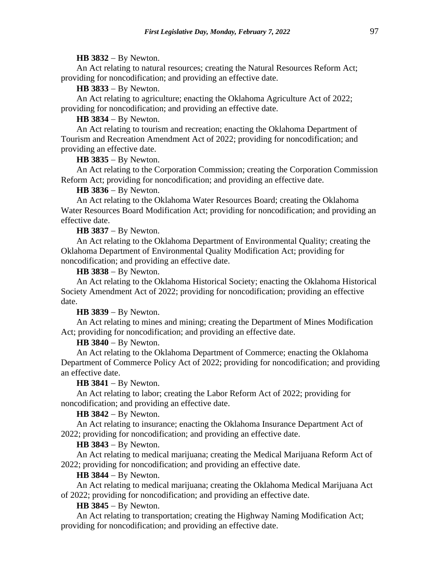#### **HB 3832** − By Newton.

An Act relating to natural resources; creating the Natural Resources Reform Act; providing for noncodification; and providing an effective date.

**HB 3833** − By Newton.

An Act relating to agriculture; enacting the Oklahoma Agriculture Act of 2022; providing for noncodification; and providing an effective date.

**HB 3834** − By Newton.

An Act relating to tourism and recreation; enacting the Oklahoma Department of Tourism and Recreation Amendment Act of 2022; providing for noncodification; and providing an effective date.

**HB 3835** − By Newton.

An Act relating to the Corporation Commission; creating the Corporation Commission Reform Act; providing for noncodification; and providing an effective date.

**HB 3836** − By Newton.

An Act relating to the Oklahoma Water Resources Board; creating the Oklahoma Water Resources Board Modification Act; providing for noncodification; and providing an effective date.

**HB 3837** − By Newton.

An Act relating to the Oklahoma Department of Environmental Quality; creating the Oklahoma Department of Environmental Quality Modification Act; providing for noncodification; and providing an effective date.

**HB 3838** − By Newton.

An Act relating to the Oklahoma Historical Society; enacting the Oklahoma Historical Society Amendment Act of 2022; providing for noncodification; providing an effective date.

**HB 3839** − By Newton.

An Act relating to mines and mining; creating the Department of Mines Modification Act; providing for noncodification; and providing an effective date.

**HB 3840** − By Newton.

An Act relating to the Oklahoma Department of Commerce; enacting the Oklahoma Department of Commerce Policy Act of 2022; providing for noncodification; and providing an effective date.

**HB 3841** − By Newton.

An Act relating to labor; creating the Labor Reform Act of 2022; providing for noncodification; and providing an effective date.

**HB 3842** − By Newton.

An Act relating to insurance; enacting the Oklahoma Insurance Department Act of 2022; providing for noncodification; and providing an effective date.

**HB 3843** − By Newton.

An Act relating to medical marijuana; creating the Medical Marijuana Reform Act of 2022; providing for noncodification; and providing an effective date.

**HB 3844** − By Newton.

An Act relating to medical marijuana; creating the Oklahoma Medical Marijuana Act of 2022; providing for noncodification; and providing an effective date.

**HB 3845** − By Newton.

An Act relating to transportation; creating the Highway Naming Modification Act; providing for noncodification; and providing an effective date.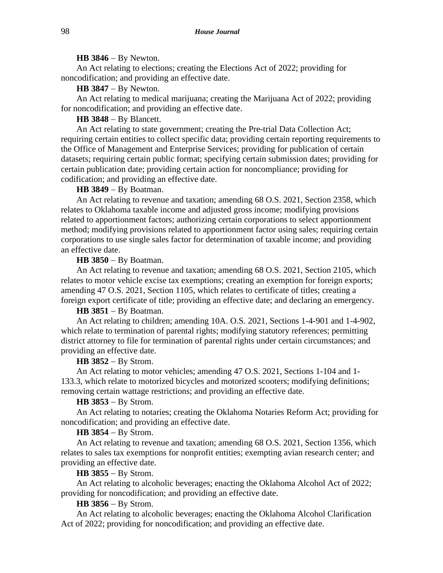#### **HB 3846** − By Newton.

An Act relating to elections; creating the Elections Act of 2022; providing for noncodification; and providing an effective date.

**HB 3847** − By Newton.

An Act relating to medical marijuana; creating the Marijuana Act of 2022; providing for noncodification; and providing an effective date.

# **HB 3848** − By Blancett.

An Act relating to state government; creating the Pre-trial Data Collection Act; requiring certain entities to collect specific data; providing certain reporting requirements to the Office of Management and Enterprise Services; providing for publication of certain datasets; requiring certain public format; specifying certain submission dates; providing for certain publication date; providing certain action for noncompliance; providing for codification; and providing an effective date.

## **HB 3849** − By Boatman.

An Act relating to revenue and taxation; amending 68 O.S. 2021, Section 2358, which relates to Oklahoma taxable income and adjusted gross income; modifying provisions related to apportionment factors; authorizing certain corporations to select apportionment method; modifying provisions related to apportionment factor using sales; requiring certain corporations to use single sales factor for determination of taxable income; and providing an effective date.

## **HB 3850** − By Boatman.

An Act relating to revenue and taxation; amending 68 O.S. 2021, Section 2105, which relates to motor vehicle excise tax exemptions; creating an exemption for foreign exports; amending 47 O.S. 2021, Section 1105, which relates to certificate of titles; creating a foreign export certificate of title; providing an effective date; and declaring an emergency.

# **HB 3851** − By Boatman.

An Act relating to children; amending 10A. O.S. 2021, Sections 1-4-901 and 1-4-902, which relate to termination of parental rights; modifying statutory references; permitting district attorney to file for termination of parental rights under certain circumstances; and providing an effective date.

### **HB 3852** − By Strom.

An Act relating to motor vehicles; amending 47 O.S. 2021, Sections 1-104 and 1- 133.3, which relate to motorized bicycles and motorized scooters; modifying definitions; removing certain wattage restrictions; and providing an effective date.

#### **HB 3853** − By Strom.

An Act relating to notaries; creating the Oklahoma Notaries Reform Act; providing for noncodification; and providing an effective date.

## **HB 3854** − By Strom.

An Act relating to revenue and taxation; amending 68 O.S. 2021, Section 1356, which relates to sales tax exemptions for nonprofit entities; exempting avian research center; and providing an effective date.

## **HB 3855** − By Strom.

An Act relating to alcoholic beverages; enacting the Oklahoma Alcohol Act of 2022; providing for noncodification; and providing an effective date.

#### **HB 3856** − By Strom.

An Act relating to alcoholic beverages; enacting the Oklahoma Alcohol Clarification Act of 2022; providing for noncodification; and providing an effective date.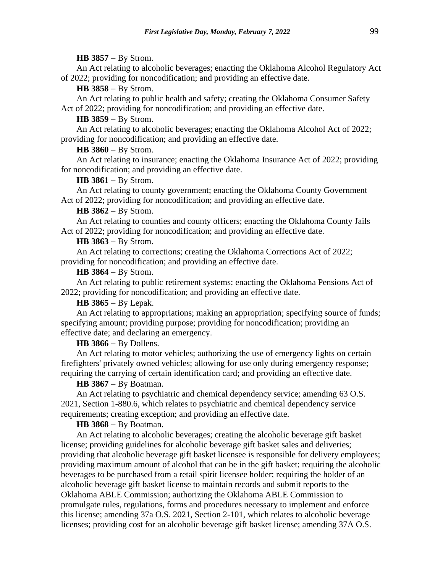#### **HB 3857** − By Strom.

An Act relating to alcoholic beverages; enacting the Oklahoma Alcohol Regulatory Act of 2022; providing for noncodification; and providing an effective date.

**HB 3858** − By Strom.

An Act relating to public health and safety; creating the Oklahoma Consumer Safety Act of 2022; providing for noncodification; and providing an effective date.

# **HB 3859** − By Strom.

An Act relating to alcoholic beverages; enacting the Oklahoma Alcohol Act of 2022; providing for noncodification; and providing an effective date.

#### **HB 3860** − By Strom.

An Act relating to insurance; enacting the Oklahoma Insurance Act of 2022; providing for noncodification; and providing an effective date.

## **HB 3861** − By Strom.

An Act relating to county government; enacting the Oklahoma County Government Act of 2022; providing for noncodification; and providing an effective date.

#### **HB 3862** − By Strom.

An Act relating to counties and county officers; enacting the Oklahoma County Jails Act of 2022; providing for noncodification; and providing an effective date.

## **HB 3863** − By Strom.

An Act relating to corrections; creating the Oklahoma Corrections Act of 2022; providing for noncodification; and providing an effective date.

### **HB 3864** − By Strom.

An Act relating to public retirement systems; enacting the Oklahoma Pensions Act of 2022; providing for noncodification; and providing an effective date.

## **HB 3865** − By Lepak.

An Act relating to appropriations; making an appropriation; specifying source of funds; specifying amount; providing purpose; providing for noncodification; providing an effective date; and declaring an emergency.

## **HB 3866** − By Dollens.

An Act relating to motor vehicles; authorizing the use of emergency lights on certain firefighters' privately owned vehicles; allowing for use only during emergency response; requiring the carrying of certain identification card; and providing an effective date.

### **HB 3867** − By Boatman.

An Act relating to psychiatric and chemical dependency service; amending 63 O.S. 2021, Section 1-880.6, which relates to psychiatric and chemical dependency service requirements; creating exception; and providing an effective date.

### **HB 3868** − By Boatman.

An Act relating to alcoholic beverages; creating the alcoholic beverage gift basket license; providing guidelines for alcoholic beverage gift basket sales and deliveries; providing that alcoholic beverage gift basket licensee is responsible for delivery employees; providing maximum amount of alcohol that can be in the gift basket; requiring the alcoholic beverages to be purchased from a retail spirit licensee holder; requiring the holder of an alcoholic beverage gift basket license to maintain records and submit reports to the Oklahoma ABLE Commission; authorizing the Oklahoma ABLE Commission to promulgate rules, regulations, forms and procedures necessary to implement and enforce this license; amending 37a O.S. 2021, Section 2-101, which relates to alcoholic beverage licenses; providing cost for an alcoholic beverage gift basket license; amending 37A O.S.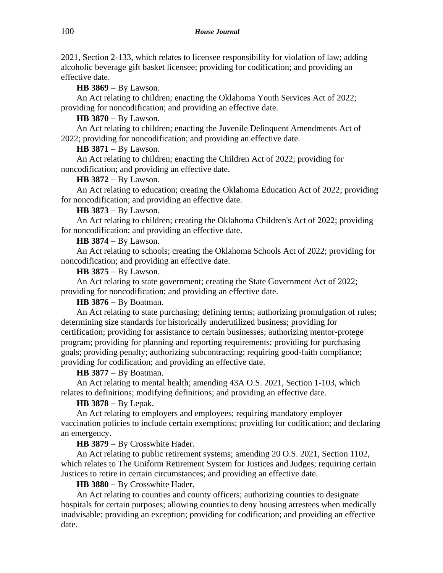2021, Section 2-133, which relates to licensee responsibility for violation of law; adding alcoholic beverage gift basket licensee; providing for codification; and providing an effective date.

**HB 3869** − By Lawson.

An Act relating to children; enacting the Oklahoma Youth Services Act of 2022; providing for noncodification; and providing an effective date.

**HB 3870** − By Lawson.

An Act relating to children; enacting the Juvenile Delinquent Amendments Act of 2022; providing for noncodification; and providing an effective date.

**HB 3871** − By Lawson.

An Act relating to children; enacting the Children Act of 2022; providing for noncodification; and providing an effective date.

**HB 3872** − By Lawson.

An Act relating to education; creating the Oklahoma Education Act of 2022; providing for noncodification; and providing an effective date.

**HB 3873** − By Lawson.

An Act relating to children; creating the Oklahoma Children's Act of 2022; providing for noncodification; and providing an effective date.

**HB 3874** − By Lawson.

An Act relating to schools; creating the Oklahoma Schools Act of 2022; providing for noncodification; and providing an effective date.

**HB 3875** − By Lawson.

An Act relating to state government; creating the State Government Act of 2022; providing for noncodification; and providing an effective date.

**HB 3876** − By Boatman.

An Act relating to state purchasing; defining terms; authorizing promulgation of rules; determining size standards for historically underutilized business; providing for certification; providing for assistance to certain businesses; authorizing mentor-protege program; providing for planning and reporting requirements; providing for purchasing goals; providing penalty; authorizing subcontracting; requiring good-faith compliance; providing for codification; and providing an effective date.

**HB 3877** − By Boatman.

An Act relating to mental health; amending 43A O.S. 2021, Section 1-103, which relates to definitions; modifying definitions; and providing an effective date.

**HB 3878** − By Lepak.

An Act relating to employers and employees; requiring mandatory employer vaccination policies to include certain exemptions; providing for codification; and declaring an emergency.

**HB 3879** − By Crosswhite Hader.

An Act relating to public retirement systems; amending 20 O.S. 2021, Section 1102, which relates to The Uniform Retirement System for Justices and Judges; requiring certain Justices to retire in certain circumstances; and providing an effective date.

**HB 3880** − By Crosswhite Hader.

An Act relating to counties and county officers; authorizing counties to designate hospitals for certain purposes; allowing counties to deny housing arrestees when medically inadvisable; providing an exception; providing for codification; and providing an effective date.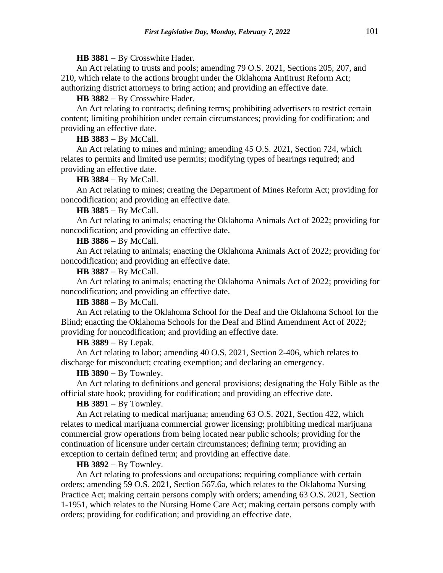**HB 3881** − By Crosswhite Hader.

An Act relating to trusts and pools; amending 79 O.S. 2021, Sections 205, 207, and 210, which relate to the actions brought under the Oklahoma Antitrust Reform Act; authorizing district attorneys to bring action; and providing an effective date.

**HB 3882** − By Crosswhite Hader.

An Act relating to contracts; defining terms; prohibiting advertisers to restrict certain content; limiting prohibition under certain circumstances; providing for codification; and providing an effective date.

**HB 3883** − By McCall.

An Act relating to mines and mining; amending 45 O.S. 2021, Section 724, which relates to permits and limited use permits; modifying types of hearings required; and providing an effective date.

**HB 3884** − By McCall.

An Act relating to mines; creating the Department of Mines Reform Act; providing for noncodification; and providing an effective date.

**HB 3885** − By McCall.

An Act relating to animals; enacting the Oklahoma Animals Act of 2022; providing for noncodification; and providing an effective date.

**HB 3886** − By McCall.

An Act relating to animals; enacting the Oklahoma Animals Act of 2022; providing for noncodification; and providing an effective date.

**HB 3887** − By McCall.

An Act relating to animals; enacting the Oklahoma Animals Act of 2022; providing for noncodification; and providing an effective date.

**HB 3888** − By McCall.

An Act relating to the Oklahoma School for the Deaf and the Oklahoma School for the Blind; enacting the Oklahoma Schools for the Deaf and Blind Amendment Act of 2022; providing for noncodification; and providing an effective date.

**HB 3889** − By Lepak.

An Act relating to labor; amending 40 O.S. 2021, Section 2-406, which relates to discharge for misconduct; creating exemption; and declaring an emergency.

**HB 3890** − By Townley.

An Act relating to definitions and general provisions; designating the Holy Bible as the official state book; providing for codification; and providing an effective date.

**HB 3891** − By Townley.

An Act relating to medical marijuana; amending 63 O.S. 2021, Section 422, which relates to medical marijuana commercial grower licensing; prohibiting medical marijuana commercial grow operations from being located near public schools; providing for the continuation of licensure under certain circumstances; defining term; providing an exception to certain defined term; and providing an effective date.

**HB 3892** − By Townley.

An Act relating to professions and occupations; requiring compliance with certain orders; amending 59 O.S. 2021, Section 567.6a, which relates to the Oklahoma Nursing Practice Act; making certain persons comply with orders; amending 63 O.S. 2021, Section 1-1951, which relates to the Nursing Home Care Act; making certain persons comply with orders; providing for codification; and providing an effective date.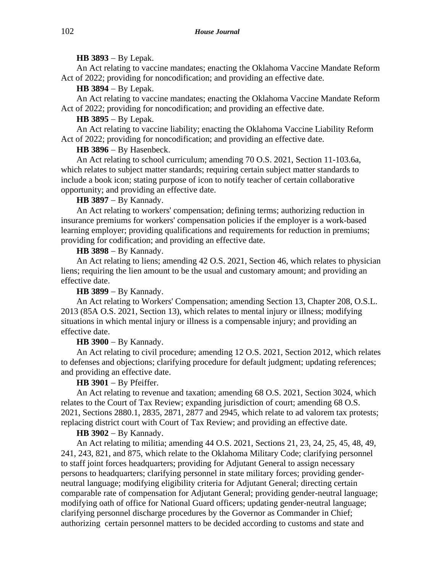## **HB 3893** − By Lepak.

An Act relating to vaccine mandates; enacting the Oklahoma Vaccine Mandate Reform Act of 2022; providing for noncodification; and providing an effective date.

**HB 3894** − By Lepak.

An Act relating to vaccine mandates; enacting the Oklahoma Vaccine Mandate Reform Act of 2022; providing for noncodification; and providing an effective date.

**HB 3895** − By Lepak.

An Act relating to vaccine liability; enacting the Oklahoma Vaccine Liability Reform Act of 2022; providing for noncodification; and providing an effective date.

**HB 3896** − By Hasenbeck.

An Act relating to school curriculum; amending 70 O.S. 2021, Section 11-103.6a, which relates to subject matter standards; requiring certain subject matter standards to include a book icon; stating purpose of icon to notify teacher of certain collaborative opportunity; and providing an effective date.

# **HB 3897** − By Kannady.

An Act relating to workers' compensation; defining terms; authorizing reduction in insurance premiums for workers' compensation policies if the employer is a work-based learning employer; providing qualifications and requirements for reduction in premiums; providing for codification; and providing an effective date.

**HB 3898** − By Kannady.

An Act relating to liens; amending 42 O.S. 2021, Section 46, which relates to physician liens; requiring the lien amount to be the usual and customary amount; and providing an effective date.

**HB 3899** − By Kannady.

An Act relating to Workers' Compensation; amending Section 13, Chapter 208, O.S.L. 2013 (85A O.S. 2021, Section 13), which relates to mental injury or illness; modifying situations in which mental injury or illness is a compensable injury; and providing an effective date.

**HB 3900** − By Kannady.

An Act relating to civil procedure; amending 12 O.S. 2021, Section 2012, which relates to defenses and objections; clarifying procedure for default judgment; updating references; and providing an effective date.

# **HB 3901** − By Pfeiffer.

An Act relating to revenue and taxation; amending 68 O.S. 2021, Section 3024, which relates to the Court of Tax Review; expanding jurisdiction of court; amending 68 O.S. 2021, Sections 2880.1, 2835, 2871, 2877 and 2945, which relate to ad valorem tax protests; replacing district court with Court of Tax Review; and providing an effective date.

**HB 3902** − By Kannady.

An Act relating to militia; amending 44 O.S. 2021, Sections 21, 23, 24, 25, 45, 48, 49, 241, 243, 821, and 875, which relate to the Oklahoma Military Code; clarifying personnel to staff joint forces headquarters; providing for Adjutant General to assign necessary persons to headquarters; clarifying personnel in state military forces; providing genderneutral language; modifying eligibility criteria for Adjutant General; directing certain comparable rate of compensation for Adjutant General; providing gender-neutral language; modifying oath of office for National Guard officers; updating gender-neutral language; clarifying personnel discharge procedures by the Governor as Commander in Chief; authorizing certain personnel matters to be decided according to customs and state and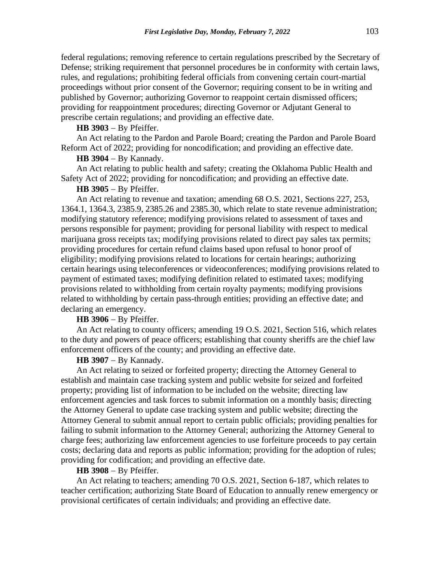federal regulations; removing reference to certain regulations prescribed by the Secretary of Defense; striking requirement that personnel procedures be in conformity with certain laws, rules, and regulations; prohibiting federal officials from convening certain court-martial proceedings without prior consent of the Governor; requiring consent to be in writing and published by Governor; authorizing Governor to reappoint certain dismissed officers; providing for reappointment procedures; directing Governor or Adjutant General to prescribe certain regulations; and providing an effective date.

### **HB 3903** − By Pfeiffer.

An Act relating to the Pardon and Parole Board; creating the Pardon and Parole Board Reform Act of 2022; providing for noncodification; and providing an effective date.

## **HB 3904** − By Kannady.

An Act relating to public health and safety; creating the Oklahoma Public Health and Safety Act of 2022; providing for noncodification; and providing an effective date.

# **HB 3905** − By Pfeiffer.

An Act relating to revenue and taxation; amending 68 O.S. 2021, Sections 227, 253, 1364.1, 1364.3, 2385.9, 2385.26 and 2385.30, which relate to state revenue administration; modifying statutory reference; modifying provisions related to assessment of taxes and persons responsible for payment; providing for personal liability with respect to medical marijuana gross receipts tax; modifying provisions related to direct pay sales tax permits; providing procedures for certain refund claims based upon refusal to honor proof of eligibility; modifying provisions related to locations for certain hearings; authorizing certain hearings using teleconferences or videoconferences; modifying provisions related to payment of estimated taxes; modifying definition related to estimated taxes; modifying provisions related to withholding from certain royalty payments; modifying provisions related to withholding by certain pass-through entities; providing an effective date; and declaring an emergency.

## **HB 3906** − By Pfeiffer.

An Act relating to county officers; amending 19 O.S. 2021, Section 516, which relates to the duty and powers of peace officers; establishing that county sheriffs are the chief law enforcement officers of the county; and providing an effective date.

## **HB 3907** − By Kannady.

An Act relating to seized or forfeited property; directing the Attorney General to establish and maintain case tracking system and public website for seized and forfeited property; providing list of information to be included on the website; directing law enforcement agencies and task forces to submit information on a monthly basis; directing the Attorney General to update case tracking system and public website; directing the Attorney General to submit annual report to certain public officials; providing penalties for failing to submit information to the Attorney General; authorizing the Attorney General to charge fees; authorizing law enforcement agencies to use forfeiture proceeds to pay certain costs; declaring data and reports as public information; providing for the adoption of rules; providing for codification; and providing an effective date.

#### **HB 3908** − By Pfeiffer.

An Act relating to teachers; amending 70 O.S. 2021, Section 6-187, which relates to teacher certification; authorizing State Board of Education to annually renew emergency or provisional certificates of certain individuals; and providing an effective date.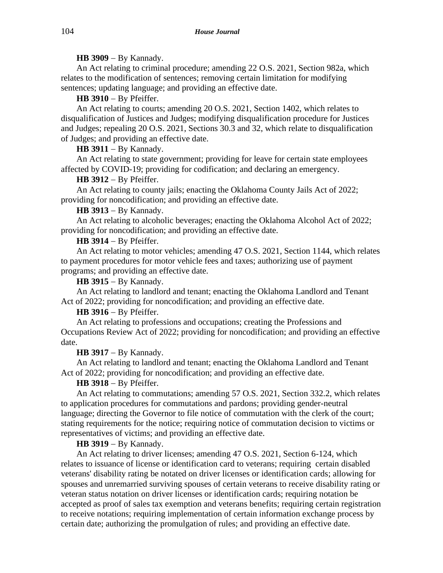# **HB 3909** − By Kannady.

An Act relating to criminal procedure; amending 22 O.S. 2021, Section 982a, which relates to the modification of sentences; removing certain limitation for modifying sentences; updating language; and providing an effective date.

# **HB 3910** − By Pfeiffer.

An Act relating to courts; amending 20 O.S. 2021, Section 1402, which relates to disqualification of Justices and Judges; modifying disqualification procedure for Justices and Judges; repealing 20 O.S. 2021, Sections 30.3 and 32, which relate to disqualification of Judges; and providing an effective date.

# **HB 3911** − By Kannady.

An Act relating to state government; providing for leave for certain state employees affected by COVID-19; providing for codification; and declaring an emergency.

# **HB 3912** − By Pfeiffer.

An Act relating to county jails; enacting the Oklahoma County Jails Act of 2022; providing for noncodification; and providing an effective date.

# **HB 3913** − By Kannady.

An Act relating to alcoholic beverages; enacting the Oklahoma Alcohol Act of 2022; providing for noncodification; and providing an effective date.

# **HB 3914** − By Pfeiffer.

An Act relating to motor vehicles; amending 47 O.S. 2021, Section 1144, which relates to payment procedures for motor vehicle fees and taxes; authorizing use of payment programs; and providing an effective date.

**HB 3915** − By Kannady.

An Act relating to landlord and tenant; enacting the Oklahoma Landlord and Tenant Act of 2022; providing for noncodification; and providing an effective date.

## **HB 3916** − By Pfeiffer.

An Act relating to professions and occupations; creating the Professions and Occupations Review Act of 2022; providing for noncodification; and providing an effective date.

# **HB 3917** − By Kannady.

An Act relating to landlord and tenant; enacting the Oklahoma Landlord and Tenant Act of 2022; providing for noncodification; and providing an effective date.

# **HB 3918** − By Pfeiffer.

An Act relating to commutations; amending 57 O.S. 2021, Section 332.2, which relates to application procedures for commutations and pardons; providing gender-neutral language; directing the Governor to file notice of commutation with the clerk of the court; stating requirements for the notice; requiring notice of commutation decision to victims or representatives of victims; and providing an effective date.

## **HB 3919** − By Kannady.

An Act relating to driver licenses; amending 47 O.S. 2021, Section 6-124, which relates to issuance of license or identification card to veterans; requiring certain disabled veterans' disability rating be notated on driver licenses or identification cards; allowing for spouses and unremarried surviving spouses of certain veterans to receive disability rating or veteran status notation on driver licenses or identification cards; requiring notation be accepted as proof of sales tax exemption and veterans benefits; requiring certain registration to receive notations; requiring implementation of certain information exchange process by certain date; authorizing the promulgation of rules; and providing an effective date.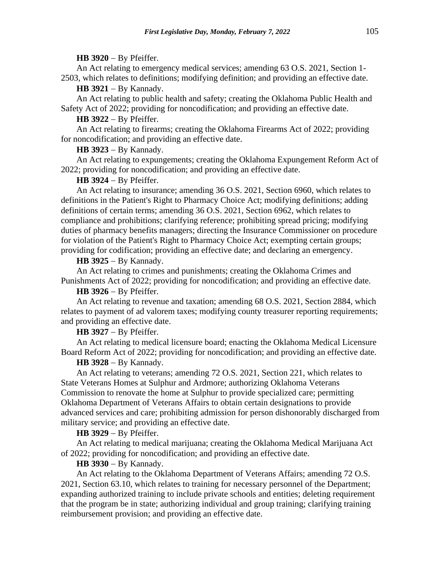#### **HB 3920** − By Pfeiffer.

An Act relating to emergency medical services; amending 63 O.S. 2021, Section 1- 2503, which relates to definitions; modifying definition; and providing an effective date.

**HB 3921** − By Kannady.

An Act relating to public health and safety; creating the Oklahoma Public Health and Safety Act of 2022; providing for noncodification; and providing an effective date.

**HB 3922** − By Pfeiffer.

An Act relating to firearms; creating the Oklahoma Firearms Act of 2022; providing for noncodification; and providing an effective date.

**HB 3923** − By Kannady.

An Act relating to expungements; creating the Oklahoma Expungement Reform Act of 2022; providing for noncodification; and providing an effective date.

## **HB 3924** − By Pfeiffer.

An Act relating to insurance; amending 36 O.S. 2021, Section 6960, which relates to definitions in the Patient's Right to Pharmacy Choice Act; modifying definitions; adding definitions of certain terms; amending 36 O.S. 2021, Section 6962, which relates to compliance and prohibitions; clarifying reference; prohibiting spread pricing; modifying duties of pharmacy benefits managers; directing the Insurance Commissioner on procedure for violation of the Patient's Right to Pharmacy Choice Act; exempting certain groups; providing for codification; providing an effective date; and declaring an emergency.

**HB 3925** − By Kannady.

An Act relating to crimes and punishments; creating the Oklahoma Crimes and Punishments Act of 2022; providing for noncodification; and providing an effective date.

#### **HB 3926** − By Pfeiffer.

An Act relating to revenue and taxation; amending 68 O.S. 2021, Section 2884, which relates to payment of ad valorem taxes; modifying county treasurer reporting requirements; and providing an effective date.

**HB 3927** − By Pfeiffer.

An Act relating to medical licensure board; enacting the Oklahoma Medical Licensure Board Reform Act of 2022; providing for noncodification; and providing an effective date.

#### **HB 3928** − By Kannady.

An Act relating to veterans; amending 72 O.S. 2021, Section 221, which relates to State Veterans Homes at Sulphur and Ardmore; authorizing Oklahoma Veterans Commission to renovate the home at Sulphur to provide specialized care; permitting Oklahoma Department of Veterans Affairs to obtain certain designations to provide advanced services and care; prohibiting admission for person dishonorably discharged from military service; and providing an effective date.

**HB 3929** − By Pfeiffer.

An Act relating to medical marijuana; creating the Oklahoma Medical Marijuana Act of 2022; providing for noncodification; and providing an effective date.

## **HB 3930** − By Kannady.

An Act relating to the Oklahoma Department of Veterans Affairs; amending 72 O.S. 2021, Section 63.10, which relates to training for necessary personnel of the Department; expanding authorized training to include private schools and entities; deleting requirement that the program be in state; authorizing individual and group training; clarifying training reimbursement provision; and providing an effective date.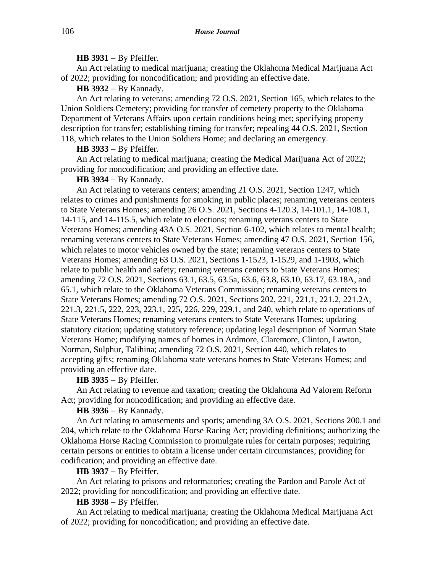## **HB 3931** − By Pfeiffer.

An Act relating to medical marijuana; creating the Oklahoma Medical Marijuana Act of 2022; providing for noncodification; and providing an effective date.

**HB 3932** − By Kannady.

An Act relating to veterans; amending 72 O.S. 2021, Section 165, which relates to the Union Soldiers Cemetery; providing for transfer of cemetery property to the Oklahoma Department of Veterans Affairs upon certain conditions being met; specifying property description for transfer; establishing timing for transfer; repealing 44 O.S. 2021, Section 118, which relates to the Union Soldiers Home; and declaring an emergency.

**HB 3933** − By Pfeiffer.

An Act relating to medical marijuana; creating the Medical Marijuana Act of 2022; providing for noncodification; and providing an effective date.

**HB 3934** − By Kannady.

An Act relating to veterans centers; amending 21 O.S. 2021, Section 1247, which relates to crimes and punishments for smoking in public places; renaming veterans centers to State Veterans Homes; amending 26 O.S. 2021, Sections 4-120.3, 14-101.1, 14-108.1, 14-115, and 14-115.5, which relate to elections; renaming veterans centers to State Veterans Homes; amending 43A O.S. 2021, Section 6-102, which relates to mental health; renaming veterans centers to State Veterans Homes; amending 47 O.S. 2021, Section 156, which relates to motor vehicles owned by the state; renaming veterans centers to State Veterans Homes; amending 63 O.S. 2021, Sections 1-1523, 1-1529, and 1-1903, which relate to public health and safety; renaming veterans centers to State Veterans Homes; amending 72 O.S. 2021, Sections 63.1, 63.5, 63.5a, 63.6, 63.8, 63.10, 63.17, 63.18A, and 65.1, which relate to the Oklahoma Veterans Commission; renaming veterans centers to State Veterans Homes; amending 72 O.S. 2021, Sections 202, 221, 221.1, 221.2, 221.2A, 221.3, 221.5, 222, 223, 223.1, 225, 226, 229, 229.1, and 240, which relate to operations of State Veterans Homes; renaming veterans centers to State Veterans Homes; updating statutory citation; updating statutory reference; updating legal description of Norman State Veterans Home; modifying names of homes in Ardmore, Claremore, Clinton, Lawton, Norman, Sulphur, Talihina; amending 72 O.S. 2021, Section 440, which relates to accepting gifts; renaming Oklahoma state veterans homes to State Veterans Homes; and providing an effective date.

**HB 3935** − By Pfeiffer.

An Act relating to revenue and taxation; creating the Oklahoma Ad Valorem Reform Act; providing for noncodification; and providing an effective date.

**HB 3936** − By Kannady.

An Act relating to amusements and sports; amending 3A O.S. 2021, Sections 200.1 and 204, which relate to the Oklahoma Horse Racing Act; providing definitions; authorizing the Oklahoma Horse Racing Commission to promulgate rules for certain purposes; requiring certain persons or entities to obtain a license under certain circumstances; providing for codification; and providing an effective date.

**HB 3937** − By Pfeiffer.

An Act relating to prisons and reformatories; creating the Pardon and Parole Act of 2022; providing for noncodification; and providing an effective date.

**HB 3938** − By Pfeiffer.

An Act relating to medical marijuana; creating the Oklahoma Medical Marijuana Act of 2022; providing for noncodification; and providing an effective date.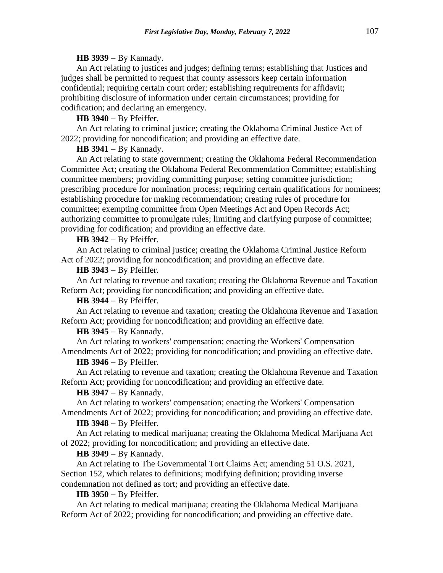## **HB 3939** − By Kannady.

An Act relating to justices and judges; defining terms; establishing that Justices and judges shall be permitted to request that county assessors keep certain information confidential; requiring certain court order; establishing requirements for affidavit; prohibiting disclosure of information under certain circumstances; providing for codification; and declaring an emergency.

## **HB 3940** − By Pfeiffer.

An Act relating to criminal justice; creating the Oklahoma Criminal Justice Act of 2022; providing for noncodification; and providing an effective date.

#### **HB 3941** − By Kannady.

An Act relating to state government; creating the Oklahoma Federal Recommendation Committee Act; creating the Oklahoma Federal Recommendation Committee; establishing committee members; providing committing purpose; setting committee jurisdiction; prescribing procedure for nomination process; requiring certain qualifications for nominees; establishing procedure for making recommendation; creating rules of procedure for committee; exempting committee from Open Meetings Act and Open Records Act; authorizing committee to promulgate rules; limiting and clarifying purpose of committee; providing for codification; and providing an effective date.

## **HB 3942** − By Pfeiffer.

An Act relating to criminal justice; creating the Oklahoma Criminal Justice Reform Act of 2022; providing for noncodification; and providing an effective date.

### **HB 3943** − By Pfeiffer.

An Act relating to revenue and taxation; creating the Oklahoma Revenue and Taxation Reform Act; providing for noncodification; and providing an effective date.

**HB 3944** − By Pfeiffer.

An Act relating to revenue and taxation; creating the Oklahoma Revenue and Taxation Reform Act; providing for noncodification; and providing an effective date.

**HB 3945** − By Kannady.

An Act relating to workers' compensation; enacting the Workers' Compensation Amendments Act of 2022; providing for noncodification; and providing an effective date.

## **HB 3946** − By Pfeiffer.

An Act relating to revenue and taxation; creating the Oklahoma Revenue and Taxation Reform Act; providing for noncodification; and providing an effective date.

## **HB 3947** − By Kannady.

An Act relating to workers' compensation; enacting the Workers' Compensation Amendments Act of 2022; providing for noncodification; and providing an effective date.

#### **HB 3948** − By Pfeiffer.

An Act relating to medical marijuana; creating the Oklahoma Medical Marijuana Act of 2022; providing for noncodification; and providing an effective date.

# **HB 3949** − By Kannady.

An Act relating to The Governmental Tort Claims Act; amending 51 O.S. 2021, Section 152, which relates to definitions; modifying definition; providing inverse condemnation not defined as tort; and providing an effective date.

## **HB 3950** − By Pfeiffer.

An Act relating to medical marijuana; creating the Oklahoma Medical Marijuana Reform Act of 2022; providing for noncodification; and providing an effective date.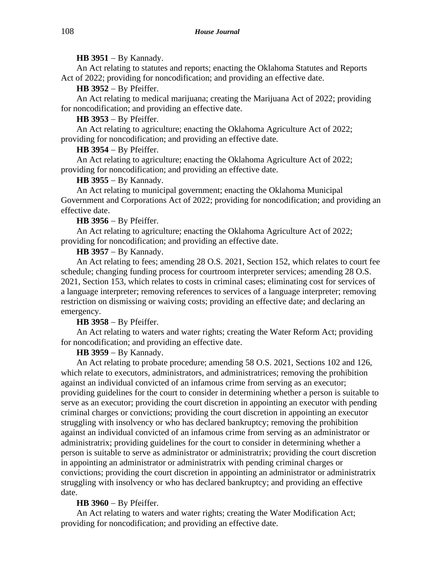## **HB 3951** − By Kannady.

An Act relating to statutes and reports; enacting the Oklahoma Statutes and Reports Act of 2022; providing for noncodification; and providing an effective date.

**HB 3952** − By Pfeiffer.

An Act relating to medical marijuana; creating the Marijuana Act of 2022; providing for noncodification; and providing an effective date.

**HB 3953** − By Pfeiffer.

An Act relating to agriculture; enacting the Oklahoma Agriculture Act of 2022; providing for noncodification; and providing an effective date.

## **HB 3954** − By Pfeiffer.

An Act relating to agriculture; enacting the Oklahoma Agriculture Act of 2022; providing for noncodification; and providing an effective date.

## **HB 3955** − By Kannady.

An Act relating to municipal government; enacting the Oklahoma Municipal Government and Corporations Act of 2022; providing for noncodification; and providing an effective date.

## **HB 3956** − By Pfeiffer.

An Act relating to agriculture; enacting the Oklahoma Agriculture Act of 2022; providing for noncodification; and providing an effective date.

## **HB 3957** − By Kannady.

An Act relating to fees; amending 28 O.S. 2021, Section 152, which relates to court fee schedule; changing funding process for courtroom interpreter services; amending 28 O.S. 2021, Section 153, which relates to costs in criminal cases; eliminating cost for services of a language interpreter; removing references to services of a language interpreter; removing restriction on dismissing or waiving costs; providing an effective date; and declaring an emergency.

## **HB 3958** − By Pfeiffer.

An Act relating to waters and water rights; creating the Water Reform Act; providing for noncodification; and providing an effective date.

## **HB 3959** − By Kannady.

An Act relating to probate procedure; amending 58 O.S. 2021, Sections 102 and 126, which relate to executors, administrators, and administratrices; removing the prohibition against an individual convicted of an infamous crime from serving as an executor; providing guidelines for the court to consider in determining whether a person is suitable to serve as an executor; providing the court discretion in appointing an executor with pending criminal charges or convictions; providing the court discretion in appointing an executor struggling with insolvency or who has declared bankruptcy; removing the prohibition against an individual convicted of an infamous crime from serving as an administrator or administratrix; providing guidelines for the court to consider in determining whether a person is suitable to serve as administrator or administratrix; providing the court discretion in appointing an administrator or administratrix with pending criminal charges or convictions; providing the court discretion in appointing an administrator or administratrix struggling with insolvency or who has declared bankruptcy; and providing an effective date.

### **HB 3960** − By Pfeiffer.

An Act relating to waters and water rights; creating the Water Modification Act; providing for noncodification; and providing an effective date.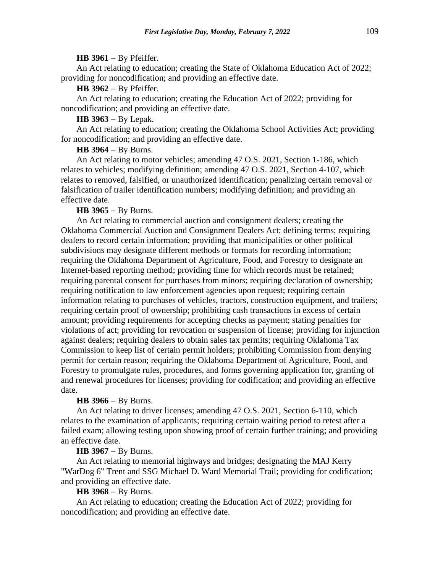#### **HB 3961** − By Pfeiffer.

An Act relating to education; creating the State of Oklahoma Education Act of 2022; providing for noncodification; and providing an effective date.

**HB 3962** − By Pfeiffer.

An Act relating to education; creating the Education Act of 2022; providing for noncodification; and providing an effective date.

**HB 3963** − By Lepak.

An Act relating to education; creating the Oklahoma School Activities Act; providing for noncodification; and providing an effective date.

#### **HB 3964** − By Burns.

An Act relating to motor vehicles; amending 47 O.S. 2021, Section 1-186, which relates to vehicles; modifying definition; amending 47 O.S. 2021, Section 4-107, which relates to removed, falsified, or unauthorized identification; penalizing certain removal or falsification of trailer identification numbers; modifying definition; and providing an effective date.

#### **HB 3965** − By Burns.

An Act relating to commercial auction and consignment dealers; creating the Oklahoma Commercial Auction and Consignment Dealers Act; defining terms; requiring dealers to record certain information; providing that municipalities or other political subdivisions may designate different methods or formats for recording information; requiring the Oklahoma Department of Agriculture, Food, and Forestry to designate an Internet-based reporting method; providing time for which records must be retained; requiring parental consent for purchases from minors; requiring declaration of ownership; requiring notification to law enforcement agencies upon request; requiring certain information relating to purchases of vehicles, tractors, construction equipment, and trailers; requiring certain proof of ownership; prohibiting cash transactions in excess of certain amount; providing requirements for accepting checks as payment; stating penalties for violations of act; providing for revocation or suspension of license; providing for injunction against dealers; requiring dealers to obtain sales tax permits; requiring Oklahoma Tax Commission to keep list of certain permit holders; prohibiting Commission from denying permit for certain reason; requiring the Oklahoma Department of Agriculture, Food, and Forestry to promulgate rules, procedures, and forms governing application for, granting of and renewal procedures for licenses; providing for codification; and providing an effective date.

#### **HB 3966** − By Burns.

An Act relating to driver licenses; amending 47 O.S. 2021, Section 6-110, which relates to the examination of applicants; requiring certain waiting period to retest after a failed exam; allowing testing upon showing proof of certain further training; and providing an effective date.

# **HB 3967** − By Burns.

An Act relating to memorial highways and bridges; designating the MAJ Kerry "WarDog 6" Trent and SSG Michael D. Ward Memorial Trail; providing for codification; and providing an effective date.

# **HB 3968** − By Burns.

An Act relating to education; creating the Education Act of 2022; providing for noncodification; and providing an effective date.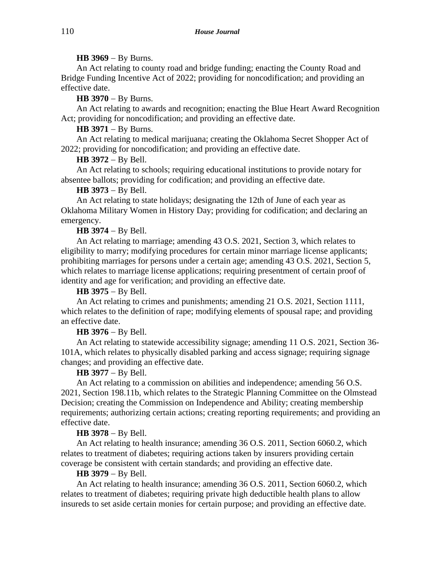## **HB 3969** − By Burns.

An Act relating to county road and bridge funding; enacting the County Road and Bridge Funding Incentive Act of 2022; providing for noncodification; and providing an effective date.

**HB 3970** − By Burns.

An Act relating to awards and recognition; enacting the Blue Heart Award Recognition Act; providing for noncodification; and providing an effective date.

# **HB 3971** − By Burns.

An Act relating to medical marijuana; creating the Oklahoma Secret Shopper Act of 2022; providing for noncodification; and providing an effective date.

# **HB 3972** − By Bell.

An Act relating to schools; requiring educational institutions to provide notary for absentee ballots; providing for codification; and providing an effective date.

# **HB 3973** − By Bell.

An Act relating to state holidays; designating the 12th of June of each year as Oklahoma Military Women in History Day; providing for codification; and declaring an emergency.

# **HB 3974** − By Bell.

An Act relating to marriage; amending 43 O.S. 2021, Section 3, which relates to eligibility to marry; modifying procedures for certain minor marriage license applicants; prohibiting marriages for persons under a certain age; amending 43 O.S. 2021, Section 5, which relates to marriage license applications; requiring presentment of certain proof of identity and age for verification; and providing an effective date.

# **HB 3975** − By Bell.

An Act relating to crimes and punishments; amending 21 O.S. 2021, Section 1111, which relates to the definition of rape; modifying elements of spousal rape; and providing an effective date.

# **HB 3976** − By Bell.

An Act relating to statewide accessibility signage; amending 11 O.S. 2021, Section 36- 101A, which relates to physically disabled parking and access signage; requiring signage changes; and providing an effective date.

# **HB 3977** − By Bell.

An Act relating to a commission on abilities and independence; amending 56 O.S. 2021, Section 198.11b, which relates to the Strategic Planning Committee on the Olmstead Decision; creating the Commission on Independence and Ability; creating membership requirements; authorizing certain actions; creating reporting requirements; and providing an effective date.

# **HB 3978** − By Bell.

An Act relating to health insurance; amending 36 O.S. 2011, Section 6060.2, which relates to treatment of diabetes; requiring actions taken by insurers providing certain coverage be consistent with certain standards; and providing an effective date.

## **HB 3979** − By Bell.

An Act relating to health insurance; amending 36 O.S. 2011, Section 6060.2, which relates to treatment of diabetes; requiring private high deductible health plans to allow insureds to set aside certain monies for certain purpose; and providing an effective date.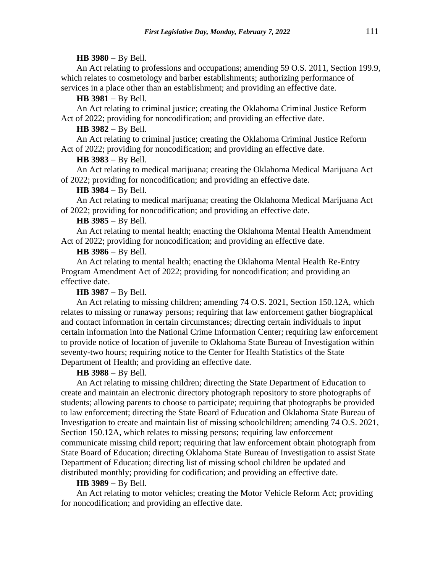#### **HB 3980** − By Bell.

An Act relating to professions and occupations; amending 59 O.S. 2011, Section 199.9, which relates to cosmetology and barber establishments; authorizing performance of services in a place other than an establishment; and providing an effective date.

#### **HB 3981** − By Bell.

An Act relating to criminal justice; creating the Oklahoma Criminal Justice Reform Act of 2022; providing for noncodification; and providing an effective date.

### **HB 3982** − By Bell.

An Act relating to criminal justice; creating the Oklahoma Criminal Justice Reform Act of 2022; providing for noncodification; and providing an effective date.

### **HB 3983** − By Bell.

An Act relating to medical marijuana; creating the Oklahoma Medical Marijuana Act of 2022; providing for noncodification; and providing an effective date.

#### **HB 3984** − By Bell.

An Act relating to medical marijuana; creating the Oklahoma Medical Marijuana Act of 2022; providing for noncodification; and providing an effective date.

#### **HB 3985** − By Bell.

An Act relating to mental health; enacting the Oklahoma Mental Health Amendment Act of 2022; providing for noncodification; and providing an effective date.

# **HB 3986** − By Bell.

An Act relating to mental health; enacting the Oklahoma Mental Health Re-Entry Program Amendment Act of 2022; providing for noncodification; and providing an effective date.

#### **HB 3987** − By Bell.

An Act relating to missing children; amending 74 O.S. 2021, Section 150.12A, which relates to missing or runaway persons; requiring that law enforcement gather biographical and contact information in certain circumstances; directing certain individuals to input certain information into the National Crime Information Center; requiring law enforcement to provide notice of location of juvenile to Oklahoma State Bureau of Investigation within seventy-two hours; requiring notice to the Center for Health Statistics of the State Department of Health; and providing an effective date.

#### **HB 3988** − By Bell.

An Act relating to missing children; directing the State Department of Education to create and maintain an electronic directory photograph repository to store photographs of students; allowing parents to choose to participate; requiring that photographs be provided to law enforcement; directing the State Board of Education and Oklahoma State Bureau of Investigation to create and maintain list of missing schoolchildren; amending 74 O.S. 2021, Section 150.12A, which relates to missing persons; requiring law enforcement communicate missing child report; requiring that law enforcement obtain photograph from State Board of Education; directing Oklahoma State Bureau of Investigation to assist State Department of Education; directing list of missing school children be updated and distributed monthly; providing for codification; and providing an effective date.

### **HB 3989** − By Bell.

An Act relating to motor vehicles; creating the Motor Vehicle Reform Act; providing for noncodification; and providing an effective date.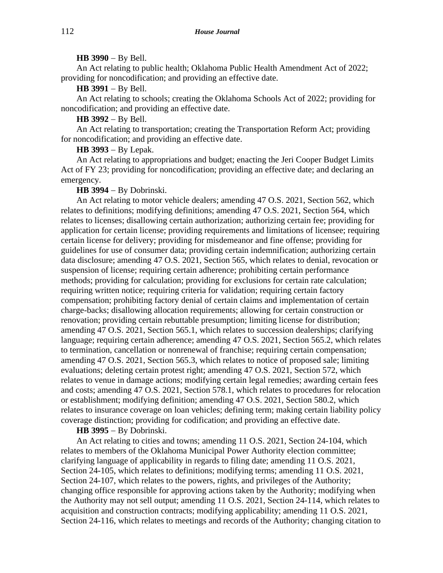### **HB 3990** − By Bell.

An Act relating to public health; Oklahoma Public Health Amendment Act of 2022; providing for noncodification; and providing an effective date.

**HB 3991** − By Bell.

An Act relating to schools; creating the Oklahoma Schools Act of 2022; providing for noncodification; and providing an effective date.

# **HB 3992** − By Bell.

An Act relating to transportation; creating the Transportation Reform Act; providing for noncodification; and providing an effective date.

**HB 3993** − By Lepak.

An Act relating to appropriations and budget; enacting the Jeri Cooper Budget Limits Act of FY 23; providing for noncodification; providing an effective date; and declaring an emergency.

#### **HB 3994** − By Dobrinski.

An Act relating to motor vehicle dealers; amending 47 O.S. 2021, Section 562, which relates to definitions; modifying definitions; amending 47 O.S. 2021, Section 564, which relates to licenses; disallowing certain authorization; authorizing certain fee; providing for application for certain license; providing requirements and limitations of licensee; requiring certain license for delivery; providing for misdemeanor and fine offense; providing for guidelines for use of consumer data; providing certain indemnification; authorizing certain data disclosure; amending 47 O.S. 2021, Section 565, which relates to denial, revocation or suspension of license; requiring certain adherence; prohibiting certain performance methods; providing for calculation; providing for exclusions for certain rate calculation; requiring written notice; requiring criteria for validation; requiring certain factory compensation; prohibiting factory denial of certain claims and implementation of certain charge-backs; disallowing allocation requirements; allowing for certain construction or renovation; providing certain rebuttable presumption; limiting license for distribution; amending 47 O.S. 2021, Section 565.1, which relates to succession dealerships; clarifying language; requiring certain adherence; amending 47 O.S. 2021, Section 565.2, which relates to termination, cancellation or nonrenewal of franchise; requiring certain compensation; amending 47 O.S. 2021, Section 565.3, which relates to notice of proposed sale; limiting evaluations; deleting certain protest right; amending 47 O.S. 2021, Section 572, which relates to venue in damage actions; modifying certain legal remedies; awarding certain fees and costs; amending 47 O.S. 2021, Section 578.1, which relates to procedures for relocation or establishment; modifying definition; amending 47 O.S. 2021, Section 580.2, which relates to insurance coverage on loan vehicles; defining term; making certain liability policy coverage distinction; providing for codification; and providing an effective date.

**HB 3995** − By Dobrinski.

An Act relating to cities and towns; amending 11 O.S. 2021, Section 24-104, which relates to members of the Oklahoma Municipal Power Authority election committee; clarifying language of applicability in regards to filing date; amending 11 O.S. 2021, Section 24-105, which relates to definitions; modifying terms; amending 11 O.S. 2021, Section 24-107, which relates to the powers, rights, and privileges of the Authority; changing office responsible for approving actions taken by the Authority; modifying when the Authority may not sell output; amending 11 O.S. 2021, Section 24-114, which relates to acquisition and construction contracts; modifying applicability; amending 11 O.S. 2021, Section 24-116, which relates to meetings and records of the Authority; changing citation to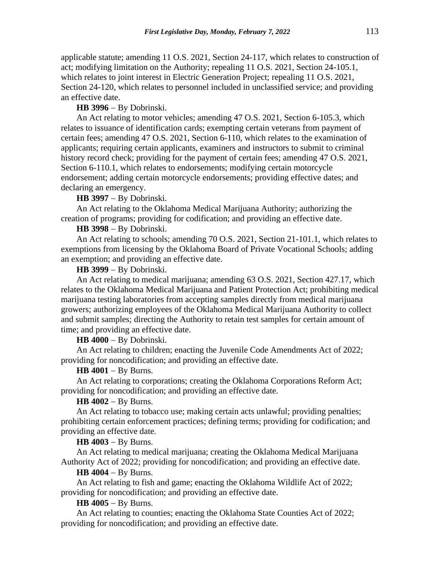applicable statute; amending 11 O.S. 2021, Section 24-117, which relates to construction of act; modifying limitation on the Authority; repealing 11 O.S. 2021, Section 24-105.1, which relates to joint interest in Electric Generation Project; repealing 11 O.S. 2021, Section 24-120, which relates to personnel included in unclassified service; and providing an effective date.

### **HB 3996** − By Dobrinski.

An Act relating to motor vehicles; amending 47 O.S. 2021, Section 6-105.3, which relates to issuance of identification cards; exempting certain veterans from payment of certain fees; amending 47 O.S. 2021, Section 6-110, which relates to the examination of applicants; requiring certain applicants, examiners and instructors to submit to criminal history record check; providing for the payment of certain fees; amending 47 O.S. 2021, Section 6-110.1, which relates to endorsements; modifying certain motorcycle endorsement; adding certain motorcycle endorsements; providing effective dates; and declaring an emergency.

**HB 3997** − By Dobrinski.

An Act relating to the Oklahoma Medical Marijuana Authority; authorizing the creation of programs; providing for codification; and providing an effective date.

### **HB 3998** − By Dobrinski.

An Act relating to schools; amending 70 O.S. 2021, Section 21-101.1, which relates to exemptions from licensing by the Oklahoma Board of Private Vocational Schools; adding an exemption; and providing an effective date.

# **HB 3999** − By Dobrinski.

An Act relating to medical marijuana; amending 63 O.S. 2021, Section 427.17, which relates to the Oklahoma Medical Marijuana and Patient Protection Act; prohibiting medical marijuana testing laboratories from accepting samples directly from medical marijuana growers; authorizing employees of the Oklahoma Medical Marijuana Authority to collect and submit samples; directing the Authority to retain test samples for certain amount of time; and providing an effective date.

**HB 4000** − By Dobrinski.

An Act relating to children; enacting the Juvenile Code Amendments Act of 2022; providing for noncodification; and providing an effective date.

## **HB 4001** − By Burns.

An Act relating to corporations; creating the Oklahoma Corporations Reform Act; providing for noncodification; and providing an effective date.

### **HB 4002** − By Burns.

An Act relating to tobacco use; making certain acts unlawful; providing penalties; prohibiting certain enforcement practices; defining terms; providing for codification; and providing an effective date.

#### **HB 4003** − By Burns.

An Act relating to medical marijuana; creating the Oklahoma Medical Marijuana Authority Act of 2022; providing for noncodification; and providing an effective date.

#### **HB 4004** − By Burns.

An Act relating to fish and game; enacting the Oklahoma Wildlife Act of 2022; providing for noncodification; and providing an effective date.

### **HB 4005** − By Burns.

An Act relating to counties; enacting the Oklahoma State Counties Act of 2022; providing for noncodification; and providing an effective date.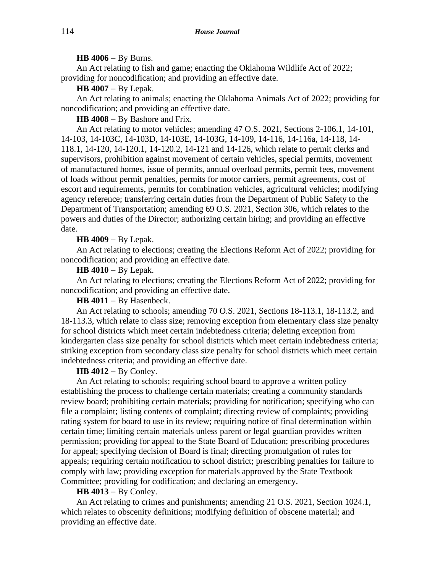### **HB 4006** − By Burns.

An Act relating to fish and game; enacting the Oklahoma Wildlife Act of 2022; providing for noncodification; and providing an effective date.

**HB 4007** − By Lepak.

An Act relating to animals; enacting the Oklahoma Animals Act of 2022; providing for noncodification; and providing an effective date.

**HB 4008** − By Bashore and Frix.

An Act relating to motor vehicles; amending 47 O.S. 2021, Sections 2-106.1, 14-101, 14-103, 14-103C, 14-103D, 14-103E, 14-103G, 14-109, 14-116, 14-116a, 14-118, 14- 118.1, 14-120, 14-120.1, 14-120.2, 14-121 and 14-126, which relate to permit clerks and supervisors, prohibition against movement of certain vehicles, special permits, movement of manufactured homes, issue of permits, annual overload permits, permit fees, movement of loads without permit penalties, permits for motor carriers, permit agreements, cost of escort and requirements, permits for combination vehicles, agricultural vehicles; modifying agency reference; transferring certain duties from the Department of Public Safety to the Department of Transportation; amending 69 O.S. 2021, Section 306, which relates to the powers and duties of the Director; authorizing certain hiring; and providing an effective date.

## **HB 4009** − By Lepak.

An Act relating to elections; creating the Elections Reform Act of 2022; providing for noncodification; and providing an effective date.

### **HB 4010** − By Lepak.

An Act relating to elections; creating the Elections Reform Act of 2022; providing for noncodification; and providing an effective date.

**HB 4011** − By Hasenbeck.

An Act relating to schools; amending 70 O.S. 2021, Sections 18-113.1, 18-113.2, and 18-113.3, which relate to class size; removing exception from elementary class size penalty for school districts which meet certain indebtedness criteria; deleting exception from kindergarten class size penalty for school districts which meet certain indebtedness criteria; striking exception from secondary class size penalty for school districts which meet certain indebtedness criteria; and providing an effective date.

## **HB 4012** − By Conley.

An Act relating to schools; requiring school board to approve a written policy establishing the process to challenge certain materials; creating a community standards review board; prohibiting certain materials; providing for notification; specifying who can file a complaint; listing contents of complaint; directing review of complaints; providing rating system for board to use in its review; requiring notice of final determination within certain time; limiting certain materials unless parent or legal guardian provides written permission; providing for appeal to the State Board of Education; prescribing procedures for appeal; specifying decision of Board is final; directing promulgation of rules for appeals; requiring certain notification to school district; prescribing penalties for failure to comply with law; providing exception for materials approved by the State Textbook Committee; providing for codification; and declaring an emergency.

## **HB 4013** − By Conley.

An Act relating to crimes and punishments; amending 21 O.S. 2021, Section 1024.1, which relates to obscenity definitions; modifying definition of obscene material; and providing an effective date.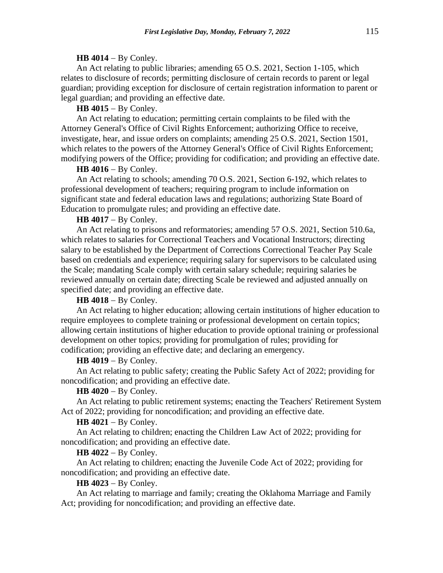#### **HB 4014** − By Conley.

An Act relating to public libraries; amending 65 O.S. 2021, Section 1-105, which relates to disclosure of records; permitting disclosure of certain records to parent or legal guardian; providing exception for disclosure of certain registration information to parent or legal guardian; and providing an effective date.

**HB 4015** − By Conley.

An Act relating to education; permitting certain complaints to be filed with the Attorney General's Office of Civil Rights Enforcement; authorizing Office to receive, investigate, hear, and issue orders on complaints; amending 25 O.S. 2021, Section 1501, which relates to the powers of the Attorney General's Office of Civil Rights Enforcement; modifying powers of the Office; providing for codification; and providing an effective date.

**HB 4016** − By Conley.

An Act relating to schools; amending 70 O.S. 2021, Section 6-192, which relates to professional development of teachers; requiring program to include information on significant state and federal education laws and regulations; authorizing State Board of Education to promulgate rules; and providing an effective date.

### **HB 4017** − By Conley.

An Act relating to prisons and reformatories; amending 57 O.S. 2021, Section 510.6a, which relates to salaries for Correctional Teachers and Vocational Instructors; directing salary to be established by the Department of Corrections Correctional Teacher Pay Scale based on credentials and experience; requiring salary for supervisors to be calculated using the Scale; mandating Scale comply with certain salary schedule; requiring salaries be reviewed annually on certain date; directing Scale be reviewed and adjusted annually on specified date; and providing an effective date.

**HB 4018** − By Conley.

An Act relating to higher education; allowing certain institutions of higher education to require employees to complete training or professional development on certain topics; allowing certain institutions of higher education to provide optional training or professional development on other topics; providing for promulgation of rules; providing for codification; providing an effective date; and declaring an emergency.

## **HB 4019** − By Conley.

An Act relating to public safety; creating the Public Safety Act of 2022; providing for noncodification; and providing an effective date.

# **HB 4020** − By Conley.

An Act relating to public retirement systems; enacting the Teachers' Retirement System Act of 2022; providing for noncodification; and providing an effective date.

### **HB 4021** − By Conley.

An Act relating to children; enacting the Children Law Act of 2022; providing for noncodification; and providing an effective date.

**HB 4022** − By Conley.

An Act relating to children; enacting the Juvenile Code Act of 2022; providing for noncodification; and providing an effective date.

### **HB 4023** − By Conley.

An Act relating to marriage and family; creating the Oklahoma Marriage and Family Act; providing for noncodification; and providing an effective date.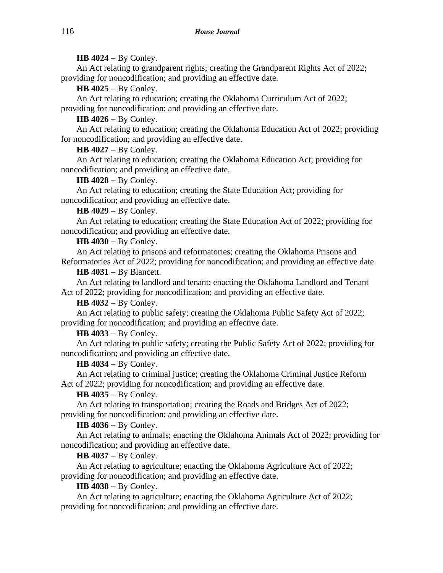# **HB 4024** − By Conley.

An Act relating to grandparent rights; creating the Grandparent Rights Act of 2022; providing for noncodification; and providing an effective date.

**HB 4025** − By Conley.

An Act relating to education; creating the Oklahoma Curriculum Act of 2022; providing for noncodification; and providing an effective date.

**HB 4026** − By Conley.

An Act relating to education; creating the Oklahoma Education Act of 2022; providing for noncodification; and providing an effective date.

**HB 4027** − By Conley.

An Act relating to education; creating the Oklahoma Education Act; providing for noncodification; and providing an effective date.

# **HB 4028** − By Conley.

An Act relating to education; creating the State Education Act; providing for noncodification; and providing an effective date.

**HB 4029** − By Conley.

An Act relating to education; creating the State Education Act of 2022; providing for noncodification; and providing an effective date.

**HB 4030** − By Conley.

An Act relating to prisons and reformatories; creating the Oklahoma Prisons and Reformatories Act of 2022; providing for noncodification; and providing an effective date.

**HB 4031** − By Blancett.

An Act relating to landlord and tenant; enacting the Oklahoma Landlord and Tenant Act of 2022; providing for noncodification; and providing an effective date.

**HB 4032** − By Conley.

An Act relating to public safety; creating the Oklahoma Public Safety Act of 2022; providing for noncodification; and providing an effective date.

**HB 4033** − By Conley.

An Act relating to public safety; creating the Public Safety Act of 2022; providing for noncodification; and providing an effective date.

# **HB 4034** − By Conley.

An Act relating to criminal justice; creating the Oklahoma Criminal Justice Reform Act of 2022; providing for noncodification; and providing an effective date.

# **HB 4035** − By Conley.

An Act relating to transportation; creating the Roads and Bridges Act of 2022; providing for noncodification; and providing an effective date.

**HB 4036** − By Conley.

An Act relating to animals; enacting the Oklahoma Animals Act of 2022; providing for noncodification; and providing an effective date.

**HB 4037** − By Conley.

An Act relating to agriculture; enacting the Oklahoma Agriculture Act of 2022; providing for noncodification; and providing an effective date.

**HB 4038** − By Conley.

An Act relating to agriculture; enacting the Oklahoma Agriculture Act of 2022; providing for noncodification; and providing an effective date.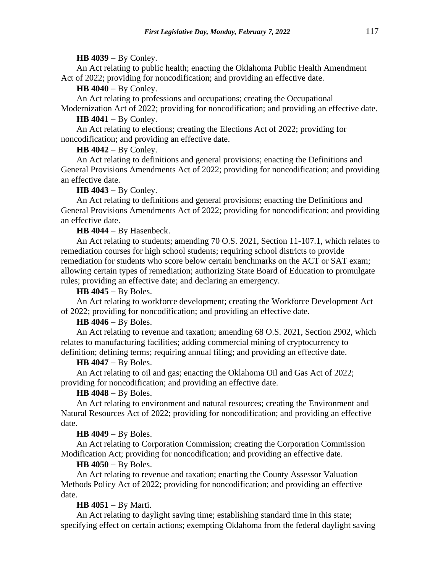### **HB 4039** − By Conley.

An Act relating to public health; enacting the Oklahoma Public Health Amendment Act of 2022; providing for noncodification; and providing an effective date.

**HB 4040** − By Conley.

An Act relating to professions and occupations; creating the Occupational Modernization Act of 2022; providing for noncodification; and providing an effective date.

**HB 4041** − By Conley.

An Act relating to elections; creating the Elections Act of 2022; providing for noncodification; and providing an effective date.

**HB 4042** − By Conley.

An Act relating to definitions and general provisions; enacting the Definitions and General Provisions Amendments Act of 2022; providing for noncodification; and providing an effective date.

# **HB 4043** − By Conley.

An Act relating to definitions and general provisions; enacting the Definitions and General Provisions Amendments Act of 2022; providing for noncodification; and providing an effective date.

**HB 4044** − By Hasenbeck.

An Act relating to students; amending 70 O.S. 2021, Section 11-107.1, which relates to remediation courses for high school students; requiring school districts to provide remediation for students who score below certain benchmarks on the ACT or SAT exam; allowing certain types of remediation; authorizing State Board of Education to promulgate rules; providing an effective date; and declaring an emergency.

#### **HB 4045** − By Boles.

An Act relating to workforce development; creating the Workforce Development Act of 2022; providing for noncodification; and providing an effective date.

# **HB 4046** − By Boles.

An Act relating to revenue and taxation; amending 68 O.S. 2021, Section 2902, which relates to manufacturing facilities; adding commercial mining of cryptocurrency to definition; defining terms; requiring annual filing; and providing an effective date.

### **HB 4047** − By Boles.

An Act relating to oil and gas; enacting the Oklahoma Oil and Gas Act of 2022; providing for noncodification; and providing an effective date.

### **HB 4048** − By Boles.

An Act relating to environment and natural resources; creating the Environment and Natural Resources Act of 2022; providing for noncodification; and providing an effective date.

## **HB 4049** − By Boles.

An Act relating to Corporation Commission; creating the Corporation Commission Modification Act; providing for noncodification; and providing an effective date.

# **HB 4050** − By Boles.

An Act relating to revenue and taxation; enacting the County Assessor Valuation Methods Policy Act of 2022; providing for noncodification; and providing an effective date.

## **HB 4051** − By Marti.

An Act relating to daylight saving time; establishing standard time in this state; specifying effect on certain actions; exempting Oklahoma from the federal daylight saving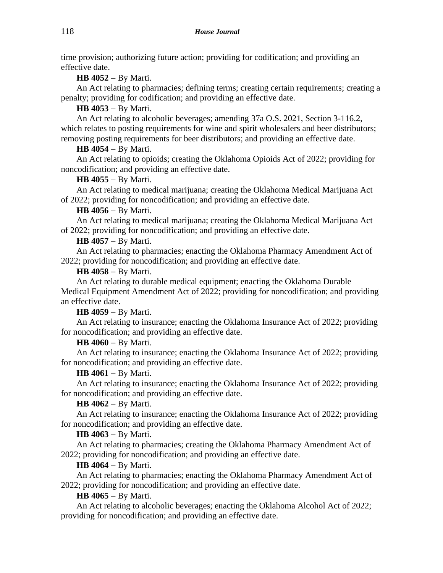time provision; authorizing future action; providing for codification; and providing an effective date.

**HB 4052** − By Marti.

An Act relating to pharmacies; defining terms; creating certain requirements; creating a penalty; providing for codification; and providing an effective date.

**HB 4053** − By Marti.

An Act relating to alcoholic beverages; amending 37a O.S. 2021, Section 3-116.2, which relates to posting requirements for wine and spirit wholesalers and beer distributors; removing posting requirements for beer distributors; and providing an effective date.

# **HB 4054** − By Marti.

An Act relating to opioids; creating the Oklahoma Opioids Act of 2022; providing for noncodification; and providing an effective date.

# **HB 4055** − By Marti.

An Act relating to medical marijuana; creating the Oklahoma Medical Marijuana Act of 2022; providing for noncodification; and providing an effective date.

# **HB 4056** − By Marti.

An Act relating to medical marijuana; creating the Oklahoma Medical Marijuana Act of 2022; providing for noncodification; and providing an effective date.

# **HB 4057** − By Marti.

An Act relating to pharmacies; enacting the Oklahoma Pharmacy Amendment Act of 2022; providing for noncodification; and providing an effective date.

# **HB 4058** − By Marti.

An Act relating to durable medical equipment; enacting the Oklahoma Durable Medical Equipment Amendment Act of 2022; providing for noncodification; and providing an effective date.

# **HB 4059** − By Marti.

An Act relating to insurance; enacting the Oklahoma Insurance Act of 2022; providing for noncodification; and providing an effective date.

# **HB 4060** − By Marti.

An Act relating to insurance; enacting the Oklahoma Insurance Act of 2022; providing for noncodification; and providing an effective date.

# **HB 4061** − By Marti.

An Act relating to insurance; enacting the Oklahoma Insurance Act of 2022; providing for noncodification; and providing an effective date.

# **HB 4062** − By Marti.

An Act relating to insurance; enacting the Oklahoma Insurance Act of 2022; providing for noncodification; and providing an effective date.

# **HB 4063** − By Marti.

An Act relating to pharmacies; creating the Oklahoma Pharmacy Amendment Act of 2022; providing for noncodification; and providing an effective date.

# **HB 4064** − By Marti.

An Act relating to pharmacies; enacting the Oklahoma Pharmacy Amendment Act of 2022; providing for noncodification; and providing an effective date.

# **HB 4065** − By Marti.

An Act relating to alcoholic beverages; enacting the Oklahoma Alcohol Act of 2022; providing for noncodification; and providing an effective date.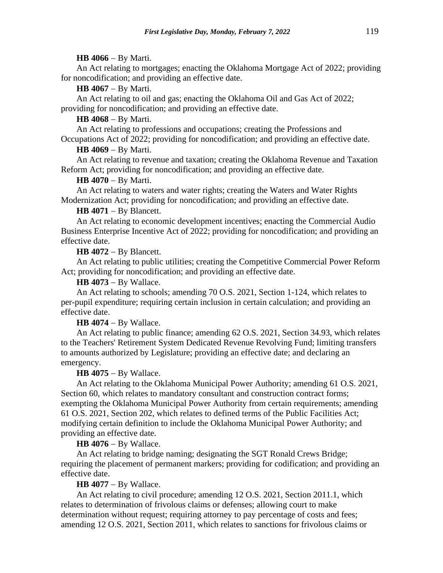### **HB 4066** − By Marti.

An Act relating to mortgages; enacting the Oklahoma Mortgage Act of 2022; providing for noncodification; and providing an effective date.

# **HB 4067** − By Marti.

An Act relating to oil and gas; enacting the Oklahoma Oil and Gas Act of 2022; providing for noncodification; and providing an effective date.

# **HB 4068** − By Marti.

An Act relating to professions and occupations; creating the Professions and Occupations Act of 2022; providing for noncodification; and providing an effective date.

### **HB 4069** − By Marti.

An Act relating to revenue and taxation; creating the Oklahoma Revenue and Taxation Reform Act; providing for noncodification; and providing an effective date.

### **HB 4070** − By Marti.

An Act relating to waters and water rights; creating the Waters and Water Rights Modernization Act; providing for noncodification; and providing an effective date.

# **HB 4071** − By Blancett.

An Act relating to economic development incentives; enacting the Commercial Audio Business Enterprise Incentive Act of 2022; providing for noncodification; and providing an effective date.

### **HB 4072** − By Blancett.

An Act relating to public utilities; creating the Competitive Commercial Power Reform Act; providing for noncodification; and providing an effective date.

**HB 4073** − By Wallace.

An Act relating to schools; amending 70 O.S. 2021, Section 1-124, which relates to per-pupil expenditure; requiring certain inclusion in certain calculation; and providing an effective date.

## **HB 4074** − By Wallace.

An Act relating to public finance; amending 62 O.S. 2021, Section 34.93, which relates to the Teachers' Retirement System Dedicated Revenue Revolving Fund; limiting transfers to amounts authorized by Legislature; providing an effective date; and declaring an emergency.

## **HB 4075** − By Wallace.

An Act relating to the Oklahoma Municipal Power Authority; amending 61 O.S. 2021, Section 60, which relates to mandatory consultant and construction contract forms; exempting the Oklahoma Municipal Power Authority from certain requirements; amending 61 O.S. 2021, Section 202, which relates to defined terms of the Public Facilities Act; modifying certain definition to include the Oklahoma Municipal Power Authority; and providing an effective date.

**HB 4076** − By Wallace.

An Act relating to bridge naming; designating the SGT Ronald Crews Bridge; requiring the placement of permanent markers; providing for codification; and providing an effective date.

# **HB 4077** − By Wallace.

An Act relating to civil procedure; amending 12 O.S. 2021, Section 2011.1, which relates to determination of frivolous claims or defenses; allowing court to make determination without request; requiring attorney to pay percentage of costs and fees; amending 12 O.S. 2021, Section 2011, which relates to sanctions for frivolous claims or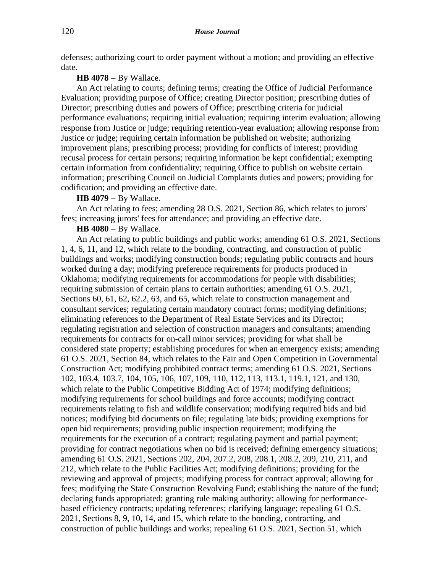defenses; authorizing court to order payment without a motion; and providing an effective date.

#### **HB 4078** − By Wallace.

An Act relating to courts; defining terms; creating the Office of Judicial Performance Evaluation; providing purpose of Office; creating Director position; prescribing duties of Director; prescribing duties and powers of Office; prescribing criteria for judicial performance evaluations; requiring initial evaluation; requiring interim evaluation; allowing response from Justice or judge; requiring retention-year evaluation; allowing response from Justice or judge; requiring certain information be published on website; authorizing improvement plans; prescribing process; providing for conflicts of interest; providing recusal process for certain persons; requiring information be kept confidential; exempting certain information from confidentiality; requiring Office to publish on website certain information; prescribing Council on Judicial Complaints duties and powers; providing for codification; and providing an effective date.

**HB 4079** − By Wallace.

An Act relating to fees; amending 28 O.S. 2021, Section 86, which relates to jurors' fees; increasing jurors' fees for attendance; and providing an effective date.

**HB 4080** − By Wallace.

An Act relating to public buildings and public works; amending 61 O.S. 2021, Sections 1, 4, 6, 11, and 12, which relate to the bonding, contracting, and construction of public buildings and works; modifying construction bonds; regulating public contracts and hours worked during a day; modifying preference requirements for products produced in Oklahoma; modifying requirements for accommodations for people with disabilities; requiring submission of certain plans to certain authorities; amending 61 O.S. 2021, Sections 60, 61, 62, 62.2, 63, and 65, which relate to construction management and consultant services; regulating certain mandatory contract forms; modifying definitions; eliminating references to the Department of Real Estate Services and its Director; regulating registration and selection of construction managers and consultants; amending requirements for contracts for on-call minor services; providing for what shall be considered state property; establishing procedures for when an emergency exists; amending 61 O.S. 2021, Section 84, which relates to the Fair and Open Competition in Governmental Construction Act; modifying prohibited contract terms; amending 61 O.S. 2021, Sections 102, 103.4, 103.7, 104, 105, 106, 107, 109, 110, 112, 113, 113.1, 119.1, 121, and 130, which relate to the Public Competitive Bidding Act of 1974; modifying definitions; modifying requirements for school buildings and force accounts; modifying contract requirements relating to fish and wildlife conservation; modifying required bids and bid notices; modifying bid documents on file; regulating late bids; providing exemptions for open bid requirements; providing public inspection requirement; modifying the requirements for the execution of a contract; regulating payment and partial payment; providing for contract negotiations when no bid is received; defining emergency situations; amending 61 O.S. 2021, Sections 202, 204, 207.2, 208, 208.1, 208.2, 209, 210, 211, and 212, which relate to the Public Facilities Act; modifying definitions; providing for the reviewing and approval of projects; modifying process for contract approval; allowing for fees; modifying the State Construction Revolving Fund; establishing the nature of the fund; declaring funds appropriated; granting rule making authority; allowing for performancebased efficiency contracts; updating references; clarifying language; repealing 61 O.S. 2021, Sections 8, 9, 10, 14, and 15, which relate to the bonding, contracting, and construction of public buildings and works; repealing 61 O.S. 2021, Section 51, which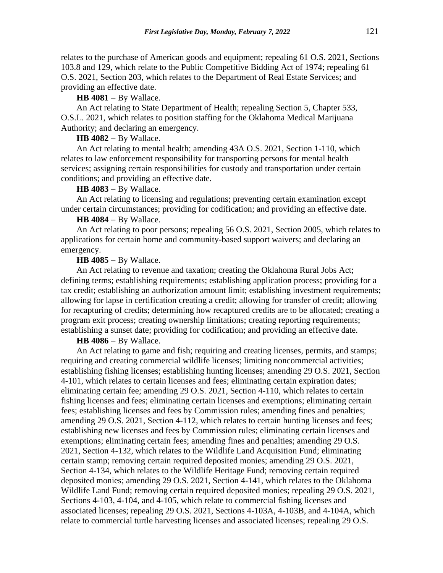relates to the purchase of American goods and equipment; repealing 61 O.S. 2021, Sections 103.8 and 129, which relate to the Public Competitive Bidding Act of 1974; repealing 61 O.S. 2021, Section 203, which relates to the Department of Real Estate Services; and providing an effective date.

**HB 4081** − By Wallace.

An Act relating to State Department of Health; repealing Section 5, Chapter 533, O.S.L. 2021, which relates to position staffing for the Oklahoma Medical Marijuana Authority; and declaring an emergency.

#### **HB 4082** − By Wallace.

An Act relating to mental health; amending 43A O.S. 2021, Section 1-110, which relates to law enforcement responsibility for transporting persons for mental health services; assigning certain responsibilities for custody and transportation under certain conditions; and providing an effective date.

#### **HB 4083** − By Wallace.

An Act relating to licensing and regulations; preventing certain examination except under certain circumstances; providing for codification; and providing an effective date.

### **HB 4084** − By Wallace.

An Act relating to poor persons; repealing 56 O.S. 2021, Section 2005, which relates to applications for certain home and community-based support waivers; and declaring an emergency.

### **HB 4085** − By Wallace.

An Act relating to revenue and taxation; creating the Oklahoma Rural Jobs Act; defining terms; establishing requirements; establishing application process; providing for a tax credit; establishing an authorization amount limit; establishing investment requirements; allowing for lapse in certification creating a credit; allowing for transfer of credit; allowing for recapturing of credits; determining how recaptured credits are to be allocated; creating a program exit process; creating ownership limitations; creating reporting requirements; establishing a sunset date; providing for codification; and providing an effective date.

#### **HB 4086** − By Wallace.

An Act relating to game and fish; requiring and creating licenses, permits, and stamps; requiring and creating commercial wildlife licenses; limiting noncommercial activities; establishing fishing licenses; establishing hunting licenses; amending 29 O.S. 2021, Section 4-101, which relates to certain licenses and fees; eliminating certain expiration dates; eliminating certain fee; amending 29 O.S. 2021, Section 4-110, which relates to certain fishing licenses and fees; eliminating certain licenses and exemptions; eliminating certain fees; establishing licenses and fees by Commission rules; amending fines and penalties; amending 29 O.S. 2021, Section 4-112, which relates to certain hunting licenses and fees; establishing new licenses and fees by Commission rules; eliminating certain licenses and exemptions; eliminating certain fees; amending fines and penalties; amending 29 O.S. 2021, Section 4-132, which relates to the Wildlife Land Acquisition Fund; eliminating certain stamp; removing certain required deposited monies; amending 29 O.S. 2021, Section 4-134, which relates to the Wildlife Heritage Fund; removing certain required deposited monies; amending 29 O.S. 2021, Section 4-141, which relates to the Oklahoma Wildlife Land Fund; removing certain required deposited monies; repealing 29 O.S. 2021, Sections 4-103, 4-104, and 4-105, which relate to commercial fishing licenses and associated licenses; repealing 29 O.S. 2021, Sections 4-103A, 4-103B, and 4-104A, which relate to commercial turtle harvesting licenses and associated licenses; repealing 29 O.S.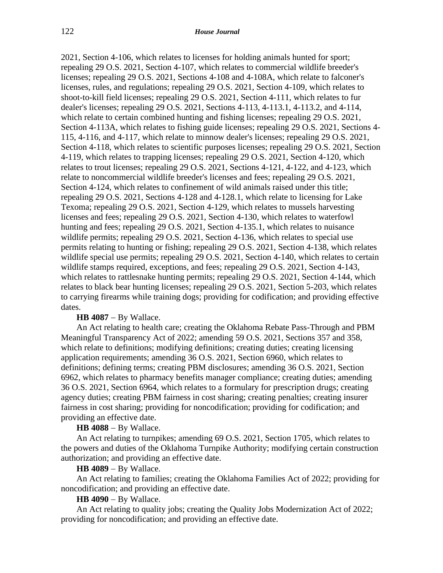2021, Section 4-106, which relates to licenses for holding animals hunted for sport; repealing 29 O.S. 2021, Section 4-107, which relates to commercial wildlife breeder's licenses; repealing 29 O.S. 2021, Sections 4-108 and 4-108A, which relate to falconer's licenses, rules, and regulations; repealing 29 O.S. 2021, Section 4-109, which relates to shoot-to-kill field licenses; repealing 29 O.S. 2021, Section 4-111, which relates to fur dealer's licenses; repealing 29 O.S. 2021, Sections 4-113, 4-113.1, 4-113.2, and 4-114, which relate to certain combined hunting and fishing licenses; repealing 29 O.S. 2021, Section 4-113A, which relates to fishing guide licenses; repealing 29 O.S. 2021, Sections 4- 115, 4-116, and 4-117, which relate to minnow dealer's licenses; repealing 29 O.S. 2021, Section 4-118, which relates to scientific purposes licenses; repealing 29 O.S. 2021, Section 4-119, which relates to trapping licenses; repealing 29 O.S. 2021, Section 4-120, which relates to trout licenses; repealing 29 O.S. 2021, Sections 4-121, 4-122, and 4-123, which relate to noncommercial wildlife breeder's licenses and fees; repealing 29 O.S. 2021, Section 4-124, which relates to confinement of wild animals raised under this title; repealing 29 O.S. 2021, Sections 4-128 and 4-128.1, which relate to licensing for Lake Texoma; repealing 29 O.S. 2021, Section 4-129, which relates to mussels harvesting licenses and fees; repealing 29 O.S. 2021, Section 4-130, which relates to waterfowl hunting and fees; repealing 29 O.S. 2021, Section 4-135.1, which relates to nuisance wildlife permits; repealing 29 O.S. 2021, Section 4-136, which relates to special use permits relating to hunting or fishing; repealing 29 O.S. 2021, Section 4-138, which relates wildlife special use permits; repealing 29 O.S. 2021, Section 4-140, which relates to certain wildlife stamps required, exceptions, and fees; repealing 29 O.S. 2021, Section 4-143, which relates to rattlesnake hunting permits; repealing 29 O.S. 2021, Section 4-144, which relates to black bear hunting licenses; repealing 29 O.S. 2021, Section 5-203, which relates to carrying firearms while training dogs; providing for codification; and providing effective dates.

#### **HB 4087** − By Wallace.

An Act relating to health care; creating the Oklahoma Rebate Pass-Through and PBM Meaningful Transparency Act of 2022; amending 59 O.S. 2021, Sections 357 and 358, which relate to definitions; modifying definitions; creating duties; creating licensing application requirements; amending 36 O.S. 2021, Section 6960, which relates to definitions; defining terms; creating PBM disclosures; amending 36 O.S. 2021, Section 6962, which relates to pharmacy benefits manager compliance; creating duties; amending 36 O.S. 2021, Section 6964, which relates to a formulary for prescription drugs; creating agency duties; creating PBM fairness in cost sharing; creating penalties; creating insurer fairness in cost sharing; providing for noncodification; providing for codification; and providing an effective date.

**HB 4088** − By Wallace.

An Act relating to turnpikes; amending 69 O.S. 2021, Section 1705, which relates to the powers and duties of the Oklahoma Turnpike Authority; modifying certain construction authorization; and providing an effective date.

#### **HB 4089** − By Wallace.

An Act relating to families; creating the Oklahoma Families Act of 2022; providing for noncodification; and providing an effective date.

**HB 4090** − By Wallace.

An Act relating to quality jobs; creating the Quality Jobs Modernization Act of 2022; providing for noncodification; and providing an effective date.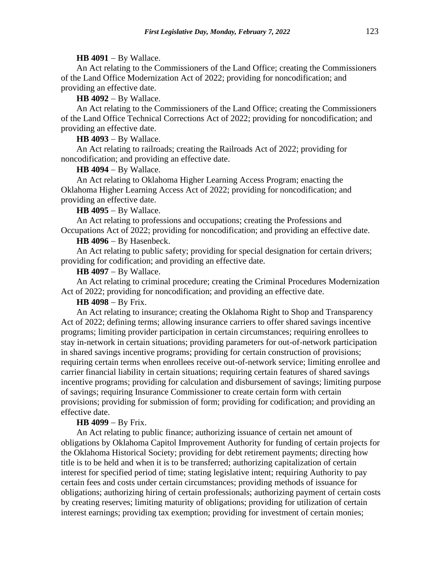#### **HB 4091** − By Wallace.

An Act relating to the Commissioners of the Land Office; creating the Commissioners of the Land Office Modernization Act of 2022; providing for noncodification; and providing an effective date.

**HB 4092** − By Wallace.

An Act relating to the Commissioners of the Land Office; creating the Commissioners of the Land Office Technical Corrections Act of 2022; providing for noncodification; and providing an effective date.

**HB 4093** − By Wallace.

An Act relating to railroads; creating the Railroads Act of 2022; providing for noncodification; and providing an effective date.

**HB 4094** − By Wallace.

An Act relating to Oklahoma Higher Learning Access Program; enacting the Oklahoma Higher Learning Access Act of 2022; providing for noncodification; and providing an effective date.

**HB 4095** − By Wallace.

An Act relating to professions and occupations; creating the Professions and Occupations Act of 2022; providing for noncodification; and providing an effective date.

**HB 4096** − By Hasenbeck.

An Act relating to public safety; providing for special designation for certain drivers; providing for codification; and providing an effective date.

**HB 4097** − By Wallace.

An Act relating to criminal procedure; creating the Criminal Procedures Modernization Act of 2022; providing for noncodification; and providing an effective date.

**HB 4098** − By Frix.

An Act relating to insurance; creating the Oklahoma Right to Shop and Transparency Act of 2022; defining terms; allowing insurance carriers to offer shared savings incentive programs; limiting provider participation in certain circumstances; requiring enrollees to stay in-network in certain situations; providing parameters for out-of-network participation in shared savings incentive programs; providing for certain construction of provisions; requiring certain terms when enrollees receive out-of-network service; limiting enrollee and carrier financial liability in certain situations; requiring certain features of shared savings incentive programs; providing for calculation and disbursement of savings; limiting purpose of savings; requiring Insurance Commissioner to create certain form with certain provisions; providing for submission of form; providing for codification; and providing an effective date.

# **HB 4099** − By Frix.

An Act relating to public finance; authorizing issuance of certain net amount of obligations by Oklahoma Capitol Improvement Authority for funding of certain projects for the Oklahoma Historical Society; providing for debt retirement payments; directing how title is to be held and when it is to be transferred; authorizing capitalization of certain interest for specified period of time; stating legislative intent; requiring Authority to pay certain fees and costs under certain circumstances; providing methods of issuance for obligations; authorizing hiring of certain professionals; authorizing payment of certain costs by creating reserves; limiting maturity of obligations; providing for utilization of certain interest earnings; providing tax exemption; providing for investment of certain monies;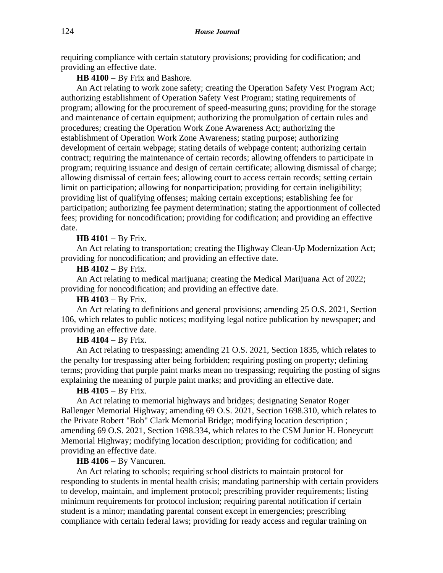requiring compliance with certain statutory provisions; providing for codification; and providing an effective date.

HB 4100 − By Frix and Bashore.

An Act relating to work zone safety; creating the Operation Safety Vest Program Act; authorizing establishment of Operation Safety Vest Program; stating requirements of program; allowing for the procurement of speed-measuring guns; providing for the storage and maintenance of certain equipment; authorizing the promulgation of certain rules and procedures; creating the Operation Work Zone Awareness Act; authorizing the establishment of Operation Work Zone Awareness; stating purpose; authorizing development of certain webpage; stating details of webpage content; authorizing certain contract; requiring the maintenance of certain records; allowing offenders to participate in program; requiring issuance and design of certain certificate; allowing dismissal of charge; allowing dismissal of certain fees; allowing court to access certain records; setting certain limit on participation; allowing for nonparticipation; providing for certain ineligibility; providing list of qualifying offenses; making certain exceptions; establishing fee for participation; authorizing fee payment determination; stating the apportionment of collected fees; providing for noncodification; providing for codification; and providing an effective date.

# **HB 4101** − By Frix.

An Act relating to transportation; creating the Highway Clean-Up Modernization Act; providing for noncodification; and providing an effective date.

### **HB 4102** − By Frix.

An Act relating to medical marijuana; creating the Medical Marijuana Act of 2022; providing for noncodification; and providing an effective date.

# **HB 4103** − By Frix.

An Act relating to definitions and general provisions; amending 25 O.S. 2021, Section 106, which relates to public notices; modifying legal notice publication by newspaper; and providing an effective date.

### **HB 4104** − By Frix.

An Act relating to trespassing; amending 21 O.S. 2021, Section 1835, which relates to the penalty for trespassing after being forbidden; requiring posting on property; defining terms; providing that purple paint marks mean no trespassing; requiring the posting of signs explaining the meaning of purple paint marks; and providing an effective date.

# **HB 4105** − By Frix.

An Act relating to memorial highways and bridges; designating Senator Roger Ballenger Memorial Highway; amending 69 O.S. 2021, Section 1698.310, which relates to the Private Robert "Bob" Clark Memorial Bridge; modifying location description ; amending 69 O.S. 2021, Section 1698.334, which relates to the CSM Junior H. Honeycutt Memorial Highway; modifying location description; providing for codification; and providing an effective date.

### **HB 4106** − By Vancuren.

An Act relating to schools; requiring school districts to maintain protocol for responding to students in mental health crisis; mandating partnership with certain providers to develop, maintain, and implement protocol; prescribing provider requirements; listing minimum requirements for protocol inclusion; requiring parental notification if certain student is a minor; mandating parental consent except in emergencies; prescribing compliance with certain federal laws; providing for ready access and regular training on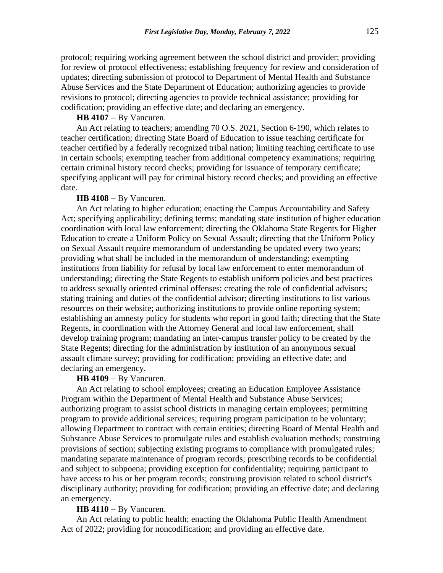protocol; requiring working agreement between the school district and provider; providing for review of protocol effectiveness; establishing frequency for review and consideration of updates; directing submission of protocol to Department of Mental Health and Substance Abuse Services and the State Department of Education; authorizing agencies to provide revisions to protocol; directing agencies to provide technical assistance; providing for codification; providing an effective date; and declaring an emergency.

### **HB 4107** − By Vancuren.

An Act relating to teachers; amending 70 O.S. 2021, Section 6-190, which relates to teacher certification; directing State Board of Education to issue teaching certificate for teacher certified by a federally recognized tribal nation; limiting teaching certificate to use in certain schools; exempting teacher from additional competency examinations; requiring certain criminal history record checks; providing for issuance of temporary certificate; specifying applicant will pay for criminal history record checks; and providing an effective date.

### **HB 4108** − By Vancuren.

An Act relating to higher education; enacting the Campus Accountability and Safety Act; specifying applicability; defining terms; mandating state institution of higher education coordination with local law enforcement; directing the Oklahoma State Regents for Higher Education to create a Uniform Policy on Sexual Assault; directing that the Uniform Policy on Sexual Assault require memorandum of understanding be updated every two years; providing what shall be included in the memorandum of understanding; exempting institutions from liability for refusal by local law enforcement to enter memorandum of understanding; directing the State Regents to establish uniform policies and best practices to address sexually oriented criminal offenses; creating the role of confidential advisors; stating training and duties of the confidential advisor; directing institutions to list various resources on their website; authorizing institutions to provide online reporting system; establishing an amnesty policy for students who report in good faith; directing that the State Regents, in coordination with the Attorney General and local law enforcement, shall develop training program; mandating an inter-campus transfer policy to be created by the State Regents; directing for the administration by institution of an anonymous sexual assault climate survey; providing for codification; providing an effective date; and declaring an emergency.

# **HB 4109** − By Vancuren.

An Act relating to school employees; creating an Education Employee Assistance Program within the Department of Mental Health and Substance Abuse Services; authorizing program to assist school districts in managing certain employees; permitting program to provide additional services; requiring program participation to be voluntary; allowing Department to contract with certain entities; directing Board of Mental Health and Substance Abuse Services to promulgate rules and establish evaluation methods; construing provisions of section; subjecting existing programs to compliance with promulgated rules; mandating separate maintenance of program records; prescribing records to be confidential and subject to subpoena; providing exception for confidentiality; requiring participant to have access to his or her program records; construing provision related to school district's disciplinary authority; providing for codification; providing an effective date; and declaring an emergency.

# **HB 4110** − By Vancuren.

An Act relating to public health; enacting the Oklahoma Public Health Amendment Act of 2022; providing for noncodification; and providing an effective date.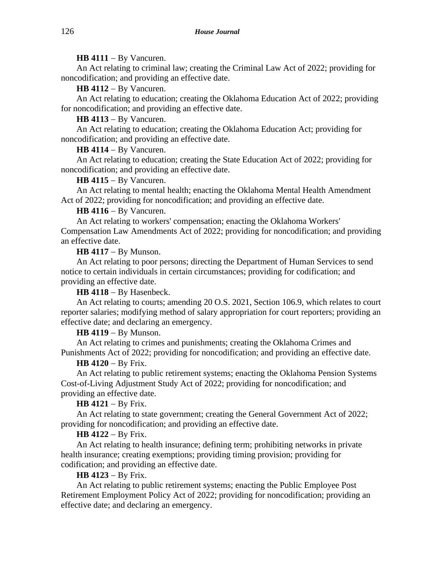## **HB 4111** − By Vancuren.

An Act relating to criminal law; creating the Criminal Law Act of 2022; providing for noncodification; and providing an effective date.

**HB 4112** − By Vancuren.

An Act relating to education; creating the Oklahoma Education Act of 2022; providing for noncodification; and providing an effective date.

**HB 4113** − By Vancuren.

An Act relating to education; creating the Oklahoma Education Act; providing for noncodification; and providing an effective date.

**HB 4114** − By Vancuren.

An Act relating to education; creating the State Education Act of 2022; providing for noncodification; and providing an effective date.

**HB 4115** − By Vancuren.

An Act relating to mental health; enacting the Oklahoma Mental Health Amendment Act of 2022; providing for noncodification; and providing an effective date.

**HB 4116** − By Vancuren.

An Act relating to workers' compensation; enacting the Oklahoma Workers' Compensation Law Amendments Act of 2022; providing for noncodification; and providing an effective date.

**HB 4117** − By Munson.

An Act relating to poor persons; directing the Department of Human Services to send notice to certain individuals in certain circumstances; providing for codification; and providing an effective date.

**HB 4118** − By Hasenbeck.

An Act relating to courts; amending 20 O.S. 2021, Section 106.9, which relates to court reporter salaries; modifying method of salary appropriation for court reporters; providing an effective date; and declaring an emergency.

**HB 4119** − By Munson.

An Act relating to crimes and punishments; creating the Oklahoma Crimes and Punishments Act of 2022; providing for noncodification; and providing an effective date.

## **HB 4120** − By Frix.

An Act relating to public retirement systems; enacting the Oklahoma Pension Systems Cost-of-Living Adjustment Study Act of 2022; providing for noncodification; and providing an effective date.

**HB 4121** − By Frix.

An Act relating to state government; creating the General Government Act of 2022; providing for noncodification; and providing an effective date.

# **HB 4122** − By Frix.

An Act relating to health insurance; defining term; prohibiting networks in private health insurance; creating exemptions; providing timing provision; providing for codification; and providing an effective date.

### **HB 4123** − By Frix.

An Act relating to public retirement systems; enacting the Public Employee Post Retirement Employment Policy Act of 2022; providing for noncodification; providing an effective date; and declaring an emergency.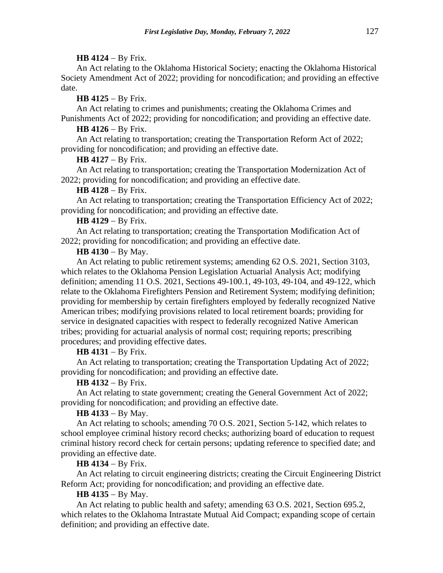## **HB 4124** − By Frix.

An Act relating to the Oklahoma Historical Society; enacting the Oklahoma Historical Society Amendment Act of 2022; providing for noncodification; and providing an effective date.

# **HB 4125** − By Frix.

An Act relating to crimes and punishments; creating the Oklahoma Crimes and Punishments Act of 2022; providing for noncodification; and providing an effective date.

# **HB 4126** − By Frix.

An Act relating to transportation; creating the Transportation Reform Act of 2022; providing for noncodification; and providing an effective date.

## **HB 4127** − By Frix.

An Act relating to transportation; creating the Transportation Modernization Act of 2022; providing for noncodification; and providing an effective date.

## **HB 4128** − By Frix.

An Act relating to transportation; creating the Transportation Efficiency Act of 2022; providing for noncodification; and providing an effective date.

# **HB 4129** − By Frix.

An Act relating to transportation; creating the Transportation Modification Act of 2022; providing for noncodification; and providing an effective date.

# **HB 4130** − By May.

An Act relating to public retirement systems; amending 62 O.S. 2021, Section 3103, which relates to the Oklahoma Pension Legislation Actuarial Analysis Act; modifying definition; amending 11 O.S. 2021, Sections 49-100.1, 49-103, 49-104, and 49-122, which relate to the Oklahoma Firefighters Pension and Retirement System; modifying definition; providing for membership by certain firefighters employed by federally recognized Native American tribes; modifying provisions related to local retirement boards; providing for service in designated capacities with respect to federally recognized Native American tribes; providing for actuarial analysis of normal cost; requiring reports; prescribing procedures; and providing effective dates.

## **HB 4131** − By Frix.

An Act relating to transportation; creating the Transportation Updating Act of 2022; providing for noncodification; and providing an effective date.

## **HB 4132** − By Frix.

An Act relating to state government; creating the General Government Act of 2022; providing for noncodification; and providing an effective date.

# **HB 4133** − By May.

An Act relating to schools; amending 70 O.S. 2021, Section 5-142, which relates to school employee criminal history record checks; authorizing board of education to request criminal history record check for certain persons; updating reference to specified date; and providing an effective date.

# **HB 4134** − By Frix.

An Act relating to circuit engineering districts; creating the Circuit Engineering District Reform Act; providing for noncodification; and providing an effective date.

# **HB 4135** − By May.

An Act relating to public health and safety; amending 63 O.S. 2021, Section 695.2, which relates to the Oklahoma Intrastate Mutual Aid Compact; expanding scope of certain definition; and providing an effective date.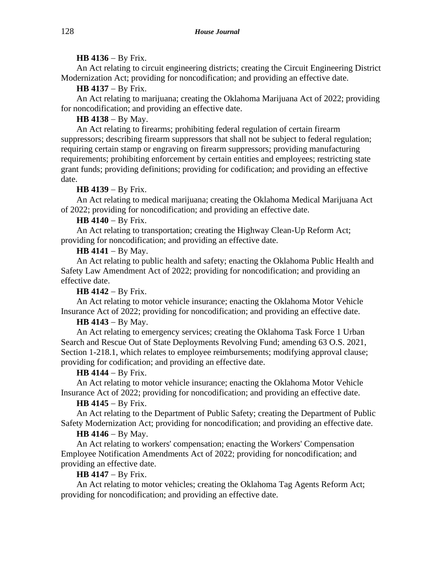## **HB 4136** − By Frix.

An Act relating to circuit engineering districts; creating the Circuit Engineering District Modernization Act; providing for noncodification; and providing an effective date.

# **HB 4137** − By Frix.

An Act relating to marijuana; creating the Oklahoma Marijuana Act of 2022; providing for noncodification; and providing an effective date.

# **HB 4138** − By May.

An Act relating to firearms; prohibiting federal regulation of certain firearm suppressors; describing firearm suppressors that shall not be subject to federal regulation; requiring certain stamp or engraving on firearm suppressors; providing manufacturing requirements; prohibiting enforcement by certain entities and employees; restricting state grant funds; providing definitions; providing for codification; and providing an effective date.

# **HB 4139** − By Frix.

An Act relating to medical marijuana; creating the Oklahoma Medical Marijuana Act of 2022; providing for noncodification; and providing an effective date.

# **HB 4140** − By Frix.

An Act relating to transportation; creating the Highway Clean-Up Reform Act; providing for noncodification; and providing an effective date.

# **HB 4141** − By May.

An Act relating to public health and safety; enacting the Oklahoma Public Health and Safety Law Amendment Act of 2022; providing for noncodification; and providing an effective date.

## **HB 4142** − By Frix.

An Act relating to motor vehicle insurance; enacting the Oklahoma Motor Vehicle Insurance Act of 2022; providing for noncodification; and providing an effective date.

# **HB 4143** − By May.

An Act relating to emergency services; creating the Oklahoma Task Force 1 Urban Search and Rescue Out of State Deployments Revolving Fund; amending 63 O.S. 2021, Section 1-218.1, which relates to employee reimbursements; modifying approval clause; providing for codification; and providing an effective date.

## **HB 4144** − By Frix.

An Act relating to motor vehicle insurance; enacting the Oklahoma Motor Vehicle Insurance Act of 2022; providing for noncodification; and providing an effective date.

# **HB 4145** − By Frix.

An Act relating to the Department of Public Safety; creating the Department of Public Safety Modernization Act; providing for noncodification; and providing an effective date.

# **HB 4146** − By May.

An Act relating to workers' compensation; enacting the Workers' Compensation Employee Notification Amendments Act of 2022; providing for noncodification; and providing an effective date.

## **HB 4147** − By Frix.

An Act relating to motor vehicles; creating the Oklahoma Tag Agents Reform Act; providing for noncodification; and providing an effective date.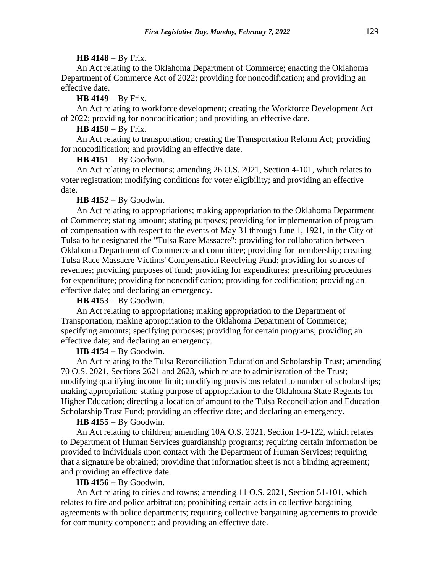#### **HB 4148** − By Frix.

An Act relating to the Oklahoma Department of Commerce; enacting the Oklahoma Department of Commerce Act of 2022; providing for noncodification; and providing an effective date.

#### **HB 4149** − By Frix.

An Act relating to workforce development; creating the Workforce Development Act of 2022; providing for noncodification; and providing an effective date.

# **HB 4150** − By Frix.

An Act relating to transportation; creating the Transportation Reform Act; providing for noncodification; and providing an effective date.

### **HB 4151** − By Goodwin.

An Act relating to elections; amending 26 O.S. 2021, Section 4-101, which relates to voter registration; modifying conditions for voter eligibility; and providing an effective date.

#### **HB 4152** − By Goodwin.

An Act relating to appropriations; making appropriation to the Oklahoma Department of Commerce; stating amount; stating purposes; providing for implementation of program of compensation with respect to the events of May 31 through June 1, 1921, in the City of Tulsa to be designated the "Tulsa Race Massacre"; providing for collaboration between Oklahoma Department of Commerce and committee; providing for membership; creating Tulsa Race Massacre Victims' Compensation Revolving Fund; providing for sources of revenues; providing purposes of fund; providing for expenditures; prescribing procedures for expenditure; providing for noncodification; providing for codification; providing an effective date; and declaring an emergency.

### **HB 4153** − By Goodwin.

An Act relating to appropriations; making appropriation to the Department of Transportation; making appropriation to the Oklahoma Department of Commerce; specifying amounts; specifying purposes; providing for certain programs; providing an effective date; and declaring an emergency.

### **HB 4154** − By Goodwin.

An Act relating to the Tulsa Reconciliation Education and Scholarship Trust; amending 70 O.S. 2021, Sections 2621 and 2623, which relate to administration of the Trust; modifying qualifying income limit; modifying provisions related to number of scholarships; making appropriation; stating purpose of appropriation to the Oklahoma State Regents for Higher Education; directing allocation of amount to the Tulsa Reconciliation and Education Scholarship Trust Fund; providing an effective date; and declaring an emergency.

### **HB 4155** − By Goodwin.

An Act relating to children; amending 10A O.S. 2021, Section 1-9-122, which relates to Department of Human Services guardianship programs; requiring certain information be provided to individuals upon contact with the Department of Human Services; requiring that a signature be obtained; providing that information sheet is not a binding agreement; and providing an effective date.

### **HB 4156** − By Goodwin.

An Act relating to cities and towns; amending 11 O.S. 2021, Section 51-101, which relates to fire and police arbitration; prohibiting certain acts in collective bargaining agreements with police departments; requiring collective bargaining agreements to provide for community component; and providing an effective date.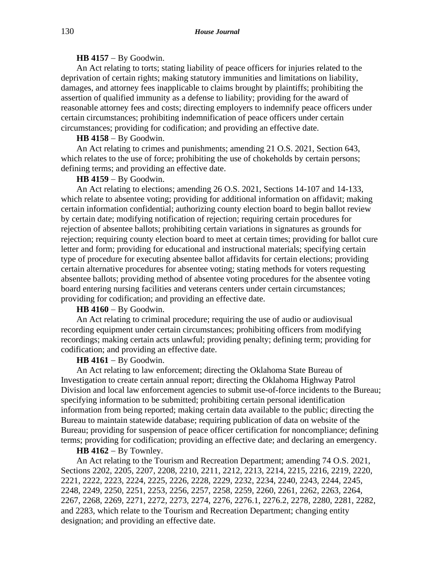## **HB 4157** − By Goodwin.

An Act relating to torts; stating liability of peace officers for injuries related to the deprivation of certain rights; making statutory immunities and limitations on liability, damages, and attorney fees inapplicable to claims brought by plaintiffs; prohibiting the assertion of qualified immunity as a defense to liability; providing for the award of reasonable attorney fees and costs; directing employers to indemnify peace officers under certain circumstances; prohibiting indemnification of peace officers under certain circumstances; providing for codification; and providing an effective date.

#### **HB 4158** − By Goodwin.

An Act relating to crimes and punishments; amending 21 O.S. 2021, Section 643, which relates to the use of force; prohibiting the use of chokeholds by certain persons; defining terms; and providing an effective date.

# **HB 4159** − By Goodwin.

An Act relating to elections; amending 26 O.S. 2021, Sections 14-107 and 14-133, which relate to absentee voting; providing for additional information on affidavit; making certain information confidential; authorizing county election board to begin ballot review by certain date; modifying notification of rejection; requiring certain procedures for rejection of absentee ballots; prohibiting certain variations in signatures as grounds for rejection; requiring county election board to meet at certain times; providing for ballot cure letter and form; providing for educational and instructional materials; specifying certain type of procedure for executing absentee ballot affidavits for certain elections; providing certain alternative procedures for absentee voting; stating methods for voters requesting absentee ballots; providing method of absentee voting procedures for the absentee voting board entering nursing facilities and veterans centers under certain circumstances; providing for codification; and providing an effective date.

### **HB 4160** − By Goodwin.

An Act relating to criminal procedure; requiring the use of audio or audiovisual recording equipment under certain circumstances; prohibiting officers from modifying recordings; making certain acts unlawful; providing penalty; defining term; providing for codification; and providing an effective date.

### **HB 4161** − By Goodwin.

An Act relating to law enforcement; directing the Oklahoma State Bureau of Investigation to create certain annual report; directing the Oklahoma Highway Patrol Division and local law enforcement agencies to submit use-of-force incidents to the Bureau; specifying information to be submitted; prohibiting certain personal identification information from being reported; making certain data available to the public; directing the Bureau to maintain statewide database; requiring publication of data on website of the Bureau; providing for suspension of peace officer certification for noncompliance; defining terms; providing for codification; providing an effective date; and declaring an emergency.

#### **HB 4162** − By Townley.

An Act relating to the Tourism and Recreation Department; amending 74 O.S. 2021, Sections 2202, 2205, 2207, 2208, 2210, 2211, 2212, 2213, 2214, 2215, 2216, 2219, 2220, 2221, 2222, 2223, 2224, 2225, 2226, 2228, 2229, 2232, 2234, 2240, 2243, 2244, 2245, 2248, 2249, 2250, 2251, 2253, 2256, 2257, 2258, 2259, 2260, 2261, 2262, 2263, 2264, 2267, 2268, 2269, 2271, 2272, 2273, 2274, 2276, 2276.1, 2276.2, 2278, 2280, 2281, 2282, and 2283, which relate to the Tourism and Recreation Department; changing entity designation; and providing an effective date.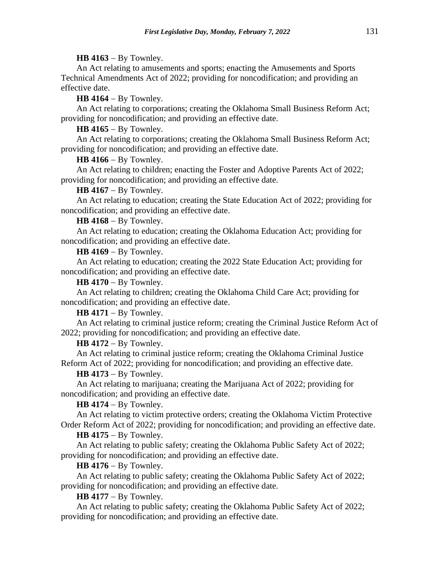## **HB 4163** − By Townley.

An Act relating to amusements and sports; enacting the Amusements and Sports Technical Amendments Act of 2022; providing for noncodification; and providing an effective date.

**HB 4164** − By Townley.

An Act relating to corporations; creating the Oklahoma Small Business Reform Act; providing for noncodification; and providing an effective date.

**HB 4165** − By Townley.

An Act relating to corporations; creating the Oklahoma Small Business Reform Act; providing for noncodification; and providing an effective date.

**HB 4166** − By Townley.

An Act relating to children; enacting the Foster and Adoptive Parents Act of 2022; providing for noncodification; and providing an effective date.

**HB 4167** − By Townley.

An Act relating to education; creating the State Education Act of 2022; providing for noncodification; and providing an effective date.

**HB 4168** − By Townley.

An Act relating to education; creating the Oklahoma Education Act; providing for noncodification; and providing an effective date.

**HB 4169** − By Townley.

An Act relating to education; creating the 2022 State Education Act; providing for noncodification; and providing an effective date.

**HB 4170** − By Townley.

An Act relating to children; creating the Oklahoma Child Care Act; providing for noncodification; and providing an effective date.

**HB 4171** − By Townley.

An Act relating to criminal justice reform; creating the Criminal Justice Reform Act of 2022; providing for noncodification; and providing an effective date.

**HB 4172** − By Townley.

An Act relating to criminal justice reform; creating the Oklahoma Criminal Justice Reform Act of 2022; providing for noncodification; and providing an effective date.

**HB 4173** − By Townley.

An Act relating to marijuana; creating the Marijuana Act of 2022; providing for noncodification; and providing an effective date.

**HB 4174** − By Townley.

An Act relating to victim protective orders; creating the Oklahoma Victim Protective Order Reform Act of 2022; providing for noncodification; and providing an effective date.

**HB 4175** − By Townley.

An Act relating to public safety; creating the Oklahoma Public Safety Act of 2022; providing for noncodification; and providing an effective date.

**HB 4176** − By Townley.

An Act relating to public safety; creating the Oklahoma Public Safety Act of 2022; providing for noncodification; and providing an effective date.

**HB 4177** − By Townley.

An Act relating to public safety; creating the Oklahoma Public Safety Act of 2022; providing for noncodification; and providing an effective date.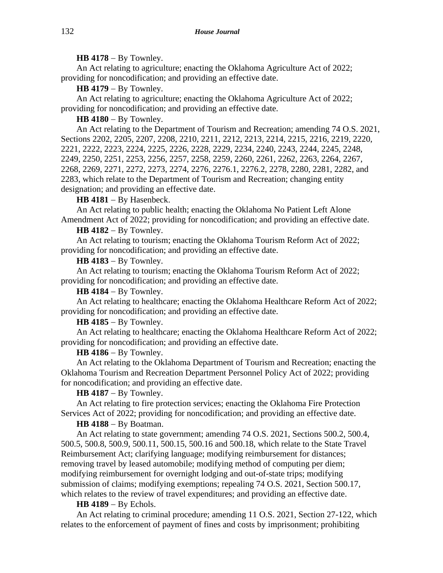### **HB 4178** − By Townley.

An Act relating to agriculture; enacting the Oklahoma Agriculture Act of 2022; providing for noncodification; and providing an effective date.

**HB 4179** − By Townley.

An Act relating to agriculture; enacting the Oklahoma Agriculture Act of 2022; providing for noncodification; and providing an effective date.

**HB 4180** − By Townley.

An Act relating to the Department of Tourism and Recreation; amending 74 O.S. 2021, Sections 2202, 2205, 2207, 2208, 2210, 2211, 2212, 2213, 2214, 2215, 2216, 2219, 2220, 2221, 2222, 2223, 2224, 2225, 2226, 2228, 2229, 2234, 2240, 2243, 2244, 2245, 2248, 2249, 2250, 2251, 2253, 2256, 2257, 2258, 2259, 2260, 2261, 2262, 2263, 2264, 2267, 2268, 2269, 2271, 2272, 2273, 2274, 2276, 2276.1, 2276.2, 2278, 2280, 2281, 2282, and 2283, which relate to the Department of Tourism and Recreation; changing entity designation; and providing an effective date.

**HB 4181** − By Hasenbeck.

An Act relating to public health; enacting the Oklahoma No Patient Left Alone Amendment Act of 2022; providing for noncodification; and providing an effective date.

### **HB 4182** − By Townley.

An Act relating to tourism; enacting the Oklahoma Tourism Reform Act of 2022; providing for noncodification; and providing an effective date.

**HB 4183** − By Townley.

An Act relating to tourism; enacting the Oklahoma Tourism Reform Act of 2022; providing for noncodification; and providing an effective date.

**HB 4184** − By Townley.

An Act relating to healthcare; enacting the Oklahoma Healthcare Reform Act of 2022; providing for noncodification; and providing an effective date.

**HB 4185** − By Townley.

An Act relating to healthcare; enacting the Oklahoma Healthcare Reform Act of 2022; providing for noncodification; and providing an effective date.

#### **HB 4186** − By Townley.

An Act relating to the Oklahoma Department of Tourism and Recreation; enacting the Oklahoma Tourism and Recreation Department Personnel Policy Act of 2022; providing for noncodification; and providing an effective date.

### **HB 4187** − By Townley.

An Act relating to fire protection services; enacting the Oklahoma Fire Protection Services Act of 2022; providing for noncodification; and providing an effective date.

### **HB 4188** − By Boatman.

An Act relating to state government; amending 74 O.S. 2021, Sections 500.2, 500.4, 500.5, 500.8, 500.9, 500.11, 500.15, 500.16 and 500.18, which relate to the State Travel Reimbursement Act; clarifying language; modifying reimbursement for distances; removing travel by leased automobile; modifying method of computing per diem; modifying reimbursement for overnight lodging and out-of-state trips; modifying submission of claims; modifying exemptions; repealing 74 O.S. 2021, Section 500.17, which relates to the review of travel expenditures; and providing an effective date.

#### **HB 4189** − By Echols.

An Act relating to criminal procedure; amending 11 O.S. 2021, Section 27-122, which relates to the enforcement of payment of fines and costs by imprisonment; prohibiting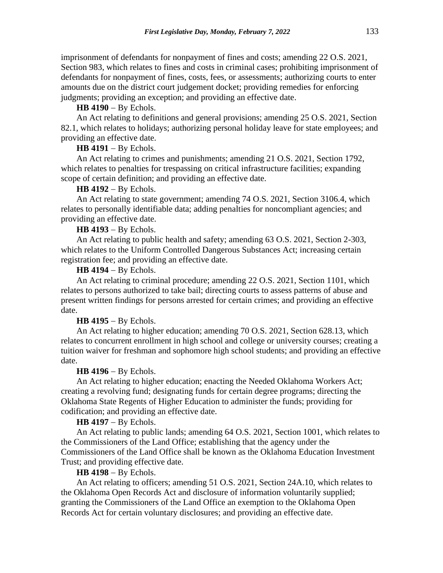imprisonment of defendants for nonpayment of fines and costs; amending 22 O.S. 2021, Section 983, which relates to fines and costs in criminal cases; prohibiting imprisonment of defendants for nonpayment of fines, costs, fees, or assessments; authorizing courts to enter amounts due on the district court judgement docket; providing remedies for enforcing judgments; providing an exception; and providing an effective date.

**HB 4190** − By Echols.

An Act relating to definitions and general provisions; amending 25 O.S. 2021, Section 82.1, which relates to holidays; authorizing personal holiday leave for state employees; and providing an effective date.

# **HB 4191** − By Echols.

An Act relating to crimes and punishments; amending 21 O.S. 2021, Section 1792, which relates to penalties for trespassing on critical infrastructure facilities; expanding scope of certain definition; and providing an effective date.

### **HB 4192** − By Echols.

An Act relating to state government; amending 74 O.S. 2021, Section 3106.4, which relates to personally identifiable data; adding penalties for noncompliant agencies; and providing an effective date.

**HB 4193** − By Echols.

An Act relating to public health and safety; amending 63 O.S. 2021, Section 2-303, which relates to the Uniform Controlled Dangerous Substances Act; increasing certain registration fee; and providing an effective date.

#### **HB 4194** − By Echols.

An Act relating to criminal procedure; amending 22 O.S. 2021, Section 1101, which relates to persons authorized to take bail; directing courts to assess patterns of abuse and present written findings for persons arrested for certain crimes; and providing an effective date.

#### **HB 4195** − By Echols.

An Act relating to higher education; amending 70 O.S. 2021, Section 628.13, which relates to concurrent enrollment in high school and college or university courses; creating a tuition waiver for freshman and sophomore high school students; and providing an effective date.

### **HB 4196** − By Echols.

An Act relating to higher education; enacting the Needed Oklahoma Workers Act; creating a revolving fund; designating funds for certain degree programs; directing the Oklahoma State Regents of Higher Education to administer the funds; providing for codification; and providing an effective date.

# **HB 4197** − By Echols.

An Act relating to public lands; amending 64 O.S. 2021, Section 1001, which relates to the Commissioners of the Land Office; establishing that the agency under the Commissioners of the Land Office shall be known as the Oklahoma Education Investment Trust; and providing effective date.

#### **HB 4198** − By Echols.

An Act relating to officers; amending 51 O.S. 2021, Section 24A.10, which relates to the Oklahoma Open Records Act and disclosure of information voluntarily supplied; granting the Commissioners of the Land Office an exemption to the Oklahoma Open Records Act for certain voluntary disclosures; and providing an effective date.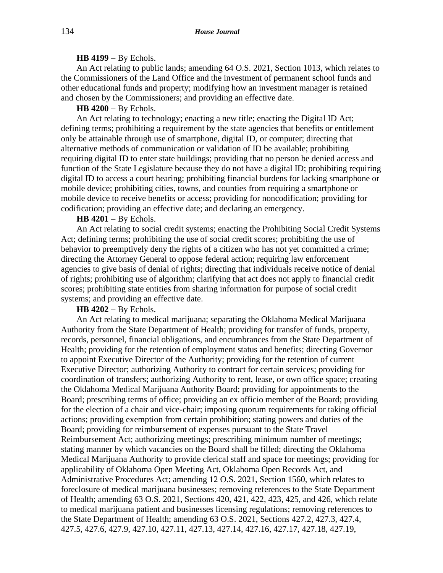### **HB 4199** − By Echols.

An Act relating to public lands; amending 64 O.S. 2021, Section 1013, which relates to the Commissioners of the Land Office and the investment of permanent school funds and other educational funds and property; modifying how an investment manager is retained and chosen by the Commissioners; and providing an effective date.

# **HB 4200** − By Echols.

An Act relating to technology; enacting a new title; enacting the Digital ID Act; defining terms; prohibiting a requirement by the state agencies that benefits or entitlement only be attainable through use of smartphone, digital ID, or computer; directing that alternative methods of communication or validation of ID be available; prohibiting requiring digital ID to enter state buildings; providing that no person be denied access and function of the State Legislature because they do not have a digital ID; prohibiting requiring digital ID to access a court hearing; prohibiting financial burdens for lacking smartphone or mobile device; prohibiting cities, towns, and counties from requiring a smartphone or mobile device to receive benefits or access; providing for noncodification; providing for codification; providing an effective date; and declaring an emergency.

## **HB 4201** − By Echols.

An Act relating to social credit systems; enacting the Prohibiting Social Credit Systems Act; defining terms; prohibiting the use of social credit scores; prohibiting the use of behavior to preemptively deny the rights of a citizen who has not yet committed a crime; directing the Attorney General to oppose federal action; requiring law enforcement agencies to give basis of denial of rights; directing that individuals receive notice of denial of rights; prohibiting use of algorithm; clarifying that act does not apply to financial credit scores; prohibiting state entities from sharing information for purpose of social credit systems; and providing an effective date.

# **HB 4202** − By Echols.

An Act relating to medical marijuana; separating the Oklahoma Medical Marijuana Authority from the State Department of Health; providing for transfer of funds, property, records, personnel, financial obligations, and encumbrances from the State Department of Health; providing for the retention of employment status and benefits; directing Governor to appoint Executive Director of the Authority; providing for the retention of current Executive Director; authorizing Authority to contract for certain services; providing for coordination of transfers; authorizing Authority to rent, lease, or own office space; creating the Oklahoma Medical Marijuana Authority Board; providing for appointments to the Board; prescribing terms of office; providing an ex officio member of the Board; providing for the election of a chair and vice-chair; imposing quorum requirements for taking official actions; providing exemption from certain prohibition; stating powers and duties of the Board; providing for reimbursement of expenses pursuant to the State Travel Reimbursement Act; authorizing meetings; prescribing minimum number of meetings; stating manner by which vacancies on the Board shall be filled; directing the Oklahoma Medical Marijuana Authority to provide clerical staff and space for meetings; providing for applicability of Oklahoma Open Meeting Act, Oklahoma Open Records Act, and Administrative Procedures Act; amending 12 O.S. 2021, Section 1560, which relates to foreclosure of medical marijuana businesses; removing references to the State Department of Health; amending 63 O.S. 2021, Sections 420, 421, 422, 423, 425, and 426, which relate to medical marijuana patient and businesses licensing regulations; removing references to the State Department of Health; amending 63 O.S. 2021, Sections 427.2, 427.3, 427.4, 427.5, 427.6, 427.9, 427.10, 427.11, 427.13, 427.14, 427.16, 427.17, 427.18, 427.19,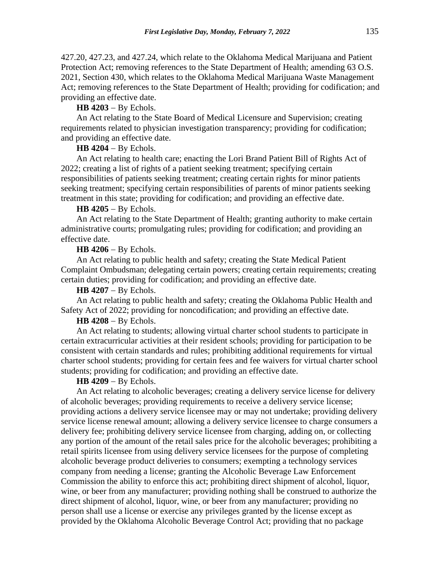427.20, 427.23, and 427.24, which relate to the Oklahoma Medical Marijuana and Patient Protection Act; removing references to the State Department of Health; amending 63 O.S. 2021, Section 430, which relates to the Oklahoma Medical Marijuana Waste Management Act; removing references to the State Department of Health; providing for codification; and providing an effective date.

**HB 4203** − By Echols.

An Act relating to the State Board of Medical Licensure and Supervision; creating requirements related to physician investigation transparency; providing for codification; and providing an effective date.

# **HB 4204** − By Echols.

An Act relating to health care; enacting the Lori Brand Patient Bill of Rights Act of 2022; creating a list of rights of a patient seeking treatment; specifying certain responsibilities of patients seeking treatment; creating certain rights for minor patients seeking treatment; specifying certain responsibilities of parents of minor patients seeking treatment in this state; providing for codification; and providing an effective date.

### **HB 4205** − By Echols.

An Act relating to the State Department of Health; granting authority to make certain administrative courts; promulgating rules; providing for codification; and providing an effective date.

### **HB 4206** − By Echols.

An Act relating to public health and safety; creating the State Medical Patient Complaint Ombudsman; delegating certain powers; creating certain requirements; creating certain duties; providing for codification; and providing an effective date.

#### **HB 4207** − By Echols.

An Act relating to public health and safety; creating the Oklahoma Public Health and Safety Act of 2022; providing for noncodification; and providing an effective date.

# **HB 4208** − By Echols.

An Act relating to students; allowing virtual charter school students to participate in certain extracurricular activities at their resident schools; providing for participation to be consistent with certain standards and rules; prohibiting additional requirements for virtual charter school students; providing for certain fees and fee waivers for virtual charter school students; providing for codification; and providing an effective date.

## **HB 4209** − By Echols.

An Act relating to alcoholic beverages; creating a delivery service license for delivery of alcoholic beverages; providing requirements to receive a delivery service license; providing actions a delivery service licensee may or may not undertake; providing delivery service license renewal amount; allowing a delivery service licensee to charge consumers a delivery fee; prohibiting delivery service licensee from charging, adding on, or collecting any portion of the amount of the retail sales price for the alcoholic beverages; prohibiting a retail spirits licensee from using delivery service licensees for the purpose of completing alcoholic beverage product deliveries to consumers; exempting a technology services company from needing a license; granting the Alcoholic Beverage Law Enforcement Commission the ability to enforce this act; prohibiting direct shipment of alcohol, liquor, wine, or beer from any manufacturer; providing nothing shall be construed to authorize the direct shipment of alcohol, liquor, wine, or beer from any manufacturer; providing no person shall use a license or exercise any privileges granted by the license except as provided by the Oklahoma Alcoholic Beverage Control Act; providing that no package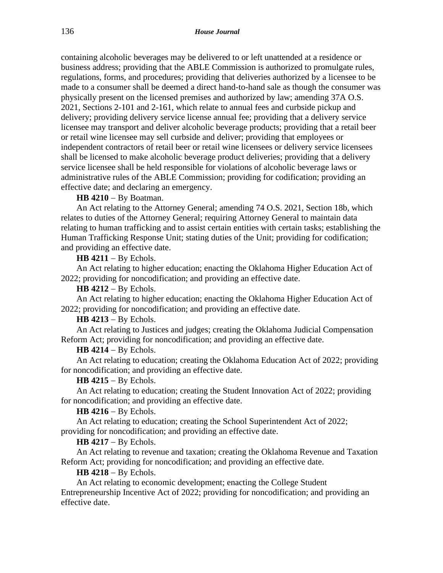containing alcoholic beverages may be delivered to or left unattended at a residence or business address; providing that the ABLE Commission is authorized to promulgate rules, regulations, forms, and procedures; providing that deliveries authorized by a licensee to be made to a consumer shall be deemed a direct hand-to-hand sale as though the consumer was physically present on the licensed premises and authorized by law; amending 37A O.S. 2021, Sections 2-101 and 2-161, which relate to annual fees and curbside pickup and delivery; providing delivery service license annual fee; providing that a delivery service licensee may transport and deliver alcoholic beverage products; providing that a retail beer or retail wine licensee may sell curbside and deliver; providing that employees or independent contractors of retail beer or retail wine licensees or delivery service licensees shall be licensed to make alcoholic beverage product deliveries; providing that a delivery service licensee shall be held responsible for violations of alcoholic beverage laws or administrative rules of the ABLE Commission; providing for codification; providing an effective date; and declaring an emergency.

### **HB 4210** − By Boatman.

An Act relating to the Attorney General; amending 74 O.S. 2021, Section 18b, which relates to duties of the Attorney General; requiring Attorney General to maintain data relating to human trafficking and to assist certain entities with certain tasks; establishing the Human Trafficking Response Unit; stating duties of the Unit; providing for codification; and providing an effective date.

**HB 4211** − By Echols.

An Act relating to higher education; enacting the Oklahoma Higher Education Act of 2022; providing for noncodification; and providing an effective date.

**HB 4212** − By Echols.

An Act relating to higher education; enacting the Oklahoma Higher Education Act of 2022; providing for noncodification; and providing an effective date.

#### **HB 4213** − By Echols.

An Act relating to Justices and judges; creating the Oklahoma Judicial Compensation Reform Act; providing for noncodification; and providing an effective date.

### **HB 4214** − By Echols.

An Act relating to education; creating the Oklahoma Education Act of 2022; providing for noncodification; and providing an effective date.

## **HB 4215** − By Echols.

An Act relating to education; creating the Student Innovation Act of 2022; providing for noncodification; and providing an effective date.

### **HB 4216** − By Echols.

An Act relating to education; creating the School Superintendent Act of 2022; providing for noncodification; and providing an effective date.

#### **HB 4217** − By Echols.

An Act relating to revenue and taxation; creating the Oklahoma Revenue and Taxation Reform Act; providing for noncodification; and providing an effective date.

### **HB 4218** − By Echols.

An Act relating to economic development; enacting the College Student Entrepreneurship Incentive Act of 2022; providing for noncodification; and providing an effective date.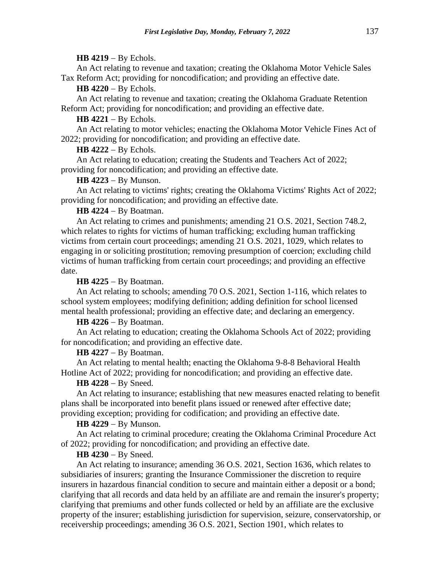#### **HB 4219** − By Echols.

An Act relating to revenue and taxation; creating the Oklahoma Motor Vehicle Sales Tax Reform Act; providing for noncodification; and providing an effective date.

**HB 4220** − By Echols.

An Act relating to revenue and taxation; creating the Oklahoma Graduate Retention Reform Act; providing for noncodification; and providing an effective date.

**HB 4221** − By Echols.

An Act relating to motor vehicles; enacting the Oklahoma Motor Vehicle Fines Act of 2022; providing for noncodification; and providing an effective date.

**HB 4222** − By Echols.

An Act relating to education; creating the Students and Teachers Act of 2022; providing for noncodification; and providing an effective date.

**HB 4223** − By Munson.

An Act relating to victims' rights; creating the Oklahoma Victims' Rights Act of 2022; providing for noncodification; and providing an effective date.

**HB 4224** − By Boatman.

An Act relating to crimes and punishments; amending 21 O.S. 2021, Section 748.2, which relates to rights for victims of human trafficking; excluding human trafficking victims from certain court proceedings; amending 21 O.S. 2021, 1029, which relates to engaging in or soliciting prostitution; removing presumption of coercion; excluding child victims of human trafficking from certain court proceedings; and providing an effective date.

**HB 4225** − By Boatman.

An Act relating to schools; amending 70 O.S. 2021, Section 1-116, which relates to school system employees; modifying definition; adding definition for school licensed mental health professional; providing an effective date; and declaring an emergency.

# **HB 4226** − By Boatman.

An Act relating to education; creating the Oklahoma Schools Act of 2022; providing for noncodification; and providing an effective date.

**HB 4227** − By Boatman.

An Act relating to mental health; enacting the Oklahoma 9-8-8 Behavioral Health Hotline Act of 2022; providing for noncodification; and providing an effective date.

# **HB 4228** − By Sneed.

An Act relating to insurance; establishing that new measures enacted relating to benefit plans shall be incorporated into benefit plans issued or renewed after effective date; providing exception; providing for codification; and providing an effective date.

#### **HB 4229** − By Munson.

An Act relating to criminal procedure; creating the Oklahoma Criminal Procedure Act of 2022; providing for noncodification; and providing an effective date.

### **HB 4230** − By Sneed.

An Act relating to insurance; amending 36 O.S. 2021, Section 1636, which relates to subsidiaries of insurers; granting the Insurance Commissioner the discretion to require insurers in hazardous financial condition to secure and maintain either a deposit or a bond; clarifying that all records and data held by an affiliate are and remain the insurer's property; clarifying that premiums and other funds collected or held by an affiliate are the exclusive property of the insurer; establishing jurisdiction for supervision, seizure, conservatorship, or receivership proceedings; amending 36 O.S. 2021, Section 1901, which relates to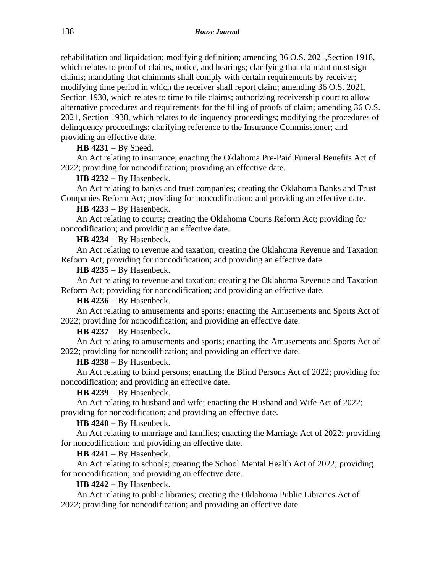rehabilitation and liquidation; modifying definition; amending 36 O.S. 2021,Section 1918, which relates to proof of claims, notice, and hearings; clarifying that claimant must sign claims; mandating that claimants shall comply with certain requirements by receiver; modifying time period in which the receiver shall report claim; amending 36 O.S. 2021, Section 1930, which relates to time to file claims; authorizing receivership court to allow alternative procedures and requirements for the filling of proofs of claim; amending 36 O.S. 2021, Section 1938, which relates to delinquency proceedings; modifying the procedures of delinquency proceedings; clarifying reference to the Insurance Commissioner; and providing an effective date.

# **HB 4231** − By Sneed.

An Act relating to insurance; enacting the Oklahoma Pre-Paid Funeral Benefits Act of 2022; providing for noncodification; providing an effective date.

# **HB 4232** − By Hasenbeck.

An Act relating to banks and trust companies; creating the Oklahoma Banks and Trust Companies Reform Act; providing for noncodification; and providing an effective date.

**HB 4233** − By Hasenbeck.

An Act relating to courts; creating the Oklahoma Courts Reform Act; providing for noncodification; and providing an effective date.

**HB 4234** − By Hasenbeck.

An Act relating to revenue and taxation; creating the Oklahoma Revenue and Taxation Reform Act; providing for noncodification; and providing an effective date.

**HB 4235** − By Hasenbeck.

An Act relating to revenue and taxation; creating the Oklahoma Revenue and Taxation Reform Act; providing for noncodification; and providing an effective date.

**HB 4236** − By Hasenbeck.

An Act relating to amusements and sports; enacting the Amusements and Sports Act of 2022; providing for noncodification; and providing an effective date.

**HB 4237** − By Hasenbeck.

An Act relating to amusements and sports; enacting the Amusements and Sports Act of 2022; providing for noncodification; and providing an effective date.

**HB 4238** − By Hasenbeck.

An Act relating to blind persons; enacting the Blind Persons Act of 2022; providing for noncodification; and providing an effective date.

**HB 4239** − By Hasenbeck.

An Act relating to husband and wife; enacting the Husband and Wife Act of 2022; providing for noncodification; and providing an effective date.

**HB 4240** − By Hasenbeck.

An Act relating to marriage and families; enacting the Marriage Act of 2022; providing for noncodification; and providing an effective date.

**HB 4241** − By Hasenbeck.

An Act relating to schools; creating the School Mental Health Act of 2022; providing for noncodification; and providing an effective date.

**HB 4242** − By Hasenbeck.

An Act relating to public libraries; creating the Oklahoma Public Libraries Act of 2022; providing for noncodification; and providing an effective date.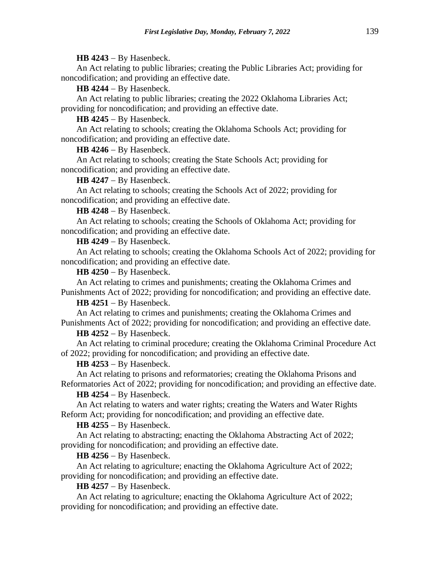### **HB 4243** − By Hasenbeck.

An Act relating to public libraries; creating the Public Libraries Act; providing for noncodification; and providing an effective date.

**HB 4244** − By Hasenbeck.

An Act relating to public libraries; creating the 2022 Oklahoma Libraries Act; providing for noncodification; and providing an effective date.

**HB 4245** − By Hasenbeck.

An Act relating to schools; creating the Oklahoma Schools Act; providing for noncodification; and providing an effective date.

**HB 4246** − By Hasenbeck.

An Act relating to schools; creating the State Schools Act; providing for noncodification; and providing an effective date.

**HB 4247** − By Hasenbeck.

An Act relating to schools; creating the Schools Act of 2022; providing for noncodification; and providing an effective date.

**HB 4248** − By Hasenbeck.

An Act relating to schools; creating the Schools of Oklahoma Act; providing for noncodification; and providing an effective date.

**HB 4249** − By Hasenbeck.

An Act relating to schools; creating the Oklahoma Schools Act of 2022; providing for noncodification; and providing an effective date.

**HB 4250** − By Hasenbeck.

An Act relating to crimes and punishments; creating the Oklahoma Crimes and Punishments Act of 2022; providing for noncodification; and providing an effective date.

**HB 4251** − By Hasenbeck.

An Act relating to crimes and punishments; creating the Oklahoma Crimes and Punishments Act of 2022; providing for noncodification; and providing an effective date.

**HB 4252** − By Hasenbeck.

An Act relating to criminal procedure; creating the Oklahoma Criminal Procedure Act of 2022; providing for noncodification; and providing an effective date.

**HB 4253** − By Hasenbeck.

An Act relating to prisons and reformatories; creating the Oklahoma Prisons and Reformatories Act of 2022; providing for noncodification; and providing an effective date.

**HB 4254** − By Hasenbeck.

An Act relating to waters and water rights; creating the Waters and Water Rights Reform Act; providing for noncodification; and providing an effective date.

**HB 4255** − By Hasenbeck.

An Act relating to abstracting; enacting the Oklahoma Abstracting Act of 2022; providing for noncodification; and providing an effective date.

**HB 4256** − By Hasenbeck.

An Act relating to agriculture; enacting the Oklahoma Agriculture Act of 2022; providing for noncodification; and providing an effective date.

**HB 4257** − By Hasenbeck.

An Act relating to agriculture; enacting the Oklahoma Agriculture Act of 2022; providing for noncodification; and providing an effective date.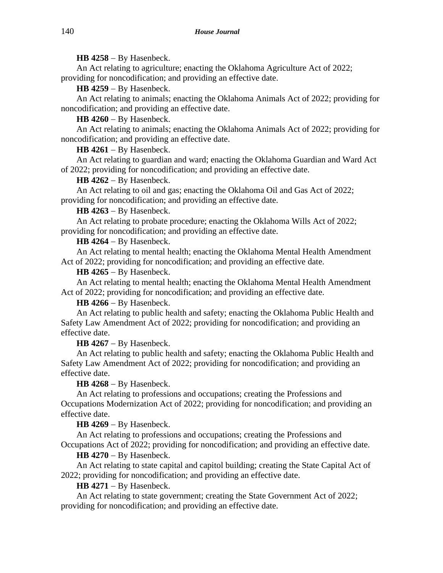**HB 4258** − By Hasenbeck.

An Act relating to agriculture; enacting the Oklahoma Agriculture Act of 2022; providing for noncodification; and providing an effective date.

**HB 4259** − By Hasenbeck.

An Act relating to animals; enacting the Oklahoma Animals Act of 2022; providing for noncodification; and providing an effective date.

**HB 4260** − By Hasenbeck.

An Act relating to animals; enacting the Oklahoma Animals Act of 2022; providing for noncodification; and providing an effective date.

**HB 4261** − By Hasenbeck.

An Act relating to guardian and ward; enacting the Oklahoma Guardian and Ward Act of 2022; providing for noncodification; and providing an effective date.

**HB 4262** − By Hasenbeck.

An Act relating to oil and gas; enacting the Oklahoma Oil and Gas Act of 2022; providing for noncodification; and providing an effective date.

**HB 4263** − By Hasenbeck.

An Act relating to probate procedure; enacting the Oklahoma Wills Act of 2022; providing for noncodification; and providing an effective date.

**HB 4264** − By Hasenbeck.

An Act relating to mental health; enacting the Oklahoma Mental Health Amendment Act of 2022; providing for noncodification; and providing an effective date.

**HB 4265** − By Hasenbeck.

An Act relating to mental health; enacting the Oklahoma Mental Health Amendment Act of 2022; providing for noncodification; and providing an effective date.

**HB 4266** − By Hasenbeck.

An Act relating to public health and safety; enacting the Oklahoma Public Health and Safety Law Amendment Act of 2022; providing for noncodification; and providing an effective date.

**HB 4267** − By Hasenbeck.

An Act relating to public health and safety; enacting the Oklahoma Public Health and Safety Law Amendment Act of 2022; providing for noncodification; and providing an effective date.

**HB 4268** − By Hasenbeck.

An Act relating to professions and occupations; creating the Professions and Occupations Modernization Act of 2022; providing for noncodification; and providing an effective date.

**HB 4269** − By Hasenbeck.

An Act relating to professions and occupations; creating the Professions and Occupations Act of 2022; providing for noncodification; and providing an effective date.

**HB 4270** − By Hasenbeck.

An Act relating to state capital and capitol building; creating the State Capital Act of 2022; providing for noncodification; and providing an effective date.

**HB 4271** − By Hasenbeck.

An Act relating to state government; creating the State Government Act of 2022; providing for noncodification; and providing an effective date.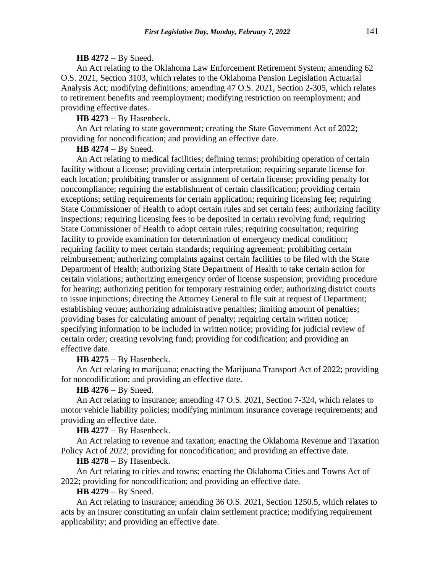#### **HB 4272** − By Sneed.

An Act relating to the Oklahoma Law Enforcement Retirement System; amending 62 O.S. 2021, Section 3103, which relates to the Oklahoma Pension Legislation Actuarial Analysis Act; modifying definitions; amending 47 O.S. 2021, Section 2-305, which relates to retirement benefits and reemployment; modifying restriction on reemployment; and providing effective dates.

**HB 4273** − By Hasenbeck.

An Act relating to state government; creating the State Government Act of 2022; providing for noncodification; and providing an effective date.

**HB 4274** − By Sneed.

An Act relating to medical facilities; defining terms; prohibiting operation of certain facility without a license; providing certain interpretation; requiring separate license for each location; prohibiting transfer or assignment of certain license; providing penalty for noncompliance; requiring the establishment of certain classification; providing certain exceptions; setting requirements for certain application; requiring licensing fee; requiring State Commissioner of Health to adopt certain rules and set certain fees; authorizing facility inspections; requiring licensing fees to be deposited in certain revolving fund; requiring State Commissioner of Health to adopt certain rules; requiring consultation; requiring facility to provide examination for determination of emergency medical condition; requiring facility to meet certain standards; requiring agreement; prohibiting certain reimbursement; authorizing complaints against certain facilities to be filed with the State Department of Health; authorizing State Department of Health to take certain action for certain violations; authorizing emergency order of license suspension; providing procedure for hearing; authorizing petition for temporary restraining order; authorizing district courts to issue injunctions; directing the Attorney General to file suit at request of Department; establishing venue; authorizing administrative penalties; limiting amount of penalties; providing bases for calculating amount of penalty; requiring certain written notice; specifying information to be included in written notice; providing for judicial review of certain order; creating revolving fund; providing for codification; and providing an effective date.

**HB 4275** − By Hasenbeck.

An Act relating to marijuana; enacting the Marijuana Transport Act of 2022; providing for noncodification; and providing an effective date.

**HB 4276** − By Sneed.

An Act relating to insurance; amending 47 O.S. 2021, Section 7-324, which relates to motor vehicle liability policies; modifying minimum insurance coverage requirements; and providing an effective date.

**HB 4277** − By Hasenbeck.

An Act relating to revenue and taxation; enacting the Oklahoma Revenue and Taxation Policy Act of 2022; providing for noncodification; and providing an effective date.

**HB 4278** − By Hasenbeck.

An Act relating to cities and towns; enacting the Oklahoma Cities and Towns Act of 2022; providing for noncodification; and providing an effective date.

**HB 4279** − By Sneed.

An Act relating to insurance; amending 36 O.S. 2021, Section 1250.5, which relates to acts by an insurer constituting an unfair claim settlement practice; modifying requirement applicability; and providing an effective date.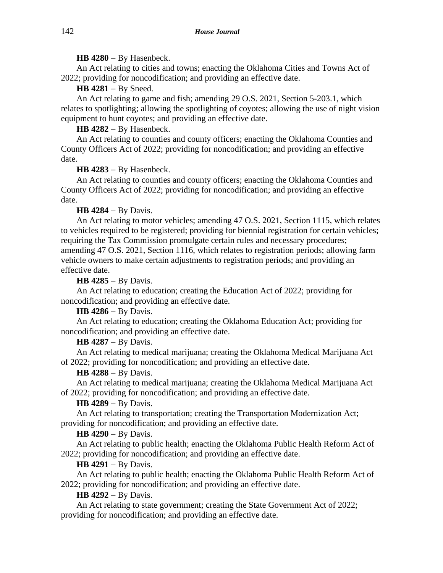# **HB 4280** − By Hasenbeck.

An Act relating to cities and towns; enacting the Oklahoma Cities and Towns Act of 2022; providing for noncodification; and providing an effective date.

**HB 4281** − By Sneed.

An Act relating to game and fish; amending 29 O.S. 2021, Section 5-203.1, which relates to spotlighting; allowing the spotlighting of coyotes; allowing the use of night vision equipment to hunt coyotes; and providing an effective date.

**HB 4282** − By Hasenbeck.

An Act relating to counties and county officers; enacting the Oklahoma Counties and County Officers Act of 2022; providing for noncodification; and providing an effective date.

**HB 4283** − By Hasenbeck.

An Act relating to counties and county officers; enacting the Oklahoma Counties and County Officers Act of 2022; providing for noncodification; and providing an effective date.

**HB 4284** − By Davis.

An Act relating to motor vehicles; amending 47 O.S. 2021, Section 1115, which relates to vehicles required to be registered; providing for biennial registration for certain vehicles; requiring the Tax Commission promulgate certain rules and necessary procedures; amending 47 O.S. 2021, Section 1116, which relates to registration periods; allowing farm vehicle owners to make certain adjustments to registration periods; and providing an effective date.

**HB 4285** − By Davis.

An Act relating to education; creating the Education Act of 2022; providing for noncodification; and providing an effective date.

**HB 4286** − By Davis.

An Act relating to education; creating the Oklahoma Education Act; providing for noncodification; and providing an effective date.

**HB 4287** − By Davis.

An Act relating to medical marijuana; creating the Oklahoma Medical Marijuana Act of 2022; providing for noncodification; and providing an effective date.

**HB 4288** − By Davis.

An Act relating to medical marijuana; creating the Oklahoma Medical Marijuana Act of 2022; providing for noncodification; and providing an effective date.

**HB 4289** − By Davis.

An Act relating to transportation; creating the Transportation Modernization Act; providing for noncodification; and providing an effective date.

**HB 4290** − By Davis.

An Act relating to public health; enacting the Oklahoma Public Health Reform Act of 2022; providing for noncodification; and providing an effective date.

# **HB 4291** − By Davis.

An Act relating to public health; enacting the Oklahoma Public Health Reform Act of 2022; providing for noncodification; and providing an effective date.

**HB 4292** − By Davis.

An Act relating to state government; creating the State Government Act of 2022; providing for noncodification; and providing an effective date.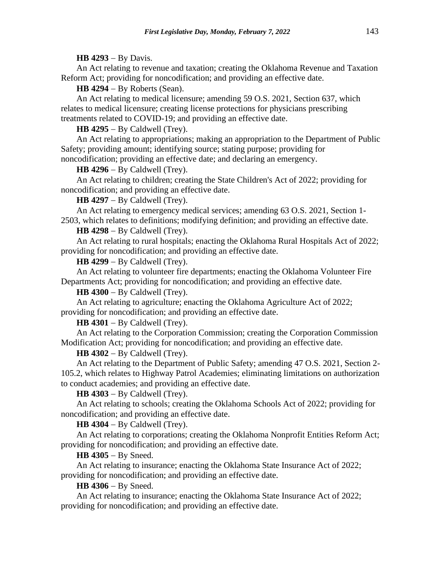**HB 4293** − By Davis.

An Act relating to revenue and taxation; creating the Oklahoma Revenue and Taxation Reform Act; providing for noncodification; and providing an effective date.

**HB 4294** − By Roberts (Sean).

An Act relating to medical licensure; amending 59 O.S. 2021, Section 637, which relates to medical licensure; creating license protections for physicians prescribing treatments related to COVID-19; and providing an effective date.

**HB 4295** − By Caldwell (Trey).

An Act relating to appropriations; making an appropriation to the Department of Public Safety; providing amount; identifying source; stating purpose; providing for noncodification; providing an effective date; and declaring an emergency.

**HB 4296** − By Caldwell (Trey).

An Act relating to children; creating the State Children's Act of 2022; providing for noncodification; and providing an effective date.

**HB 4297** − By Caldwell (Trey).

An Act relating to emergency medical services; amending 63 O.S. 2021, Section 1- 2503, which relates to definitions; modifying definition; and providing an effective date.

**HB 4298** − By Caldwell (Trey).

An Act relating to rural hospitals; enacting the Oklahoma Rural Hospitals Act of 2022; providing for noncodification; and providing an effective date.

**HB 4299** − By Caldwell (Trey).

An Act relating to volunteer fire departments; enacting the Oklahoma Volunteer Fire Departments Act; providing for noncodification; and providing an effective date.

**HB 4300** − By Caldwell (Trey).

An Act relating to agriculture; enacting the Oklahoma Agriculture Act of 2022; providing for noncodification; and providing an effective date.

**HB 4301** − By Caldwell (Trey).

An Act relating to the Corporation Commission; creating the Corporation Commission Modification Act; providing for noncodification; and providing an effective date.

**HB 4302** − By Caldwell (Trey).

An Act relating to the Department of Public Safety; amending 47 O.S. 2021, Section 2- 105.2, which relates to Highway Patrol Academies; eliminating limitations on authorization to conduct academies; and providing an effective date.

**HB 4303** − By Caldwell (Trey).

An Act relating to schools; creating the Oklahoma Schools Act of 2022; providing for noncodification; and providing an effective date.

**HB 4304** − By Caldwell (Trey).

An Act relating to corporations; creating the Oklahoma Nonprofit Entities Reform Act; providing for noncodification; and providing an effective date.

**HB 4305** − By Sneed.

An Act relating to insurance; enacting the Oklahoma State Insurance Act of 2022; providing for noncodification; and providing an effective date.

**HB 4306** − By Sneed.

An Act relating to insurance; enacting the Oklahoma State Insurance Act of 2022; providing for noncodification; and providing an effective date.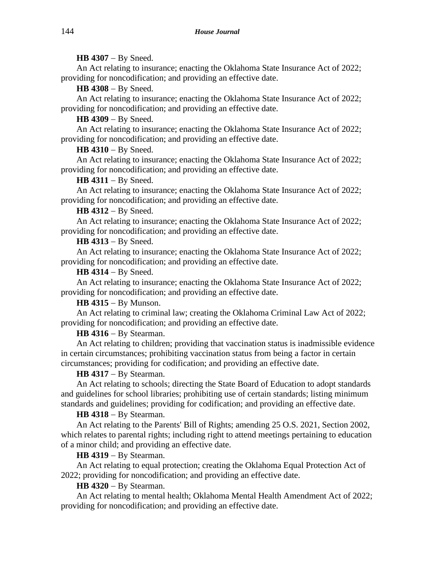## **HB 4307** − By Sneed.

An Act relating to insurance; enacting the Oklahoma State Insurance Act of 2022; providing for noncodification; and providing an effective date.

**HB 4308** − By Sneed.

An Act relating to insurance; enacting the Oklahoma State Insurance Act of 2022; providing for noncodification; and providing an effective date.

**HB 4309** − By Sneed.

An Act relating to insurance; enacting the Oklahoma State Insurance Act of 2022; providing for noncodification; and providing an effective date.

# **HB 4310** − By Sneed.

An Act relating to insurance; enacting the Oklahoma State Insurance Act of 2022; providing for noncodification; and providing an effective date.

## **HB 4311** − By Sneed.

An Act relating to insurance; enacting the Oklahoma State Insurance Act of 2022; providing for noncodification; and providing an effective date.

**HB 4312** − By Sneed.

An Act relating to insurance; enacting the Oklahoma State Insurance Act of 2022; providing for noncodification; and providing an effective date.

# **HB 4313** − By Sneed.

An Act relating to insurance; enacting the Oklahoma State Insurance Act of 2022; providing for noncodification; and providing an effective date.

# **HB 4314** − By Sneed.

An Act relating to insurance; enacting the Oklahoma State Insurance Act of 2022; providing for noncodification; and providing an effective date.

**HB 4315** − By Munson.

An Act relating to criminal law; creating the Oklahoma Criminal Law Act of 2022; providing for noncodification; and providing an effective date.

**HB 4316** − By Stearman.

An Act relating to children; providing that vaccination status is inadmissible evidence in certain circumstances; prohibiting vaccination status from being a factor in certain circumstances; providing for codification; and providing an effective date.

# **HB 4317** − By Stearman.

An Act relating to schools; directing the State Board of Education to adopt standards and guidelines for school libraries; prohibiting use of certain standards; listing minimum standards and guidelines; providing for codification; and providing an effective date.

# **HB 4318** − By Stearman.

An Act relating to the Parents' Bill of Rights; amending 25 O.S. 2021, Section 2002, which relates to parental rights; including right to attend meetings pertaining to education of a minor child; and providing an effective date.

# **HB 4319** − By Stearman.

An Act relating to equal protection; creating the Oklahoma Equal Protection Act of 2022; providing for noncodification; and providing an effective date.

# **HB 4320** − By Stearman.

An Act relating to mental health; Oklahoma Mental Health Amendment Act of 2022; providing for noncodification; and providing an effective date.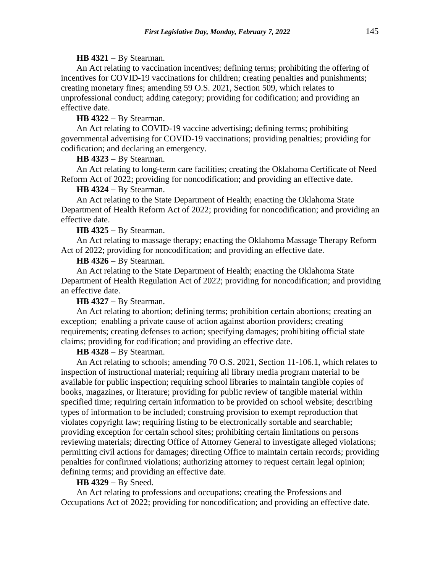#### **HB 4321** − By Stearman.

An Act relating to vaccination incentives; defining terms; prohibiting the offering of incentives for COVID-19 vaccinations for children; creating penalties and punishments; creating monetary fines; amending 59 O.S. 2021, Section 509, which relates to unprofessional conduct; adding category; providing for codification; and providing an effective date.

## **HB 4322** − By Stearman.

An Act relating to COVID-19 vaccine advertising; defining terms; prohibiting governmental advertising for COVID-19 vaccinations; providing penalties; providing for codification; and declaring an emergency.

#### **HB 4323** − By Stearman.

An Act relating to long-term care facilities; creating the Oklahoma Certificate of Need Reform Act of 2022; providing for noncodification; and providing an effective date.

### **HB 4324** − By Stearman.

An Act relating to the State Department of Health; enacting the Oklahoma State Department of Health Reform Act of 2022; providing for noncodification; and providing an effective date.

## **HB 4325** − By Stearman.

An Act relating to massage therapy; enacting the Oklahoma Massage Therapy Reform Act of 2022; providing for noncodification; and providing an effective date.

### **HB 4326** − By Stearman.

An Act relating to the State Department of Health; enacting the Oklahoma State Department of Health Regulation Act of 2022; providing for noncodification; and providing an effective date.

### **HB 4327** − By Stearman.

An Act relating to abortion; defining terms; prohibition certain abortions; creating an exception; enabling a private cause of action against abortion providers; creating requirements; creating defenses to action; specifying damages; prohibiting official state claims; providing for codification; and providing an effective date.

#### **HB 4328** − By Stearman.

An Act relating to schools; amending 70 O.S. 2021, Section 11-106.1, which relates to inspection of instructional material; requiring all library media program material to be available for public inspection; requiring school libraries to maintain tangible copies of books, magazines, or literature; providing for public review of tangible material within specified time; requiring certain information to be provided on school website; describing types of information to be included; construing provision to exempt reproduction that violates copyright law; requiring listing to be electronically sortable and searchable; providing exception for certain school sites; prohibiting certain limitations on persons reviewing materials; directing Office of Attorney General to investigate alleged violations; permitting civil actions for damages; directing Office to maintain certain records; providing penalties for confirmed violations; authorizing attorney to request certain legal opinion; defining terms; and providing an effective date.

### **HB 4329** − By Sneed.

An Act relating to professions and occupations; creating the Professions and Occupations Act of 2022; providing for noncodification; and providing an effective date.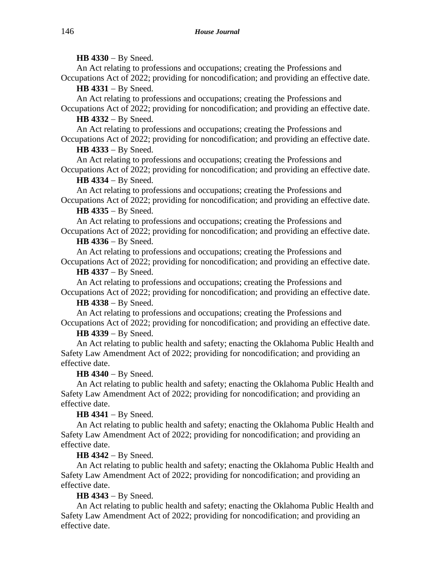**HB 4330** − By Sneed.

An Act relating to professions and occupations; creating the Professions and Occupations Act of 2022; providing for noncodification; and providing an effective date.

**HB 4331** − By Sneed.

An Act relating to professions and occupations; creating the Professions and Occupations Act of 2022; providing for noncodification; and providing an effective date.

**HB 4332** − By Sneed.

An Act relating to professions and occupations; creating the Professions and Occupations Act of 2022; providing for noncodification; and providing an effective date.

# **HB 4333** − By Sneed.

An Act relating to professions and occupations; creating the Professions and Occupations Act of 2022; providing for noncodification; and providing an effective date.

# **HB 4334** − By Sneed.

An Act relating to professions and occupations; creating the Professions and Occupations Act of 2022; providing for noncodification; and providing an effective date.

# **HB 4335** − By Sneed.

An Act relating to professions and occupations; creating the Professions and Occupations Act of 2022; providing for noncodification; and providing an effective date.

# **HB 4336** − By Sneed.

An Act relating to professions and occupations; creating the Professions and Occupations Act of 2022; providing for noncodification; and providing an effective date.

# **HB 4337** − By Sneed.

An Act relating to professions and occupations; creating the Professions and Occupations Act of 2022; providing for noncodification; and providing an effective date.

# **HB 4338** − By Sneed.

An Act relating to professions and occupations; creating the Professions and Occupations Act of 2022; providing for noncodification; and providing an effective date.

# **HB 4339** − By Sneed.

An Act relating to public health and safety; enacting the Oklahoma Public Health and Safety Law Amendment Act of 2022; providing for noncodification; and providing an effective date.

# **HB 4340** − By Sneed.

An Act relating to public health and safety; enacting the Oklahoma Public Health and Safety Law Amendment Act of 2022; providing for noncodification; and providing an effective date.

**HB 4341** − By Sneed.

An Act relating to public health and safety; enacting the Oklahoma Public Health and Safety Law Amendment Act of 2022; providing for noncodification; and providing an effective date.

# **HB 4342** − By Sneed.

An Act relating to public health and safety; enacting the Oklahoma Public Health and Safety Law Amendment Act of 2022; providing for noncodification; and providing an effective date.

# **HB 4343** − By Sneed.

An Act relating to public health and safety; enacting the Oklahoma Public Health and Safety Law Amendment Act of 2022; providing for noncodification; and providing an effective date.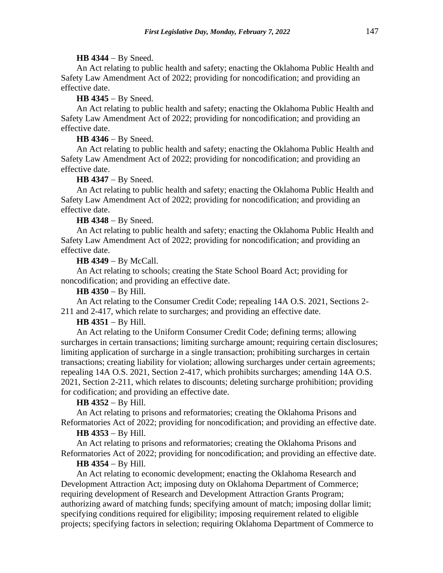### **HB 4344** − By Sneed.

An Act relating to public health and safety; enacting the Oklahoma Public Health and Safety Law Amendment Act of 2022; providing for noncodification; and providing an effective date.

### **HB 4345** − By Sneed.

An Act relating to public health and safety; enacting the Oklahoma Public Health and Safety Law Amendment Act of 2022; providing for noncodification; and providing an effective date.

#### **HB 4346** − By Sneed.

An Act relating to public health and safety; enacting the Oklahoma Public Health and Safety Law Amendment Act of 2022; providing for noncodification; and providing an effective date.

#### **HB 4347** − By Sneed.

An Act relating to public health and safety; enacting the Oklahoma Public Health and Safety Law Amendment Act of 2022; providing for noncodification; and providing an effective date.

## **HB 4348** − By Sneed.

An Act relating to public health and safety; enacting the Oklahoma Public Health and Safety Law Amendment Act of 2022; providing for noncodification; and providing an effective date.

### **HB 4349** − By McCall.

An Act relating to schools; creating the State School Board Act; providing for noncodification; and providing an effective date.

#### **HB 4350** − By Hill.

An Act relating to the Consumer Credit Code; repealing 14A O.S. 2021, Sections 2- 211 and 2-417, which relate to surcharges; and providing an effective date.

## **HB 4351** − By Hill.

An Act relating to the Uniform Consumer Credit Code; defining terms; allowing surcharges in certain transactions; limiting surcharge amount; requiring certain disclosures; limiting application of surcharge in a single transaction; prohibiting surcharges in certain transactions; creating liability for violation; allowing surcharges under certain agreements; repealing 14A O.S. 2021, Section 2-417, which prohibits surcharges; amending 14A O.S. 2021, Section 2-211, which relates to discounts; deleting surcharge prohibition; providing for codification; and providing an effective date.

#### **HB 4352** − By Hill.

An Act relating to prisons and reformatories; creating the Oklahoma Prisons and Reformatories Act of 2022; providing for noncodification; and providing an effective date.

## **HB 4353** − By Hill.

An Act relating to prisons and reformatories; creating the Oklahoma Prisons and Reformatories Act of 2022; providing for noncodification; and providing an effective date.

## **HB 4354** − By Hill.

An Act relating to economic development; enacting the Oklahoma Research and Development Attraction Act; imposing duty on Oklahoma Department of Commerce; requiring development of Research and Development Attraction Grants Program; authorizing award of matching funds; specifying amount of match; imposing dollar limit; specifying conditions required for eligibility; imposing requirement related to eligible projects; specifying factors in selection; requiring Oklahoma Department of Commerce to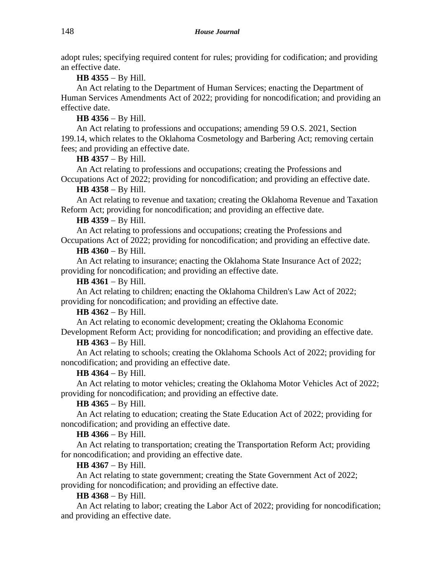adopt rules; specifying required content for rules; providing for codification; and providing an effective date.

**HB 4355** − By Hill.

An Act relating to the Department of Human Services; enacting the Department of Human Services Amendments Act of 2022; providing for noncodification; and providing an effective date.

# **HB 4356** − By Hill.

An Act relating to professions and occupations; amending 59 O.S. 2021, Section 199.14, which relates to the Oklahoma Cosmetology and Barbering Act; removing certain fees; and providing an effective date.

# **HB 4357** − By Hill.

An Act relating to professions and occupations; creating the Professions and Occupations Act of 2022; providing for noncodification; and providing an effective date.

# **HB 4358** − By Hill.

An Act relating to revenue and taxation; creating the Oklahoma Revenue and Taxation Reform Act; providing for noncodification; and providing an effective date.

# **HB 4359** − By Hill.

An Act relating to professions and occupations; creating the Professions and Occupations Act of 2022; providing for noncodification; and providing an effective date.

# **HB 4360** − By Hill.

An Act relating to insurance; enacting the Oklahoma State Insurance Act of 2022; providing for noncodification; and providing an effective date.

# **HB 4361** − By Hill.

An Act relating to children; enacting the Oklahoma Children's Law Act of 2022; providing for noncodification; and providing an effective date.

# **HB 4362** − By Hill.

An Act relating to economic development; creating the Oklahoma Economic Development Reform Act; providing for noncodification; and providing an effective date.

# **HB 4363** − By Hill.

An Act relating to schools; creating the Oklahoma Schools Act of 2022; providing for noncodification; and providing an effective date.

# **HB 4364** − By Hill.

An Act relating to motor vehicles; creating the Oklahoma Motor Vehicles Act of 2022; providing for noncodification; and providing an effective date.

# **HB 4365** − By Hill.

An Act relating to education; creating the State Education Act of 2022; providing for noncodification; and providing an effective date.

# **HB 4366** − By Hill.

An Act relating to transportation; creating the Transportation Reform Act; providing for noncodification; and providing an effective date.

# **HB 4367** − By Hill.

An Act relating to state government; creating the State Government Act of 2022; providing for noncodification; and providing an effective date.

# **HB 4368** − By Hill.

An Act relating to labor; creating the Labor Act of 2022; providing for noncodification; and providing an effective date.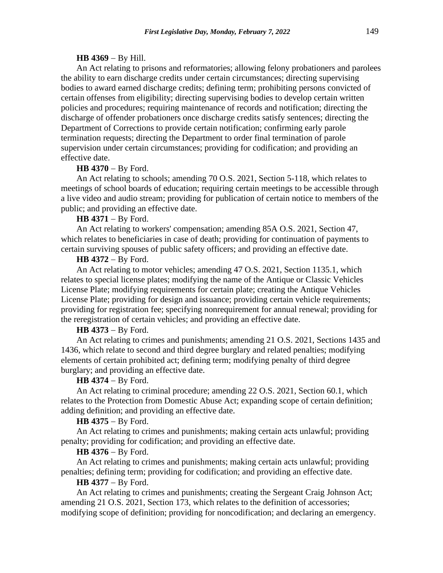### **HB 4369** − By Hill.

An Act relating to prisons and reformatories; allowing felony probationers and parolees the ability to earn discharge credits under certain circumstances; directing supervising bodies to award earned discharge credits; defining term; prohibiting persons convicted of certain offenses from eligibility; directing supervising bodies to develop certain written policies and procedures; requiring maintenance of records and notification; directing the discharge of offender probationers once discharge credits satisfy sentences; directing the Department of Corrections to provide certain notification; confirming early parole termination requests; directing the Department to order final termination of parole supervision under certain circumstances; providing for codification; and providing an effective date.

#### **HB 4370** − By Ford.

An Act relating to schools; amending 70 O.S. 2021, Section 5-118, which relates to meetings of school boards of education; requiring certain meetings to be accessible through a live video and audio stream; providing for publication of certain notice to members of the public; and providing an effective date.

## **HB 4371** − By Ford.

An Act relating to workers' compensation; amending 85A O.S. 2021, Section 47, which relates to beneficiaries in case of death; providing for continuation of payments to certain surviving spouses of public safety officers; and providing an effective date.

# **HB 4372** − By Ford.

An Act relating to motor vehicles; amending 47 O.S. 2021, Section 1135.1, which relates to special license plates; modifying the name of the Antique or Classic Vehicles License Plate; modifying requirements for certain plate; creating the Antique Vehicles License Plate; providing for design and issuance; providing certain vehicle requirements; providing for registration fee; specifying nonrequirement for annual renewal; providing for the reregistration of certain vehicles; and providing an effective date.

#### **HB 4373** − By Ford.

An Act relating to crimes and punishments; amending 21 O.S. 2021, Sections 1435 and 1436, which relate to second and third degree burglary and related penalties; modifying elements of certain prohibited act; defining term; modifying penalty of third degree burglary; and providing an effective date.

#### **HB 4374** − By Ford.

An Act relating to criminal procedure; amending 22 O.S. 2021, Section 60.1, which relates to the Protection from Domestic Abuse Act; expanding scope of certain definition; adding definition; and providing an effective date.

### **HB 4375** − By Ford.

An Act relating to crimes and punishments; making certain acts unlawful; providing penalty; providing for codification; and providing an effective date.

#### **HB 4376** − By Ford.

An Act relating to crimes and punishments; making certain acts unlawful; providing penalties; defining term; providing for codification; and providing an effective date.

### **HB 4377** − By Ford.

An Act relating to crimes and punishments; creating the Sergeant Craig Johnson Act; amending 21 O.S. 2021, Section 173, which relates to the definition of accessories; modifying scope of definition; providing for noncodification; and declaring an emergency.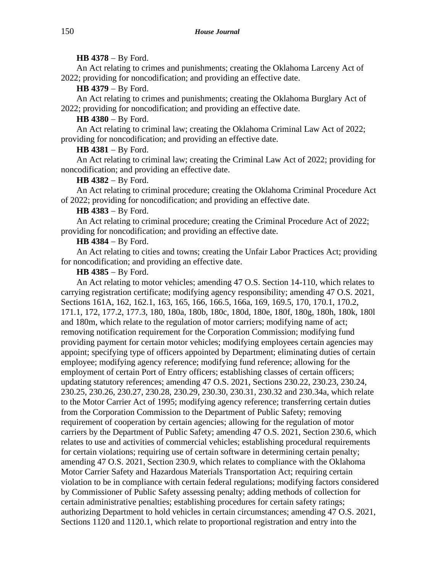### **HB 4378** − By Ford.

An Act relating to crimes and punishments; creating the Oklahoma Larceny Act of 2022; providing for noncodification; and providing an effective date.

## **HB 4379** − By Ford.

An Act relating to crimes and punishments; creating the Oklahoma Burglary Act of 2022; providing for noncodification; and providing an effective date.

## **HB 4380** − By Ford.

An Act relating to criminal law; creating the Oklahoma Criminal Law Act of 2022; providing for noncodification; and providing an effective date.

#### **HB 4381** − By Ford.

An Act relating to criminal law; creating the Criminal Law Act of 2022; providing for noncodification; and providing an effective date.

## **HB 4382** − By Ford.

An Act relating to criminal procedure; creating the Oklahoma Criminal Procedure Act of 2022; providing for noncodification; and providing an effective date.

## **HB 4383** − By Ford.

An Act relating to criminal procedure; creating the Criminal Procedure Act of 2022; providing for noncodification; and providing an effective date.

## **HB 4384** − By Ford.

An Act relating to cities and towns; creating the Unfair Labor Practices Act; providing for noncodification; and providing an effective date.

# **HB 4385** − By Ford.

An Act relating to motor vehicles; amending 47 O.S. Section 14-110, which relates to carrying registration certificate; modifying agency responsibility; amending 47 O.S. 2021, Sections 161A, 162, 162.1, 163, 165, 166, 166.5, 166a, 169, 169.5, 170, 170.1, 170.2, 171.1, 172, 177.2, 177.3, 180, 180a, 180b, 180c, 180d, 180e, 180f, 180g, 180h, 180k, 180l and 180m, which relate to the regulation of motor carriers; modifying name of act; removing notification requirement for the Corporation Commission; modifying fund providing payment for certain motor vehicles; modifying employees certain agencies may appoint; specifying type of officers appointed by Department; eliminating duties of certain employee; modifying agency reference; modifying fund reference; allowing for the employment of certain Port of Entry officers; establishing classes of certain officers; updating statutory references; amending 47 O.S. 2021, Sections 230.22, 230.23, 230.24, 230.25, 230.26, 230.27, 230.28, 230.29, 230.30, 230.31, 230.32 and 230.34a, which relate to the Motor Carrier Act of 1995; modifying agency reference; transferring certain duties from the Corporation Commission to the Department of Public Safety; removing requirement of cooperation by certain agencies; allowing for the regulation of motor carriers by the Department of Public Safety; amending 47 O.S. 2021, Section 230.6, which relates to use and activities of commercial vehicles; establishing procedural requirements for certain violations; requiring use of certain software in determining certain penalty; amending 47 O.S. 2021, Section 230.9, which relates to compliance with the Oklahoma Motor Carrier Safety and Hazardous Materials Transportation Act; requiring certain violation to be in compliance with certain federal regulations; modifying factors considered by Commissioner of Public Safety assessing penalty; adding methods of collection for certain administrative penalties; establishing procedures for certain safety ratings; authorizing Department to hold vehicles in certain circumstances; amending 47 O.S. 2021, Sections 1120 and 1120.1, which relate to proportional registration and entry into the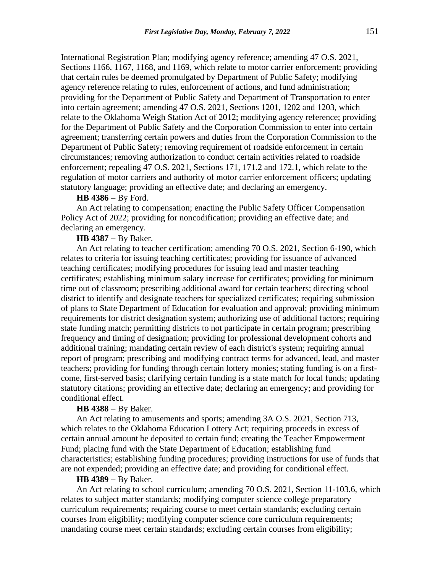International Registration Plan; modifying agency reference; amending 47 O.S. 2021, Sections 1166, 1167, 1168, and 1169, which relate to motor carrier enforcement; providing that certain rules be deemed promulgated by Department of Public Safety; modifying agency reference relating to rules, enforcement of actions, and fund administration; providing for the Department of Public Safety and Department of Transportation to enter into certain agreement; amending 47 O.S. 2021, Sections 1201, 1202 and 1203, which relate to the Oklahoma Weigh Station Act of 2012; modifying agency reference; providing for the Department of Public Safety and the Corporation Commission to enter into certain agreement; transferring certain powers and duties from the Corporation Commission to the Department of Public Safety; removing requirement of roadside enforcement in certain circumstances; removing authorization to conduct certain activities related to roadside enforcement; repealing 47 O.S. 2021, Sections 171, 171.2 and 172.1, which relate to the regulation of motor carriers and authority of motor carrier enforcement officers; updating statutory language; providing an effective date; and declaring an emergency.

### **HB 4386** − By Ford.

An Act relating to compensation; enacting the Public Safety Officer Compensation Policy Act of 2022; providing for noncodification; providing an effective date; and declaring an emergency.

## **HB 4387** − By Baker.

An Act relating to teacher certification; amending 70 O.S. 2021, Section 6-190, which relates to criteria for issuing teaching certificates; providing for issuance of advanced teaching certificates; modifying procedures for issuing lead and master teaching certificates; establishing minimum salary increase for certificates; providing for minimum time out of classroom; prescribing additional award for certain teachers; directing school district to identify and designate teachers for specialized certificates; requiring submission of plans to State Department of Education for evaluation and approval; providing minimum requirements for district designation system; authorizing use of additional factors; requiring state funding match; permitting districts to not participate in certain program; prescribing frequency and timing of designation; providing for professional development cohorts and additional training; mandating certain review of each district's system; requiring annual report of program; prescribing and modifying contract terms for advanced, lead, and master teachers; providing for funding through certain lottery monies; stating funding is on a firstcome, first-served basis; clarifying certain funding is a state match for local funds; updating statutory citations; providing an effective date; declaring an emergency; and providing for conditional effect.

## **HB 4388** − By Baker.

An Act relating to amusements and sports; amending 3A O.S. 2021, Section 713, which relates to the Oklahoma Education Lottery Act; requiring proceeds in excess of certain annual amount be deposited to certain fund; creating the Teacher Empowerment Fund; placing fund with the State Department of Education; establishing fund characteristics; establishing funding procedures; providing instructions for use of funds that are not expended; providing an effective date; and providing for conditional effect.

## **HB 4389** − By Baker.

An Act relating to school curriculum; amending 70 O.S. 2021, Section 11-103.6, which relates to subject matter standards; modifying computer science college preparatory curriculum requirements; requiring course to meet certain standards; excluding certain courses from eligibility; modifying computer science core curriculum requirements; mandating course meet certain standards; excluding certain courses from eligibility;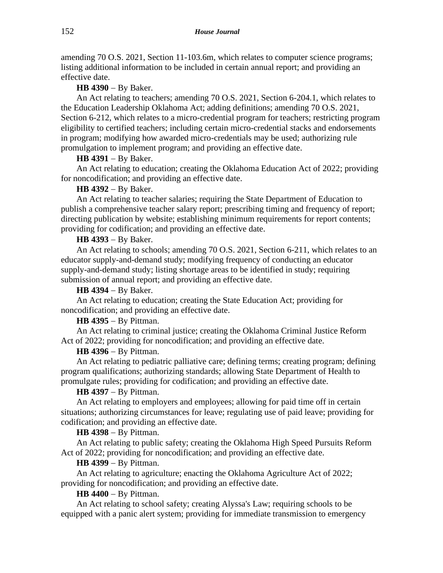amending 70 O.S. 2021, Section 11-103.6m, which relates to computer science programs; listing additional information to be included in certain annual report; and providing an effective date.

**HB 4390** − By Baker.

An Act relating to teachers; amending 70 O.S. 2021, Section 6-204.1, which relates to the Education Leadership Oklahoma Act; adding definitions; amending 70 O.S. 2021, Section 6-212, which relates to a micro-credential program for teachers; restricting program eligibility to certified teachers; including certain micro-credential stacks and endorsements in program; modifying how awarded micro-credentials may be used; authorizing rule promulgation to implement program; and providing an effective date.

### **HB 4391** − By Baker.

An Act relating to education; creating the Oklahoma Education Act of 2022; providing for noncodification; and providing an effective date.

#### **HB 4392** − By Baker.

An Act relating to teacher salaries; requiring the State Department of Education to publish a comprehensive teacher salary report; prescribing timing and frequency of report; directing publication by website; establishing minimum requirements for report contents; providing for codification; and providing an effective date.

## **HB 4393** − By Baker.

An Act relating to schools; amending 70 O.S. 2021, Section 6-211, which relates to an educator supply-and-demand study; modifying frequency of conducting an educator supply-and-demand study; listing shortage areas to be identified in study; requiring submission of annual report; and providing an effective date.

## **HB 4394** − By Baker.

An Act relating to education; creating the State Education Act; providing for noncodification; and providing an effective date.

## **HB 4395** − By Pittman.

An Act relating to criminal justice; creating the Oklahoma Criminal Justice Reform Act of 2022; providing for noncodification; and providing an effective date.

## **HB 4396** − By Pittman.

An Act relating to pediatric palliative care; defining terms; creating program; defining program qualifications; authorizing standards; allowing State Department of Health to promulgate rules; providing for codification; and providing an effective date.

# **HB 4397** − By Pittman.

An Act relating to employers and employees; allowing for paid time off in certain situations; authorizing circumstances for leave; regulating use of paid leave; providing for codification; and providing an effective date.

### **HB 4398** − By Pittman.

An Act relating to public safety; creating the Oklahoma High Speed Pursuits Reform Act of 2022; providing for noncodification; and providing an effective date.

# **HB 4399** − By Pittman.

An Act relating to agriculture; enacting the Oklahoma Agriculture Act of 2022; providing for noncodification; and providing an effective date.

## **HB 4400** − By Pittman.

An Act relating to school safety; creating Alyssa's Law; requiring schools to be equipped with a panic alert system; providing for immediate transmission to emergency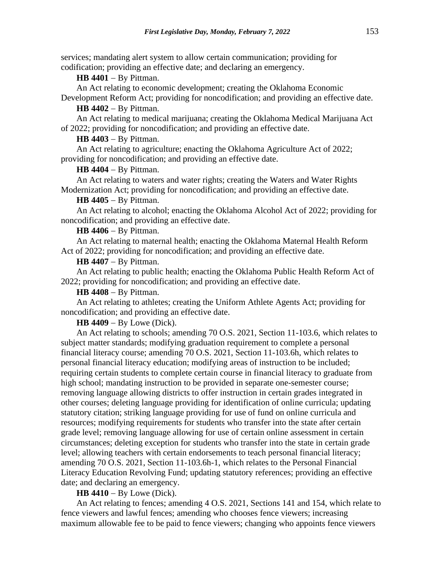services; mandating alert system to allow certain communication; providing for codification; providing an effective date; and declaring an emergency.

## **HB 4401 − By Pittman.**

An Act relating to economic development; creating the Oklahoma Economic

Development Reform Act; providing for noncodification; and providing an effective date. **HB 4402** − By Pittman.

An Act relating to medical marijuana; creating the Oklahoma Medical Marijuana Act of 2022; providing for noncodification; and providing an effective date.

**HB 4403** − By Pittman.

An Act relating to agriculture; enacting the Oklahoma Agriculture Act of 2022; providing for noncodification; and providing an effective date.

**HB 4404** − By Pittman.

An Act relating to waters and water rights; creating the Waters and Water Rights Modernization Act; providing for noncodification; and providing an effective date.

### **HB 4405** − By Pittman.

An Act relating to alcohol; enacting the Oklahoma Alcohol Act of 2022; providing for noncodification; and providing an effective date.

**HB 4406** − By Pittman.

An Act relating to maternal health; enacting the Oklahoma Maternal Health Reform Act of 2022; providing for noncodification; and providing an effective date.

**HB 4407** − By Pittman.

An Act relating to public health; enacting the Oklahoma Public Health Reform Act of 2022; providing for noncodification; and providing an effective date.

**HB 4408** − By Pittman.

An Act relating to athletes; creating the Uniform Athlete Agents Act; providing for noncodification; and providing an effective date.

**HB 4409** − By Lowe (Dick).

An Act relating to schools; amending 70 O.S. 2021, Section 11-103.6, which relates to subject matter standards; modifying graduation requirement to complete a personal financial literacy course; amending 70 O.S. 2021, Section 11-103.6h, which relates to personal financial literacy education; modifying areas of instruction to be included; requiring certain students to complete certain course in financial literacy to graduate from high school; mandating instruction to be provided in separate one-semester course; removing language allowing districts to offer instruction in certain grades integrated in other courses; deleting language providing for identification of online curricula; updating statutory citation; striking language providing for use of fund on online curricula and resources; modifying requirements for students who transfer into the state after certain grade level; removing language allowing for use of certain online assessment in certain circumstances; deleting exception for students who transfer into the state in certain grade level; allowing teachers with certain endorsements to teach personal financial literacy; amending 70 O.S. 2021, Section 11-103.6h-1, which relates to the Personal Financial Literacy Education Revolving Fund; updating statutory references; providing an effective date; and declaring an emergency.

**HB 4410** − By Lowe (Dick).

An Act relating to fences; amending 4 O.S. 2021, Sections 141 and 154, which relate to fence viewers and lawful fences; amending who chooses fence viewers; increasing maximum allowable fee to be paid to fence viewers; changing who appoints fence viewers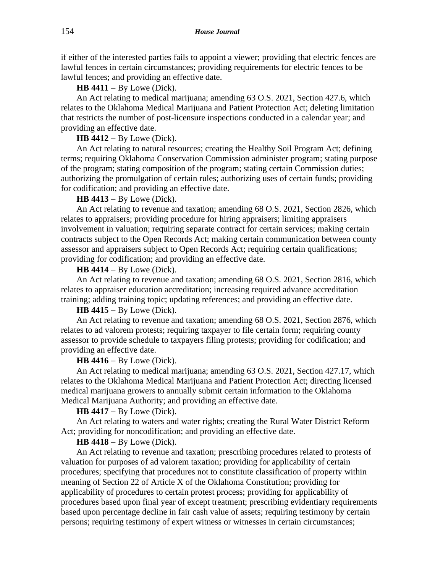if either of the interested parties fails to appoint a viewer; providing that electric fences are lawful fences in certain circumstances; providing requirements for electric fences to be lawful fences; and providing an effective date.

**HB 4411** − By Lowe (Dick).

An Act relating to medical marijuana; amending 63 O.S. 2021, Section 427.6, which relates to the Oklahoma Medical Marijuana and Patient Protection Act; deleting limitation that restricts the number of post-licensure inspections conducted in a calendar year; and providing an effective date.

#### **HB 4412** − By Lowe (Dick).

An Act relating to natural resources; creating the Healthy Soil Program Act; defining terms; requiring Oklahoma Conservation Commission administer program; stating purpose of the program; stating composition of the program; stating certain Commission duties; authorizing the promulgation of certain rules; authorizing uses of certain funds; providing for codification; and providing an effective date.

## **HB 4413** − By Lowe (Dick).

An Act relating to revenue and taxation; amending 68 O.S. 2021, Section 2826, which relates to appraisers; providing procedure for hiring appraisers; limiting appraisers involvement in valuation; requiring separate contract for certain services; making certain contracts subject to the Open Records Act; making certain communication between county assessor and appraisers subject to Open Records Act; requiring certain qualifications; providing for codification; and providing an effective date.

#### **HB 4414** − By Lowe (Dick).

An Act relating to revenue and taxation; amending 68 O.S. 2021, Section 2816, which relates to appraiser education accreditation; increasing required advance accreditation training; adding training topic; updating references; and providing an effective date.

## **HB 4415** − By Lowe (Dick).

An Act relating to revenue and taxation; amending 68 O.S. 2021, Section 2876, which relates to ad valorem protests; requiring taxpayer to file certain form; requiring county assessor to provide schedule to taxpayers filing protests; providing for codification; and providing an effective date.

### **HB 4416** − By Lowe (Dick).

An Act relating to medical marijuana; amending 63 O.S. 2021, Section 427.17, which relates to the Oklahoma Medical Marijuana and Patient Protection Act; directing licensed medical marijuana growers to annually submit certain information to the Oklahoma Medical Marijuana Authority; and providing an effective date.

#### **HB 4417** − By Lowe (Dick).

An Act relating to waters and water rights; creating the Rural Water District Reform Act; providing for noncodification; and providing an effective date.

## **HB 4418** − By Lowe (Dick).

An Act relating to revenue and taxation; prescribing procedures related to protests of valuation for purposes of ad valorem taxation; providing for applicability of certain procedures; specifying that procedures not to constitute classification of property within meaning of Section 22 of Article X of the Oklahoma Constitution; providing for applicability of procedures to certain protest process; providing for applicability of procedures based upon final year of except treatment; prescribing evidentiary requirements based upon percentage decline in fair cash value of assets; requiring testimony by certain persons; requiring testimony of expert witness or witnesses in certain circumstances;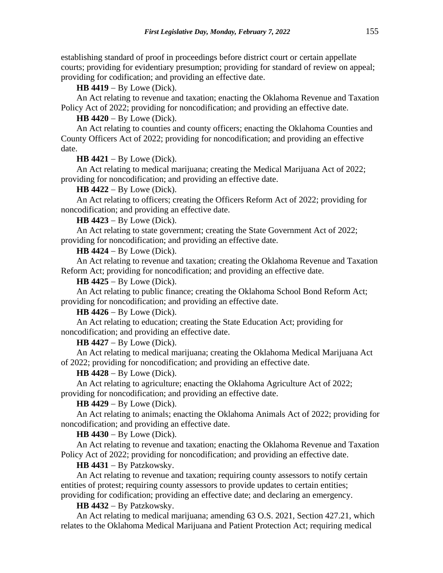establishing standard of proof in proceedings before district court or certain appellate courts; providing for evidentiary presumption; providing for standard of review on appeal; providing for codification; and providing an effective date.

**HB 4419** − By Lowe (Dick).

An Act relating to revenue and taxation; enacting the Oklahoma Revenue and Taxation Policy Act of 2022; providing for noncodification; and providing an effective date.

**HB 4420** − By Lowe (Dick).

An Act relating to counties and county officers; enacting the Oklahoma Counties and County Officers Act of 2022; providing for noncodification; and providing an effective date.

**HB 4421** − By Lowe (Dick).

An Act relating to medical marijuana; creating the Medical Marijuana Act of 2022; providing for noncodification; and providing an effective date.

**HB 4422** − By Lowe (Dick).

An Act relating to officers; creating the Officers Reform Act of 2022; providing for noncodification; and providing an effective date.

**HB 4423** − By Lowe (Dick).

An Act relating to state government; creating the State Government Act of 2022; providing for noncodification; and providing an effective date.

**HB 4424** − By Lowe (Dick).

An Act relating to revenue and taxation; creating the Oklahoma Revenue and Taxation Reform Act; providing for noncodification; and providing an effective date.

**HB 4425** − By Lowe (Dick).

An Act relating to public finance; creating the Oklahoma School Bond Reform Act; providing for noncodification; and providing an effective date.

**HB 4426** − By Lowe (Dick).

An Act relating to education; creating the State Education Act; providing for noncodification; and providing an effective date.

**HB 4427** − By Lowe (Dick).

An Act relating to medical marijuana; creating the Oklahoma Medical Marijuana Act of 2022; providing for noncodification; and providing an effective date.

## **HB 4428** − By Lowe (Dick).

An Act relating to agriculture; enacting the Oklahoma Agriculture Act of 2022; providing for noncodification; and providing an effective date.

**HB 4429** − By Lowe (Dick).

An Act relating to animals; enacting the Oklahoma Animals Act of 2022; providing for noncodification; and providing an effective date.

**HB 4430** − By Lowe (Dick).

An Act relating to revenue and taxation; enacting the Oklahoma Revenue and Taxation Policy Act of 2022; providing for noncodification; and providing an effective date.

**HB 4431** − By Patzkowsky.

An Act relating to revenue and taxation; requiring county assessors to notify certain entities of protest; requiring county assessors to provide updates to certain entities; providing for codification; providing an effective date; and declaring an emergency.

**HB 4432** − By Patzkowsky.

An Act relating to medical marijuana; amending 63 O.S. 2021, Section 427.21, which relates to the Oklahoma Medical Marijuana and Patient Protection Act; requiring medical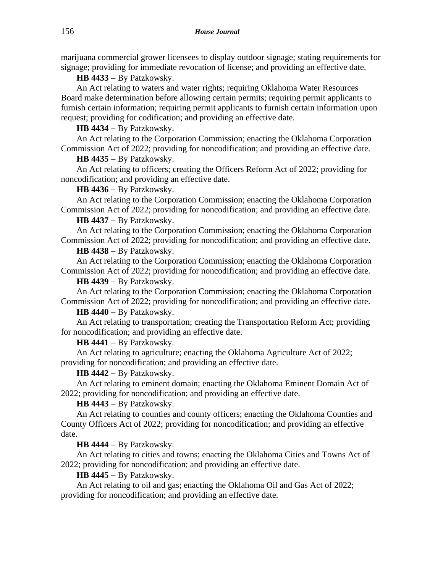marijuana commercial grower licensees to display outdoor signage; stating requirements for signage; providing for immediate revocation of license; and providing an effective date.

**HB 4433** − By Patzkowsky.

An Act relating to waters and water rights; requiring Oklahoma Water Resources Board make determination before allowing certain permits; requiring permit applicants to furnish certain information; requiring permit applicants to furnish certain information upon request; providing for codification; and providing an effective date.

**HB 4434** − By Patzkowsky.

An Act relating to the Corporation Commission; enacting the Oklahoma Corporation Commission Act of 2022; providing for noncodification; and providing an effective date.

**HB 4435** − By Patzkowsky.

An Act relating to officers; creating the Officers Reform Act of 2022; providing for noncodification; and providing an effective date.

#### **HB 4436** − By Patzkowsky.

An Act relating to the Corporation Commission; enacting the Oklahoma Corporation Commission Act of 2022; providing for noncodification; and providing an effective date.

#### **HB 4437** − By Patzkowsky.

An Act relating to the Corporation Commission; enacting the Oklahoma Corporation Commission Act of 2022; providing for noncodification; and providing an effective date.

#### **HB 4438** − By Patzkowsky.

An Act relating to the Corporation Commission; enacting the Oklahoma Corporation Commission Act of 2022; providing for noncodification; and providing an effective date.

#### **HB 4439** − By Patzkowsky.

An Act relating to the Corporation Commission; enacting the Oklahoma Corporation Commission Act of 2022; providing for noncodification; and providing an effective date.

#### **HB 4440** − By Patzkowsky.

An Act relating to transportation; creating the Transportation Reform Act; providing for noncodification; and providing an effective date.

### **HB 4441** − By Patzkowsky.

An Act relating to agriculture; enacting the Oklahoma Agriculture Act of 2022; providing for noncodification; and providing an effective date.

#### **HB 4442** − By Patzkowsky.

An Act relating to eminent domain; enacting the Oklahoma Eminent Domain Act of 2022; providing for noncodification; and providing an effective date.

### **HB 4443** − By Patzkowsky.

An Act relating to counties and county officers; enacting the Oklahoma Counties and County Officers Act of 2022; providing for noncodification; and providing an effective date.

### **HB 4444** − By Patzkowsky.

An Act relating to cities and towns; enacting the Oklahoma Cities and Towns Act of 2022; providing for noncodification; and providing an effective date.

### **HB 4445** − By Patzkowsky.

An Act relating to oil and gas; enacting the Oklahoma Oil and Gas Act of 2022; providing for noncodification; and providing an effective date.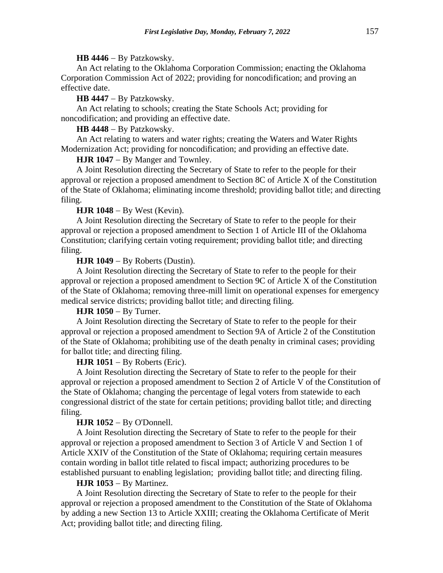#### **HB 4446** − By Patzkowsky.

An Act relating to the Oklahoma Corporation Commission; enacting the Oklahoma Corporation Commission Act of 2022; providing for noncodification; and proving an effective date.

**HB 4447** − By Patzkowsky.

An Act relating to schools; creating the State Schools Act; providing for noncodification; and providing an effective date.

**HB 4448** − By Patzkowsky.

An Act relating to waters and water rights; creating the Waters and Water Rights Modernization Act; providing for noncodification; and providing an effective date.

HJR 1047 − By Manger and Townley.

A Joint Resolution directing the Secretary of State to refer to the people for their approval or rejection a proposed amendment to Section 8C of Article X of the Constitution of the State of Oklahoma; eliminating income threshold; providing ballot title; and directing filing.

#### **HJR 1048** − By West (Kevin).

A Joint Resolution directing the Secretary of State to refer to the people for their approval or rejection a proposed amendment to Section 1 of Article III of the Oklahoma Constitution; clarifying certain voting requirement; providing ballot title; and directing filing.

### **HJR 1049** − By Roberts (Dustin).

A Joint Resolution directing the Secretary of State to refer to the people for their approval or rejection a proposed amendment to Section 9C of Article X of the Constitution of the State of Oklahoma; removing three-mill limit on operational expenses for emergency medical service districts; providing ballot title; and directing filing.

#### **HJR 1050** − By Turner.

A Joint Resolution directing the Secretary of State to refer to the people for their approval or rejection a proposed amendment to Section 9A of Article 2 of the Constitution of the State of Oklahoma; prohibiting use of the death penalty in criminal cases; providing for ballot title; and directing filing.

#### **HJR 1051** − By Roberts (Eric).

A Joint Resolution directing the Secretary of State to refer to the people for their approval or rejection a proposed amendment to Section 2 of Article V of the Constitution of the State of Oklahoma; changing the percentage of legal voters from statewide to each congressional district of the state for certain petitions; providing ballot title; and directing filing.

#### **HJR 1052** − By O'Donnell.

A Joint Resolution directing the Secretary of State to refer to the people for their approval or rejection a proposed amendment to Section 3 of Article V and Section 1 of Article XXIV of the Constitution of the State of Oklahoma; requiring certain measures contain wording in ballot title related to fiscal impact; authorizing procedures to be established pursuant to enabling legislation; providing ballot title; and directing filing.

#### **HJR 1053** − By Martinez.

A Joint Resolution directing the Secretary of State to refer to the people for their approval or rejection a proposed amendment to the Constitution of the State of Oklahoma by adding a new Section 13 to Article XXIII; creating the Oklahoma Certificate of Merit Act; providing ballot title; and directing filing.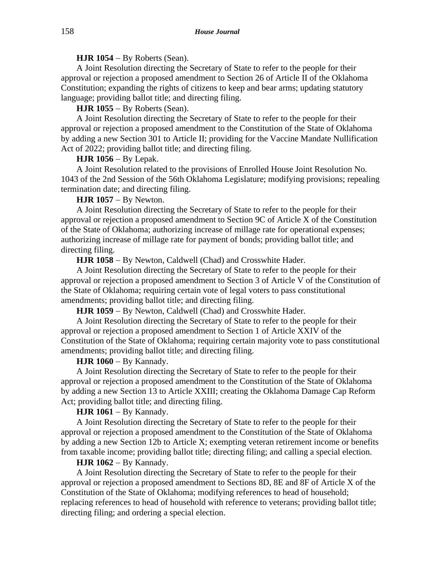### **HJR 1054** − By Roberts (Sean).

A Joint Resolution directing the Secretary of State to refer to the people for their approval or rejection a proposed amendment to Section 26 of Article II of the Oklahoma Constitution; expanding the rights of citizens to keep and bear arms; updating statutory language; providing ballot title; and directing filing.

## **HJR 1055** − By Roberts (Sean).

A Joint Resolution directing the Secretary of State to refer to the people for their approval or rejection a proposed amendment to the Constitution of the State of Oklahoma by adding a new Section 301 to Article II; providing for the Vaccine Mandate Nullification Act of 2022; providing ballot title; and directing filing.

### **HJR 1056** − By Lepak.

A Joint Resolution related to the provisions of Enrolled House Joint Resolution No. 1043 of the 2nd Session of the 56th Oklahoma Legislature; modifying provisions; repealing termination date; and directing filing.

## **HJR 1057** − By Newton.

A Joint Resolution directing the Secretary of State to refer to the people for their approval or rejection a proposed amendment to Section 9C of Article X of the Constitution of the State of Oklahoma; authorizing increase of millage rate for operational expenses; authorizing increase of millage rate for payment of bonds; providing ballot title; and directing filing.

**HJR 1058** − By Newton, Caldwell (Chad) and Crosswhite Hader.

A Joint Resolution directing the Secretary of State to refer to the people for their approval or rejection a proposed amendment to Section 3 of Article V of the Constitution of the State of Oklahoma; requiring certain vote of legal voters to pass constitutional amendments; providing ballot title; and directing filing.

**HJR 1059** − By Newton, Caldwell (Chad) and Crosswhite Hader.

A Joint Resolution directing the Secretary of State to refer to the people for their approval or rejection a proposed amendment to Section 1 of Article XXIV of the Constitution of the State of Oklahoma; requiring certain majority vote to pass constitutional amendments; providing ballot title; and directing filing.

### **HJR 1060** − By Kannady.

A Joint Resolution directing the Secretary of State to refer to the people for their approval or rejection a proposed amendment to the Constitution of the State of Oklahoma by adding a new Section 13 to Article XXIII; creating the Oklahoma Damage Cap Reform Act; providing ballot title; and directing filing.

#### **HJR 1061** − By Kannady.

A Joint Resolution directing the Secretary of State to refer to the people for their approval or rejection a proposed amendment to the Constitution of the State of Oklahoma by adding a new Section 12b to Article X; exempting veteran retirement income or benefits from taxable income; providing ballot title; directing filing; and calling a special election.

### **HJR 1062** − By Kannady.

A Joint Resolution directing the Secretary of State to refer to the people for their approval or rejection a proposed amendment to Sections 8D, 8E and 8F of Article X of the Constitution of the State of Oklahoma; modifying references to head of household; replacing references to head of household with reference to veterans; providing ballot title; directing filing; and ordering a special election.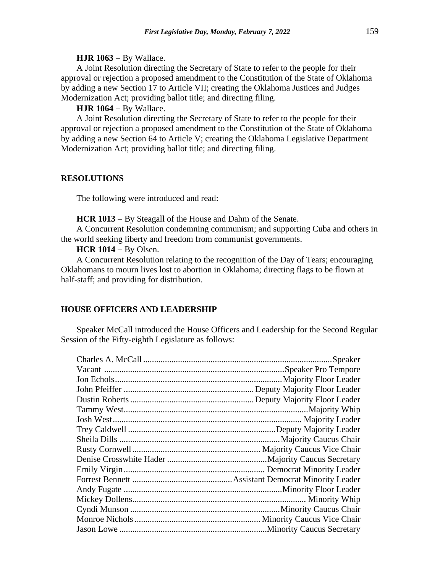#### **HJR 1063** − By Wallace.

A Joint Resolution directing the Secretary of State to refer to the people for their approval or rejection a proposed amendment to the Constitution of the State of Oklahoma by adding a new Section 17 to Article VII; creating the Oklahoma Justices and Judges Modernization Act; providing ballot title; and directing filing.

## **HJR 1064** − By Wallace.

A Joint Resolution directing the Secretary of State to refer to the people for their approval or rejection a proposed amendment to the Constitution of the State of Oklahoma by adding a new Section 64 to Article V; creating the Oklahoma Legislative Department Modernization Act; providing ballot title; and directing filing.

## **RESOLUTIONS**

The following were introduced and read:

**HCR 1013** − By Steagall of the House and Dahm of the Senate.

A Concurrent Resolution condemning communism; and supporting Cuba and others in the world seeking liberty and freedom from communist governments.

## **HCR 1014** − By Olsen.

A Concurrent Resolution relating to the recognition of the Day of Tears; encouraging Oklahomans to mourn lives lost to abortion in Oklahoma; directing flags to be flown at half-staff; and providing for distribution.

### **HOUSE OFFICERS AND LEADERSHIP**

Speaker McCall introduced the House Officers and Leadership for the Second Regular Session of the Fifty-eighth Legislature as follows:

| Majority Floor Leader |
|-----------------------|
|                       |
|                       |
|                       |
|                       |
|                       |
|                       |
|                       |
|                       |
|                       |
|                       |
|                       |
|                       |
|                       |
|                       |
|                       |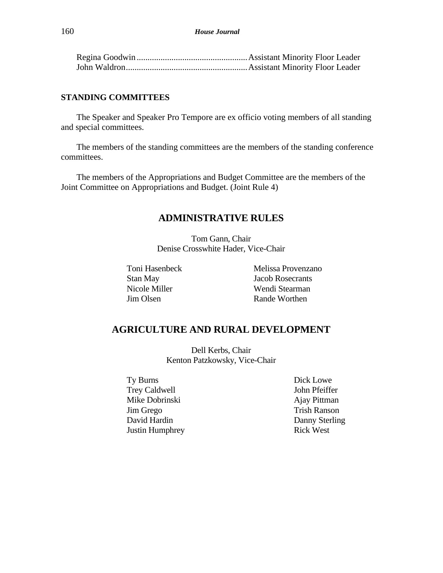### **STANDING COMMITTEES**

The Speaker and Speaker Pro Tempore are ex officio voting members of all standing and special committees.

The members of the standing committees are the members of the standing conference committees.

The members of the Appropriations and Budget Committee are the members of the Joint Committee on Appropriations and Budget. (Joint Rule 4)

# **ADMINISTRATIVE RULES**

Tom Gann, Chair Denise Crosswhite Hader, Vice-Chair

Toni Hasenbeck Stan May Nicole Miller Jim Olsen

Melissa Provenzano Jacob Rosecrants Wendi Stearman Rande Worthen

# **AGRICULTURE AND RURAL DEVELOPMENT**

Dell Kerbs, Chair Kenton Patzkowsky, Vice-Chair

Ty Burns Trey Caldwell Mike Dobrinski Jim Grego David Hardin Justin Humphrey Dick Lowe John Pfeiffer Ajay Pittman Trish Ranson Danny Sterling Rick West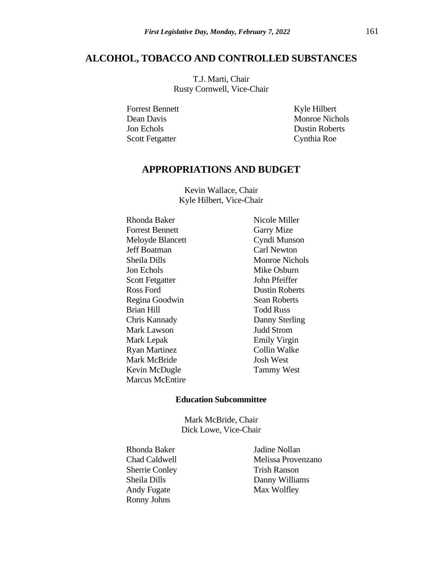## **ALCOHOL, TOBACCO AND CONTROLLED SUBSTANCES**

T.J. Marti, Chair Rusty Cornwell, Vice-Chair

Forrest Bennett Dean Davis Jon Echols Scott Fetgatter

Kyle Hilbert Monroe Nichols Dustin Roberts Cynthia Roe

# **APPROPRIATIONS AND BUDGET**

Kevin Wallace, Chair Kyle Hilbert, Vice-Chair

Rhonda Baker Forrest Bennett Meloyde Blancett Jeff Boatman Sheila Dills Jon Echols Scott Fetgatter Ross Ford Regina Goodwin Brian Hill Chris Kannady Mark Lawson Mark Lepak Ryan Martinez Mark McBride Kevin McDugle Marcus McEntire

Nicole Miller Garry Mize Cyndi Munson Carl Newton Monroe Nichols Mike Osburn John Pfeiffer Dustin Roberts Sean Roberts Todd Russ Danny Sterling Judd Strom Emily Virgin Collin Walke Josh West Tammy West

## **Education Subcommittee**

Mark McBride, Chair Dick Lowe, Vice-Chair

Rhonda Baker Chad Caldwell Sherrie Conley Sheila Dills Andy Fugate Ronny Johns

Jadine Nollan Melissa Provenzano Trish Ranson Danny Williams Max Wolfley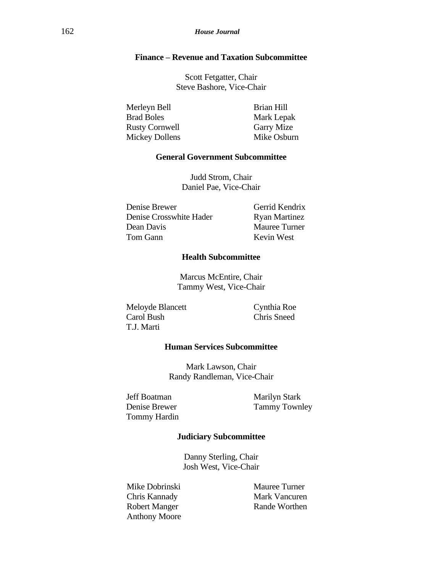## **Finance – Revenue and Taxation Subcommittee**

Scott Fetgatter, Chair Steve Bashore, Vice-Chair

| Merleyn Bell          | Brian Hill        |
|-----------------------|-------------------|
| <b>Brad Boles</b>     | Mark Lepak        |
| <b>Rusty Cornwell</b> | <b>Garry Mize</b> |
| Mickey Dollens        | Mike Osburn       |

## **General Government Subcommittee**

Judd Strom, Chair Daniel Pae, Vice-Chair

Denise Brewer Denise Crosswhite Hader Dean Davis Tom Gann

Gerrid Kendrix Ryan Martinez Mauree Turner Kevin West

## **Health Subcommittee**

Marcus McEntire, Chair Tammy West, Vice-Chair

Meloyde Blancett Carol Bush T.J. Marti

Cynthia Roe Chris Sneed

### **Human Services Subcommittee**

Mark Lawson, Chair Randy Randleman, Vice-Chair

Jeff Boatman Denise Brewer Tommy Hardin

Marilyn Stark Tammy Townley

#### **Judiciary Subcommittee**

Danny Sterling, Chair Josh West, Vice-Chair

Mike Dobrinski Chris Kannady Robert Manger Anthony Moore Mauree Turner Mark Vancuren Rande Worthen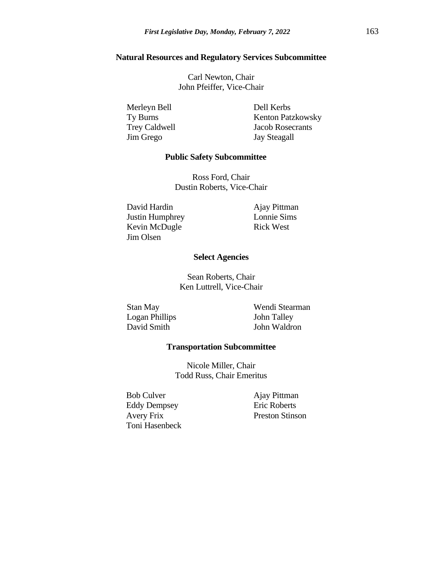#### **Natural Resources and Regulatory Services Subcommittee**

Carl Newton, Chair John Pfeiffer, Vice-Chair

Merleyn Bell Ty Burns Trey Caldwell Jim Grego

Dell Kerbs Kenton Patzkowsky Jacob Rosecrants Jay Steagall

### **Public Safety Subcommittee**

Ross Ford, Chair Dustin Roberts, Vice-Chair

David Hardin Justin Humphrey Kevin McDugle Jim Olsen

Ajay Pittman Lonnie Sims Rick West

#### **Select Agencies**

Sean Roberts, Chair Ken Luttrell, Vice-Chair

Stan May Logan Phillips David Smith

Wendi Stearman John Talley John Waldron

#### **Transportation Subcommittee**

Nicole Miller, Chair Todd Russ, Chair Emeritus

Bob Culver Eddy Dempsey Avery Frix Toni Hasenbeck

Ajay Pittman Eric Roberts Preston Stinson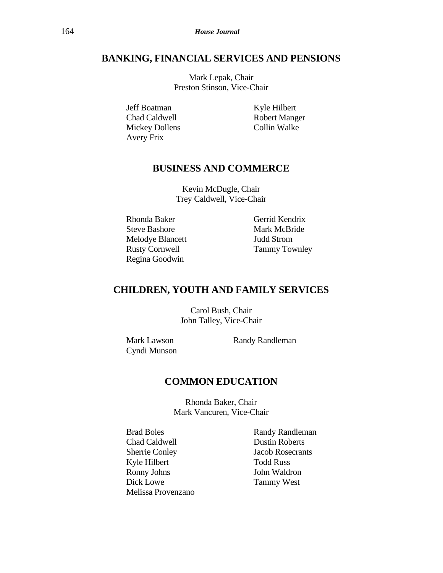# **BANKING, FINANCIAL SERVICES AND PENSIONS**

Mark Lepak, Chair Preston Stinson, Vice-Chair

Jeff Boatman Chad Caldwell Mickey Dollens Avery Frix

Kyle Hilbert Robert Manger Collin Walke

# **BUSINESS AND COMMERCE**

Kevin McDugle, Chair Trey Caldwell, Vice-Chair

Rhonda Baker Steve Bashore Melodye Blancett Rusty Cornwell Regina Goodwin

Gerrid Kendrix Mark McBride Judd Strom Tammy Townley

# **CHILDREN, YOUTH AND FAMILY SERVICES**

Carol Bush, Chair John Talley, Vice-Chair

Mark Lawson Cyndi Munson Randy Randleman

## **COMMON EDUCATION**

Rhonda Baker, Chair Mark Vancuren, Vice-Chair

- Brad Boles Chad Caldwell Sherrie Conley Kyle Hilbert Ronny Johns Dick Lowe Melissa Provenzano
- Randy Randleman Dustin Roberts Jacob Rosecrants Todd Russ John Waldron Tammy West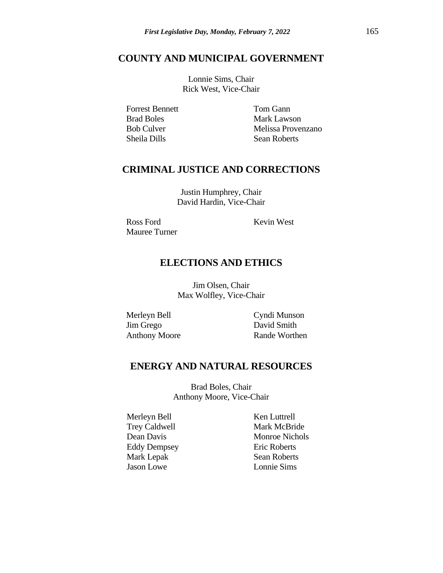# **COUNTY AND MUNICIPAL GOVERNMENT**

Lonnie Sims, Chair Rick West, Vice-Chair

Forrest Bennett Brad Boles Bob Culver Sheila Dills

Tom Gann Mark Lawson Melissa Provenzano Sean Roberts

# **CRIMINAL JUSTICE AND CORRECTIONS**

Justin Humphrey, Chair David Hardin, Vice-Chair

Ross Ford Mauree Turner Kevin West

# **ELECTIONS AND ETHICS**

Jim Olsen, Chair Max Wolfley, Vice-Chair

Merleyn Bell Jim Grego Anthony Moore Cyndi Munson David Smith Rande Worthen

# **ENERGY AND NATURAL RESOURCES**

Brad Boles, Chair Anthony Moore, Vice-Chair

Merleyn Bell Trey Caldwell Dean Davis Eddy Dempsey Mark Lepak Jason Lowe

Ken Luttrell Mark McBride Monroe Nichols Eric Roberts Sean Roberts Lonnie Sims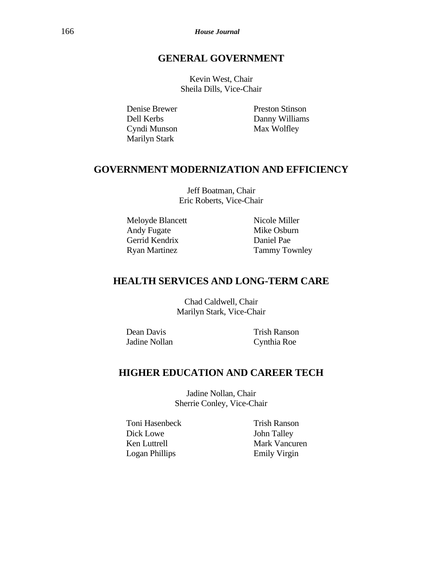166 *House Journal*

# **GENERAL GOVERNMENT**

Kevin West, Chair Sheila Dills, Vice-Chair

Denise Brewer Dell Kerbs Cyndi Munson Marilyn Stark

Preston Stinson Danny Williams Max Wolfley

# **GOVERNMENT MODERNIZATION AND EFFICIENCY**

Jeff Boatman, Chair Eric Roberts, Vice-Chair

Meloyde Blancett Andy Fugate Gerrid Kendrix Ryan Martinez

Nicole Miller Mike Osburn Daniel Pae Tammy Townley

# **HEALTH SERVICES AND LONG-TERM CARE**

Chad Caldwell, Chair Marilyn Stark, Vice-Chair

Dean Davis Jadine Nollan Trish Ranson Cynthia Roe

# **HIGHER EDUCATION AND CAREER TECH**

Jadine Nollan, Chair Sherrie Conley, Vice-Chair

Toni Hasenbeck Dick Lowe Ken Luttrell Logan Phillips

Trish Ranson John Talley Mark Vancuren Emily Virgin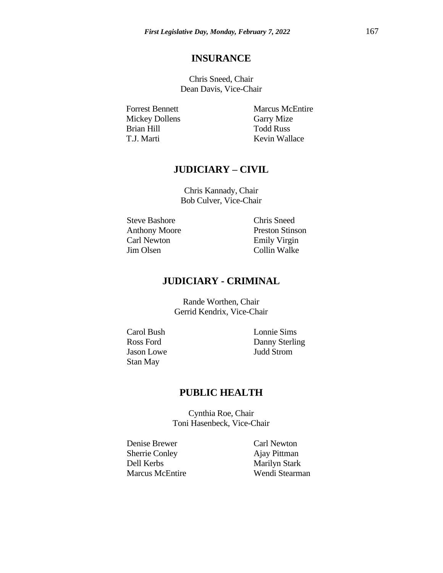# **INSURANCE**

Chris Sneed, Chair Dean Davis, Vice-Chair

Forrest Bennett Mickey Dollens Brian Hill T.J. Marti

Marcus McEntire Garry Mize Todd Russ Kevin Wallace

# **JUDICIARY – CIVIL**

Chris Kannady, Chair Bob Culver, Vice-Chair

Steve Bashore Anthony Moore Carl Newton Jim Olsen

Chris Sneed Preston Stinson Emily Virgin Collin Walke

# **JUDICIARY - CRIMINAL**

Rande Worthen, Chair Gerrid Kendrix, Vice-Chair

Carol Bush Ross Ford Jason Lowe Stan May

Lonnie Sims Danny Sterling Judd Strom

# **PUBLIC HEALTH**

Cynthia Roe, Chair Toni Hasenbeck, Vice-Chair

Denise Brewer Sherrie Conley Dell Kerbs Marcus McEntire Carl Newton Ajay Pittman Marilyn Stark Wendi Stearman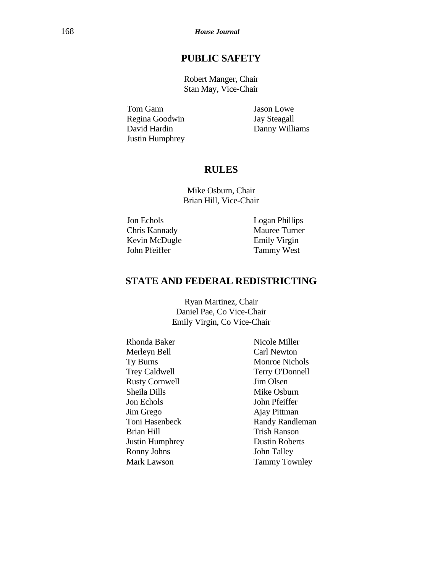# **PUBLIC SAFETY**

Robert Manger, Chair Stan May, Vice-Chair

Tom Gann Regina Goodwin David Hardin Justin Humphrey Jason Lowe Jay Steagall Danny Williams

# **RULES**

Mike Osburn, Chair Brian Hill, Vice-Chair

Jon Echols Chris Kannady Kevin McDugle John Pfeiffer

Logan Phillips Mauree Turner Emily Virgin Tammy West

# **STATE AND FEDERAL REDISTRICTING**

Ryan Martinez, Chair Daniel Pae, Co Vice-Chair Emily Virgin, Co Vice-Chair

Rhonda Baker Merleyn Bell Ty Burns Trey Caldwell Rusty Cornwell Sheila Dills Jon Echols Jim Grego Toni Hasenbeck Brian Hill Justin Humphrey Ronny Johns Mark Lawson

Nicole Miller Carl Newton Monroe Nichols Terry O'Donnell Jim Olsen Mike Osburn John Pfeiffer Ajay Pittman Randy Randleman Trish Ranson Dustin Roberts John Talley Tammy Townley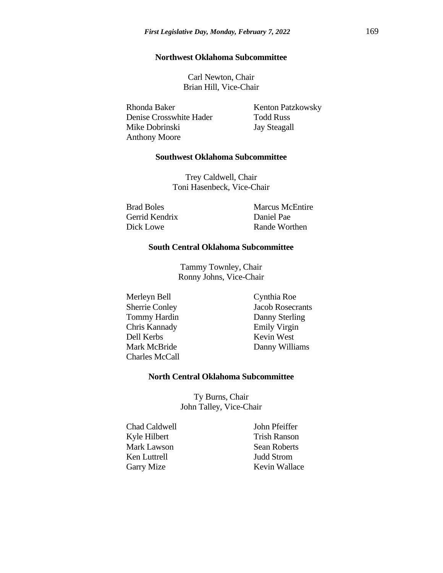#### **Northwest Oklahoma Subcommittee**

Carl Newton, Chair Brian Hill, Vice-Chair

Rhonda Baker Denise Crosswhite Hader Mike Dobrinski Anthony Moore

Kenton Patzkowsky Todd Russ Jay Steagall

#### **Southwest Oklahoma Subcommittee**

Trey Caldwell, Chair Toni Hasenbeck, Vice-Chair

Brad Boles Gerrid Kendrix Dick Lowe

Marcus McEntire Daniel Pae Rande Worthen

## **South Central Oklahoma Subcommittee**

Tammy Townley, Chair Ronny Johns, Vice-Chair

Merleyn Bell Sherrie Conley Tommy Hardin Chris Kannady Dell Kerbs Mark McBride Charles McCall Cynthia Roe Jacob Rosecrants Danny Sterling Emily Virgin Kevin West Danny Williams

#### **North Central Oklahoma Subcommittee**

Ty Burns, Chair John Talley, Vice-Chair

Chad Caldwell Kyle Hilbert Mark Lawson Ken Luttrell Garry Mize

John Pfeiffer Trish Ranson Sean Roberts Judd Strom Kevin Wallace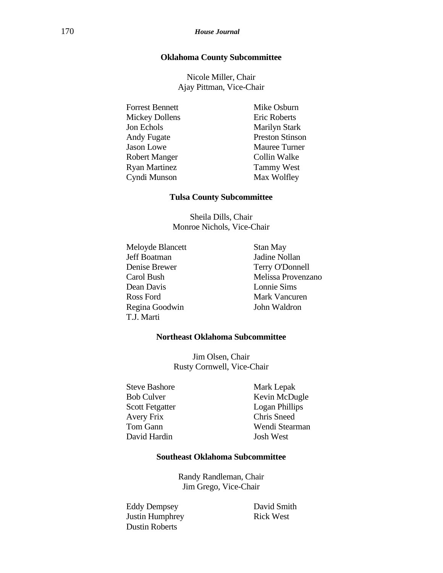### **Oklahoma County Subcommittee**

Nicole Miller, Chair Ajay Pittman, Vice-Chair

Forrest Bennett Mickey Dollens Jon Echols Andy Fugate Jason Lowe Robert Manger Ryan Martinez Cyndi Munson

Mike Osburn Eric Roberts Marilyn Stark Preston Stinson Mauree Turner Collin Walke Tammy West Max Wolfley

#### **Tulsa County Subcommittee**

Sheila Dills, Chair Monroe Nichols, Vice-Chair

Meloyde Blancett Jeff Boatman Denise Brewer Carol Bush Dean Davis Ross Ford Regina Goodwin T.J. Marti

Stan May Jadine Nollan Terry O'Donnell Melissa Provenzano Lonnie Sims Mark Vancuren John Waldron

#### **Northeast Oklahoma Subcommittee**

Jim Olsen, Chair Rusty Cornwell, Vice-Chair

Steve Bashore Bob Culver Scott Fetgatter Avery Frix Tom Gann David Hardin

Mark Lepak Kevin McDugle Logan Phillips Chris Sneed Wendi Stearman Josh West

### **Southeast Oklahoma Subcommittee**

Randy Randleman, Chair Jim Grego, Vice-Chair

Eddy Dempsey Justin Humphrey Dustin Roberts

David Smith Rick West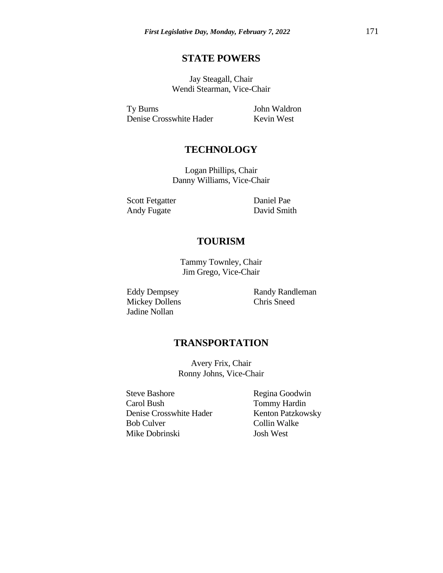# **STATE POWERS**

Jay Steagall, Chair Wendi Stearman, Vice-Chair

Ty Burns Denise Crosswhite Hader John Waldron Kevin West

# **TECHNOLOGY**

Logan Phillips, Chair Danny Williams, Vice-Chair

Scott Fetgatter Andy Fugate

Daniel Pae David Smith

# **TOURISM**

Tammy Townley, Chair Jim Grego, Vice-Chair

Eddy Dempsey Mickey Dollens Jadine Nollan

Randy Randleman Chris Sneed

# **TRANSPORTATION**

Avery Frix, Chair Ronny Johns, Vice-Chair

Steve Bashore Carol Bush Denise Crosswhite Hader Bob Culver Mike Dobrinski

Regina Goodwin Tommy Hardin Kenton Patzkowsky Collin Walke Josh West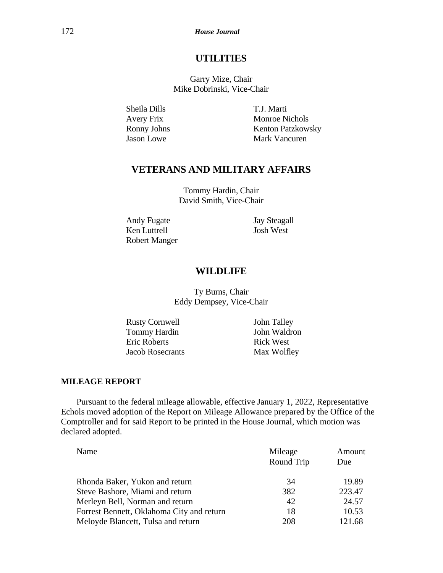# **UTILITIES**

Garry Mize, Chair Mike Dobrinski, Vice-Chair

Sheila Dills Avery Frix Ronny Johns Jason Lowe

T.J. Marti Monroe Nichols Kenton Patzkowsky Mark Vancuren

# **VETERANS AND MILITARY AFFAIRS**

Tommy Hardin, Chair David Smith, Vice-Chair

Andy Fugate Ken Luttrell Robert Manger Jay Steagall Josh West

# **WILDLIFE**

Ty Burns, Chair Eddy Dempsey, Vice-Chair

Rusty Cornwell Tommy Hardin Eric Roberts Jacob Rosecrants John Talley John Waldron Rick West Max Wolfley

## **MILEAGE REPORT**

Pursuant to the federal mileage allowable, effective January 1, 2022, Representative Echols moved adoption of the Report on Mileage Allowance prepared by the Office of the Comptroller and for said Report to be printed in the House Journal, which motion was declared adopted.

| Name                                      | Mileage    | Amount |
|-------------------------------------------|------------|--------|
|                                           | Round Trip | Due    |
| Rhonda Baker, Yukon and return            | 34         | 19.89  |
| Steve Bashore, Miami and return           | 382        | 223.47 |
| Merleyn Bell, Norman and return           | 42         | 24.57  |
| Forrest Bennett, Oklahoma City and return | 18         | 10.53  |
| Meloyde Blancett, Tulsa and return        | 208        | 121.68 |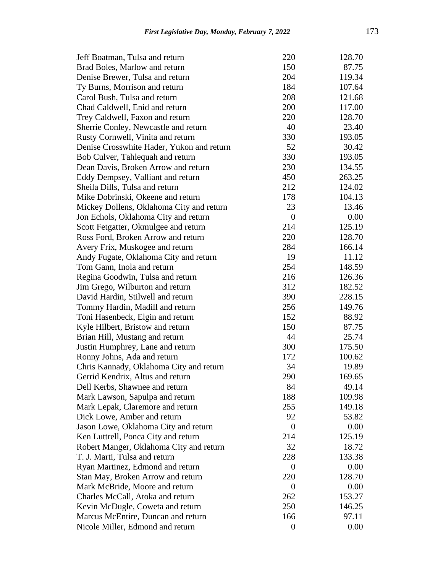| Jeff Boatman, Tulsa and return            | 220              | 128.70 |
|-------------------------------------------|------------------|--------|
| Brad Boles, Marlow and return             | 150              | 87.75  |
| Denise Brewer, Tulsa and return           | 204              | 119.34 |
| Ty Burns, Morrison and return             | 184              | 107.64 |
| Carol Bush, Tulsa and return              | 208              | 121.68 |
| Chad Caldwell, Enid and return            | 200              | 117.00 |
| Trey Caldwell, Faxon and return           | 220              | 128.70 |
| Sherrie Conley, Newcastle and return      | 40               | 23.40  |
| Rusty Cornwell, Vinita and return         | 330              | 193.05 |
| Denise Crosswhite Hader, Yukon and return | 52               | 30.42  |
| Bob Culver, Tahlequah and return          | 330              | 193.05 |
| Dean Davis, Broken Arrow and return       | 230              | 134.55 |
| Eddy Dempsey, Valliant and return         | 450              | 263.25 |
| Sheila Dills, Tulsa and return            | 212              | 124.02 |
| Mike Dobrinski, Okeene and return         | 178              | 104.13 |
| Mickey Dollens, Oklahoma City and return  | 23               | 13.46  |
| Jon Echols, Oklahoma City and return      | $\overline{0}$   | 0.00   |
|                                           | 214              | 125.19 |
| Scott Fetgatter, Okmulgee and return      |                  |        |
| Ross Ford, Broken Arrow and return        | 220              | 128.70 |
| Avery Frix, Muskogee and return           | 284              | 166.14 |
| Andy Fugate, Oklahoma City and return     | 19               | 11.12  |
| Tom Gann, Inola and return                | 254              | 148.59 |
| Regina Goodwin, Tulsa and return          | 216              | 126.36 |
| Jim Grego, Wilburton and return           | 312              | 182.52 |
| David Hardin, Stilwell and return         | 390              | 228.15 |
| Tommy Hardin, Madill and return           | 256              | 149.76 |
| Toni Hasenbeck, Elgin and return          | 152              | 88.92  |
| Kyle Hilbert, Bristow and return          | 150              | 87.75  |
| Brian Hill, Mustang and return            | 44               | 25.74  |
| Justin Humphrey, Lane and return          | 300              | 175.50 |
| Ronny Johns, Ada and return               | 172              | 100.62 |
| Chris Kannady, Oklahoma City and return   | 34               | 19.89  |
| Gerrid Kendrix, Altus and return          | 290              | 169.65 |
| Dell Kerbs, Shawnee and return            | 84               | 49.14  |
| Mark Lawson, Sapulpa and return           | 188              | 109.98 |
| Mark Lepak, Claremore and return          | 255              | 149.18 |
| Dick Lowe, Amber and return               | 92               | 53.82  |
| Jason Lowe, Oklahoma City and return      | $\overline{0}$   | 0.00   |
| Ken Luttrell, Ponca City and return       | 214              | 125.19 |
| Robert Manger, Oklahoma City and return   | 32               | 18.72  |
| T. J. Marti, Tulsa and return             | 228              | 133.38 |
| Ryan Martinez, Edmond and return          | $\theta$         | 0.00   |
| Stan May, Broken Arrow and return         | 220              | 128.70 |
| Mark McBride, Moore and return            | $\overline{0}$   | 0.00   |
| Charles McCall, Atoka and return          | 262              | 153.27 |
| Kevin McDugle, Coweta and return          | 250              | 146.25 |
| Marcus McEntire, Duncan and return        | 166              | 97.11  |
| Nicole Miller, Edmond and return          | $\boldsymbol{0}$ | 0.00   |
|                                           |                  |        |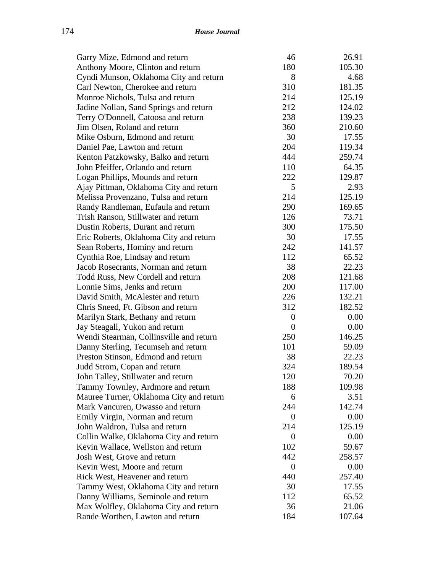| Garry Mize, Edmond and return           | 46               | 26.91  |
|-----------------------------------------|------------------|--------|
| Anthony Moore, Clinton and return       | 180              | 105.30 |
| Cyndi Munson, Oklahoma City and return  | 8                | 4.68   |
| Carl Newton, Cherokee and return        | 310              | 181.35 |
| Monroe Nichols, Tulsa and return        | 214              | 125.19 |
| Jadine Nollan, Sand Springs and return  | 212              | 124.02 |
| Terry O'Donnell, Catoosa and return     | 238              | 139.23 |
| Jim Olsen, Roland and return            | 360              | 210.60 |
| Mike Osburn, Edmond and return          | 30               | 17.55  |
| Daniel Pae, Lawton and return           | 204              | 119.34 |
| Kenton Patzkowsky, Balko and return     | 444              | 259.74 |
| John Pfeiffer, Orlando and return       | 110              | 64.35  |
| Logan Phillips, Mounds and return       | 222              | 129.87 |
| Ajay Pittman, Oklahoma City and return  | 5                | 2.93   |
| Melissa Provenzano, Tulsa and return    | 214              | 125.19 |
| Randy Randleman, Eufaula and return     | 290              | 169.65 |
| Trish Ranson, Stillwater and return     | 126              | 73.71  |
| Dustin Roberts, Durant and return       | 300              | 175.50 |
| Eric Roberts, Oklahoma City and return  | 30               | 17.55  |
| Sean Roberts, Hominy and return         | 242              | 141.57 |
| Cynthia Roe, Lindsay and return         | 112              | 65.52  |
| Jacob Rosecrants, Norman and return     | 38               | 22.23  |
| Todd Russ, New Cordell and return       | 208              | 121.68 |
| Lonnie Sims, Jenks and return           | 200              | 117.00 |
| David Smith, McAlester and return       | 226              | 132.21 |
| Chris Sneed, Ft. Gibson and return      | 312              | 182.52 |
| Marilyn Stark, Bethany and return       | $\boldsymbol{0}$ | 0.00   |
| Jay Steagall, Yukon and return          | 0                | 0.00   |
| Wendi Stearman, Collinsville and return | 250              | 146.25 |
| Danny Sterling, Tecumseh and return     | 101              | 59.09  |
| Preston Stinson, Edmond and return      | 38               | 22.23  |
| Judd Strom, Copan and return            | 324              | 189.54 |
| John Talley, Stillwater and return      | 120              | 70.20  |
| Tammy Townley, Ardmore and return       | 188              | 109.98 |
| Mauree Turner, Oklahoma City and return | 6                | 3.51   |
| Mark Vancuren, Owasso and return        | 244              | 142.74 |
| Emily Virgin, Norman and return         | $\boldsymbol{0}$ | 0.00   |
| John Waldron, Tulsa and return          | 214              | 125.19 |
| Collin Walke, Oklahoma City and return  | 0                | 0.00   |
| Kevin Wallace, Wellston and return      | 102              | 59.67  |
| Josh West, Grove and return             | 442              | 258.57 |
| Kevin West, Moore and return            | 0                | 0.00   |
| Rick West, Heavener and return          | 440              | 257.40 |
| Tammy West, Oklahoma City and return    | 30               | 17.55  |
| Danny Williams, Seminole and return     | 112              | 65.52  |
| Max Wolfley, Oklahoma City and return   | 36               | 21.06  |
| Rande Worthen, Lawton and return        | 184              | 107.64 |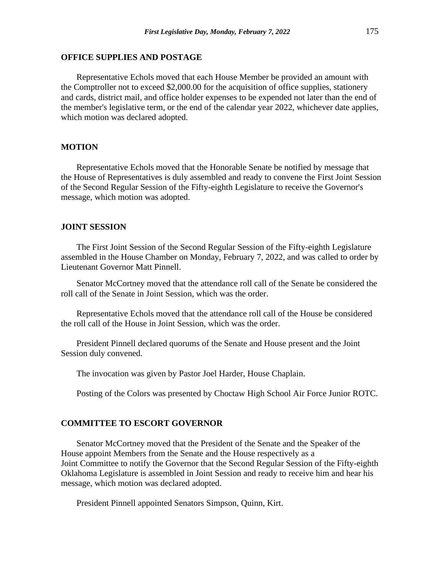### **OFFICE SUPPLIES AND POSTAGE**

Representative Echols moved that each House Member be provided an amount with the Comptroller not to exceed \$2,000.00 for the acquisition of office supplies, stationery and cards, district mail, and office holder expenses to be expended not later than the end of the member's legislative term, or the end of the calendar year 2022, whichever date applies, which motion was declared adopted.

### **MOTION**

Representative Echols moved that the Honorable Senate be notified by message that the House of Representatives is duly assembled and ready to convene the First Joint Session of the Second Regular Session of the Fifty-eighth Legislature to receive the Governor's message, which motion was adopted.

#### **JOINT SESSION**

The First Joint Session of the Second Regular Session of the Fifty-eighth Legislature assembled in the House Chamber on Monday, February 7, 2022, and was called to order by Lieutenant Governor Matt Pinnell.

Senator McCortney moved that the attendance roll call of the Senate be considered the roll call of the Senate in Joint Session, which was the order.

Representative Echols moved that the attendance roll call of the House be considered the roll call of the House in Joint Session, which was the order.

President Pinnell declared quorums of the Senate and House present and the Joint Session duly convened.

The invocation was given by Pastor Joel Harder, House Chaplain.

Posting of the Colors was presented by Choctaw High School Air Force Junior ROTC.

### **COMMITTEE TO ESCORT GOVERNOR**

Senator McCortney moved that the President of the Senate and the Speaker of the House appoint Members from the Senate and the House respectively as a Joint Committee to notify the Governor that the Second Regular Session of the Fifty-eighth Oklahoma Legislature is assembled in Joint Session and ready to receive him and hear his message, which motion was declared adopted.

President Pinnell appointed Senators Simpson, Quinn, Kirt.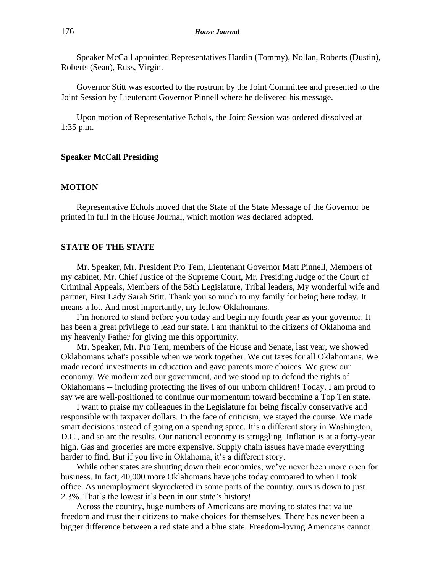Speaker McCall appointed Representatives Hardin (Tommy), Nollan, Roberts (Dustin), Roberts (Sean), Russ, Virgin.

Governor Stitt was escorted to the rostrum by the Joint Committee and presented to the Joint Session by Lieutenant Governor Pinnell where he delivered his message.

Upon motion of Representative Echols, the Joint Session was ordered dissolved at 1:35 p.m.

#### **Speaker McCall Presiding**

### **MOTION**

Representative Echols moved that the State of the State Message of the Governor be printed in full in the House Journal, which motion was declared adopted.

## **STATE OF THE STATE**

Mr. Speaker, Mr. President Pro Tem, Lieutenant Governor Matt Pinnell, Members of my cabinet, Mr. Chief Justice of the Supreme Court, Mr. Presiding Judge of the Court of Criminal Appeals, Members of the 58th Legislature, Tribal leaders, My wonderful wife and partner, First Lady Sarah Stitt. Thank you so much to my family for being here today. It means a lot. And most importantly, my fellow Oklahomans.

I'm honored to stand before you today and begin my fourth year as your governor. It has been a great privilege to lead our state. I am thankful to the citizens of Oklahoma and my heavenly Father for giving me this opportunity.

Mr. Speaker, Mr. Pro Tem, members of the House and Senate, last year, we showed Oklahomans what's possible when we work together. We cut taxes for all Oklahomans. We made record investments in education and gave parents more choices. We grew our economy. We modernized our government, and we stood up to defend the rights of Oklahomans -- including protecting the lives of our unborn children! Today, I am proud to say we are well-positioned to continue our momentum toward becoming a Top Ten state.

I want to praise my colleagues in the Legislature for being fiscally conservative and responsible with taxpayer dollars. In the face of criticism, we stayed the course. We made smart decisions instead of going on a spending spree. It's a different story in Washington, D.C., and so are the results. Our national economy is struggling. Inflation is at a forty-year high. Gas and groceries are more expensive. Supply chain issues have made everything harder to find. But if you live in Oklahoma, it's a different story.

While other states are shutting down their economies, we've never been more open for business. In fact, 40,000 more Oklahomans have jobs today compared to when I took office. As unemployment skyrocketed in some parts of the country, ours is down to just 2.3%. That's the lowest it's been in our state's history!

Across the country, huge numbers of Americans are moving to states that value freedom and trust their citizens to make choices for themselves. There has never been a bigger difference between a red state and a blue state. Freedom-loving Americans cannot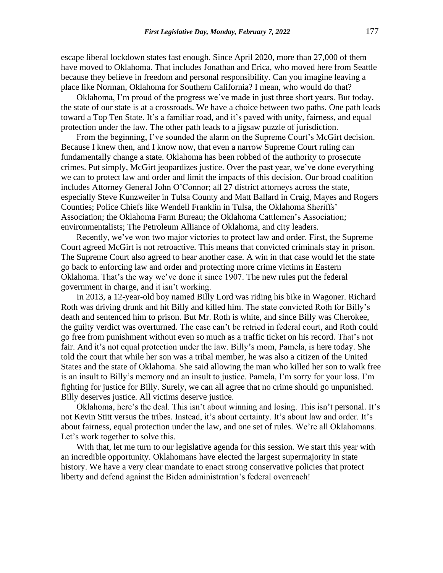escape liberal lockdown states fast enough. Since April 2020, more than 27,000 of them have moved to Oklahoma. That includes Jonathan and Erica, who moved here from Seattle because they believe in freedom and personal responsibility. Can you imagine leaving a place like Norman, Oklahoma for Southern California? I mean, who would do that?

Oklahoma, I'm proud of the progress we've made in just three short years. But today, the state of our state is at a crossroads. We have a choice between two paths. One path leads toward a Top Ten State. It's a familiar road, and it's paved with unity, fairness, and equal protection under the law. The other path leads to a jigsaw puzzle of jurisdiction.

From the beginning, I've sounded the alarm on the Supreme Court's McGirt decision. Because I knew then, and I know now, that even a narrow Supreme Court ruling can fundamentally change a state. Oklahoma has been robbed of the authority to prosecute crimes. Put simply, McGirt jeopardizes justice. Over the past year, we've done everything we can to protect law and order and limit the impacts of this decision. Our broad coalition includes Attorney General John O'Connor; all 27 district attorneys across the state, especially Steve Kunzweiler in Tulsa County and Matt Ballard in Craig, Mayes and Rogers Counties; Police Chiefs like Wendell Franklin in Tulsa, the Oklahoma Sheriffs' Association; the Oklahoma Farm Bureau; the Oklahoma Cattlemen's Association; environmentalists; The Petroleum Alliance of Oklahoma, and city leaders.

Recently, we've won two major victories to protect law and order. First, the Supreme Court agreed McGirt is not retroactive. This means that convicted criminals stay in prison. The Supreme Court also agreed to hear another case. A win in that case would let the state go back to enforcing law and order and protecting more crime victims in Eastern Oklahoma. That's the way we've done it since 1907. The new rules put the federal government in charge, and it isn't working.

In 2013, a 12-year-old boy named Billy Lord was riding his bike in Wagoner. Richard Roth was driving drunk and hit Billy and killed him. The state convicted Roth for Billy's death and sentenced him to prison. But Mr. Roth is white, and since Billy was Cherokee, the guilty verdict was overturned. The case can't be retried in federal court, and Roth could go free from punishment without even so much as a traffic ticket on his record. That's not fair. And it's not equal protection under the law. Billy's mom, Pamela, is here today. She told the court that while her son was a tribal member, he was also a citizen of the United States and the state of Oklahoma. She said allowing the man who killed her son to walk free is an insult to Billy's memory and an insult to justice. Pamela, I'm sorry for your loss. I'm fighting for justice for Billy. Surely, we can all agree that no crime should go unpunished. Billy deserves justice. All victims deserve justice.

Oklahoma, here's the deal. This isn't about winning and losing. This isn't personal. It's not Kevin Stitt versus the tribes. Instead, it's about certainty. It's about law and order. It's about fairness, equal protection under the law, and one set of rules. We're all Oklahomans. Let's work together to solve this.

With that, let me turn to our legislative agenda for this session. We start this year with an incredible opportunity. Oklahomans have elected the largest supermajority in state history. We have a very clear mandate to enact strong conservative policies that protect liberty and defend against the Biden administration's federal overreach!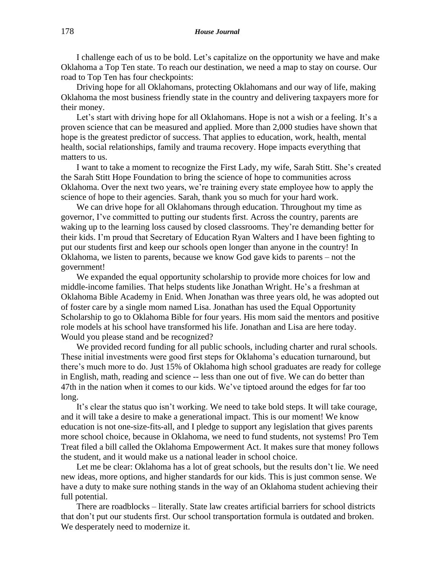I challenge each of us to be bold. Let's capitalize on the opportunity we have and make Oklahoma a Top Ten state. To reach our destination, we need a map to stay on course. Our road to Top Ten has four checkpoints:

Driving hope for all Oklahomans, protecting Oklahomans and our way of life, making Oklahoma the most business friendly state in the country and delivering taxpayers more for their money.

Let's start with driving hope for all Oklahomans. Hope is not a wish or a feeling. It's a proven science that can be measured and applied. More than 2,000 studies have shown that hope is the greatest predictor of success. That applies to education, work, health, mental health, social relationships, family and trauma recovery. Hope impacts everything that matters to us.

I want to take a moment to recognize the First Lady, my wife, Sarah Stitt. She's created the Sarah Stitt Hope Foundation to bring the science of hope to communities across Oklahoma. Over the next two years, we're training every state employee how to apply the science of hope to their agencies. Sarah, thank you so much for your hard work.

We can drive hope for all Oklahomans through education. Throughout my time as governor, I've committed to putting our students first. Across the country, parents are waking up to the learning loss caused by closed classrooms. They're demanding better for their kids. I'm proud that Secretary of Education Ryan Walters and I have been fighting to put our students first and keep our schools open longer than anyone in the country! In Oklahoma, we listen to parents, because we know God gave kids to parents – not the government!

We expanded the equal opportunity scholarship to provide more choices for low and middle-income families. That helps students like Jonathan Wright. He's a freshman at Oklahoma Bible Academy in Enid. When Jonathan was three years old, he was adopted out of foster care by a single mom named Lisa. Jonathan has used the Equal Opportunity Scholarship to go to Oklahoma Bible for four years. His mom said the mentors and positive role models at his school have transformed his life. Jonathan and Lisa are here today. Would you please stand and be recognized?

We provided record funding for all public schools, including charter and rural schools. These initial investments were good first steps for Oklahoma's education turnaround, but there's much more to do. Just 15% of Oklahoma high school graduates are ready for college in English, math, reading and science -- less than one out of five. We can do better than 47th in the nation when it comes to our kids. We've tiptoed around the edges for far too long.

It's clear the status quo isn't working. We need to take bold steps. It will take courage, and it will take a desire to make a generational impact. This is our moment! We know education is not one-size-fits-all, and I pledge to support any legislation that gives parents more school choice, because in Oklahoma, we need to fund students, not systems! Pro Tem Treat filed a bill called the Oklahoma Empowerment Act. It makes sure that money follows the student, and it would make us a national leader in school choice.

Let me be clear: Oklahoma has a lot of great schools, but the results don't lie. We need new ideas, more options, and higher standards for our kids. This is just common sense. We have a duty to make sure nothing stands in the way of an Oklahoma student achieving their full potential.

There are roadblocks – literally. State law creates artificial barriers for school districts that don't put our students first. Our school transportation formula is outdated and broken. We desperately need to modernize it.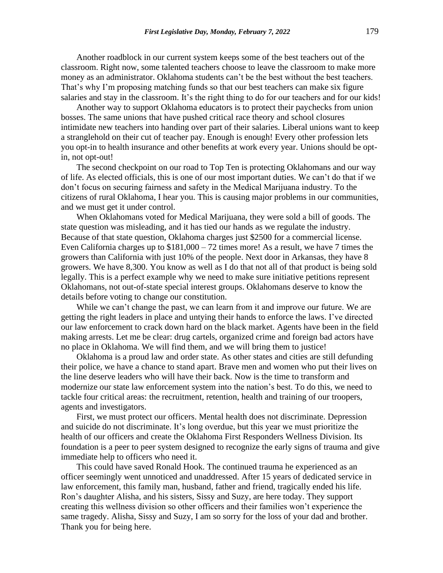Another roadblock in our current system keeps some of the best teachers out of the classroom. Right now, some talented teachers choose to leave the classroom to make more money as an administrator. Oklahoma students can't be the best without the best teachers. That's why I'm proposing matching funds so that our best teachers can make six figure salaries and stay in the classroom. It's the right thing to do for our teachers and for our kids!

Another way to support Oklahoma educators is to protect their paychecks from union bosses. The same unions that have pushed critical race theory and school closures intimidate new teachers into handing over part of their salaries. Liberal unions want to keep a stranglehold on their cut of teacher pay. Enough is enough! Every other profession lets you opt-in to health insurance and other benefits at work every year. Unions should be optin, not opt-out!

The second checkpoint on our road to Top Ten is protecting Oklahomans and our way of life. As elected officials, this is one of our most important duties. We can't do that if we don't focus on securing fairness and safety in the Medical Marijuana industry. To the citizens of rural Oklahoma, I hear you. This is causing major problems in our communities, and we must get it under control.

When Oklahomans voted for Medical Marijuana, they were sold a bill of goods. The state question was misleading, and it has tied our hands as we regulate the industry. Because of that state question, Oklahoma charges just \$2500 for a commercial license. Even California charges up to  $$181,000 - 72$  times more! As a result, we have 7 times the growers than California with just 10% of the people. Next door in Arkansas, they have 8 growers. We have 8,300. You know as well as I do that not all of that product is being sold legally. This is a perfect example why we need to make sure initiative petitions represent Oklahomans, not out-of-state special interest groups. Oklahomans deserve to know the details before voting to change our constitution.

While we can't change the past, we can learn from it and improve our future. We are getting the right leaders in place and untying their hands to enforce the laws. I've directed our law enforcement to crack down hard on the black market. Agents have been in the field making arrests. Let me be clear: drug cartels, organized crime and foreign bad actors have no place in Oklahoma. We will find them, and we will bring them to justice!

Oklahoma is a proud law and order state. As other states and cities are still defunding their police, we have a chance to stand apart. Brave men and women who put their lives on the line deserve leaders who will have their back. Now is the time to transform and modernize our state law enforcement system into the nation's best. To do this, we need to tackle four critical areas: the recruitment, retention, health and training of our troopers, agents and investigators.

First, we must protect our officers. Mental health does not discriminate. Depression and suicide do not discriminate. It's long overdue, but this year we must prioritize the health of our officers and create the Oklahoma First Responders Wellness Division. Its foundation is a peer to peer system designed to recognize the early signs of trauma and give immediate help to officers who need it.

This could have saved Ronald Hook. The continued trauma he experienced as an officer seemingly went unnoticed and unaddressed. After 15 years of dedicated service in law enforcement, this family man, husband, father and friend, tragically ended his life. Ron's daughter Alisha, and his sisters, Sissy and Suzy, are here today. They support creating this wellness division so other officers and their families won't experience the same tragedy. Alisha, Sissy and Suzy, I am so sorry for the loss of your dad and brother. Thank you for being here.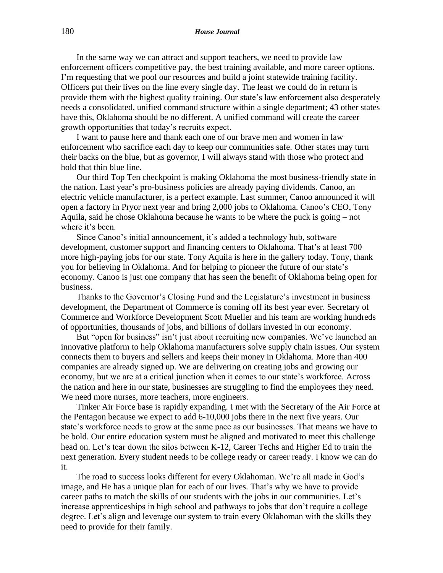In the same way we can attract and support teachers, we need to provide law enforcement officers competitive pay, the best training available, and more career options. I'm requesting that we pool our resources and build a joint statewide training facility. Officers put their lives on the line every single day. The least we could do in return is provide them with the highest quality training. Our state's law enforcement also desperately needs a consolidated, unified command structure within a single department; 43 other states have this, Oklahoma should be no different. A unified command will create the career growth opportunities that today's recruits expect.

I want to pause here and thank each one of our brave men and women in law enforcement who sacrifice each day to keep our communities safe. Other states may turn their backs on the blue, but as governor, I will always stand with those who protect and hold that thin blue line.

Our third Top Ten checkpoint is making Oklahoma the most business-friendly state in the nation. Last year's pro-business policies are already paying dividends. Canoo, an electric vehicle manufacturer, is a perfect example. Last summer, Canoo announced it will open a factory in Pryor next year and bring 2,000 jobs to Oklahoma. Canoo's CEO, Tony Aquila, said he chose Oklahoma because he wants to be where the puck is going – not where it's been.

Since Canoo's initial announcement, it's added a technology hub, software development, customer support and financing centers to Oklahoma. That's at least 700 more high-paying jobs for our state. Tony Aquila is here in the gallery today. Tony, thank you for believing in Oklahoma. And for helping to pioneer the future of our state's economy. Canoo is just one company that has seen the benefit of Oklahoma being open for business.

Thanks to the Governor's Closing Fund and the Legislature's investment in business development, the Department of Commerce is coming off its best year ever. Secretary of Commerce and Workforce Development Scott Mueller and his team are working hundreds of opportunities, thousands of jobs, and billions of dollars invested in our economy.

But "open for business" isn't just about recruiting new companies. We've launched an innovative platform to help Oklahoma manufacturers solve supply chain issues. Our system connects them to buyers and sellers and keeps their money in Oklahoma. More than 400 companies are already signed up. We are delivering on creating jobs and growing our economy, but we are at a critical junction when it comes to our state's workforce. Across the nation and here in our state, businesses are struggling to find the employees they need. We need more nurses, more teachers, more engineers.

Tinker Air Force base is rapidly expanding. I met with the Secretary of the Air Force at the Pentagon because we expect to add 6-10,000 jobs there in the next five years. Our state's workforce needs to grow at the same pace as our businesses. That means we have to be bold. Our entire education system must be aligned and motivated to meet this challenge head on. Let's tear down the silos between K-12, Career Techs and Higher Ed to train the next generation. Every student needs to be college ready or career ready. I know we can do it.

The road to success looks different for every Oklahoman. We're all made in God's image, and He has a unique plan for each of our lives. That's why we have to provide career paths to match the skills of our students with the jobs in our communities. Let's increase apprenticeships in high school and pathways to jobs that don't require a college degree. Let's align and leverage our system to train every Oklahoman with the skills they need to provide for their family.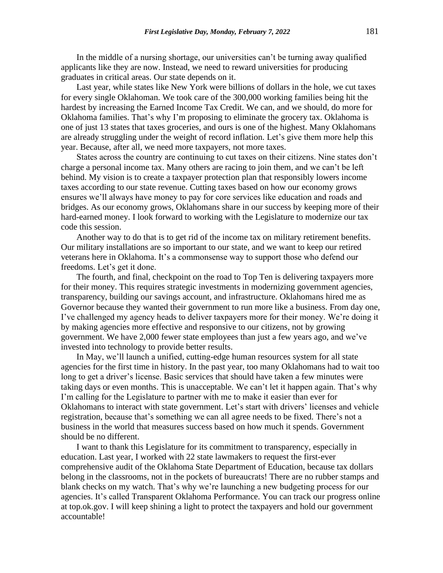In the middle of a nursing shortage, our universities can't be turning away qualified applicants like they are now. Instead, we need to reward universities for producing graduates in critical areas. Our state depends on it.

Last year, while states like New York were billions of dollars in the hole, we cut taxes for every single Oklahoman. We took care of the 300,000 working families being hit the hardest by increasing the Earned Income Tax Credit. We can, and we should, do more for Oklahoma families. That's why I'm proposing to eliminate the grocery tax. Oklahoma is one of just 13 states that taxes groceries, and ours is one of the highest. Many Oklahomans are already struggling under the weight of record inflation. Let's give them more help this year. Because, after all, we need more taxpayers, not more taxes.

States across the country are continuing to cut taxes on their citizens. Nine states don't charge a personal income tax. Many others are racing to join them, and we can't be left behind. My vision is to create a taxpayer protection plan that responsibly lowers income taxes according to our state revenue. Cutting taxes based on how our economy grows ensures we'll always have money to pay for core services like education and roads and bridges. As our economy grows, Oklahomans share in our success by keeping more of their hard-earned money. I look forward to working with the Legislature to modernize our tax code this session.

Another way to do that is to get rid of the income tax on military retirement benefits. Our military installations are so important to our state, and we want to keep our retired veterans here in Oklahoma. It's a commonsense way to support those who defend our freedoms. Let's get it done.

The fourth, and final, checkpoint on the road to Top Ten is delivering taxpayers more for their money. This requires strategic investments in modernizing government agencies, transparency, building our savings account, and infrastructure. Oklahomans hired me as Governor because they wanted their government to run more like a business. From day one, I've challenged my agency heads to deliver taxpayers more for their money. We're doing it by making agencies more effective and responsive to our citizens, not by growing government. We have 2,000 fewer state employees than just a few years ago, and we've invested into technology to provide better results.

In May, we'll launch a unified, cutting-edge human resources system for all state agencies for the first time in history. In the past year, too many Oklahomans had to wait too long to get a driver's license. Basic services that should have taken a few minutes were taking days or even months. This is unacceptable. We can't let it happen again. That's why I'm calling for the Legislature to partner with me to make it easier than ever for Oklahomans to interact with state government. Let's start with drivers' licenses and vehicle registration, because that's something we can all agree needs to be fixed. There's not a business in the world that measures success based on how much it spends. Government should be no different.

I want to thank this Legislature for its commitment to transparency, especially in education. Last year, I worked with 22 state lawmakers to request the first-ever comprehensive audit of the Oklahoma State Department of Education, because tax dollars belong in the classrooms, not in the pockets of bureaucrats! There are no rubber stamps and blank checks on my watch. That's why we're launching a new budgeting process for our agencies. It's called Transparent Oklahoma Performance. You can track our progress online at top.ok.gov. I will keep shining a light to protect the taxpayers and hold our government accountable!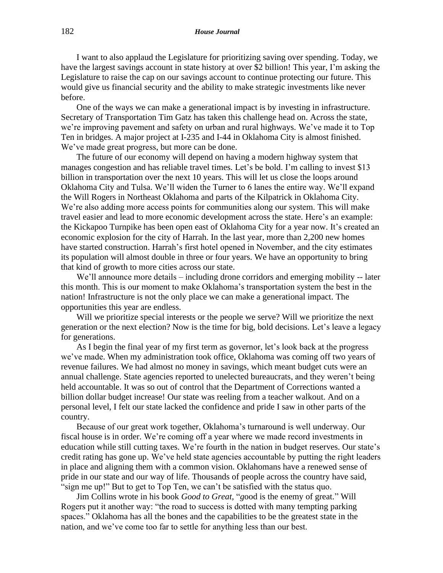## 182 *House Journal*

I want to also applaud the Legislature for prioritizing saving over spending. Today, we have the largest savings account in state history at over \$2 billion! This year, I'm asking the Legislature to raise the cap on our savings account to continue protecting our future. This would give us financial security and the ability to make strategic investments like never before.

One of the ways we can make a generational impact is by investing in infrastructure. Secretary of Transportation Tim Gatz has taken this challenge head on. Across the state, we're improving pavement and safety on urban and rural highways. We've made it to Top Ten in bridges. A major project at I-235 and I-44 in Oklahoma City is almost finished. We've made great progress, but more can be done.

The future of our economy will depend on having a modern highway system that manages congestion and has reliable travel times. Let's be bold. I'm calling to invest \$13 billion in transportation over the next 10 years. This will let us close the loops around Oklahoma City and Tulsa. We'll widen the Turner to 6 lanes the entire way. We'll expand the Will Rogers in Northeast Oklahoma and parts of the Kilpatrick in Oklahoma City. We're also adding more access points for communities along our system. This will make travel easier and lead to more economic development across the state. Here's an example: the Kickapoo Turnpike has been open east of Oklahoma City for a year now. It's created an economic explosion for the city of Harrah. In the last year, more than 2,200 new homes have started construction. Harrah's first hotel opened in November, and the city estimates its population will almost double in three or four years. We have an opportunity to bring that kind of growth to more cities across our state.

We'll announce more details – including drone corridors and emerging mobility -- later this month. This is our moment to make Oklahoma's transportation system the best in the nation! Infrastructure is not the only place we can make a generational impact. The opportunities this year are endless.

Will we prioritize special interests or the people we serve? Will we prioritize the next generation or the next election? Now is the time for big, bold decisions. Let's leave a legacy for generations.

As I begin the final year of my first term as governor, let's look back at the progress we've made. When my administration took office, Oklahoma was coming off two years of revenue failures. We had almost no money in savings, which meant budget cuts were an annual challenge. State agencies reported to unelected bureaucrats, and they weren't being held accountable. It was so out of control that the Department of Corrections wanted a billion dollar budget increase! Our state was reeling from a teacher walkout. And on a personal level, I felt our state lacked the confidence and pride I saw in other parts of the country.

Because of our great work together, Oklahoma's turnaround is well underway. Our fiscal house is in order. We're coming off a year where we made record investments in education while still cutting taxes. We're fourth in the nation in budget reserves. Our state's credit rating has gone up. We've held state agencies accountable by putting the right leaders in place and aligning them with a common vision. Oklahomans have a renewed sense of pride in our state and our way of life. Thousands of people across the country have said, "sign me up!" But to get to Top Ten, we can't be satisfied with the status quo.

Jim Collins wrote in his book *Good to Great,* "*g*ood is the enemy of great." Will Rogers put it another way: "the road to success is dotted with many tempting parking spaces." Oklahoma has all the bones and the capabilities to be the greatest state in the nation, and we've come too far to settle for anything less than our best.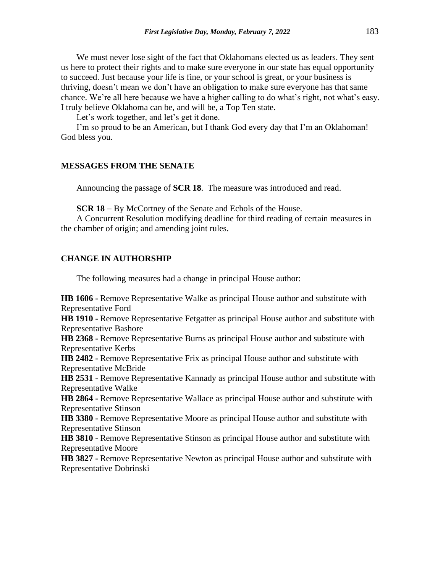We must never lose sight of the fact that Oklahomans elected us as leaders. They sent us here to protect their rights and to make sure everyone in our state has equal opportunity to succeed. Just because your life is fine, or your school is great, or your business is thriving, doesn't mean we don't have an obligation to make sure everyone has that same chance. We're all here because we have a higher calling to do what's right, not what's easy. I truly believe Oklahoma can be, and will be, a Top Ten state.

Let's work together, and let's get it done.

I'm so proud to be an American, but I thank God every day that I'm an Oklahoman! God bless you.

## **MESSAGES FROM THE SENATE**

Announcing the passage of **SCR 18**. The measure was introduced and read.

**SCR 18** − By McCortney of the Senate and Echols of the House.

A Concurrent Resolution modifying deadline for third reading of certain measures in the chamber of origin; and amending joint rules.

## **CHANGE IN AUTHORSHIP**

The following measures had a change in principal House author:

**HB 1606 -** Remove Representative Walke as principal House author and substitute with Representative Ford

**HB 1910 -** Remove Representative Fetgatter as principal House author and substitute with Representative Bashore

**HB 2368 -** Remove Representative Burns as principal House author and substitute with Representative Kerbs

**HB 2482 -** Remove Representative Frix as principal House author and substitute with Representative McBride

**HB 2531 -** Remove Representative Kannady as principal House author and substitute with Representative Walke

**HB 2864 -** Remove Representative Wallace as principal House author and substitute with Representative Stinson

**HB 3380 -** Remove Representative Moore as principal House author and substitute with Representative Stinson

**HB 3810 -** Remove Representative Stinson as principal House author and substitute with Representative Moore

**HB 3827 -** Remove Representative Newton as principal House author and substitute with Representative Dobrinski